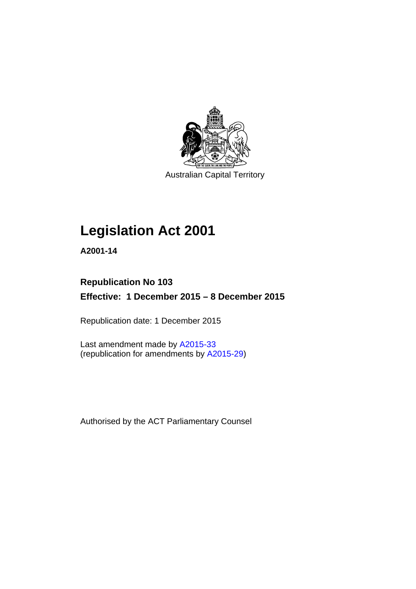

Australian Capital Territory

# **Legislation Act 2001**

**A2001-14** 

# **Republication No 103 Effective: 1 December 2015 – 8 December 2015**

Republication date: 1 December 2015

Last amendment made by [A2015-33](http://www.legislation.act.gov.au/a/2015-33) (republication for amendments by [A2015-29](http://www.legislation.act.gov.au/a/2015-29))

Authorised by the ACT Parliamentary Counsel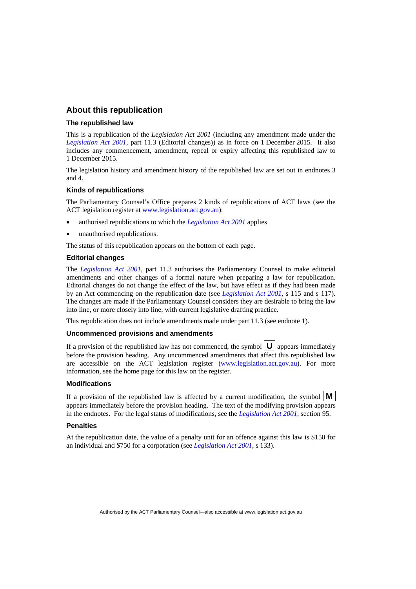## **About this republication**

#### **The republished law**

This is a republication of the *Legislation Act 2001* (including any amendment made under the *[Legislation Act 2001](http://www.legislation.act.gov.au/a/2001-14)*, part 11.3 (Editorial changes)) as in force on 1 December 2015*.* It also includes any commencement, amendment, repeal or expiry affecting this republished law to 1 December 2015.

The legislation history and amendment history of the republished law are set out in endnotes 3 and 4.

#### **Kinds of republications**

The Parliamentary Counsel's Office prepares 2 kinds of republications of ACT laws (see the ACT legislation register at [www.legislation.act.gov.au](http://www.legislation.act.gov.au/)):

- authorised republications to which the *[Legislation Act 2001](http://www.legislation.act.gov.au/a/2001-14)* applies
- unauthorised republications.

The status of this republication appears on the bottom of each page.

#### **Editorial changes**

The *[Legislation Act 2001](http://www.legislation.act.gov.au/a/2001-14)*, part 11.3 authorises the Parliamentary Counsel to make editorial amendments and other changes of a formal nature when preparing a law for republication. Editorial changes do not change the effect of the law, but have effect as if they had been made by an Act commencing on the republication date (see *[Legislation Act 2001](http://www.legislation.act.gov.au/a/2001-14)*, s 115 and s 117). The changes are made if the Parliamentary Counsel considers they are desirable to bring the law into line, or more closely into line, with current legislative drafting practice.

This republication does not include amendments made under part 11.3 (see endnote 1).

#### **Uncommenced provisions and amendments**

If a provision of the republished law has not commenced, the symbol  $\mathbf{U}$  appears immediately before the provision heading. Any uncommenced amendments that affect this republished law are accessible on the ACT legislation register [\(www.legislation.act.gov.au](http://www.legislation.act.gov.au/)). For more information, see the home page for this law on the register.

#### **Modifications**

If a provision of the republished law is affected by a current modification, the symbol  $\mathbf{M}$ appears immediately before the provision heading. The text of the modifying provision appears in the endnotes. For the legal status of modifications, see the *[Legislation Act 2001](http://www.legislation.act.gov.au/a/2001-14)*, section 95.

#### **Penalties**

At the republication date, the value of a penalty unit for an offence against this law is \$150 for an individual and \$750 for a corporation (see *[Legislation Act 2001](http://www.legislation.act.gov.au/a/2001-14)*, s 133).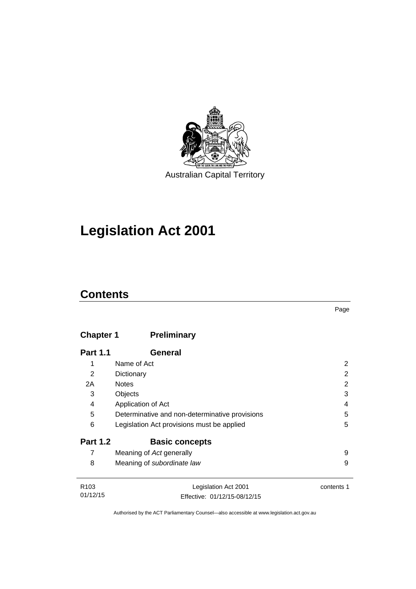

# **Legislation Act 2001**

# **Contents**

# **Chapter 1 [Preliminary](#page-17-0)**

| <b>Part 1.1</b>  | General                                        |            |
|------------------|------------------------------------------------|------------|
| 1                | Name of Act                                    | 2          |
| 2                | Dictionary                                     | 2          |
| 2A               | <b>Notes</b>                                   | 2          |
| 3                | Objects                                        | 3          |
| 4                | Application of Act                             | 4          |
| 5                | Determinative and non-determinative provisions | 5          |
| 6                | Legislation Act provisions must be applied     | 5          |
| <b>Part 1.2</b>  | <b>Basic concepts</b>                          |            |
| 7                | Meaning of Act generally                       | 9          |
| 8                | Meaning of subordinate law                     | 9          |
|                  |                                                |            |
| R <sub>103</sub> | Legislation Act 2001                           | contents 1 |

01/12/15 Effective: 01/12/15-08/12/15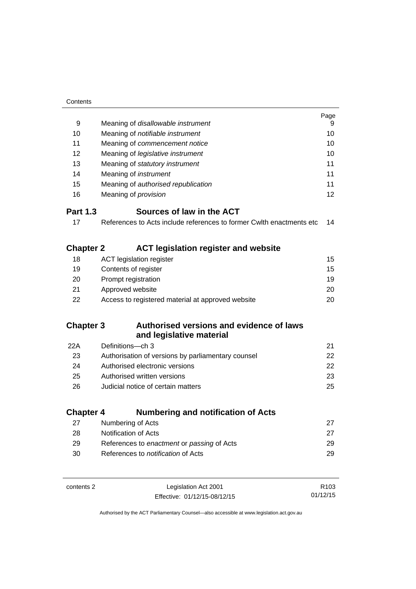| Contents         |                                                                      |                  |
|------------------|----------------------------------------------------------------------|------------------|
|                  |                                                                      | Page             |
| 9                | Meaning of disallowable instrument                                   | 9                |
| 10               | Meaning of notifiable instrument                                     | 10               |
| 11               | Meaning of commencement notice                                       | 10               |
| 12               | Meaning of legislative instrument                                    | 10               |
| 13               | Meaning of statutory instrument                                      | 11               |
| 14               | Meaning of instrument                                                | 11               |
| 15               | Meaning of authorised republication                                  | 11               |
| 16               | Meaning of <i>provision</i>                                          | 12               |
| <b>Part 1.3</b>  | Sources of law in the ACT                                            |                  |
| 17               | References to Acts include references to former Cwlth enactments etc | 14               |
|                  |                                                                      |                  |
| <b>Chapter 2</b> | <b>ACT legislation register and website</b>                          |                  |
| 18               | <b>ACT legislation register</b>                                      | 15               |
| 19               | Contents of register                                                 | 15               |
| 20               | Prompt registration                                                  | 19               |
| 21               | Approved website                                                     | 20               |
| 22               | Access to registered material at approved website                    | 20               |
|                  |                                                                      |                  |
| <b>Chapter 3</b> | Authorised versions and evidence of laws                             |                  |
|                  | and legislative material                                             |                  |
| 22A              | Definitions-ch 3                                                     | 21               |
| 23               | Authorisation of versions by parliamentary counsel                   | 22               |
| 24               | Authorised electronic versions                                       | 22               |
| 25               | Authorised written versions                                          | 23               |
| 26               | Judicial notice of certain matters                                   | 25               |
|                  |                                                                      |                  |
| <b>Chapter 4</b> | <b>Numbering and notification of Acts</b>                            |                  |
| 27               | Numbering of Acts                                                    | 27               |
| 28               | Notification of Acts                                                 | 27               |
| 29               | References to enactment or passing of Acts                           | 29               |
| 30               | References to notification of Acts                                   | 29               |
|                  |                                                                      |                  |
| contents 2       | Legislation Act 2001                                                 | R <sub>103</sub> |
|                  | Effective: 01/12/15-08/12/15                                         | 01/12/15         |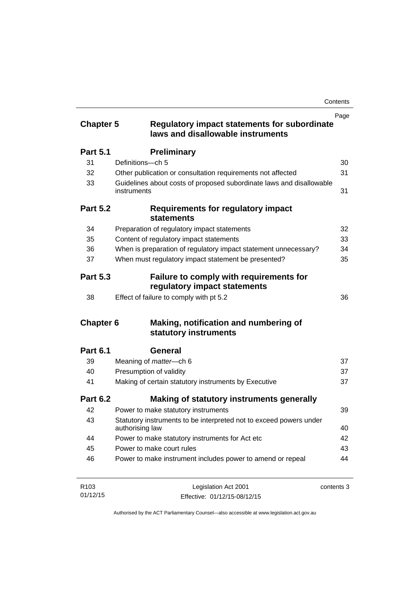|                  |                                                                                          | Page       |
|------------------|------------------------------------------------------------------------------------------|------------|
| <b>Chapter 5</b> | <b>Regulatory impact statements for subordinate</b><br>laws and disallowable instruments |            |
| <b>Part 5.1</b>  | <b>Preliminary</b>                                                                       |            |
| 31               | Definitions-ch 5                                                                         | 30         |
| 32               | Other publication or consultation requirements not affected                              | 31         |
| 33               | Guidelines about costs of proposed subordinate laws and disallowable<br>instruments      | 31         |
| <b>Part 5.2</b>  | <b>Requirements for regulatory impact</b><br><b>statements</b>                           |            |
| 34               | Preparation of regulatory impact statements                                              | 32         |
| 35               | Content of regulatory impact statements                                                  | 33         |
| 36               | When is preparation of regulatory impact statement unnecessary?                          | 34         |
| 37               | When must regulatory impact statement be presented?                                      | 35         |
| <b>Part 5.3</b>  | Failure to comply with requirements for<br>regulatory impact statements                  |            |
| 38               | Effect of failure to comply with pt 5.2                                                  | 36         |
| <b>Chapter 6</b> | Making, notification and numbering of<br>statutory instruments                           |            |
| <b>Part 6.1</b>  | General                                                                                  |            |
| 39               | Meaning of <i>matter</i> -ch 6                                                           | 37         |
| 40               | Presumption of validity                                                                  | 37         |
| 41               | Making of certain statutory instruments by Executive                                     | 37         |
| <b>Part 6.2</b>  | Making of statutory instruments generally                                                |            |
| 42               | Power to make statutory instruments                                                      | 39         |
| 43               | Statutory instruments to be interpreted not to exceed powers under<br>authorising law    | 40         |
| 44               | Power to make statutory instruments for Act etc                                          | 42         |
| 45               | Power to make court rules                                                                | 43         |
| 46               | Power to make instrument includes power to amend or repeal                               | 44         |
| R103             | Legislation Act 2001                                                                     | contents 3 |

Effective: 01/12/15-08/12/15

01/12/15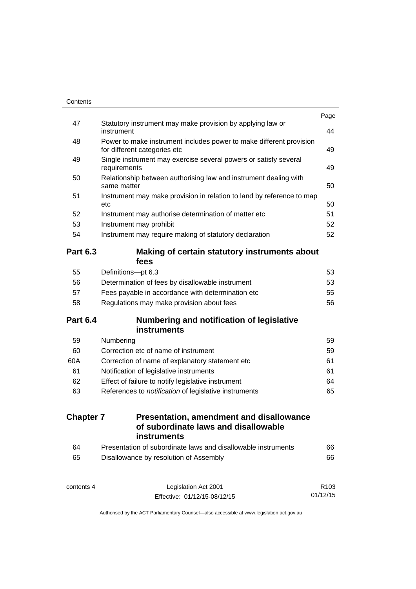|                  |                                                                                                     | Page             |
|------------------|-----------------------------------------------------------------------------------------------------|------------------|
| 47               | Statutory instrument may make provision by applying law or<br>instrument                            | 44               |
| 48               | Power to make instrument includes power to make different provision<br>for different categories etc | 49               |
| 49               | Single instrument may exercise several powers or satisfy several<br>requirements                    | 49               |
| 50               | Relationship between authorising law and instrument dealing with<br>same matter                     | 50               |
| 51               | Instrument may make provision in relation to land by reference to map<br>etc                        | 50               |
| 52               | Instrument may authorise determination of matter etc                                                | 51               |
| 53               | Instrument may prohibit                                                                             | 52               |
| 54               | Instrument may require making of statutory declaration                                              | 52               |
| <b>Part 6.3</b>  | Making of certain statutory instruments about<br>fees                                               |                  |
| 55               | Definitions-pt 6.3                                                                                  | 53               |
| 56               | Determination of fees by disallowable instrument                                                    | 53               |
| 57               | Fees payable in accordance with determination etc                                                   | 55               |
| 58               | Regulations may make provision about fees                                                           | 56               |
| <b>Part 6.4</b>  | Numbering and notification of legislative<br>instruments                                            |                  |
| 59               | Numbering                                                                                           | 59               |
| 60               | Correction etc of name of instrument                                                                | 59               |
| 60A              | Correction of name of explanatory statement etc                                                     | 61               |
| 61               | Notification of legislative instruments                                                             | 61               |
| 62               | Effect of failure to notify legislative instrument                                                  | 64               |
| 63               | References to <i>notification</i> of legislative instruments                                        | 65               |
| <b>Chapter 7</b> | <b>Presentation, amendment and disallowance</b><br>of subordinate laws and disallowable             |                  |
|                  | instruments                                                                                         |                  |
| 64               | Presentation of subordinate laws and disallowable instruments                                       | 66               |
| 65               | Disallowance by resolution of Assembly                                                              | 66               |
| contents 4       | Legislation Act 2001                                                                                | R <sub>103</sub> |

01/12/15

Effective: 01/12/15-08/12/15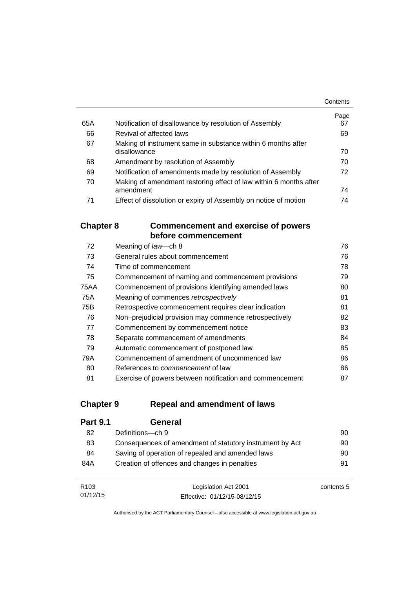|     |                                                                   | Contents   |
|-----|-------------------------------------------------------------------|------------|
| 65A | Notification of disallowance by resolution of Assembly            | Page<br>67 |
|     |                                                                   |            |
| 66  | Revival of affected laws                                          | 69         |
| 67  | Making of instrument same in substance within 6 months after      |            |
|     | disallowance                                                      | 70         |
| 68  | Amendment by resolution of Assembly                               | 70         |
| 69  | Notification of amendments made by resolution of Assembly         | 72         |
| 70  | Making of amendment restoring effect of law within 6 months after |            |
|     | amendment                                                         | 74         |
| 71  | Effect of dissolution or expiry of Assembly on notice of motion   | 74         |

## **Chapter 8 [Commencement and exercise of powers](#page-91-0)  [before commencement](#page-91-0)**

| 72   | Meaning of law-ch 8                                      | 76 |
|------|----------------------------------------------------------|----|
| 73   | General rules about commencement                         | 76 |
| 74   | Time of commencement                                     | 78 |
| 75   | Commencement of naming and commencement provisions       | 79 |
| 75AA | Commencement of provisions identifying amended laws      | 80 |
| 75A  | Meaning of commences retrospectively                     | 81 |
| 75B  | Retrospective commencement requires clear indication     | 81 |
| 76   | Non-prejudicial provision may commence retrospectively   | 82 |
| 77   | Commencement by commencement notice                      | 83 |
| 78   | Separate commencement of amendments                      | 84 |
| 79   | Automatic commencement of postponed law                  | 85 |
| 79A  | Commencement of amendment of uncommenced law             | 86 |
| 80   | References to <i>commencement</i> of law                 | 86 |
| 81   | Exercise of powers between notification and commencement | 87 |

## **Chapter 9 [Repeal and amendment of laws](#page-105-0)**

01/12/15

| <b>Part 9.1</b>  | General                                                  |            |
|------------------|----------------------------------------------------------|------------|
| 82               | Definitions-ch 9                                         | 90         |
| 83               | Consequences of amendment of statutory instrument by Act | 90         |
| 84               | Saving of operation of repealed and amended laws         | 90         |
| 84A              | Creation of offences and changes in penalties            | 91         |
|                  |                                                          |            |
| R <sub>103</sub> | Legislation Act 2001                                     | contents 5 |

Authorised by the ACT Parliamentary Counsel—also accessible at www.legislation.act.gov.au

Effective: 01/12/15-08/12/15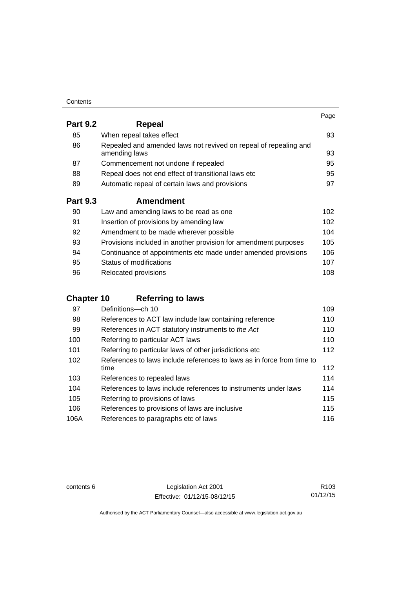| Contents |
|----------|
|----------|

|                 |                                                                                   | Page |
|-----------------|-----------------------------------------------------------------------------------|------|
| <b>Part 9.2</b> | <b>Repeal</b>                                                                     |      |
| 85              | When repeal takes effect                                                          | 93   |
| 86              | Repealed and amended laws not revived on repeal of repealing and<br>amending laws | 93   |
| 87              | Commencement not undone if repealed                                               | 95   |
| 88              | Repeal does not end effect of transitional laws etc                               | 95   |
| 89              | Automatic repeal of certain laws and provisions                                   | 97   |
| <b>Part 9.3</b> | <b>Amendment</b>                                                                  |      |
| 90              | Law and amending laws to be read as one                                           | 102  |
| 91              | Insertion of provisions by amending law                                           | 102  |
| 92              | Amendment to be made wherever possible                                            | 104  |
| 93              | Provisions included in another provision for amendment purposes                   | 105  |
| 94              | Continuance of appointments etc made under amended provisions                     | 106  |
| 95              | Status of modifications                                                           | 107  |

96 Relocated provisions **108** 

# **Chapter 10 [Referring to laws](#page-124-0)**

| 97   | Definitions-ch 10                                                      | 109 |
|------|------------------------------------------------------------------------|-----|
| 98   | References to ACT law include law containing reference                 | 110 |
| 99   | References in ACT statutory instruments to the Act                     | 110 |
| 100  | Referring to particular ACT laws                                       | 110 |
| 101  | Referring to particular laws of other jurisdictions etc                | 112 |
| 102  | References to laws include references to laws as in force from time to |     |
|      | time                                                                   | 112 |
| 103  | References to repealed laws                                            | 114 |
| 104  | References to laws include references to instruments under laws        | 114 |
| 105  | Referring to provisions of laws                                        | 115 |
| 106  | References to provisions of laws are inclusive                         | 115 |
| 106A | References to paragraphs etc of laws                                   | 116 |

contents 6 Legislation Act 2001 Effective: 01/12/15-08/12/15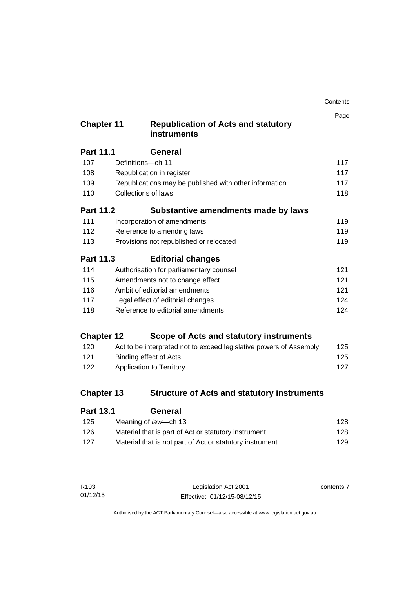| Contents |
|----------|
|----------|

| <b>Chapter 11</b> |                                   | <b>Republication of Acts and statutory</b><br><b>instruments</b>   | Page |
|-------------------|-----------------------------------|--------------------------------------------------------------------|------|
| <b>Part 11.1</b>  |                                   | General                                                            |      |
| 107               | Definitions-ch 11                 |                                                                    | 117  |
| 108               |                                   | Republication in register                                          | 117  |
| 109               |                                   | Republications may be published with other information             | 117  |
| 110               | <b>Collections of laws</b>        |                                                                    | 118  |
| <b>Part 11.2</b>  |                                   | Substantive amendments made by laws                                |      |
| 111               |                                   | Incorporation of amendments                                        | 119  |
| 112               |                                   | Reference to amending laws                                         | 119  |
| 113               |                                   | Provisions not republished or relocated                            | 119  |
| <b>Part 11.3</b>  |                                   | <b>Editorial changes</b>                                           |      |
| 114               |                                   | Authorisation for parliamentary counsel                            | 121  |
| 115               |                                   | Amendments not to change effect                                    | 121  |
| 116               | Ambit of editorial amendments     |                                                                    | 121  |
| 117               | Legal effect of editorial changes |                                                                    | 124  |
| 118               |                                   | Reference to editorial amendments                                  | 124  |
| <b>Chapter 12</b> |                                   | Scope of Acts and statutory instruments                            |      |
| 120               |                                   | Act to be interpreted not to exceed legislative powers of Assembly | 125  |
| 121               |                                   | <b>Binding effect of Acts</b>                                      | 125  |
| 122               |                                   | Application to Territory                                           | 127  |
| <b>Chapter 13</b> |                                   | <b>Structure of Acts and statutory instruments</b>                 |      |
| Part 13 1         |                                   | General                                                            |      |

| . a.l. v. l | ovnom                                                    |     |
|-------------|----------------------------------------------------------|-----|
| 125         | Meaning of law—ch 13                                     | 128 |
| 126         | Material that is part of Act or statutory instrument     | 128 |
| 127         | Material that is not part of Act or statutory instrument | 129 |
|             |                                                          |     |

| R103     | Legislation Act 2001         | contents 7 |
|----------|------------------------------|------------|
| 01/12/15 | Effective: 01/12/15-08/12/15 |            |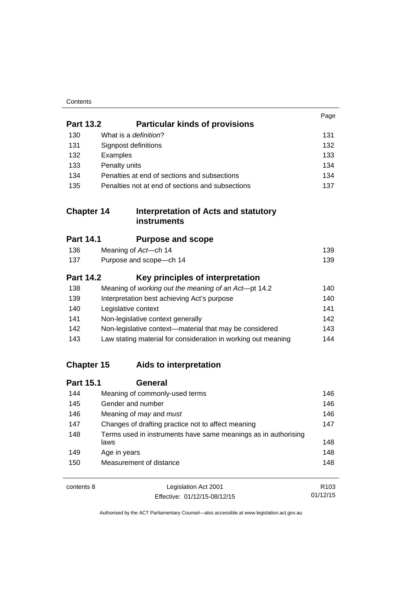| Contents |
|----------|
|----------|

|                   |                                                                        | Page |
|-------------------|------------------------------------------------------------------------|------|
| <b>Part 13.2</b>  | <b>Particular kinds of provisions</b>                                  |      |
| 130               | What is a definition?                                                  | 131  |
| 131               | Signpost definitions                                                   | 132  |
| 132               | Examples                                                               | 133  |
| 133               | Penalty units                                                          | 134  |
| 134               | Penalties at end of sections and subsections                           | 134  |
| 135               | Penalties not at end of sections and subsections                       | 137  |
| <b>Chapter 14</b> | <b>Interpretation of Acts and statutory</b><br><b>instruments</b>      |      |
| <b>Part 14.1</b>  | <b>Purpose and scope</b>                                               |      |
| 136               | Meaning of Act-ch 14                                                   | 139  |
| 137               | Purpose and scope-ch 14                                                | 139  |
| <b>Part 14.2</b>  | Key principles of interpretation                                       |      |
| 138               | Meaning of working out the meaning of an Act-pt 14.2                   | 140  |
| 139               | Interpretation best achieving Act's purpose                            | 140  |
| 140               | Legislative context                                                    | 141  |
| 141               | Non-legislative context generally                                      | 142  |
| 142               | Non-legislative context-material that may be considered                | 143  |
| 143               | Law stating material for consideration in working out meaning          | 144  |
| <b>Chapter 15</b> | Aids to interpretation                                                 |      |
| <b>Part 15.1</b>  | <b>General</b>                                                         |      |
| 144               | Meaning of commonly-used terms                                         | 146  |
| 145               | Gender and number                                                      | 146  |
| 146               | Meaning of may and must                                                | 146  |
| 147               | Changes of drafting practice not to affect meaning                     | 147  |
| 148               | Terms used in instruments have same meanings as in authorising<br>laws | 148  |
| 149               | Age in years                                                           | 148  |
| 150               | Measurement of distance                                                | 148  |
| contents 8        | Legislation Act 2001                                                   | R103 |

01/12/15

Effective: 01/12/15-08/12/15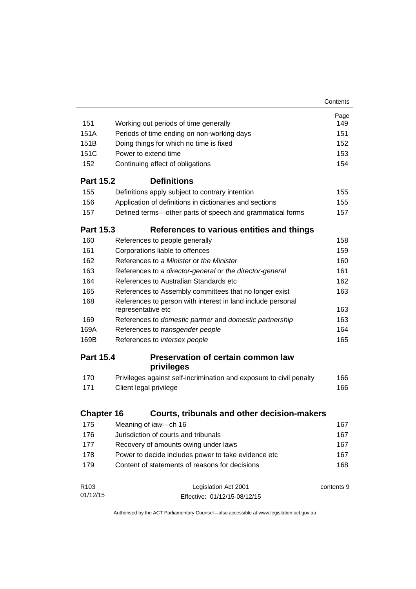|                   |                                                                                   | Contents   |
|-------------------|-----------------------------------------------------------------------------------|------------|
|                   |                                                                                   | Page       |
| 151               | Working out periods of time generally                                             | 149        |
| 151A              | Periods of time ending on non-working days                                        | 151        |
| 151 <sub>B</sub>  | Doing things for which no time is fixed                                           | 152        |
| 151C              | Power to extend time                                                              | 153        |
| 152               | Continuing effect of obligations                                                  | 154        |
| <b>Part 15.2</b>  | <b>Definitions</b>                                                                |            |
| 155               | Definitions apply subject to contrary intention                                   | 155        |
| 156               | Application of definitions in dictionaries and sections                           | 155        |
| 157               | Defined terms—other parts of speech and grammatical forms                         | 157        |
| <b>Part 15.3</b>  | References to various entities and things                                         |            |
| 160               | References to people generally                                                    | 158        |
| 161               | Corporations liable to offences                                                   | 159        |
| 162               | References to a Minister or the Minister                                          | 160        |
| 163               | References to a director-general or the director-general                          | 161        |
| 164               | References to Australian Standards etc.                                           | 162        |
| 165               | References to Assembly committees that no longer exist                            | 163        |
| 168               | References to person with interest in land include personal<br>representative etc | 163        |
| 169               | References to domestic partner and domestic partnership                           | 163        |
| 169A              | References to transgender people                                                  | 164        |
| 169B              | References to intersex people                                                     | 165        |
| <b>Part 15.4</b>  | <b>Preservation of certain common law</b><br>privileges                           |            |
| 170               | Privileges against self-incrimination and exposure to civil penalty               | 166        |
| 171               | Client legal privilege                                                            | 166        |
|                   |                                                                                   |            |
| <b>Chapter 16</b> | <b>Courts, tribunals and other decision-makers</b>                                |            |
| 175               | Meaning of law-ch 16                                                              | 167        |
| 176               | Jurisdiction of courts and tribunals                                              | 167        |
| 177               | Recovery of amounts owing under laws                                              | 167        |
| 178               | Power to decide includes power to take evidence etc                               | 167        |
| 179               | Content of statements of reasons for decisions                                    | 168        |
| R <sub>103</sub>  | Legislation Act 2001                                                              | contents 9 |
| 01/12/15          | Effective: 01/12/15-08/12/15                                                      |            |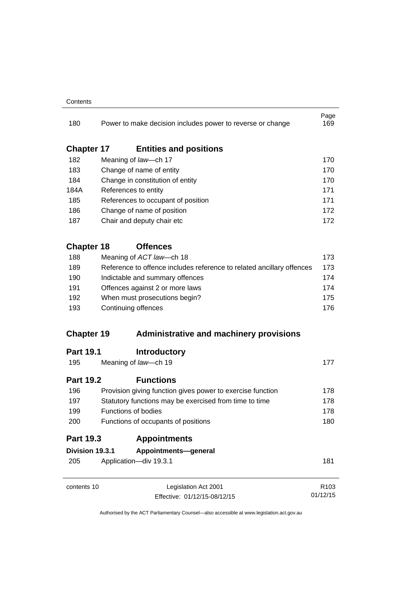#### **Contents**

| 180               |  | Power to make decision includes power to reverse or change            | Page<br>169      |  |
|-------------------|--|-----------------------------------------------------------------------|------------------|--|
| <b>Chapter 17</b> |  | <b>Entities and positions</b>                                         |                  |  |
| 182               |  | Meaning of law-ch 17                                                  | 170              |  |
| 183               |  | Change of name of entity                                              | 170              |  |
| 184               |  | Change in constitution of entity<br>References to entity              |                  |  |
| 184A              |  |                                                                       |                  |  |
| 185               |  | References to occupant of position                                    | 171              |  |
| 186               |  | Change of name of position                                            | 172              |  |
| 187               |  | Chair and deputy chair etc                                            | 172              |  |
| <b>Chapter 18</b> |  | <b>Offences</b>                                                       |                  |  |
| 188               |  | Meaning of ACT law-ch 18                                              | 173              |  |
| 189               |  | Reference to offence includes reference to related ancillary offences | 173              |  |
| 190               |  | Indictable and summary offences                                       | 174              |  |
| 191               |  | Offences against 2 or more laws                                       |                  |  |
| 192               |  | When must prosecutions begin?                                         | 175              |  |
| 193               |  | Continuing offences                                                   |                  |  |
| <b>Chapter 19</b> |  | <b>Administrative and machinery provisions</b>                        |                  |  |
| <b>Part 19.1</b>  |  | <b>Introductory</b>                                                   |                  |  |
| 195               |  | Meaning of law-ch 19                                                  | 177              |  |
| <b>Part 19.2</b>  |  | <b>Functions</b>                                                      |                  |  |
| 196               |  | Provision giving function gives power to exercise function            | 178              |  |
| 197               |  | Statutory functions may be exercised from time to time                | 178              |  |
| 199               |  | <b>Functions of bodies</b>                                            | 178              |  |
| 200               |  | Functions of occupants of positions                                   | 180              |  |
| <b>Part 19.3</b>  |  | <b>Appointments</b>                                                   |                  |  |
| Division 19.3.1   |  | Appointments-general                                                  |                  |  |
| 205               |  | Application-div 19.3.1                                                | 181              |  |
| contents 10       |  | Legislation Act 2001                                                  | R <sub>103</sub> |  |
|                   |  | Effective: 01/12/15-08/12/15                                          | 01/12/15         |  |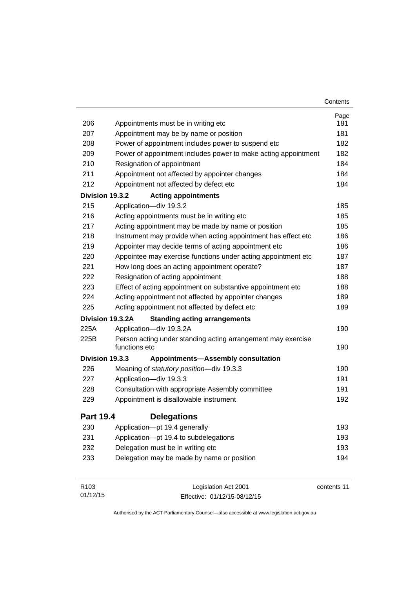|                  |                                                                               | Contents    |
|------------------|-------------------------------------------------------------------------------|-------------|
|                  |                                                                               | Page        |
| 206              | Appointments must be in writing etc                                           | 181         |
| 207              | Appointment may be by name or position                                        | 181         |
| 208              | Power of appointment includes power to suspend etc                            | 182         |
| 209              | Power of appointment includes power to make acting appointment                | 182         |
| 210              | Resignation of appointment                                                    | 184         |
| 211              | Appointment not affected by appointer changes                                 | 184         |
| 212              | Appointment not affected by defect etc                                        | 184         |
| Division 19.3.2  | <b>Acting appointments</b>                                                    |             |
| 215              | Application-div 19.3.2                                                        | 185         |
| 216              | Acting appointments must be in writing etc                                    | 185         |
| 217              | Acting appointment may be made by name or position                            | 185         |
| 218              | Instrument may provide when acting appointment has effect etc                 | 186         |
| 219              | Appointer may decide terms of acting appointment etc                          | 186         |
| 220              | Appointee may exercise functions under acting appointment etc                 | 187         |
| 221              | How long does an acting appointment operate?                                  | 187         |
| 222              | Resignation of acting appointment                                             | 188         |
| 223              | Effect of acting appointment on substantive appointment etc                   | 188         |
| 224              | Acting appointment not affected by appointer changes                          | 189         |
| 225              | Acting appointment not affected by defect etc                                 | 189         |
|                  | Division 19.3.2A<br><b>Standing acting arrangements</b>                       |             |
| 225A             | Application-div 19.3.2A                                                       | 190         |
| 225B             | Person acting under standing acting arrangement may exercise<br>functions etc | 190         |
| Division 19.3.3  | <b>Appointments-Assembly consultation</b>                                     |             |
| 226              | Meaning of statutory position-div 19.3.3                                      | 190         |
| 227              | Application-div 19.3.3                                                        | 191         |
| 228              | Consultation with appropriate Assembly committee                              | 191         |
| 229              | Appointment is disallowable instrument                                        | 192         |
| <b>Part 19.4</b> | <b>Delegations</b>                                                            |             |
| 230              | Application-pt 19.4 generally                                                 | 193         |
| 231              | Application-pt 19.4 to subdelegations                                         | 193         |
| 232              | Delegation must be in writing etc                                             | 193         |
| 233              | Delegation may be made by name or position                                    | 194         |
| R103             | Legislation Act 2001                                                          | contents 11 |

Effective: 01/12/15-08/12/15

01/12/15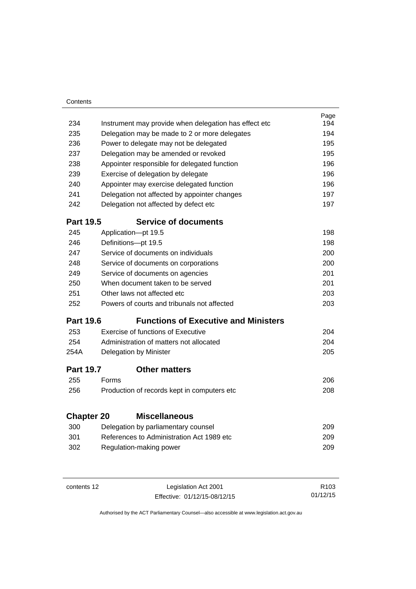| Contents          |                                               |                                                       |      |
|-------------------|-----------------------------------------------|-------------------------------------------------------|------|
|                   |                                               |                                                       | Page |
| 234               |                                               | Instrument may provide when delegation has effect etc | 194  |
| 235               | Delegation may be made to 2 or more delegates |                                                       | 194  |
| 236               | Power to delegate may not be delegated        |                                                       | 195  |
| 237               | Delegation may be amended or revoked          |                                                       | 195  |
| 238               | Appointer responsible for delegated function  |                                                       | 196  |
| 239               | Exercise of delegation by delegate            |                                                       | 196  |
| 240               | Appointer may exercise delegated function     |                                                       | 196  |
| 241               | Delegation not affected by appointer changes  |                                                       | 197  |
| 242               | Delegation not affected by defect etc         |                                                       | 197  |
| <b>Part 19.5</b>  |                                               | <b>Service of documents</b>                           |      |
| 245               | Application-pt 19.5                           |                                                       | 198  |
| 246               | Definitions-pt 19.5                           |                                                       | 198  |
| 247               | Service of documents on individuals           |                                                       | 200  |
| 248               | Service of documents on corporations          |                                                       | 200  |
| 249               | Service of documents on agencies              |                                                       | 201  |
| 250               | When document taken to be served              |                                                       | 201  |
| 251               | Other laws not affected etc.                  |                                                       | 203  |
| 252               | Powers of courts and tribunals not affected   |                                                       | 203  |
| <b>Part 19.6</b>  |                                               | <b>Functions of Executive and Ministers</b>           |      |
| 253               | <b>Exercise of functions of Executive</b>     |                                                       | 204  |
| 254               | Administration of matters not allocated       |                                                       | 204  |
| 254A              | Delegation by Minister                        |                                                       | 205  |
| <b>Part 19.7</b>  | <b>Other matters</b>                          |                                                       |      |
| 255               | Forms                                         |                                                       | 206  |
| 256               | Production of records kept in computers etc   |                                                       | 208  |
|                   |                                               |                                                       |      |
| <b>Chapter 20</b> | <b>Miscellaneous</b>                          |                                                       |      |
| 300               | Delegation by parliamentary counsel           |                                                       | 209  |
| 301               | References to Administration Act 1989 etc     |                                                       | 209  |
| 302               | Regulation-making power                       |                                                       | 209  |
|                   |                                               |                                                       |      |
|                   |                                               |                                                       |      |

J.

| contents 12 | Legislation Act 2001         | R <sub>103</sub> |
|-------------|------------------------------|------------------|
|             | Effective: 01/12/15-08/12/15 | 01/12/15         |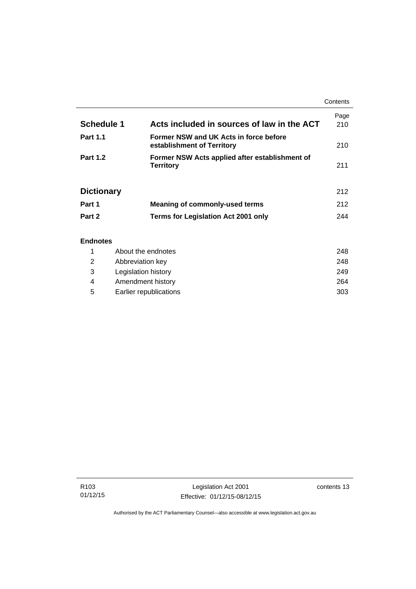|                   |                                                                      | Contents    |
|-------------------|----------------------------------------------------------------------|-------------|
| <b>Schedule 1</b> | Acts included in sources of law in the ACT                           | Page<br>210 |
| <b>Part 1.1</b>   | Former NSW and UK Acts in force before<br>establishment of Territory | 210         |
| <b>Part 1.2</b>   | Former NSW Acts applied after establishment of<br><b>Territory</b>   | 211         |
| <b>Dictionary</b> |                                                                      | 212         |
| Part 1            | Meaning of commonly-used terms                                       | 212         |
| Part 2            | <b>Terms for Legislation Act 2001 only</b>                           | 244         |
| <b>Endnotes</b>   |                                                                      |             |

## 1 [About the endnotes 248](#page-263-1) 2 [Abbreviation key 248](#page-263-2) 3 [Legislation history 249](#page-264-0) 4 [Amendment history 264](#page-279-0) 5 [Earlier republications 303](#page-318-0)

j.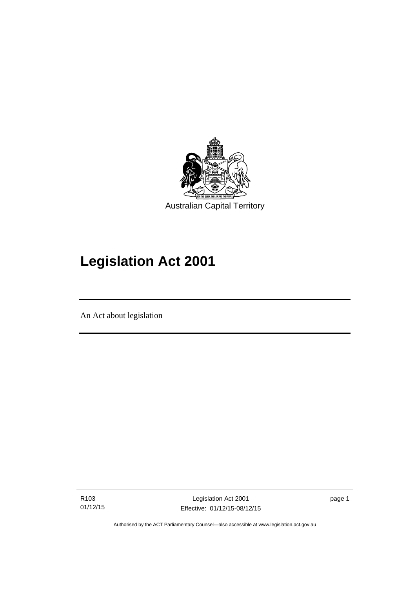

# **Legislation Act 2001**

An Act about legislation

l

R103 01/12/15 page 1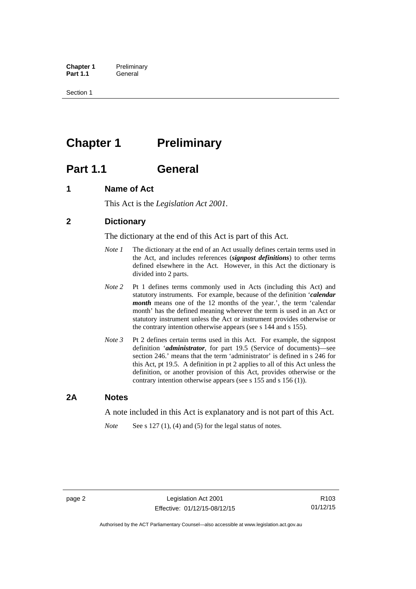**Chapter 1** Preliminary<br>**Part 1.1** General General

Section 1

# <span id="page-17-0"></span>**Chapter 1** Preliminary

# <span id="page-17-1"></span>**Part 1.1 General**

## <span id="page-17-2"></span>**1 Name of Act**

This Act is the *Legislation Act 2001.* 

## <span id="page-17-3"></span>**2 Dictionary**

The dictionary at the end of this Act is part of this Act.

- *Note 1* The dictionary at the end of an Act usually defines certain terms used in the Act, and includes references (*signpost definitions*) to other terms defined elsewhere in the Act. However, in this Act the dictionary is divided into 2 parts.
- *Note 2* Pt 1 defines terms commonly used in Acts (including this Act) and statutory instruments. For example, because of the definition '*calendar month* means one of the 12 months of the year.', the term 'calendar month' has the defined meaning wherever the term is used in an Act or statutory instrument unless the Act or instrument provides otherwise or the contrary intention otherwise appears (see s 144 and s 155).
- *Note 3* Pt 2 defines certain terms used in this Act. For example, the signpost definition '*administrator*, for part 19.5 (Service of documents)—see section 246.' means that the term 'administrator' is defined in s 246 for this Act, pt 19.5. A definition in pt 2 applies to all of this Act unless the definition, or another provision of this Act, provides otherwise or the contrary intention otherwise appears (see s 155 and s 156 (1)).

## <span id="page-17-4"></span>**2A Notes**

A note included in this Act is explanatory and is not part of this Act.

*Note* See s 127 (1), (4) and (5) for the legal status of notes.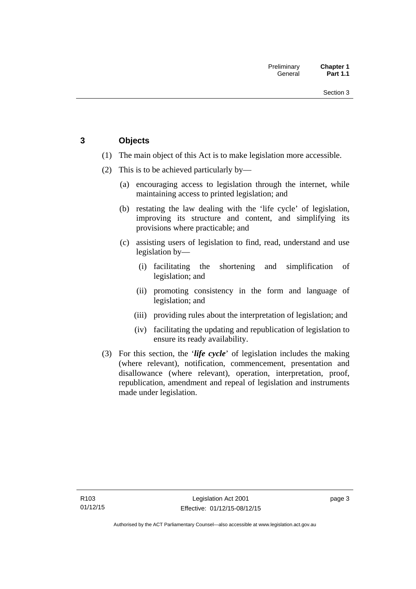## <span id="page-18-0"></span>**3 Objects**

- (1) The main object of this Act is to make legislation more accessible.
- (2) This is to be achieved particularly by—
	- (a) encouraging access to legislation through the internet, while maintaining access to printed legislation; and
	- (b) restating the law dealing with the 'life cycle' of legislation, improving its structure and content, and simplifying its provisions where practicable; and
	- (c) assisting users of legislation to find, read, understand and use legislation by—
		- (i) facilitating the shortening and simplification of legislation; and
		- (ii) promoting consistency in the form and language of legislation; and
		- (iii) providing rules about the interpretation of legislation; and
		- (iv) facilitating the updating and republication of legislation to ensure its ready availability.
- (3) For this section, the '*life cycle*' of legislation includes the making (where relevant), notification, commencement, presentation and disallowance (where relevant), operation, interpretation, proof, republication, amendment and repeal of legislation and instruments made under legislation.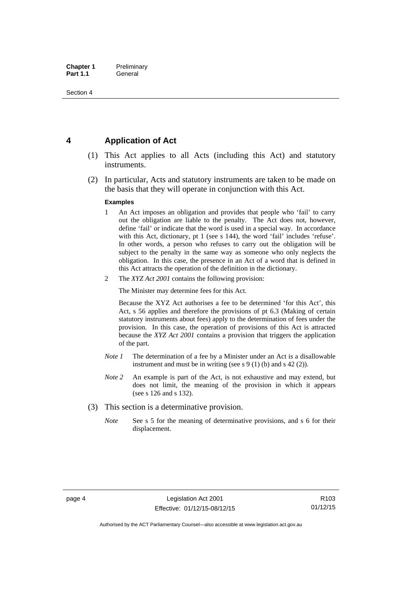## <span id="page-19-0"></span>**4 Application of Act**

- (1) This Act applies to all Acts (including this Act) and statutory instruments.
- (2) In particular, Acts and statutory instruments are taken to be made on the basis that they will operate in conjunction with this Act.

#### **Examples**

- 1 An Act imposes an obligation and provides that people who 'fail' to carry out the obligation are liable to the penalty. The Act does not, however, define 'fail' or indicate that the word is used in a special way. In accordance with this Act, dictionary, pt 1 (see s 144), the word 'fail' includes 'refuse'. In other words, a person who refuses to carry out the obligation will be subject to the penalty in the same way as someone who only neglects the obligation. In this case, the presence in an Act of a word that is defined in this Act attracts the operation of the definition in the dictionary.
- 2 The *XYZ Act 2001* contains the following provision:

The Minister may determine fees for this Act.

Because the XYZ Act authorises a fee to be determined 'for this Act', this Act, s 56 applies and therefore the provisions of pt 6.3 (Making of certain statutory instruments about fees) apply to the determination of fees under the provision. In this case, the operation of provisions of this Act is attracted because the *XYZ Act 2001* contains a provision that triggers the application of the part.

- *Note 1* The determination of a fee by a Minister under an Act is a disallowable instrument and must be in writing (see s 9 (1) (b) and s 42 (2)).
- *Note 2* An example is part of the Act, is not exhaustive and may extend, but does not limit, the meaning of the provision in which it appears (see s 126 and s 132).
- (3) This section is a determinative provision.
	- *Note* See s 5 for the meaning of determinative provisions, and s 6 for their displacement.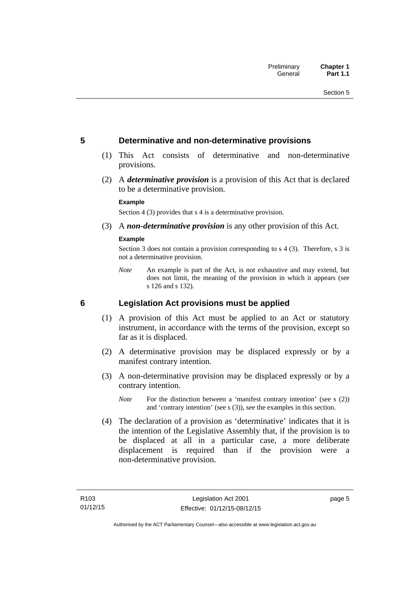## <span id="page-20-0"></span>**5 Determinative and non-determinative provisions**

- (1) This Act consists of determinative and non-determinative provisions.
- (2) A *determinative provision* is a provision of this Act that is declared to be a determinative provision.

#### **Example**

Section 4 (3) provides that s 4 is a determinative provision.

(3) A *non-determinative provision* is any other provision of this Act.

#### **Example**

Section 3 does not contain a provision corresponding to s 4 (3). Therefore, s 3 is not a determinative provision.

*Note* An example is part of the Act, is not exhaustive and may extend, but does not limit, the meaning of the provision in which it appears (see s 126 and s 132).

### <span id="page-20-1"></span>**6 Legislation Act provisions must be applied**

- (1) A provision of this Act must be applied to an Act or statutory instrument, in accordance with the terms of the provision, except so far as it is displaced.
- (2) A determinative provision may be displaced expressly or by a manifest contrary intention.
- (3) A non-determinative provision may be displaced expressly or by a contrary intention.
	- *Note* For the distinction between a 'manifest contrary intention' (see s (2)) and 'contrary intention' (see s (3)), see the examples in this section.
- (4) The declaration of a provision as 'determinative' indicates that it is the intention of the Legislative Assembly that, if the provision is to be displaced at all in a particular case, a more deliberate displacement is required than if the provision were a non-determinative provision.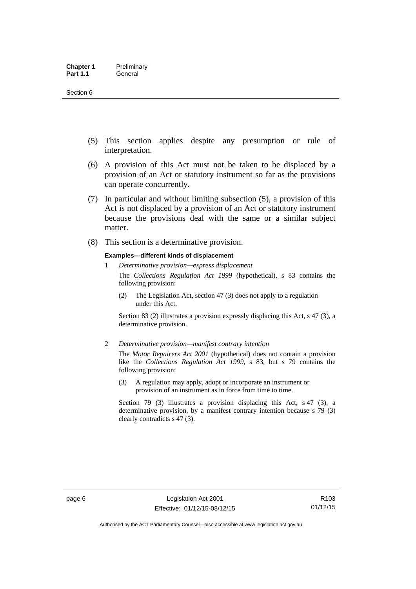- (5) This section applies despite any presumption or rule of interpretation.
- (6) A provision of this Act must not be taken to be displaced by a provision of an Act or statutory instrument so far as the provisions can operate concurrently.
- (7) In particular and without limiting subsection (5), a provision of this Act is not displaced by a provision of an Act or statutory instrument because the provisions deal with the same or a similar subject matter.
- (8) This section is a determinative provision.

#### **Examples—different kinds of displacement**

1 *Determinative provision—express displacement*

The *Collections Regulation Act 1999* (hypothetical), s 83 contains the following provision:

(2) The Legislation Act, section 47 (3) does not apply to a regulation under this Act.

Section 83 (2) illustrates a provision expressly displacing this Act, s 47 (3), a determinative provision.

2 *Determinative provision—manifest contrary intention*

The *Motor Repairers Act 2001* (hypothetical) does not contain a provision like the *Collections Regulation Act 1999*, s 83, but s 79 contains the following provision:

(3) A regulation may apply, adopt or incorporate an instrument or provision of an instrument as in force from time to time.

Section 79 (3) illustrates a provision displacing this Act, s 47 (3), a determinative provision, by a manifest contrary intention because s 79 (3) clearly contradicts s 47 (3).

R103 01/12/15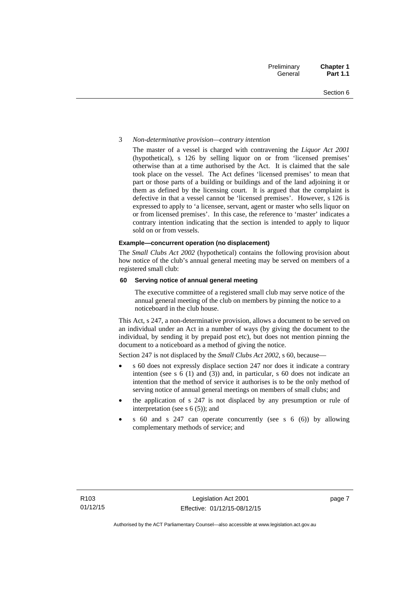#### 3 *Non-determinative provision—contrary intention*

The master of a vessel is charged with contravening the *Liquor Act 2001* (hypothetical), s 126 by selling liquor on or from 'licensed premises' otherwise than at a time authorised by the Act. It is claimed that the sale took place on the vessel. The Act defines 'licensed premises' to mean that part or those parts of a building or buildings and of the land adjoining it or them as defined by the licensing court. It is argued that the complaint is defective in that a vessel cannot be 'licensed premises'. However, s 126 is expressed to apply to 'a licensee, servant, agent or master who sells liquor on or from licensed premises'. In this case, the reference to 'master' indicates a contrary intention indicating that the section is intended to apply to liquor sold on or from vessels.

#### **Example—concurrent operation (no displacement)**

The *Small Clubs Act 2002* (hypothetical) contains the following provision about how notice of the club's annual general meeting may be served on members of a registered small club:

#### **60 Serving notice of annual general meeting**

The executive committee of a registered small club may serve notice of the annual general meeting of the club on members by pinning the notice to a noticeboard in the club house.

This Act, s 247, a non-determinative provision, allows a document to be served on an individual under an Act in a number of ways (by giving the document to the individual, by sending it by prepaid post etc), but does not mention pinning the document to a noticeboard as a method of giving the notice.

Section 247 is not displaced by the *Small Clubs Act 2002*, s 60, because—

- s 60 does not expressly displace section 247 nor does it indicate a contrary intention (see s 6 (1) and (3)) and, in particular, s 60 does not indicate an intention that the method of service it authorises is to be the only method of serving notice of annual general meetings on members of small clubs; and
- the application of s 247 is not displaced by any presumption or rule of interpretation (see s  $6(5)$ ); and
- s 60 and s 247 can operate concurrently (see s 6 (6)) by allowing complementary methods of service; and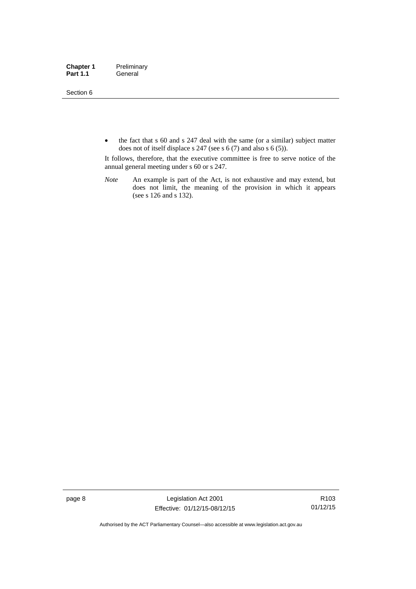Section 6

• the fact that s 60 and s 247 deal with the same (or a similar) subject matter does not of itself displace s 247 (see s 6 (7) and also s 6 (5)).

It follows, therefore, that the executive committee is free to serve notice of the annual general meeting under s 60 or s 247.

*Note* An example is part of the Act, is not exhaustive and may extend, but does not limit, the meaning of the provision in which it appears (see s 126 and s 132).

page 8 Legislation Act 2001 Effective: 01/12/15-08/12/15

R103 01/12/15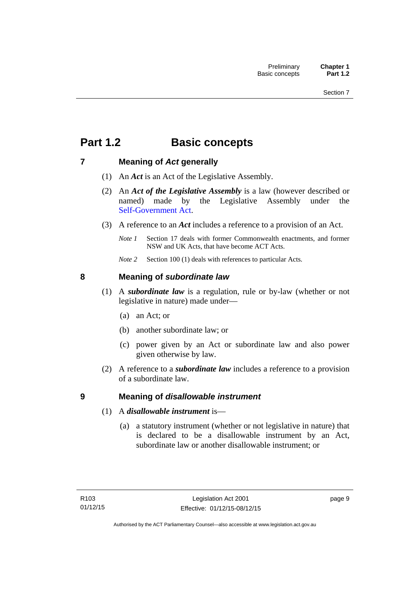# <span id="page-24-0"></span>**Part 1.2 Basic concepts**

## <span id="page-24-1"></span>**7 Meaning of** *Act* **generally**

- (1) An *Act* is an Act of the Legislative Assembly.
- (2) An *Act of the Legislative Assembly* is a law (however described or named) made by the Legislative Assembly under the [Self-Government Act.](http://www.comlaw.gov.au/Series/C2004A03699)
- (3) A reference to an *Act* includes a reference to a provision of an Act.
	- *Note 1* Section 17 deals with former Commonwealth enactments, and former NSW and UK Acts, that have become ACT Acts.
	- *Note 2* Section 100 (1) deals with references to particular Acts.

## <span id="page-24-2"></span>**8 Meaning of** *subordinate law*

- (1) A *subordinate law* is a regulation, rule or by-law (whether or not legislative in nature) made under—
	- (a) an Act; or
	- (b) another subordinate law; or
	- (c) power given by an Act or subordinate law and also power given otherwise by law.
- (2) A reference to a *subordinate law* includes a reference to a provision of a subordinate law.

## <span id="page-24-3"></span>**9 Meaning of** *disallowable instrument*

- (1) A *disallowable instrument* is—
	- (a) a statutory instrument (whether or not legislative in nature) that is declared to be a disallowable instrument by an Act, subordinate law or another disallowable instrument; or

page 9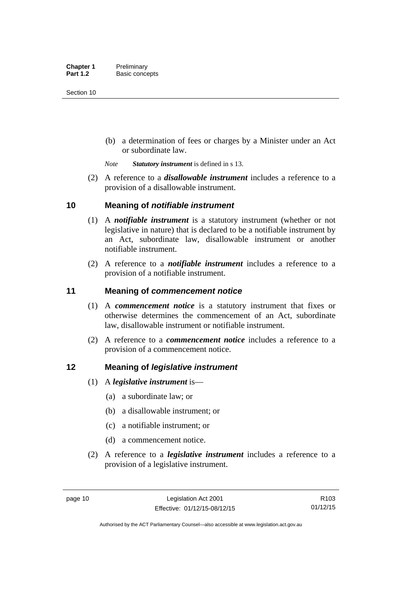(b) a determination of fees or charges by a Minister under an Act or subordinate law.

*Note Statutory instrument* is defined in s 13.

 (2) A reference to a *disallowable instrument* includes a reference to a provision of a disallowable instrument.

## <span id="page-25-0"></span>**10 Meaning of** *notifiable instrument*

- (1) A *notifiable instrument* is a statutory instrument (whether or not legislative in nature) that is declared to be a notifiable instrument by an Act, subordinate law, disallowable instrument or another notifiable instrument.
- (2) A reference to a *notifiable instrument* includes a reference to a provision of a notifiable instrument.

## <span id="page-25-1"></span>**11 Meaning of** *commencement notice*

- (1) A *commencement notice* is a statutory instrument that fixes or otherwise determines the commencement of an Act, subordinate law, disallowable instrument or notifiable instrument.
- (2) A reference to a *commencement notice* includes a reference to a provision of a commencement notice.

## <span id="page-25-2"></span>**12 Meaning of** *legislative instrument*

- (1) A *legislative instrument* is—
	- (a) a subordinate law; or
	- (b) a disallowable instrument; or
	- (c) a notifiable instrument; or
	- (d) a commencement notice.
- (2) A reference to a *legislative instrument* includes a reference to a provision of a legislative instrument.

R103 01/12/15

Authorised by the ACT Parliamentary Counsel—also accessible at www.legislation.act.gov.au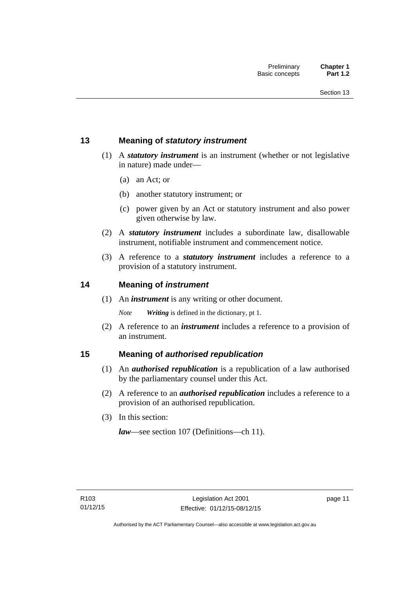## <span id="page-26-0"></span>**13 Meaning of** *statutory instrument*

- (1) A *statutory instrument* is an instrument (whether or not legislative in nature) made under—
	- (a) an Act; or
	- (b) another statutory instrument; or
	- (c) power given by an Act or statutory instrument and also power given otherwise by law.
- (2) A *statutory instrument* includes a subordinate law, disallowable instrument, notifiable instrument and commencement notice.
- (3) A reference to a *statutory instrument* includes a reference to a provision of a statutory instrument.

## <span id="page-26-1"></span>**14 Meaning of** *instrument*

(1) An *instrument* is any writing or other document.

*Note Writing* is defined in the dictionary, pt 1.

 (2) A reference to an *instrument* includes a reference to a provision of an instrument.

## <span id="page-26-2"></span>**15 Meaning of** *authorised republication*

- (1) An *authorised republication* is a republication of a law authorised by the parliamentary counsel under this Act.
- (2) A reference to an *authorised republication* includes a reference to a provision of an authorised republication.
- (3) In this section:

*law*—see section 107 (Definitions—ch 11).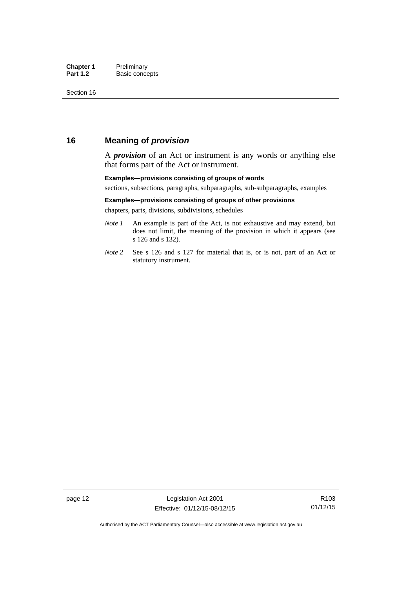## <span id="page-27-0"></span>**16 Meaning of** *provision*

A *provision* of an Act or instrument is any words or anything else that forms part of the Act or instrument.

#### **Examples—provisions consisting of groups of words**

sections, subsections, paragraphs, subparagraphs, sub-subparagraphs, examples

#### **Examples—provisions consisting of groups of other provisions**

chapters, parts, divisions, subdivisions, schedules

- *Note 1* An example is part of the Act, is not exhaustive and may extend, but does not limit, the meaning of the provision in which it appears (see s 126 and s 132).
- *Note 2* See s 126 and s 127 for material that is, or is not, part of an Act or statutory instrument.

page 12 Legislation Act 2001 Effective: 01/12/15-08/12/15

R103 01/12/15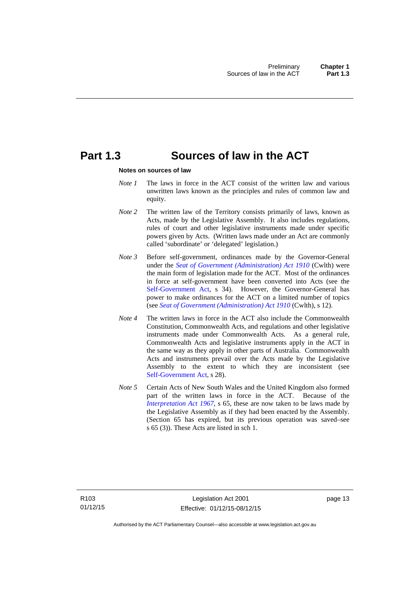## <span id="page-28-0"></span>**Part 1.3 Sources of law in the ACT**

#### **Notes on sources of law**

- *Note 1* The laws in force in the ACT consist of the written law and various unwritten laws known as the principles and rules of common law and equity.
- *Note* 2 The written law of the Territory consists primarily of laws, known as Acts, made by the Legislative Assembly. It also includes regulations, rules of court and other legislative instruments made under specific powers given by Acts. (Written laws made under an Act are commonly called 'subordinate' or 'delegated' legislation.)
- *Note 3* Before self-government, ordinances made by the Governor-General under the *[Seat of Government \(Administration\) Act 1910](http://www.comlaw.gov.au/Series/C2004A07446)* (Cwlth) were the main form of legislation made for the ACT. Most of the ordinances in force at self-government have been converted into Acts (see the [Self-Government Act,](http://www.comlaw.gov.au/Series/C2004A03699) s 34). However, the Governor-General has power to make ordinances for the ACT on a limited number of topics (see *[Seat of Government \(Administration\) Act 1910](http://www.comlaw.gov.au/Series/C2004A07446)* (Cwlth), s 12).
- *Note 4* The written laws in force in the ACT also include the Commonwealth Constitution, Commonwealth Acts, and regulations and other legislative instruments made under Commonwealth Acts. As a general rule, Commonwealth Acts and legislative instruments apply in the ACT in the same way as they apply in other parts of Australia. Commonwealth Acts and instruments prevail over the Acts made by the Legislative Assembly to the extent to which they are inconsistent (see [Self-Government Act](http://www.comlaw.gov.au/Series/C2004A03699), s 28).
- *Note 5* Certain Acts of New South Wales and the United Kingdom also formed part of the written laws in force in the ACT. Because of the *[Interpretation Act 1967](http://www.legislation.act.gov.au/a/1967-48)*, s 65, these are now taken to be laws made by the Legislative Assembly as if they had been enacted by the Assembly. (Section 65 has expired, but its previous operation was saved–see s 65 (3)). These Acts are listed in sch 1.

page 13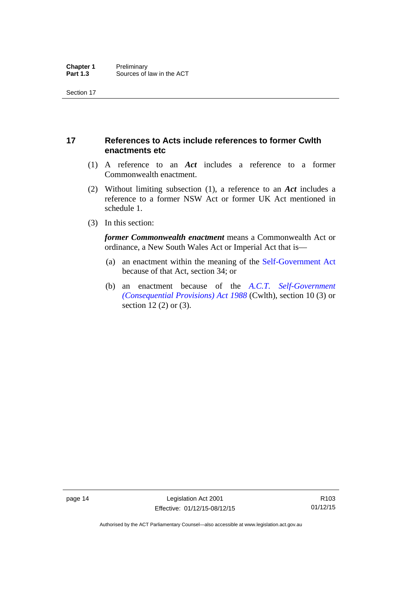## <span id="page-29-0"></span>**17 References to Acts include references to former Cwlth enactments etc**

- (1) A reference to an *Act* includes a reference to a former Commonwealth enactment.
- (2) Without limiting subsection (1), a reference to an *Act* includes a reference to a former NSW Act or former UK Act mentioned in schedule 1.
- (3) In this section:

*former Commonwealth enactment* means a Commonwealth Act or ordinance, a New South Wales Act or Imperial Act that is—

- (a) an enactment within the meaning of the [Self-Government Act](http://www.comlaw.gov.au/Series/C2004A03699) because of that Act, section 34; or
- (b) an enactment because of the *[A.C.T. Self-Government](http://www.comlaw.gov.au/Series/C2004A03702)  [\(Consequential Provisions\) Act 1988](http://www.comlaw.gov.au/Series/C2004A03702)* (Cwlth), section 10 (3) or section 12 (2) or (3).

R103 01/12/15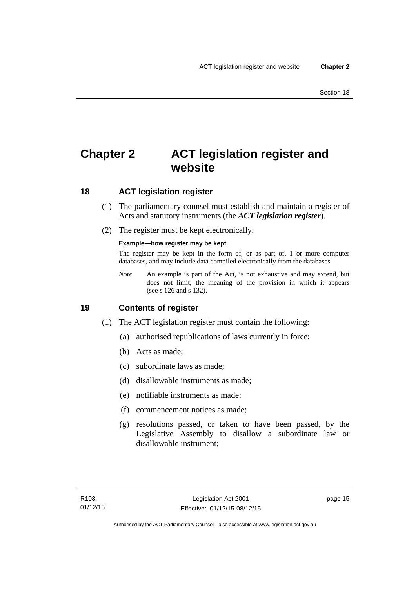# <span id="page-30-0"></span>**Chapter 2 ACT legislation register and website**

## <span id="page-30-1"></span>**18 ACT legislation register**

- (1) The parliamentary counsel must establish and maintain a register of Acts and statutory instruments (the *ACT legislation register*).
- (2) The register must be kept electronically.

### **Example—how register may be kept**

The register may be kept in the form of, or as part of, 1 or more computer databases, and may include data compiled electronically from the databases.

*Note* An example is part of the Act, is not exhaustive and may extend, but does not limit, the meaning of the provision in which it appears (see s 126 and s 132).

## <span id="page-30-2"></span>**19 Contents of register**

- (1) The ACT legislation register must contain the following:
	- (a) authorised republications of laws currently in force;
	- (b) Acts as made;
	- (c) subordinate laws as made;
	- (d) disallowable instruments as made;
	- (e) notifiable instruments as made;
	- (f) commencement notices as made;
	- (g) resolutions passed, or taken to have been passed, by the Legislative Assembly to disallow a subordinate law or disallowable instrument;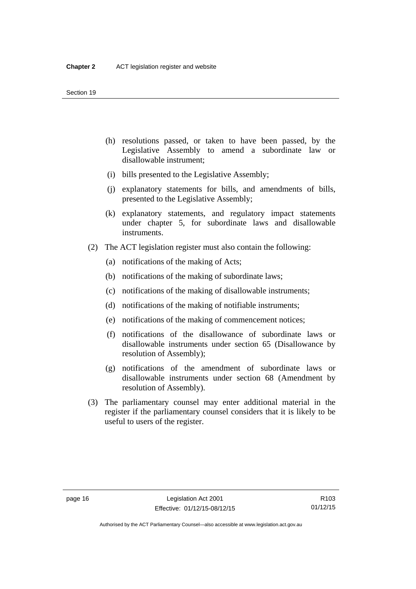- (h) resolutions passed, or taken to have been passed, by the Legislative Assembly to amend a subordinate law or disallowable instrument;
- (i) bills presented to the Legislative Assembly;
- (j) explanatory statements for bills, and amendments of bills, presented to the Legislative Assembly;
- (k) explanatory statements, and regulatory impact statements under chapter 5, for subordinate laws and disallowable instruments.
- (2) The ACT legislation register must also contain the following:
	- (a) notifications of the making of Acts;
	- (b) notifications of the making of subordinate laws;
	- (c) notifications of the making of disallowable instruments;
	- (d) notifications of the making of notifiable instruments;
	- (e) notifications of the making of commencement notices;
	- (f) notifications of the disallowance of subordinate laws or disallowable instruments under section 65 (Disallowance by resolution of Assembly);
	- (g) notifications of the amendment of subordinate laws or disallowable instruments under section 68 (Amendment by resolution of Assembly).
- (3) The parliamentary counsel may enter additional material in the register if the parliamentary counsel considers that it is likely to be useful to users of the register.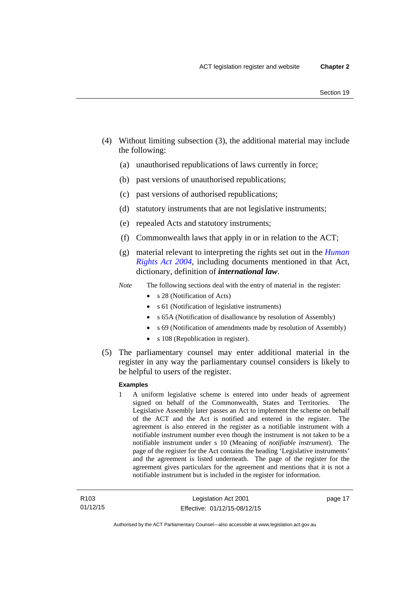- (4) Without limiting subsection (3), the additional material may include the following:
	- (a) unauthorised republications of laws currently in force;
	- (b) past versions of unauthorised republications;
	- (c) past versions of authorised republications;
	- (d) statutory instruments that are not legislative instruments;
	- (e) repealed Acts and statutory instruments;
	- (f) Commonwealth laws that apply in or in relation to the ACT;
	- (g) material relevant to interpreting the rights set out in the *[Human](http://www.legislation.act.gov.au/a/2004-5)  [Rights Act 2004](http://www.legislation.act.gov.au/a/2004-5)*, including documents mentioned in that Act, dictionary, definition of *international law*.
	- *Note* The following sections deal with the entry of material in the register:
		- s 28 (Notification of Acts)
		- s 61 (Notification of legislative instruments)
		- s 65A (Notification of disallowance by resolution of Assembly)
		- s 69 (Notification of amendments made by resolution of Assembly)
		- s 108 (Republication in register).
- (5) The parliamentary counsel may enter additional material in the register in any way the parliamentary counsel considers is likely to be helpful to users of the register.

#### **Examples**

1 A uniform legislative scheme is entered into under heads of agreement signed on behalf of the Commonwealth, States and Territories. The Legislative Assembly later passes an Act to implement the scheme on behalf of the ACT and the Act is notified and entered in the register. The agreement is also entered in the register as a notifiable instrument with a notifiable instrument number even though the instrument is not taken to be a notifiable instrument under s 10 (Meaning of *notifiable instrument*). The page of the register for the Act contains the heading 'Legislative instruments' and the agreement is listed underneath. The page of the register for the agreement gives particulars for the agreement and mentions that it is not a notifiable instrument but is included in the register for information.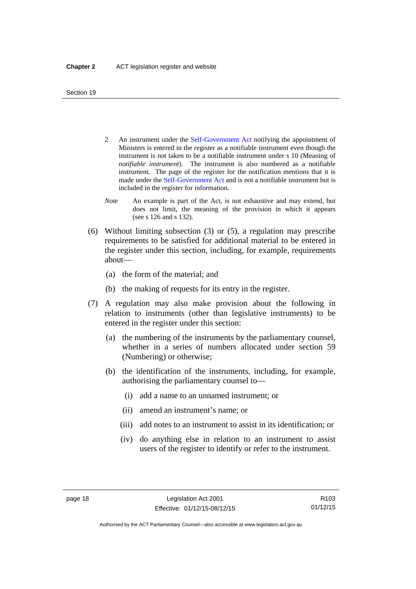- 2 An instrument under the [Self-Government Act](http://www.comlaw.gov.au/Series/C2004A03699) notifying the appointment of Ministers is entered in the register as a notifiable instrument even though the instrument is not taken to be a notifiable instrument under s 10 (Meaning of *notifiable instrument*). The instrument is also numbered as a notifiable instrument. The page of the register for the notification mentions that it is made under the [Self-Government Act](http://www.comlaw.gov.au/Series/C2004A03699) and is not a notifiable instrument but is included in the register for information.
- *Note* An example is part of the Act, is not exhaustive and may extend, but does not limit, the meaning of the provision in which it appears (see s 126 and s 132).
- (6) Without limiting subsection (3) or (5), a regulation may prescribe requirements to be satisfied for additional material to be entered in the register under this section, including, for example, requirements about—
	- (a) the form of the material; and
	- (b) the making of requests for its entry in the register.
- (7) A regulation may also make provision about the following in relation to instruments (other than legislative instruments) to be entered in the register under this section:
	- (a) the numbering of the instruments by the parliamentary counsel, whether in a series of numbers allocated under section 59 (Numbering) or otherwise;
	- (b) the identification of the instruments, including, for example, authorising the parliamentary counsel to—
		- (i) add a name to an unnamed instrument; or
		- (ii) amend an instrument's name; or
		- (iii) add notes to an instrument to assist in its identification; or
		- (iv) do anything else in relation to an instrument to assist users of the register to identify or refer to the instrument.

R103 01/12/15

Authorised by the ACT Parliamentary Counsel—also accessible at www.legislation.act.gov.au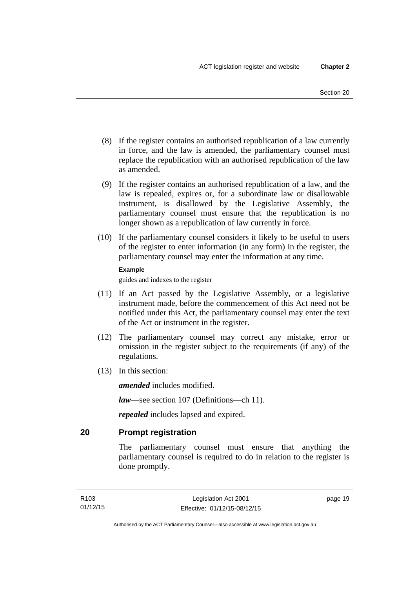- (8) If the register contains an authorised republication of a law currently in force, and the law is amended, the parliamentary counsel must replace the republication with an authorised republication of the law as amended.
- (9) If the register contains an authorised republication of a law, and the law is repealed, expires or, for a subordinate law or disallowable instrument, is disallowed by the Legislative Assembly, the parliamentary counsel must ensure that the republication is no longer shown as a republication of law currently in force.
- (10) If the parliamentary counsel considers it likely to be useful to users of the register to enter information (in any form) in the register, the parliamentary counsel may enter the information at any time.

#### **Example**

guides and indexes to the register

- (11) If an Act passed by the Legislative Assembly, or a legislative instrument made, before the commencement of this Act need not be notified under this Act, the parliamentary counsel may enter the text of the Act or instrument in the register.
- (12) The parliamentary counsel may correct any mistake, error or omission in the register subject to the requirements (if any) of the regulations.
- (13) In this section:

*amended* includes modified.

*law*—see section 107 (Definitions—ch 11).

*repealed* includes lapsed and expired.

## <span id="page-34-0"></span>**20 Prompt registration**

The parliamentary counsel must ensure that anything the parliamentary counsel is required to do in relation to the register is done promptly.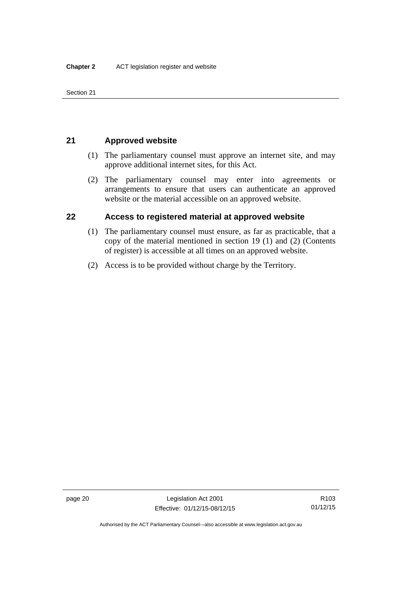Section 21

## <span id="page-35-0"></span>**21 Approved website**

- (1) The parliamentary counsel must approve an internet site, and may approve additional internet sites, for this Act.
- (2) The parliamentary counsel may enter into agreements or arrangements to ensure that users can authenticate an approved website or the material accessible on an approved website.

## <span id="page-35-1"></span>**22 Access to registered material at approved website**

- (1) The parliamentary counsel must ensure, as far as practicable, that a copy of the material mentioned in section 19 (1) and (2) (Contents of register) is accessible at all times on an approved website.
- (2) Access is to be provided without charge by the Territory.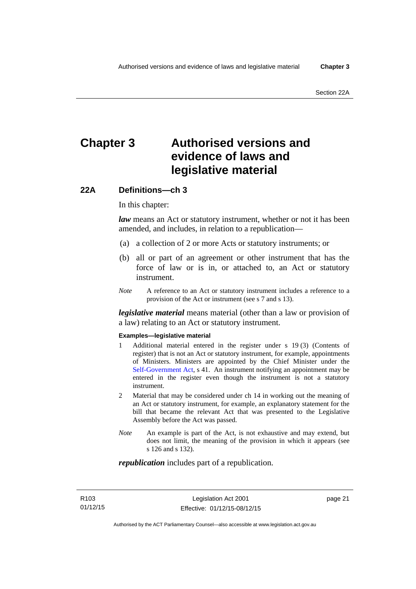# **Chapter 3 Authorised versions and evidence of laws and legislative material**

### **22A Definitions—ch 3**

In this chapter:

*law* means an Act or statutory instrument, whether or not it has been amended, and includes, in relation to a republication—

- (a) a collection of 2 or more Acts or statutory instruments; or
- (b) all or part of an agreement or other instrument that has the force of law or is in, or attached to, an Act or statutory instrument.
- *Note* A reference to an Act or statutory instrument includes a reference to a provision of the Act or instrument (see s 7 and s 13).

*legislative material* means material (other than a law or provision of a law) relating to an Act or statutory instrument.

#### **Examples—legislative material**

- 1 Additional material entered in the register under s 19 (3) (Contents of register) that is not an Act or statutory instrument, for example, appointments of Ministers. Ministers are appointed by the Chief Minister under the [Self-Government Act,](http://www.comlaw.gov.au/Series/C2004A03699) s 41. An instrument notifying an appointment may be entered in the register even though the instrument is not a statutory instrument.
- 2 Material that may be considered under ch 14 in working out the meaning of an Act or statutory instrument, for example, an explanatory statement for the bill that became the relevant Act that was presented to the Legislative Assembly before the Act was passed.
- *Note* An example is part of the Act, is not exhaustive and may extend, but does not limit, the meaning of the provision in which it appears (see s 126 and s 132).

### *republication* includes part of a republication.

page 21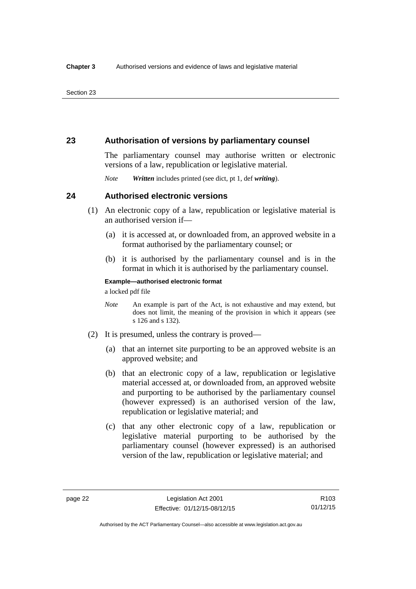### **23 Authorisation of versions by parliamentary counsel**

The parliamentary counsel may authorise written or electronic versions of a law, republication or legislative material.

*Note Written* includes printed (see dict, pt 1, def *writing*).

### **24 Authorised electronic versions**

- (1) An electronic copy of a law, republication or legislative material is an authorised version if—
	- (a) it is accessed at, or downloaded from, an approved website in a format authorised by the parliamentary counsel; or
	- (b) it is authorised by the parliamentary counsel and is in the format in which it is authorised by the parliamentary counsel.

**Example—authorised electronic format**  a locked pdf file

*Note* An example is part of the Act, is not exhaustive and may extend, but does not limit, the meaning of the provision in which it appears (see s 126 and s 132).

- (2) It is presumed, unless the contrary is proved—
	- (a) that an internet site purporting to be an approved website is an approved website; and
	- (b) that an electronic copy of a law, republication or legislative material accessed at, or downloaded from, an approved website and purporting to be authorised by the parliamentary counsel (however expressed) is an authorised version of the law, republication or legislative material; and
	- (c) that any other electronic copy of a law, republication or legislative material purporting to be authorised by the parliamentary counsel (however expressed) is an authorised version of the law, republication or legislative material; and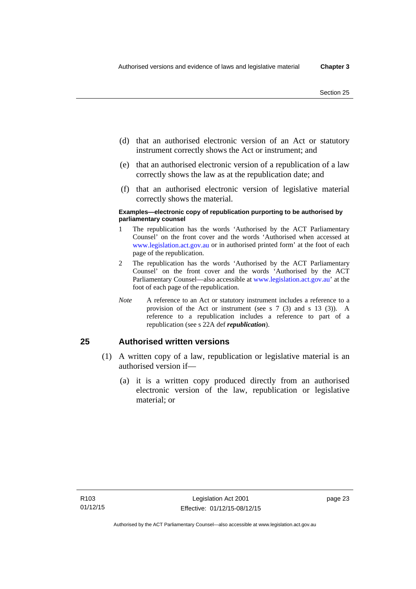- (d) that an authorised electronic version of an Act or statutory instrument correctly shows the Act or instrument; and
- (e) that an authorised electronic version of a republication of a law correctly shows the law as at the republication date; and
- (f) that an authorised electronic version of legislative material correctly shows the material.

#### **Examples—electronic copy of republication purporting to be authorised by parliamentary counsel**

- 1 The republication has the words 'Authorised by the ACT Parliamentary Counsel' on the front cover and the words 'Authorised when accessed at [www.legislation.act.gov.au](http://www.legislation.act.gov.au/) or in authorised printed form' at the foot of each page of the republication.
- 2 The republication has the words 'Authorised by the ACT Parliamentary Counsel' on the front cover and the words 'Authorised by the ACT Parliamentary Counsel—also accessible at [www.legislation.act.gov.au](http://www.legislation.act.gov.au/)' at the foot of each page of the republication.
- *Note* A reference to an Act or statutory instrument includes a reference to a provision of the Act or instrument (see s 7 (3) and s 13 (3)). A reference to a republication includes a reference to part of a republication (see s 22A def *republication*).

### **25 Authorised written versions**

- (1) A written copy of a law, republication or legislative material is an authorised version if—
	- (a) it is a written copy produced directly from an authorised electronic version of the law, republication or legislative material; or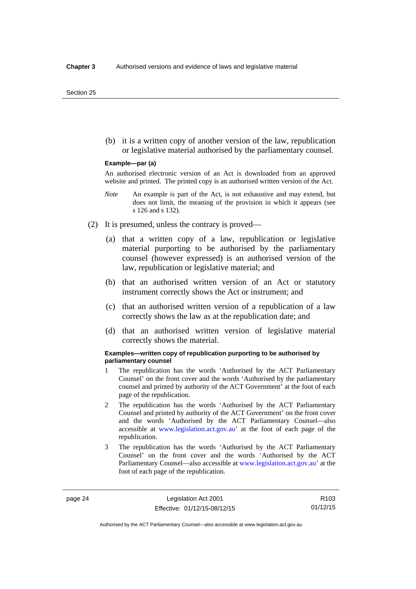(b) it is a written copy of another version of the law, republication or legislative material authorised by the parliamentary counsel.

#### **Example—par (a)**

An authorised electronic version of an Act is downloaded from an approved website and printed. The printed copy is an authorised written version of the Act.

- *Note* An example is part of the Act, is not exhaustive and may extend, but does not limit, the meaning of the provision in which it appears (see s 126 and s 132).
- (2) It is presumed, unless the contrary is proved—
	- (a) that a written copy of a law, republication or legislative material purporting to be authorised by the parliamentary counsel (however expressed) is an authorised version of the law, republication or legislative material; and
	- (b) that an authorised written version of an Act or statutory instrument correctly shows the Act or instrument; and
	- (c) that an authorised written version of a republication of a law correctly shows the law as at the republication date; and
	- (d) that an authorised written version of legislative material correctly shows the material.

#### **Examples—written copy of republication purporting to be authorised by parliamentary counsel**

- 1 The republication has the words 'Authorised by the ACT Parliamentary Counsel' on the front cover and the words 'Authorised by the parliamentary counsel and printed by authority of the ACT Government' at the foot of each page of the republication.
- 2 The republication has the words 'Authorised by the ACT Parliamentary Counsel and printed by authority of the ACT Government' on the front cover and the words 'Authorised by the ACT Parliamentary Counsel—also accessible at [www.legislation.act.gov.au'](http://www.legislation.act.gov.au/) at the foot of each page of the republication.
- 3 The republication has the words 'Authorised by the ACT Parliamentary Counsel' on the front cover and the words 'Authorised by the ACT Parliamentary Counsel—also accessible at [www.legislation.act.gov.au](http://www.legislation.act.gov.au/)' at the foot of each page of the republication.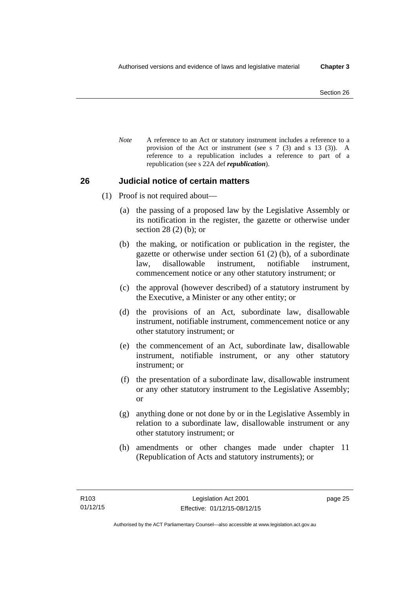*Note* A reference to an Act or statutory instrument includes a reference to a provision of the Act or instrument (see s 7 (3) and s 13 (3)). A reference to a republication includes a reference to part of a republication (see s 22A def *republication*).

### **26 Judicial notice of certain matters**

- (1) Proof is not required about—
	- (a) the passing of a proposed law by the Legislative Assembly or its notification in the register, the gazette or otherwise under section 28 (2) (b); or
	- (b) the making, or notification or publication in the register, the gazette or otherwise under section 61 (2) (b), of a subordinate law, disallowable instrument, notifiable instrument, commencement notice or any other statutory instrument; or
	- (c) the approval (however described) of a statutory instrument by the Executive, a Minister or any other entity; or
	- (d) the provisions of an Act, subordinate law, disallowable instrument, notifiable instrument, commencement notice or any other statutory instrument; or
	- (e) the commencement of an Act, subordinate law, disallowable instrument, notifiable instrument, or any other statutory instrument; or
	- (f) the presentation of a subordinate law, disallowable instrument or any other statutory instrument to the Legislative Assembly; or
	- (g) anything done or not done by or in the Legislative Assembly in relation to a subordinate law, disallowable instrument or any other statutory instrument; or
	- (h) amendments or other changes made under chapter 11 (Republication of Acts and statutory instruments); or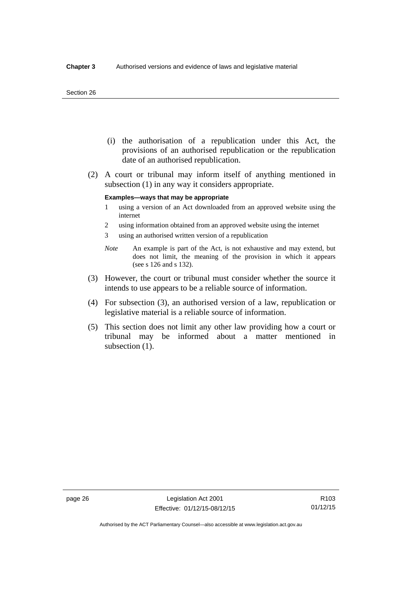#### Section 26

- (i) the authorisation of a republication under this Act, the provisions of an authorised republication or the republication date of an authorised republication.
- (2) A court or tribunal may inform itself of anything mentioned in subsection (1) in any way it considers appropriate.

#### **Examples—ways that may be appropriate**

- 1 using a version of an Act downloaded from an approved website using the internet
- 2 using information obtained from an approved website using the internet
- 3 using an authorised written version of a republication
- *Note* An example is part of the Act, is not exhaustive and may extend, but does not limit, the meaning of the provision in which it appears (see s 126 and s 132).
- (3) However, the court or tribunal must consider whether the source it intends to use appears to be a reliable source of information.
- (4) For subsection (3), an authorised version of a law, republication or legislative material is a reliable source of information.
- (5) This section does not limit any other law providing how a court or tribunal may be informed about a matter mentioned in subsection  $(1)$ .

Authorised by the ACT Parliamentary Counsel—also accessible at www.legislation.act.gov.au

R103 01/12/15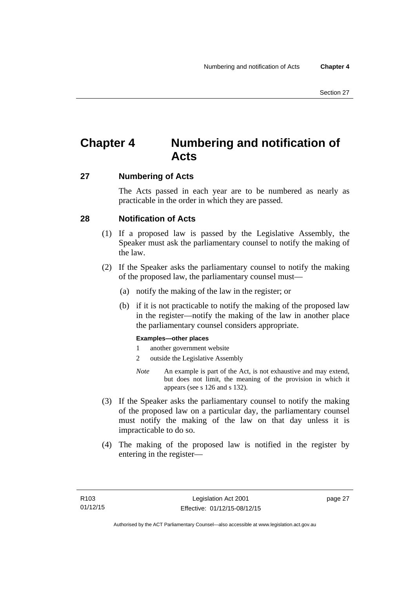# **Chapter 4 Numbering and notification of Acts**

### **27 Numbering of Acts**

The Acts passed in each year are to be numbered as nearly as practicable in the order in which they are passed.

### **28 Notification of Acts**

- (1) If a proposed law is passed by the Legislative Assembly, the Speaker must ask the parliamentary counsel to notify the making of the law.
- (2) If the Speaker asks the parliamentary counsel to notify the making of the proposed law, the parliamentary counsel must—
	- (a) notify the making of the law in the register; or
	- (b) if it is not practicable to notify the making of the proposed law in the register—notify the making of the law in another place the parliamentary counsel considers appropriate.

### **Examples—other places**

- 1 another government website
- 2 outside the Legislative Assembly
- *Note* An example is part of the Act, is not exhaustive and may extend, but does not limit, the meaning of the provision in which it appears (see s 126 and s 132).
- (3) If the Speaker asks the parliamentary counsel to notify the making of the proposed law on a particular day, the parliamentary counsel must notify the making of the law on that day unless it is impracticable to do so.
- (4) The making of the proposed law is notified in the register by entering in the register—

page 27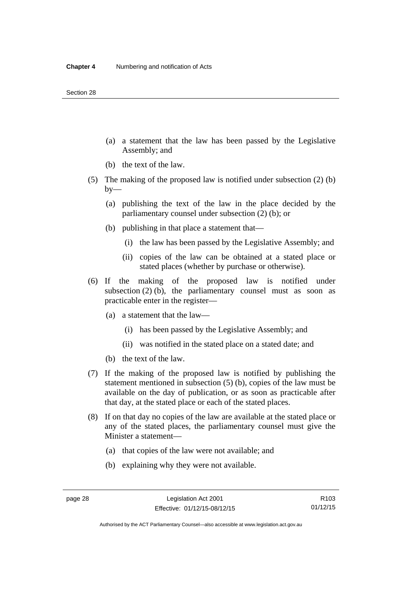- (a) a statement that the law has been passed by the Legislative Assembly; and
- (b) the text of the law.
- (5) The making of the proposed law is notified under subsection (2) (b)  $by-$ 
	- (a) publishing the text of the law in the place decided by the parliamentary counsel under subsection (2) (b); or
	- (b) publishing in that place a statement that—
		- (i) the law has been passed by the Legislative Assembly; and
		- (ii) copies of the law can be obtained at a stated place or stated places (whether by purchase or otherwise).
- (6) If the making of the proposed law is notified under subsection  $(2)$  (b), the parliamentary counsel must as soon as practicable enter in the register—
	- (a) a statement that the law—
		- (i) has been passed by the Legislative Assembly; and
		- (ii) was notified in the stated place on a stated date; and
	- (b) the text of the law.
- (7) If the making of the proposed law is notified by publishing the statement mentioned in subsection (5) (b), copies of the law must be available on the day of publication, or as soon as practicable after that day, at the stated place or each of the stated places.
- (8) If on that day no copies of the law are available at the stated place or any of the stated places, the parliamentary counsel must give the Minister a statement—
	- (a) that copies of the law were not available; and
	- (b) explaining why they were not available.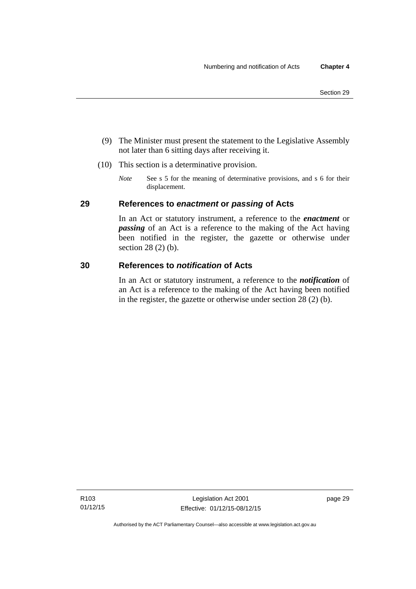- (9) The Minister must present the statement to the Legislative Assembly not later than 6 sitting days after receiving it.
- (10) This section is a determinative provision.
	- *Note* See s 5 for the meaning of determinative provisions, and s 6 for their displacement.

### **29 References to** *enactment* **or** *passing* **of Acts**

In an Act or statutory instrument, a reference to the *enactment* or *passing* of an Act is a reference to the making of the Act having been notified in the register, the gazette or otherwise under section 28 (2) (b).

### **30 References to** *notification* **of Acts**

In an Act or statutory instrument, a reference to the *notification* of an Act is a reference to the making of the Act having been notified in the register, the gazette or otherwise under section 28 (2) (b).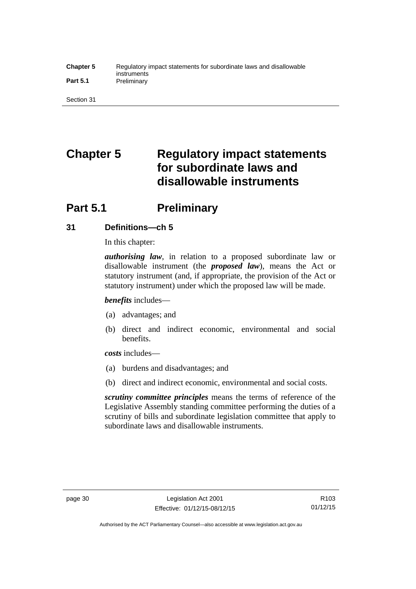### **Chapter 5** Regulatory impact statements for subordinate laws and disallowable instruments Part 5.1 **Preliminary**

Section 31

# **Chapter 5 Regulatory impact statements for subordinate laws and disallowable instruments**

# **Part 5.1** Preliminary

### **31 Definitions—ch 5**

In this chapter:

*authorising law*, in relation to a proposed subordinate law or disallowable instrument (the *proposed law*), means the Act or statutory instrument (and, if appropriate, the provision of the Act or statutory instrument) under which the proposed law will be made.

*benefits* includes—

- (a) advantages; and
- (b) direct and indirect economic, environmental and social benefits.

*costs* includes—

- (a) burdens and disadvantages; and
- (b) direct and indirect economic, environmental and social costs.

*scrutiny committee principles* means the terms of reference of the Legislative Assembly standing committee performing the duties of a scrutiny of bills and subordinate legislation committee that apply to subordinate laws and disallowable instruments.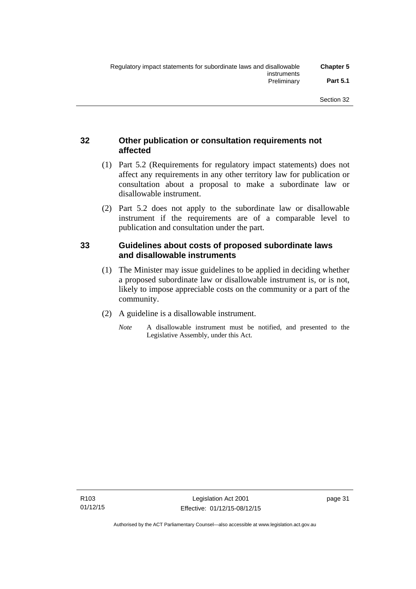### **32 Other publication or consultation requirements not affected**

- (1) Part 5.2 (Requirements for regulatory impact statements) does not affect any requirements in any other territory law for publication or consultation about a proposal to make a subordinate law or disallowable instrument.
- (2) Part 5.2 does not apply to the subordinate law or disallowable instrument if the requirements are of a comparable level to publication and consultation under the part.

### **33 Guidelines about costs of proposed subordinate laws and disallowable instruments**

- (1) The Minister may issue guidelines to be applied in deciding whether a proposed subordinate law or disallowable instrument is, or is not, likely to impose appreciable costs on the community or a part of the community.
- (2) A guideline is a disallowable instrument.
	- *Note* A disallowable instrument must be notified, and presented to the Legislative Assembly, under this Act.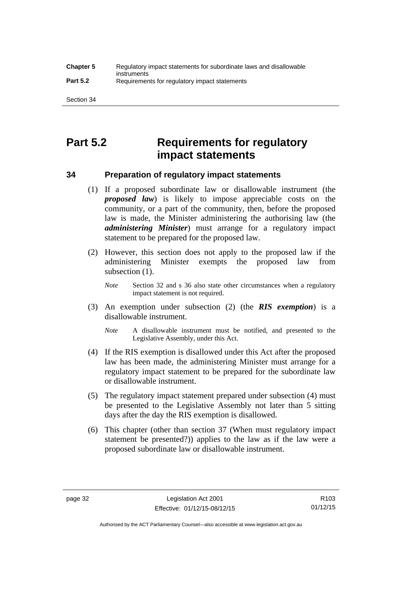# **Part 5.2 Requirements for regulatory impact statements**

### **34 Preparation of regulatory impact statements**

- (1) If a proposed subordinate law or disallowable instrument (the *proposed law*) is likely to impose appreciable costs on the community, or a part of the community, then, before the proposed law is made, the Minister administering the authorising law (the *administering Minister*) must arrange for a regulatory impact statement to be prepared for the proposed law.
- (2) However, this section does not apply to the proposed law if the administering Minister exempts the proposed law from subsection  $(1)$ .

*Note* Section 32 and s 36 also state other circumstances when a regulatory impact statement is not required.

- (3) An exemption under subsection (2) (the *RIS exemption*) is a disallowable instrument.
	- *Note* A disallowable instrument must be notified, and presented to the Legislative Assembly, under this Act.
- (4) If the RIS exemption is disallowed under this Act after the proposed law has been made, the administering Minister must arrange for a regulatory impact statement to be prepared for the subordinate law or disallowable instrument.
- (5) The regulatory impact statement prepared under subsection (4) must be presented to the Legislative Assembly not later than 5 sitting days after the day the RIS exemption is disallowed.
- (6) This chapter (other than section 37 (When must regulatory impact statement be presented?)) applies to the law as if the law were a proposed subordinate law or disallowable instrument.

Authorised by the ACT Parliamentary Counsel—also accessible at www.legislation.act.gov.au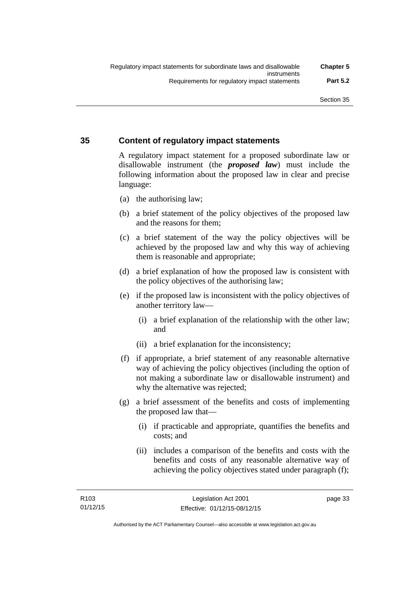### **35 Content of regulatory impact statements**

A regulatory impact statement for a proposed subordinate law or disallowable instrument (the *proposed law*) must include the following information about the proposed law in clear and precise language:

- (a) the authorising law;
- (b) a brief statement of the policy objectives of the proposed law and the reasons for them;
- (c) a brief statement of the way the policy objectives will be achieved by the proposed law and why this way of achieving them is reasonable and appropriate;
- (d) a brief explanation of how the proposed law is consistent with the policy objectives of the authorising law;
- (e) if the proposed law is inconsistent with the policy objectives of another territory law—
	- (i) a brief explanation of the relationship with the other law; and
	- (ii) a brief explanation for the inconsistency;
- (f) if appropriate, a brief statement of any reasonable alternative way of achieving the policy objectives (including the option of not making a subordinate law or disallowable instrument) and why the alternative was rejected;
- (g) a brief assessment of the benefits and costs of implementing the proposed law that—
	- (i) if practicable and appropriate, quantifies the benefits and costs; and
	- (ii) includes a comparison of the benefits and costs with the benefits and costs of any reasonable alternative way of achieving the policy objectives stated under paragraph (f);

page 33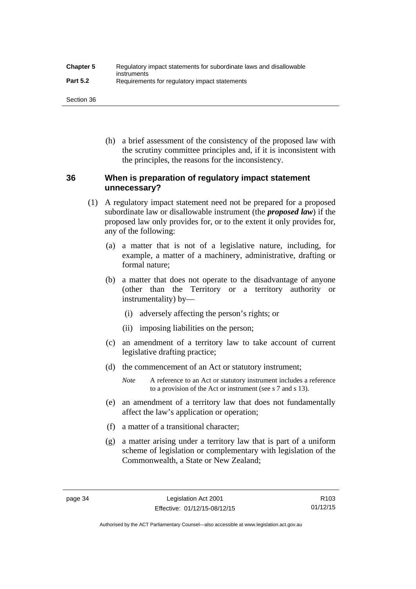| <b>Chapter 5</b> | Regulatory impact statements for subordinate laws and disallowable |
|------------------|--------------------------------------------------------------------|
| <b>Part 5.2</b>  | instruments<br>Requirements for regulatory impact statements       |

Section 36

 (h) a brief assessment of the consistency of the proposed law with the scrutiny committee principles and, if it is inconsistent with the principles, the reasons for the inconsistency.

### **36 When is preparation of regulatory impact statement unnecessary?**

- (1) A regulatory impact statement need not be prepared for a proposed subordinate law or disallowable instrument (the *proposed law*) if the proposed law only provides for, or to the extent it only provides for, any of the following:
	- (a) a matter that is not of a legislative nature, including, for example, a matter of a machinery, administrative, drafting or formal nature;
	- (b) a matter that does not operate to the disadvantage of anyone (other than the Territory or a territory authority or instrumentality) by—
		- (i) adversely affecting the person's rights; or
		- (ii) imposing liabilities on the person;
	- (c) an amendment of a territory law to take account of current legislative drafting practice;
	- (d) the commencement of an Act or statutory instrument;
		- *Note* A reference to an Act or statutory instrument includes a reference to a provision of the Act or instrument (see s 7 and s 13).
	- (e) an amendment of a territory law that does not fundamentally affect the law's application or operation;
	- (f) a matter of a transitional character;
	- (g) a matter arising under a territory law that is part of a uniform scheme of legislation or complementary with legislation of the Commonwealth, a State or New Zealand;

Authorised by the ACT Parliamentary Counsel—also accessible at www.legislation.act.gov.au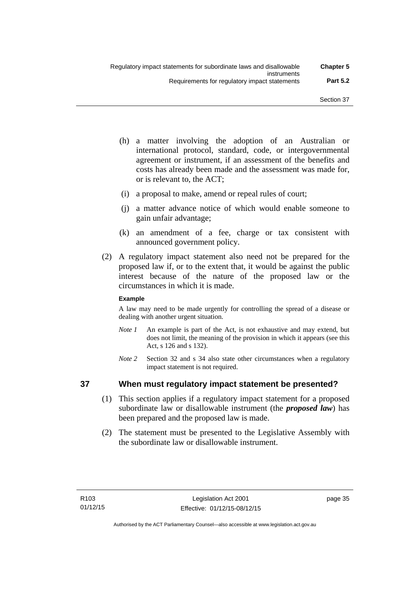- (h) a matter involving the adoption of an Australian or international protocol, standard, code, or intergovernmental agreement or instrument, if an assessment of the benefits and costs has already been made and the assessment was made for, or is relevant to, the ACT;
- (i) a proposal to make, amend or repeal rules of court;
- (j) a matter advance notice of which would enable someone to gain unfair advantage;
- (k) an amendment of a fee, charge or tax consistent with announced government policy.
- (2) A regulatory impact statement also need not be prepared for the proposed law if, or to the extent that, it would be against the public interest because of the nature of the proposed law or the circumstances in which it is made.

### **Example**

A law may need to be made urgently for controlling the spread of a disease or dealing with another urgent situation.

- *Note 1* An example is part of the Act, is not exhaustive and may extend, but does not limit, the meaning of the provision in which it appears (see this Act, s 126 and s 132).
- *Note* 2 Section 32 and s 34 also state other circumstances when a regulatory impact statement is not required.

### **37 When must regulatory impact statement be presented?**

- (1) This section applies if a regulatory impact statement for a proposed subordinate law or disallowable instrument (the *proposed law*) has been prepared and the proposed law is made.
- (2) The statement must be presented to the Legislative Assembly with the subordinate law or disallowable instrument.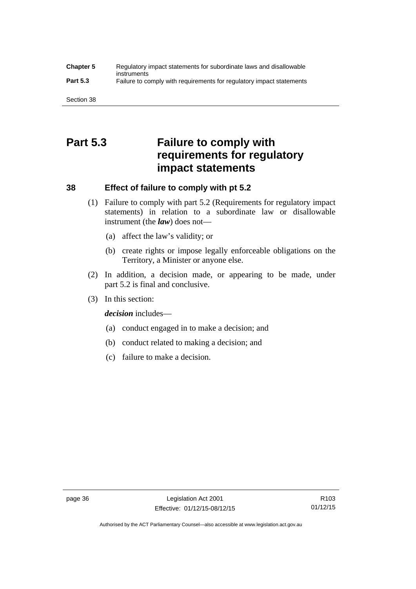### **Chapter 5** Regulatory impact statements for subordinate laws and disallowable instruments **Part 5.3** Failure to comply with requirements for regulatory impact statements

Section 38

# **Part 5.3 Failure to comply with requirements for regulatory impact statements**

### **38 Effect of failure to comply with pt 5.2**

- (1) Failure to comply with part 5.2 (Requirements for regulatory impact statements) in relation to a subordinate law or disallowable instrument (the *law*) does not—
	- (a) affect the law's validity; or
	- (b) create rights or impose legally enforceable obligations on the Territory, a Minister or anyone else.
- (2) In addition, a decision made, or appearing to be made, under part 5.2 is final and conclusive.
- (3) In this section:

*decision* includes—

- (a) conduct engaged in to make a decision; and
- (b) conduct related to making a decision; and
- (c) failure to make a decision.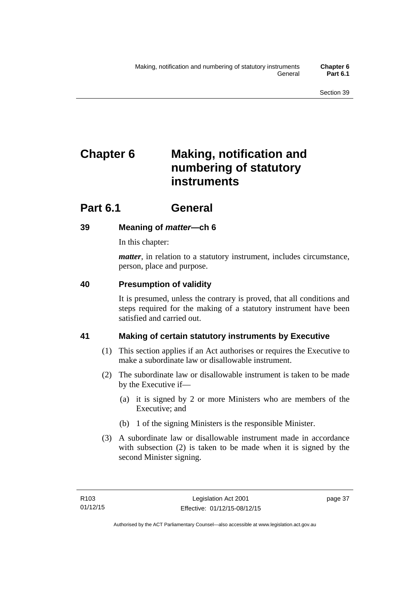# **Chapter 6 Making, notification and numbering of statutory instruments**

# **Part 6.1 General**

## **39 Meaning of** *matter***—ch 6**

In this chapter:

*matter*, in relation to a statutory instrument, includes circumstance, person, place and purpose.

### **40 Presumption of validity**

It is presumed, unless the contrary is proved, that all conditions and steps required for the making of a statutory instrument have been satisfied and carried out.

## **41 Making of certain statutory instruments by Executive**

- (1) This section applies if an Act authorises or requires the Executive to make a subordinate law or disallowable instrument.
- (2) The subordinate law or disallowable instrument is taken to be made by the Executive if—
	- (a) it is signed by 2 or more Ministers who are members of the Executive; and
	- (b) 1 of the signing Ministers is the responsible Minister.
- (3) A subordinate law or disallowable instrument made in accordance with subsection (2) is taken to be made when it is signed by the second Minister signing.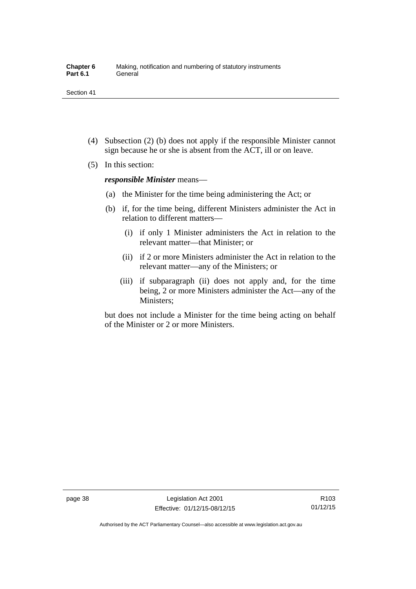- (4) Subsection (2) (b) does not apply if the responsible Minister cannot sign because he or she is absent from the ACT, ill or on leave.
- (5) In this section:

*responsible Minister* means—

- (a) the Minister for the time being administering the Act; or
- (b) if, for the time being, different Ministers administer the Act in relation to different matters—
	- (i) if only 1 Minister administers the Act in relation to the relevant matter—that Minister; or
	- (ii) if 2 or more Ministers administer the Act in relation to the relevant matter—any of the Ministers; or
	- (iii) if subparagraph (ii) does not apply and, for the time being, 2 or more Ministers administer the Act—any of the Ministers;

but does not include a Minister for the time being acting on behalf of the Minister or 2 or more Ministers.

R103 01/12/15

Authorised by the ACT Parliamentary Counsel—also accessible at www.legislation.act.gov.au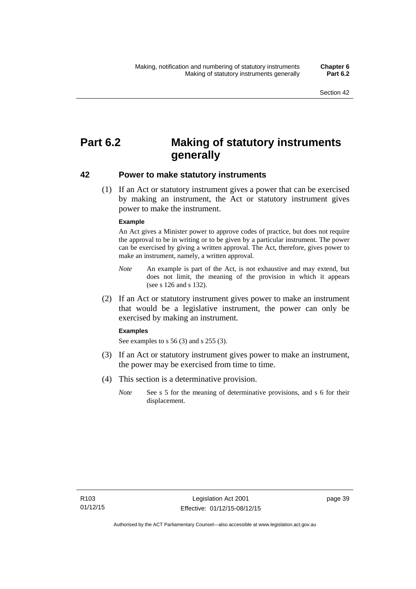# **Part 6.2 Making of statutory instruments generally**

### **42 Power to make statutory instruments**

 (1) If an Act or statutory instrument gives a power that can be exercised by making an instrument, the Act or statutory instrument gives power to make the instrument.

#### **Example**

An Act gives a Minister power to approve codes of practice, but does not require the approval to be in writing or to be given by a particular instrument. The power can be exercised by giving a written approval. The Act, therefore, gives power to make an instrument, namely, a written approval.

- *Note* An example is part of the Act, is not exhaustive and may extend, but does not limit, the meaning of the provision in which it appears (see s 126 and s 132).
- (2) If an Act or statutory instrument gives power to make an instrument that would be a legislative instrument, the power can only be exercised by making an instrument.

#### **Examples**

See examples to s 56 (3) and s 255 (3).

- (3) If an Act or statutory instrument gives power to make an instrument, the power may be exercised from time to time.
- (4) This section is a determinative provision.
	- *Note* See s 5 for the meaning of determinative provisions, and s 6 for their displacement.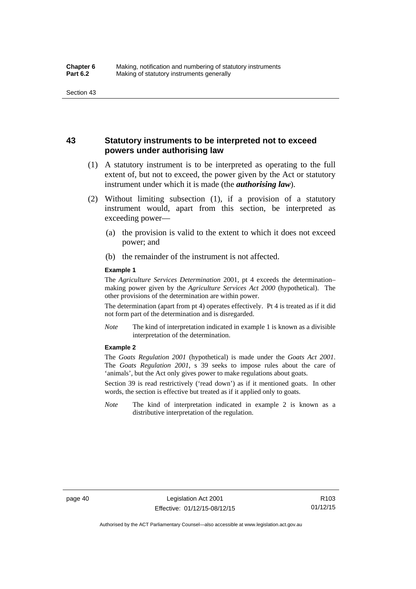### **43 Statutory instruments to be interpreted not to exceed powers under authorising law**

- (1) A statutory instrument is to be interpreted as operating to the full extent of, but not to exceed, the power given by the Act or statutory instrument under which it is made (the *authorising law*).
- (2) Without limiting subsection (1), if a provision of a statutory instrument would, apart from this section, be interpreted as exceeding power—
	- (a) the provision is valid to the extent to which it does not exceed power; and
	- (b) the remainder of the instrument is not affected.

#### **Example 1**

The *Agriculture Services Determination* 2001, pt 4 exceeds the determination– making power given by the *Agriculture Services Act 2000* (hypothetical). The other provisions of the determination are within power.

The determination (apart from pt 4) operates effectively. Pt 4 is treated as if it did not form part of the determination and is disregarded.

*Note* The kind of interpretation indicated in example 1 is known as a divisible interpretation of the determination.

#### **Example 2**

The *Goats Regulation 2001* (hypothetical) is made under the *Goats Act 2001*. The *Goats Regulation 2001*, s 39 seeks to impose rules about the care of 'animals', but the Act only gives power to make regulations about goats.

Section 39 is read restrictively ('read down') as if it mentioned goats. In other words, the section is effective but treated as if it applied only to goats.

*Note* The kind of interpretation indicated in example 2 is known as a distributive interpretation of the regulation.

R103 01/12/15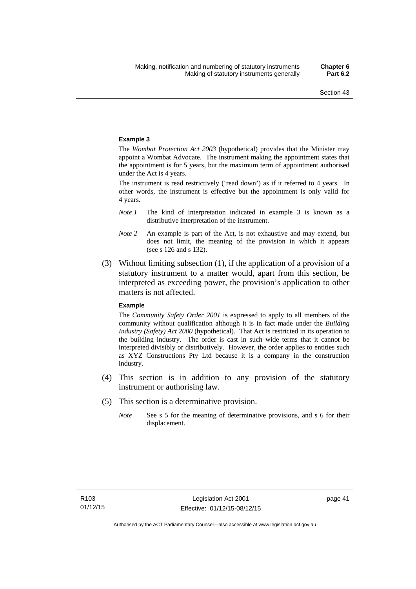#### **Example 3**

The *Wombat Protection Act 2003* (hypothetical) provides that the Minister may appoint a Wombat Advocate. The instrument making the appointment states that the appointment is for 5 years, but the maximum term of appointment authorised under the Act is 4 years.

The instrument is read restrictively ('read down') as if it referred to 4 years. In other words, the instrument is effective but the appointment is only valid for 4 years.

- *Note 1* The kind of interpretation indicated in example 3 is known as a distributive interpretation of the instrument.
- *Note 2* An example is part of the Act, is not exhaustive and may extend, but does not limit, the meaning of the provision in which it appears (see s 126 and s 132).
- (3) Without limiting subsection (1), if the application of a provision of a statutory instrument to a matter would, apart from this section, be interpreted as exceeding power, the provision's application to other matters is not affected.

#### **Example**

The *Community Safety Order 2001* is expressed to apply to all members of the community without qualification although it is in fact made under the *Building Industry (Safety) Act 2000* (hypothetical). That Act is restricted in its operation to the building industry. The order is cast in such wide terms that it cannot be interpreted divisibly or distributively. However, the order applies to entities such as XYZ Constructions Pty Ltd because it is a company in the construction industry.

- (4) This section is in addition to any provision of the statutory instrument or authorising law.
- (5) This section is a determinative provision.
	- *Note* See s 5 for the meaning of determinative provisions, and s 6 for their displacement.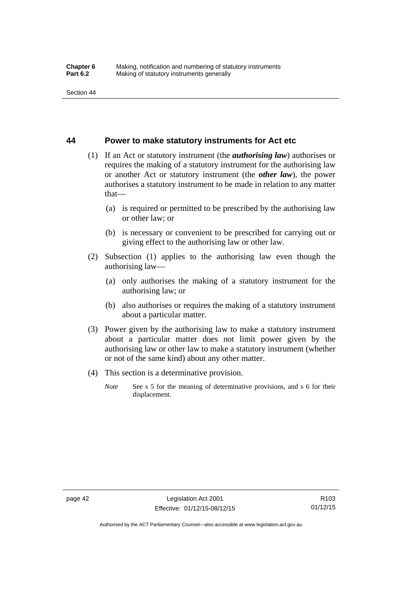### **44 Power to make statutory instruments for Act etc**

- (1) If an Act or statutory instrument (the *authorising law*) authorises or requires the making of a statutory instrument for the authorising law or another Act or statutory instrument (the *other law*), the power authorises a statutory instrument to be made in relation to any matter that—
	- (a) is required or permitted to be prescribed by the authorising law or other law; or
	- (b) is necessary or convenient to be prescribed for carrying out or giving effect to the authorising law or other law.
- (2) Subsection (1) applies to the authorising law even though the authorising law—
	- (a) only authorises the making of a statutory instrument for the authorising law; or
	- (b) also authorises or requires the making of a statutory instrument about a particular matter.
- (3) Power given by the authorising law to make a statutory instrument about a particular matter does not limit power given by the authorising law or other law to make a statutory instrument (whether or not of the same kind) about any other matter.
- (4) This section is a determinative provision.
	- *Note* See s 5 for the meaning of determinative provisions, and s 6 for their displacement.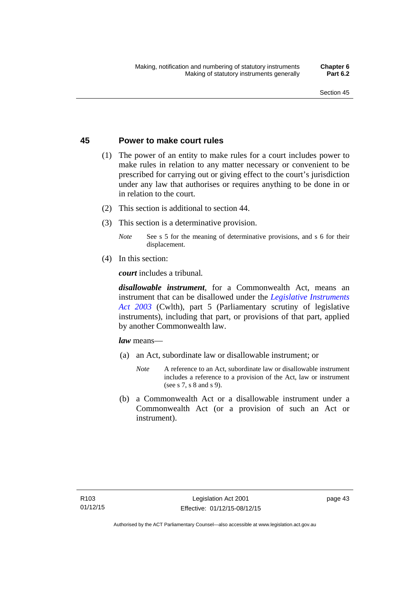### **45 Power to make court rules**

- (1) The power of an entity to make rules for a court includes power to make rules in relation to any matter necessary or convenient to be prescribed for carrying out or giving effect to the court's jurisdiction under any law that authorises or requires anything to be done in or in relation to the court.
- (2) This section is additional to section 44.
- (3) This section is a determinative provision.
	- *Note* See s 5 for the meaning of determinative provisions, and s 6 for their displacement.
- (4) In this section:

*court* includes a tribunal*.*

*disallowable instrument*, for a Commonwealth Act, means an instrument that can be disallowed under the *[Legislative Instruments](http://www.comlaw.gov.au/Series/C2004A01224)  [Act 2003](http://www.comlaw.gov.au/Series/C2004A01224)* (Cwlth), part 5 (Parliamentary scrutiny of legislative instruments), including that part, or provisions of that part, applied by another Commonwealth law.

*law* means—

- (a) an Act, subordinate law or disallowable instrument; or
	- *Note* A reference to an Act, subordinate law or disallowable instrument includes a reference to a provision of the Act, law or instrument (see s 7, s 8 and s 9).
- (b) a Commonwealth Act or a disallowable instrument under a Commonwealth Act (or a provision of such an Act or instrument).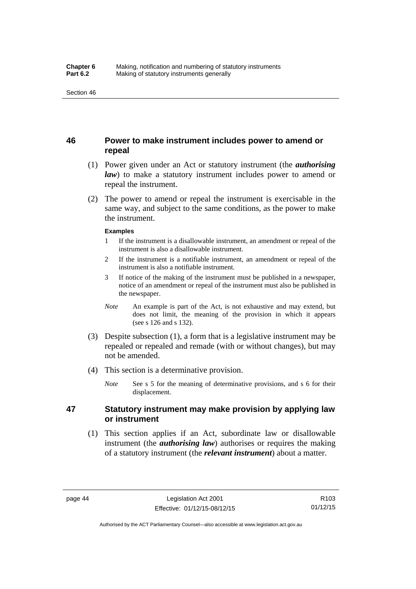### **46 Power to make instrument includes power to amend or repeal**

- (1) Power given under an Act or statutory instrument (the *authorising law*) to make a statutory instrument includes power to amend or repeal the instrument.
- (2) The power to amend or repeal the instrument is exercisable in the same way, and subject to the same conditions, as the power to make the instrument.

#### **Examples**

- 1 If the instrument is a disallowable instrument, an amendment or repeal of the instrument is also a disallowable instrument.
- 2 If the instrument is a notifiable instrument, an amendment or repeal of the instrument is also a notifiable instrument.
- 3 If notice of the making of the instrument must be published in a newspaper, notice of an amendment or repeal of the instrument must also be published in the newspaper.
- *Note* An example is part of the Act, is not exhaustive and may extend, but does not limit, the meaning of the provision in which it appears (see s 126 and s 132).
- (3) Despite subsection (1), a form that is a legislative instrument may be repealed or repealed and remade (with or without changes), but may not be amended.
- (4) This section is a determinative provision.
	- *Note* See s 5 for the meaning of determinative provisions, and s 6 for their displacement.

### **47 Statutory instrument may make provision by applying law or instrument**

 (1) This section applies if an Act, subordinate law or disallowable instrument (the *authorising law*) authorises or requires the making of a statutory instrument (the *relevant instrument*) about a matter.

Authorised by the ACT Parliamentary Counsel—also accessible at www.legislation.act.gov.au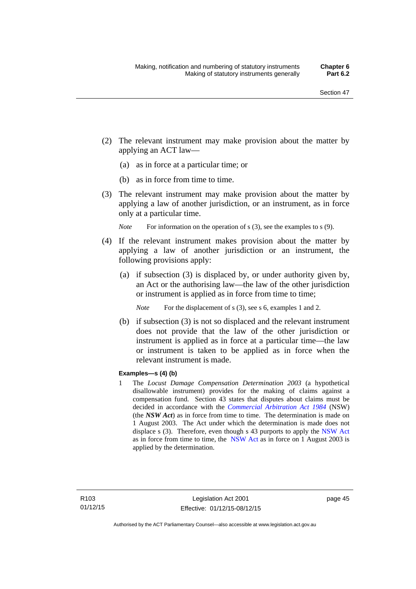- (2) The relevant instrument may make provision about the matter by applying an ACT law—
	- (a) as in force at a particular time; or
	- (b) as in force from time to time.
- (3) The relevant instrument may make provision about the matter by applying a law of another jurisdiction, or an instrument, as in force only at a particular time.

*Note* For information on the operation of s (3), see the examples to s (9).

- (4) If the relevant instrument makes provision about the matter by applying a law of another jurisdiction or an instrument, the following provisions apply:
	- (a) if subsection (3) is displaced by, or under authority given by, an Act or the authorising law—the law of the other jurisdiction or instrument is applied as in force from time to time;
		- *Note* For the displacement of s (3), see s 6, examples 1 and 2.
	- (b) if subsection (3) is not so displaced and the relevant instrument does not provide that the law of the other jurisdiction or instrument is applied as in force at a particular time—the law or instrument is taken to be applied as in force when the relevant instrument is made.

### **Examples—s (4) (b)**

1 The *Locust Damage Compensation Determination 2003* (a hypothetical disallowable instrument) provides for the making of claims against a compensation fund. Section 43 states that disputes about claims must be decided in accordance with the *[Commercial Arbitration Act 1984](http://www.legislation.nsw.gov.au/maintop/view/repealed/act+160+1984+cd+0+Y)* (NSW) (the *NSW Act*) as in force from time to time. The determination is made on 1 August 2003. The Act under which the determination is made does not displace s (3). Therefore, even though s 43 purports to apply the [NSW Act](http://www.legislation.nsw.gov.au/maintop/view/repealed/act+160+1984+cd+0+Y) as in force from time to time, the [NSW Act](http://www.legislation.nsw.gov.au/maintop/view/repealed/act+160+1984+cd+0+Y) as in force on 1 August 2003 is applied by the determination.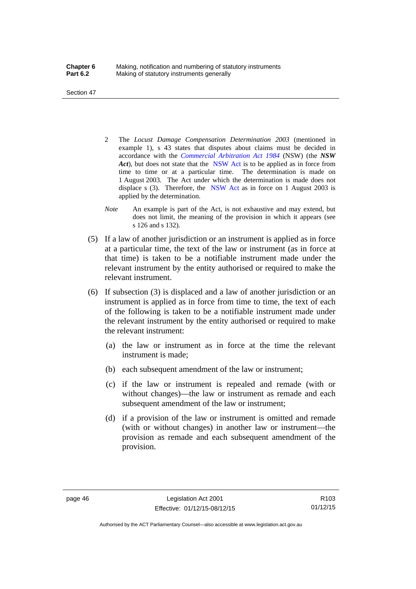Section 47

- 2 The *Locust Damage Compensation Determination 2003* (mentioned in example 1), s 43 states that disputes about claims must be decided in accordance with the *[Commercial Arbitration Act 1984](http://www.legislation.nsw.gov.au/maintop/view/repealed/act+160+1984+cd+0+Y)* (NSW) (the *NSW Act*), but does not state that the [NSW Act](http://www.legislation.nsw.gov.au/maintop/view/repealed/act+160+1984+cd+0+Y) is to be applied as in force from time to time or at a particular time. The determination is made on 1 August 2003. The Act under which the determination is made does not displace s (3). Therefore, the [NSW Act](http://www.legislation.nsw.gov.au/maintop/view/repealed/act+160+1984+cd+0+Y) as in force on 1 August 2003 is applied by the determination.
- *Note* An example is part of the Act, is not exhaustive and may extend, but does not limit, the meaning of the provision in which it appears (see s 126 and s 132).
- (5) If a law of another jurisdiction or an instrument is applied as in force at a particular time, the text of the law or instrument (as in force at that time) is taken to be a notifiable instrument made under the relevant instrument by the entity authorised or required to make the relevant instrument.
- (6) If subsection (3) is displaced and a law of another jurisdiction or an instrument is applied as in force from time to time, the text of each of the following is taken to be a notifiable instrument made under the relevant instrument by the entity authorised or required to make the relevant instrument:
	- (a) the law or instrument as in force at the time the relevant instrument is made;
	- (b) each subsequent amendment of the law or instrument;
	- (c) if the law or instrument is repealed and remade (with or without changes)—the law or instrument as remade and each subsequent amendment of the law or instrument;
	- (d) if a provision of the law or instrument is omitted and remade (with or without changes) in another law or instrument—the provision as remade and each subsequent amendment of the provision.

Authorised by the ACT Parliamentary Counsel—also accessible at www.legislation.act.gov.au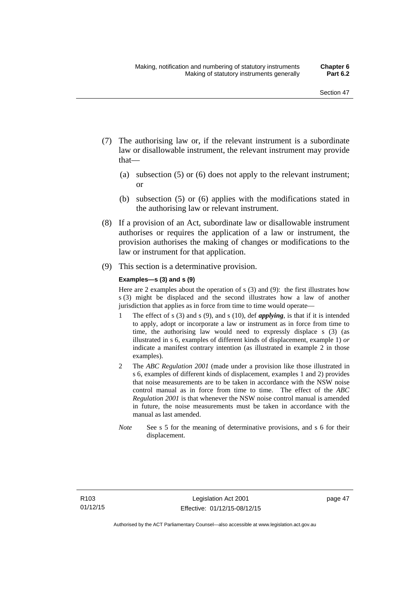- (7) The authorising law or, if the relevant instrument is a subordinate law or disallowable instrument, the relevant instrument may provide that—
	- (a) subsection (5) or (6) does not apply to the relevant instrument; or
	- (b) subsection (5) or (6) applies with the modifications stated in the authorising law or relevant instrument.
- (8) If a provision of an Act, subordinate law or disallowable instrument authorises or requires the application of a law or instrument, the provision authorises the making of changes or modifications to the law or instrument for that application.
- (9) This section is a determinative provision.

#### **Examples—s (3) and s (9)**

Here are 2 examples about the operation of s (3) and (9): the first illustrates how s (3) might be displaced and the second illustrates how a law of another jurisdiction that applies as in force from time to time would operate—

- 1 The effect of s (3) and s (9), and s (10), def *applying*, is that if it is intended to apply, adopt or incorporate a law or instrument as in force from time to time, the authorising law would need to expressly displace s (3) (as illustrated in s 6, examples of different kinds of displacement, example 1) *or* indicate a manifest contrary intention (as illustrated in example 2 in those examples).
- 2 The *ABC Regulation 2001* (made under a provision like those illustrated in s 6, examples of different kinds of displacement, examples 1 and 2) provides that noise measurements are to be taken in accordance with the NSW noise control manual as in force from time to time. The effect of the *ABC Regulation 2001* is that whenever the NSW noise control manual is amended in future, the noise measurements must be taken in accordance with the manual as last amended.
- *Note* See s 5 for the meaning of determinative provisions, and s 6 for their displacement.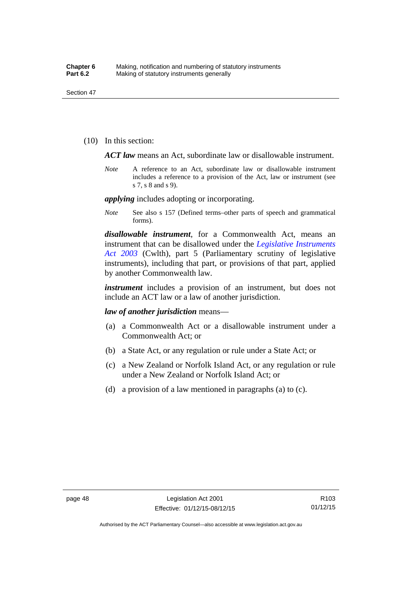(10) In this section:

*ACT law* means an Act, subordinate law or disallowable instrument.

*Note* A reference to an Act, subordinate law or disallowable instrument includes a reference to a provision of the Act, law or instrument (see s 7, s 8 and s 9).

*applying* includes adopting or incorporating.

*Note* See also s 157 (Defined terms–other parts of speech and grammatical forms).

*disallowable instrument*, for a Commonwealth Act, means an instrument that can be disallowed under the *[Legislative Instruments](http://www.comlaw.gov.au/Series/C2004A01224)  [Act 2003](http://www.comlaw.gov.au/Series/C2004A01224)* (Cwlth), part 5 (Parliamentary scrutiny of legislative instruments), including that part, or provisions of that part, applied by another Commonwealth law.

*instrument* includes a provision of an instrument, but does not include an ACT law or a law of another jurisdiction.

*law of another jurisdiction* means—

- (a) a Commonwealth Act or a disallowable instrument under a Commonwealth Act; or
- (b) a State Act, or any regulation or rule under a State Act; or
- (c) a New Zealand or Norfolk Island Act, or any regulation or rule under a New Zealand or Norfolk Island Act; or
- (d) a provision of a law mentioned in paragraphs (a) to (c).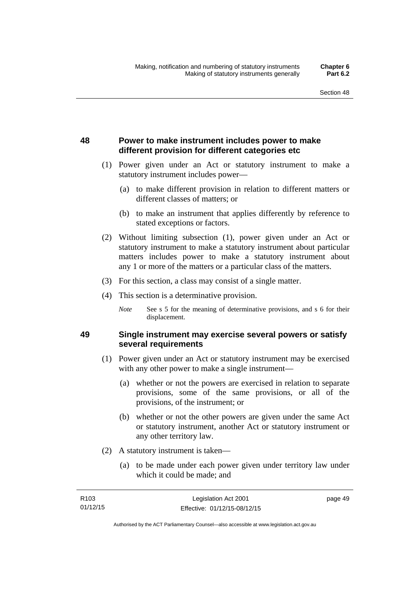## **48 Power to make instrument includes power to make different provision for different categories etc**

- (1) Power given under an Act or statutory instrument to make a statutory instrument includes power—
	- (a) to make different provision in relation to different matters or different classes of matters; or
	- (b) to make an instrument that applies differently by reference to stated exceptions or factors.
- (2) Without limiting subsection (1), power given under an Act or statutory instrument to make a statutory instrument about particular matters includes power to make a statutory instrument about any 1 or more of the matters or a particular class of the matters.
- (3) For this section, a class may consist of a single matter.
- (4) This section is a determinative provision.
	- *Note* See s 5 for the meaning of determinative provisions, and s 6 for their displacement.

### **49 Single instrument may exercise several powers or satisfy several requirements**

- (1) Power given under an Act or statutory instrument may be exercised with any other power to make a single instrument—
	- (a) whether or not the powers are exercised in relation to separate provisions, some of the same provisions, or all of the provisions, of the instrument; or
	- (b) whether or not the other powers are given under the same Act or statutory instrument, another Act or statutory instrument or any other territory law.
- (2) A statutory instrument is taken—
	- (a) to be made under each power given under territory law under which it could be made; and

| R <sub>103</sub> | Legislation Act 2001         | page 49 |
|------------------|------------------------------|---------|
| 01/12/15         | Effective: 01/12/15-08/12/15 |         |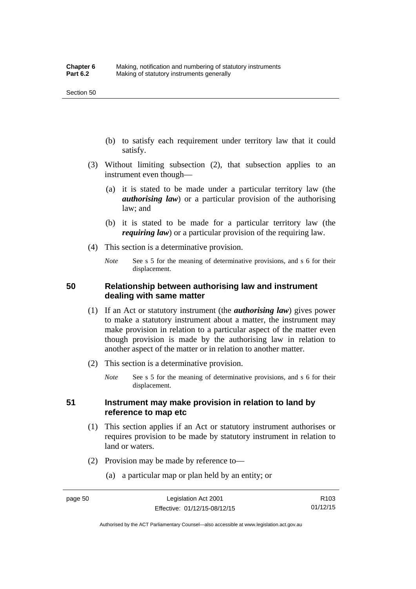- (b) to satisfy each requirement under territory law that it could satisfy.
- (3) Without limiting subsection (2), that subsection applies to an instrument even though—
	- (a) it is stated to be made under a particular territory law (the *authorising law*) or a particular provision of the authorising law; and
	- (b) it is stated to be made for a particular territory law (the *requiring law*) or a particular provision of the requiring law.
- (4) This section is a determinative provision.
	- *Note* See s 5 for the meaning of determinative provisions, and s 6 for their displacement.

### **50 Relationship between authorising law and instrument dealing with same matter**

- (1) If an Act or statutory instrument (the *authorising law*) gives power to make a statutory instrument about a matter, the instrument may make provision in relation to a particular aspect of the matter even though provision is made by the authorising law in relation to another aspect of the matter or in relation to another matter.
- (2) This section is a determinative provision.
	- *Note* See s 5 for the meaning of determinative provisions, and s 6 for their displacement.

### **51 Instrument may make provision in relation to land by reference to map etc**

- (1) This section applies if an Act or statutory instrument authorises or requires provision to be made by statutory instrument in relation to land or waters.
- (2) Provision may be made by reference to—
	- (a) a particular map or plan held by an entity; or

Authorised by the ACT Parliamentary Counsel—also accessible at www.legislation.act.gov.au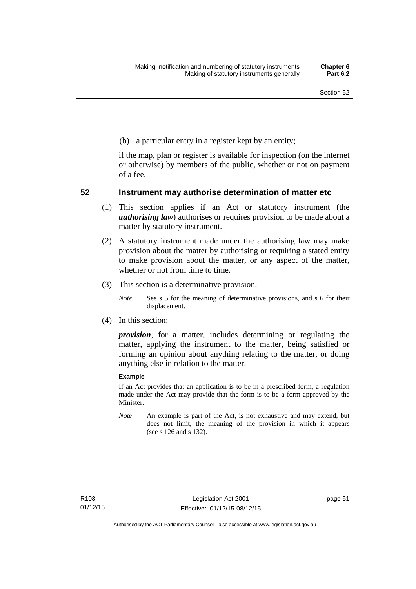(b) a particular entry in a register kept by an entity;

if the map, plan or register is available for inspection (on the internet or otherwise) by members of the public, whether or not on payment of a fee.

### **52 Instrument may authorise determination of matter etc**

- (1) This section applies if an Act or statutory instrument (the *authorising law*) authorises or requires provision to be made about a matter by statutory instrument.
- (2) A statutory instrument made under the authorising law may make provision about the matter by authorising or requiring a stated entity to make provision about the matter, or any aspect of the matter, whether or not from time to time.
- (3) This section is a determinative provision.
	- *Note* See s 5 for the meaning of determinative provisions, and s 6 for their displacement.
- (4) In this section:

*provision*, for a matter, includes determining or regulating the matter, applying the instrument to the matter, being satisfied or forming an opinion about anything relating to the matter, or doing anything else in relation to the matter.

#### **Example**

If an Act provides that an application is to be in a prescribed form, a regulation made under the Act may provide that the form is to be a form approved by the Minister.

*Note* An example is part of the Act, is not exhaustive and may extend, but does not limit, the meaning of the provision in which it appears (see s 126 and s 132).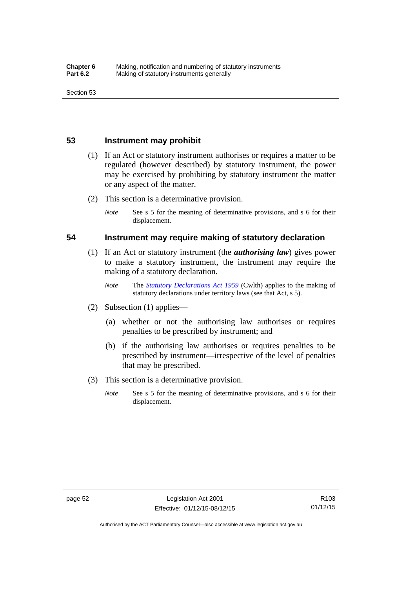### **53 Instrument may prohibit**

- (1) If an Act or statutory instrument authorises or requires a matter to be regulated (however described) by statutory instrument, the power may be exercised by prohibiting by statutory instrument the matter or any aspect of the matter.
- (2) This section is a determinative provision.
	- *Note* See s 5 for the meaning of determinative provisions, and s 6 for their displacement.

### **54 Instrument may require making of statutory declaration**

- (1) If an Act or statutory instrument (the *authorising law*) gives power to make a statutory instrument, the instrument may require the making of a statutory declaration.
	- *Note* The *[Statutory Declarations Act 1959](http://www.comlaw.gov.au/Series/C2004A07365)* (Cwlth) applies to the making of statutory declarations under territory laws (see that Act, s 5).
- (2) Subsection (1) applies—
	- (a) whether or not the authorising law authorises or requires penalties to be prescribed by instrument; and
	- (b) if the authorising law authorises or requires penalties to be prescribed by instrument—irrespective of the level of penalties that may be prescribed.
- (3) This section is a determinative provision.
	- *Note* See s 5 for the meaning of determinative provisions, and s 6 for their displacement.

R103 01/12/15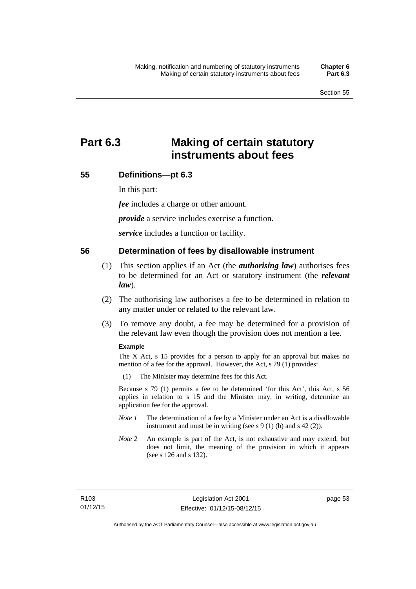# **Part 6.3 Making of certain statutory instruments about fees**

### **55 Definitions—pt 6.3**

In this part:

*fee* includes a charge or other amount.

*provide* a service includes exercise a function.

*service* includes a function or facility.

### **56 Determination of fees by disallowable instrument**

- (1) This section applies if an Act (the *authorising law*) authorises fees to be determined for an Act or statutory instrument (the *relevant law*).
- (2) The authorising law authorises a fee to be determined in relation to any matter under or related to the relevant law.
- (3) To remove any doubt, a fee may be determined for a provision of the relevant law even though the provision does not mention a fee.

#### **Example**

The X Act, s 15 provides for a person to apply for an approval but makes no mention of a fee for the approval. However, the Act, s 79 (1) provides:

(1) The Minister may determine fees for this Act.

Because s 79 (1) permits a fee to be determined 'for this Act', this Act, s 56 applies in relation to s 15 and the Minister may, in writing, determine an application fee for the approval.

- *Note 1* The determination of a fee by a Minister under an Act is a disallowable instrument and must be in writing (see s 9 (1) (b) and s 42 (2)).
- *Note 2* An example is part of the Act, is not exhaustive and may extend, but does not limit, the meaning of the provision in which it appears (see s 126 and s 132).

page 53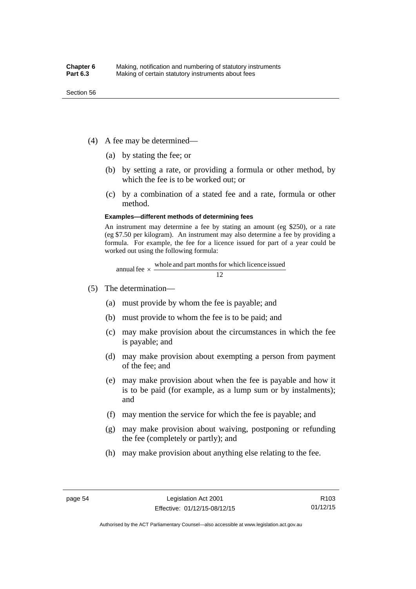- (4) A fee may be determined—
	- (a) by stating the fee; or
	- (b) by setting a rate, or providing a formula or other method, by which the fee is to be worked out; or
	- (c) by a combination of a stated fee and a rate, formula or other method.

#### **Examples—different methods of determining fees**

An instrument may determine a fee by stating an amount (eg \$250), or a rate (eg \$7.50 per kilogram). An instrument may also determine a fee by providing a formula. For example, the fee for a licence issued for part of a year could be worked out using the following formula:

annual fee  $\times$  whole and part months for which licence issued  $\frac{12}{\sqrt{12}}$ 

- (5) The determination—
	- (a) must provide by whom the fee is payable; and
	- (b) must provide to whom the fee is to be paid; and
	- (c) may make provision about the circumstances in which the fee is payable; and
	- (d) may make provision about exempting a person from payment of the fee; and
	- (e) may make provision about when the fee is payable and how it is to be paid (for example, as a lump sum or by instalments); and
	- (f) may mention the service for which the fee is payable; and
	- (g) may make provision about waiving, postponing or refunding the fee (completely or partly); and
	- (h) may make provision about anything else relating to the fee.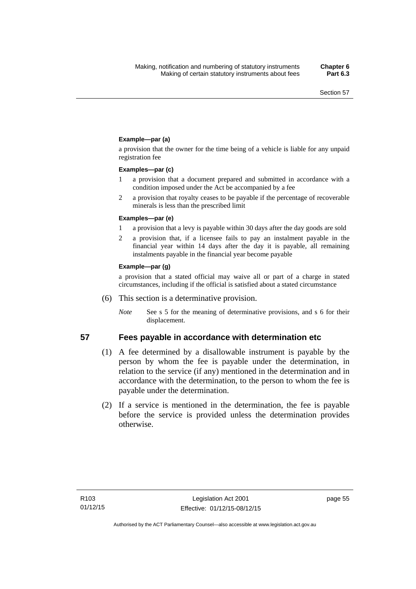### **Example—par (a)**

a provision that the owner for the time being of a vehicle is liable for any unpaid registration fee

#### **Examples—par (c)**

- 1 a provision that a document prepared and submitted in accordance with a condition imposed under the Act be accompanied by a fee
- 2 a provision that royalty ceases to be payable if the percentage of recoverable minerals is less than the prescribed limit

#### **Examples—par (e)**

- 1 a provision that a levy is payable within 30 days after the day goods are sold
- 2 a provision that, if a licensee fails to pay an instalment payable in the financial year within 14 days after the day it is payable, all remaining instalments payable in the financial year become payable

#### **Example—par (g)**

a provision that a stated official may waive all or part of a charge in stated circumstances, including if the official is satisfied about a stated circumstance

- (6) This section is a determinative provision.
	- *Note* See s 5 for the meaning of determinative provisions, and s 6 for their displacement.

- **57 Fees payable in accordance with determination etc**  (1) A fee determined by a disallowable instrument is payable by the
	- person by whom the fee is payable under the determination, in relation to the service (if any) mentioned in the determination and in accordance with the determination, to the person to whom the fee is payable under the determination.
	- (2) If a service is mentioned in the determination, the fee is payable before the service is provided unless the determination provides otherwise.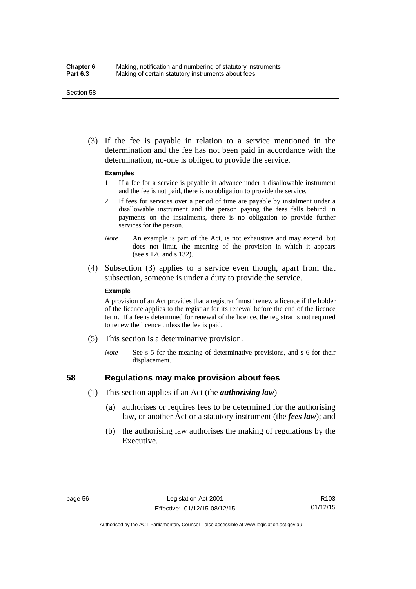#### Section 58

 (3) If the fee is payable in relation to a service mentioned in the determination and the fee has not been paid in accordance with the determination, no-one is obliged to provide the service.

#### **Examples**

- 1 If a fee for a service is payable in advance under a disallowable instrument and the fee is not paid, there is no obligation to provide the service.
- 2 If fees for services over a period of time are payable by instalment under a disallowable instrument and the person paying the fees falls behind in payments on the instalments, there is no obligation to provide further services for the person.
- *Note* An example is part of the Act, is not exhaustive and may extend, but does not limit, the meaning of the provision in which it appears (see s 126 and s 132).
- (4) Subsection (3) applies to a service even though, apart from that subsection, someone is under a duty to provide the service.

#### **Example**

A provision of an Act provides that a registrar 'must' renew a licence if the holder of the licence applies to the registrar for its renewal before the end of the licence term. If a fee is determined for renewal of the licence, the registrar is not required to renew the licence unless the fee is paid.

- (5) This section is a determinative provision.
	- *Note* See s 5 for the meaning of determinative provisions, and s 6 for their displacement.

## **58 Regulations may make provision about fees**

- (1) This section applies if an Act (the *authorising law*)—
	- (a) authorises or requires fees to be determined for the authorising law, or another Act or a statutory instrument (the *fees law*); and
	- (b) the authorising law authorises the making of regulations by the Executive.

Authorised by the ACT Parliamentary Counsel—also accessible at www.legislation.act.gov.au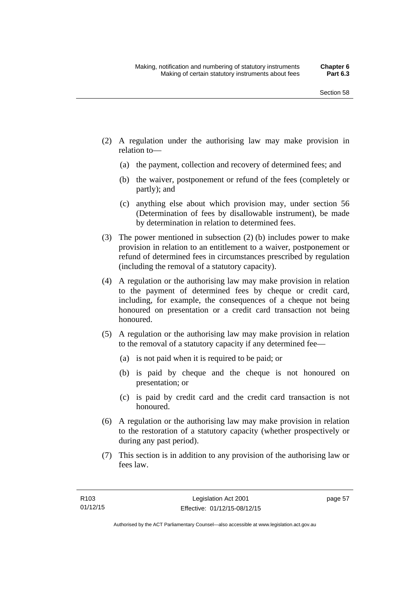- (2) A regulation under the authorising law may make provision in relation to—
	- (a) the payment, collection and recovery of determined fees; and
	- (b) the waiver, postponement or refund of the fees (completely or partly); and
	- (c) anything else about which provision may, under section 56 (Determination of fees by disallowable instrument), be made by determination in relation to determined fees.
- (3) The power mentioned in subsection (2) (b) includes power to make provision in relation to an entitlement to a waiver, postponement or refund of determined fees in circumstances prescribed by regulation (including the removal of a statutory capacity).
- (4) A regulation or the authorising law may make provision in relation to the payment of determined fees by cheque or credit card, including, for example, the consequences of a cheque not being honoured on presentation or a credit card transaction not being honoured.
- (5) A regulation or the authorising law may make provision in relation to the removal of a statutory capacity if any determined fee—
	- (a) is not paid when it is required to be paid; or
	- (b) is paid by cheque and the cheque is not honoured on presentation; or
	- (c) is paid by credit card and the credit card transaction is not honoured.
- (6) A regulation or the authorising law may make provision in relation to the restoration of a statutory capacity (whether prospectively or during any past period).
- (7) This section is in addition to any provision of the authorising law or fees law.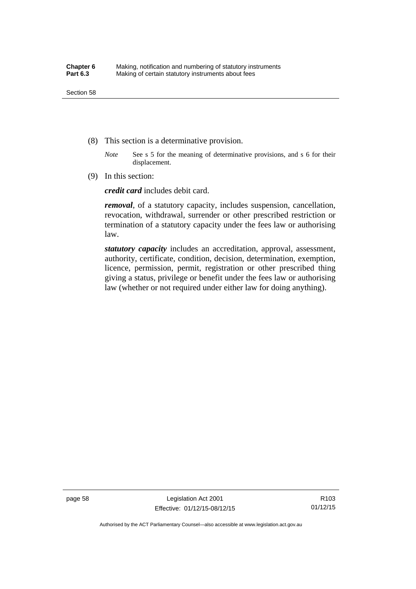- (8) This section is a determinative provision.
	- *Note* See s 5 for the meaning of determinative provisions, and s 6 for their displacement.
- (9) In this section:

*credit card* includes debit card.

*removal*, of a statutory capacity, includes suspension, cancellation, revocation, withdrawal, surrender or other prescribed restriction or termination of a statutory capacity under the fees law or authorising law.

*statutory capacity* includes an accreditation, approval, assessment, authority, certificate, condition, decision, determination, exemption, licence, permission, permit, registration or other prescribed thing giving a status, privilege or benefit under the fees law or authorising law (whether or not required under either law for doing anything).

page 58 Legislation Act 2001 Effective: 01/12/15-08/12/15

R103 01/12/15

Authorised by the ACT Parliamentary Counsel—also accessible at www.legislation.act.gov.au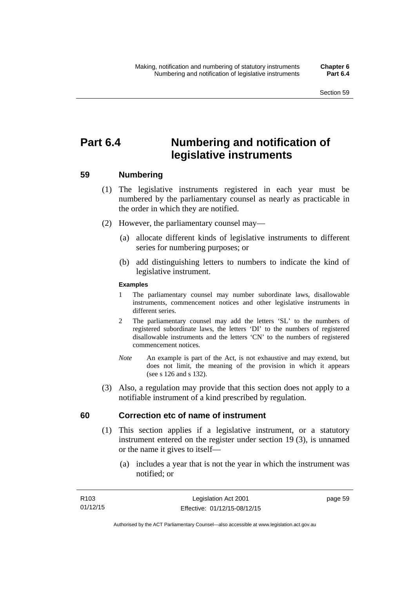# **Part 6.4 Numbering and notification of legislative instruments**

## **59 Numbering**

- (1) The legislative instruments registered in each year must be numbered by the parliamentary counsel as nearly as practicable in the order in which they are notified.
- (2) However, the parliamentary counsel may—
	- (a) allocate different kinds of legislative instruments to different series for numbering purposes; or
	- (b) add distinguishing letters to numbers to indicate the kind of legislative instrument.

## **Examples**

- 1 The parliamentary counsel may number subordinate laws, disallowable instruments, commencement notices and other legislative instruments in different series.
- 2 The parliamentary counsel may add the letters 'SL' to the numbers of registered subordinate laws, the letters 'DI' to the numbers of registered disallowable instruments and the letters 'CN' to the numbers of registered commencement notices.
- *Note* An example is part of the Act, is not exhaustive and may extend, but does not limit, the meaning of the provision in which it appears (see s 126 and s 132).
- (3) Also, a regulation may provide that this section does not apply to a notifiable instrument of a kind prescribed by regulation.

## **60 Correction etc of name of instrument**

- (1) This section applies if a legislative instrument, or a statutory instrument entered on the register under section 19 (3), is unnamed or the name it gives to itself—
	- (a) includes a year that is not the year in which the instrument was notified; or

page 59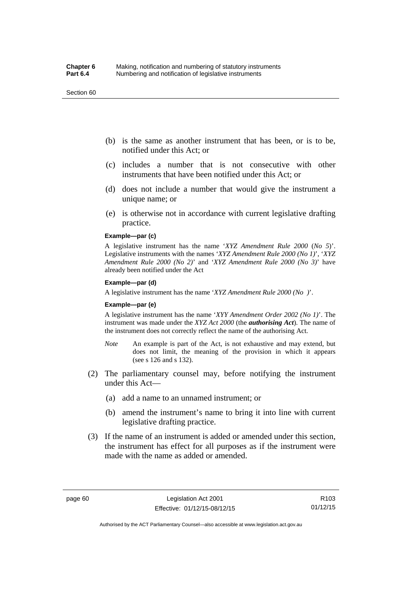#### Section 60

- (b) is the same as another instrument that has been, or is to be, notified under this Act; or
- (c) includes a number that is not consecutive with other instruments that have been notified under this Act; or
- (d) does not include a number that would give the instrument a unique name; or
- (e) is otherwise not in accordance with current legislative drafting practice.

## **Example—par (c)**

A legislative instrument has the name '*XYZ Amendment Rule 2000* (*No 5*)'. Legislative instruments with the names '*XYZ Amendment Rule 2000 (No 1)*', '*XYZ Amendment Rule 2000 (No 2)*' and '*XYZ Amendment Rule 2000 (No 3)*' have already been notified under the Act

#### **Example—par (d)**

A legislative instrument has the name '*XYZ Amendment Rule 2000 (No )*'.

#### **Example—par (e)**

A legislative instrument has the name '*XYY Amendment Order 2002 (No 1)*'. The instrument was made under the *XYZ Act 2000* (the *authorising Act*). The name of the instrument does not correctly reflect the name of the authorising Act.

- *Note* An example is part of the Act, is not exhaustive and may extend, but does not limit, the meaning of the provision in which it appears (see s 126 and s 132).
- (2) The parliamentary counsel may, before notifying the instrument under this Act—
	- (a) add a name to an unnamed instrument; or
	- (b) amend the instrument's name to bring it into line with current legislative drafting practice.
- (3) If the name of an instrument is added or amended under this section, the instrument has effect for all purposes as if the instrument were made with the name as added or amended.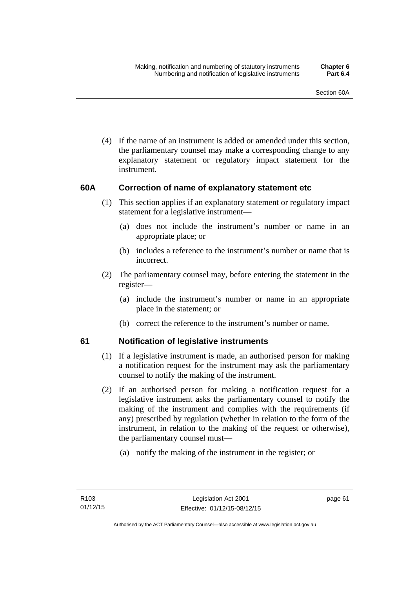(4) If the name of an instrument is added or amended under this section, the parliamentary counsel may make a corresponding change to any explanatory statement or regulatory impact statement for the instrument.

## **60A Correction of name of explanatory statement etc**

- (1) This section applies if an explanatory statement or regulatory impact statement for a legislative instrument—
	- (a) does not include the instrument's number or name in an appropriate place; or
	- (b) includes a reference to the instrument's number or name that is incorrect.
- (2) The parliamentary counsel may, before entering the statement in the register—
	- (a) include the instrument's number or name in an appropriate place in the statement; or
	- (b) correct the reference to the instrument's number or name.

## **61 Notification of legislative instruments**

- (1) If a legislative instrument is made, an authorised person for making a notification request for the instrument may ask the parliamentary counsel to notify the making of the instrument.
- (2) If an authorised person for making a notification request for a legislative instrument asks the parliamentary counsel to notify the making of the instrument and complies with the requirements (if any) prescribed by regulation (whether in relation to the form of the instrument, in relation to the making of the request or otherwise), the parliamentary counsel must—
	- (a) notify the making of the instrument in the register; or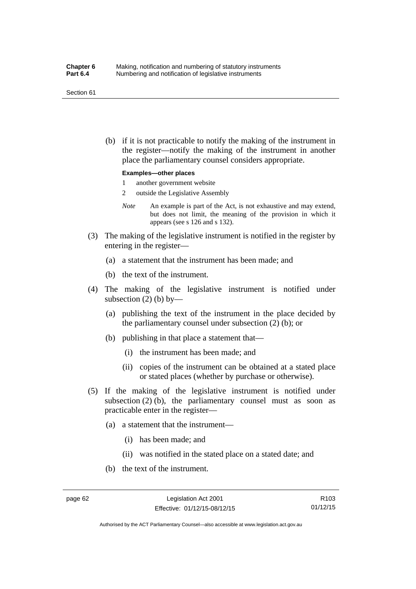#### Section 61

 (b) if it is not practicable to notify the making of the instrument in the register—notify the making of the instrument in another place the parliamentary counsel considers appropriate.

#### **Examples—other places**

- 1 another government website
- 2 outside the Legislative Assembly
- *Note* An example is part of the Act, is not exhaustive and may extend, but does not limit, the meaning of the provision in which it appears (see s 126 and s 132).
- (3) The making of the legislative instrument is notified in the register by entering in the register—
	- (a) a statement that the instrument has been made; and
	- (b) the text of the instrument.
- (4) The making of the legislative instrument is notified under subsection  $(2)$  (b) by—
	- (a) publishing the text of the instrument in the place decided by the parliamentary counsel under subsection (2) (b); or
	- (b) publishing in that place a statement that—
		- (i) the instrument has been made; and
		- (ii) copies of the instrument can be obtained at a stated place or stated places (whether by purchase or otherwise).
- (5) If the making of the legislative instrument is notified under subsection  $(2)$  (b), the parliamentary counsel must as soon as practicable enter in the register—
	- (a) a statement that the instrument—
		- (i) has been made; and
		- (ii) was notified in the stated place on a stated date; and
	- (b) the text of the instrument.

R103 01/12/15

Authorised by the ACT Parliamentary Counsel—also accessible at www.legislation.act.gov.au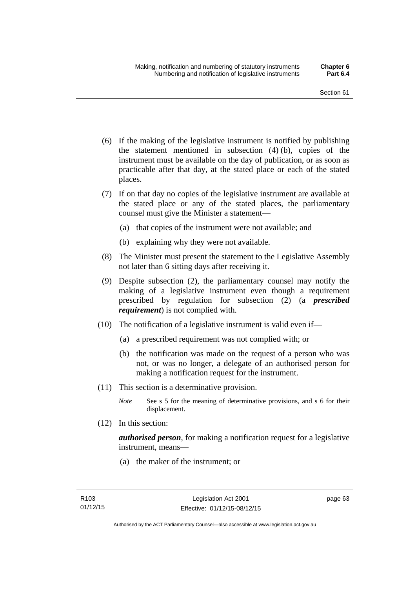- (6) If the making of the legislative instrument is notified by publishing the statement mentioned in subsection (4) (b), copies of the instrument must be available on the day of publication, or as soon as practicable after that day, at the stated place or each of the stated places.
- (7) If on that day no copies of the legislative instrument are available at the stated place or any of the stated places, the parliamentary counsel must give the Minister a statement—
	- (a) that copies of the instrument were not available; and
	- (b) explaining why they were not available.
- (8) The Minister must present the statement to the Legislative Assembly not later than 6 sitting days after receiving it.
- (9) Despite subsection (2), the parliamentary counsel may notify the making of a legislative instrument even though a requirement prescribed by regulation for subsection (2) (a *prescribed requirement*) is not complied with.
- (10) The notification of a legislative instrument is valid even if—
	- (a) a prescribed requirement was not complied with; or
	- (b) the notification was made on the request of a person who was not, or was no longer, a delegate of an authorised person for making a notification request for the instrument.
- (11) This section is a determinative provision.
	- *Note* See s 5 for the meaning of determinative provisions, and s 6 for their displacement.
- (12) In this section:

*authorised person*, for making a notification request for a legislative instrument, means—

(a) the maker of the instrument; or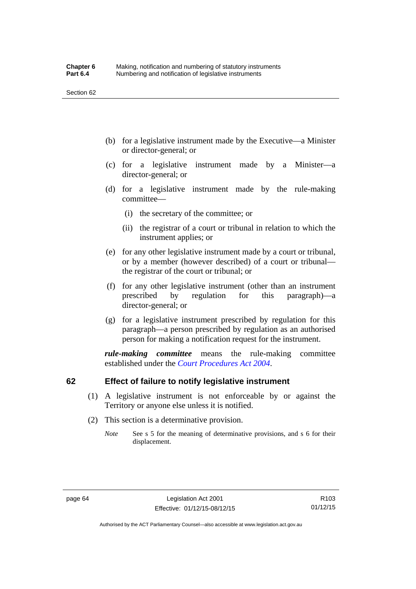- (b) for a legislative instrument made by the Executive—a Minister or director-general; or
- (c) for a legislative instrument made by a Minister—a director-general; or
- (d) for a legislative instrument made by the rule-making committee—
	- (i) the secretary of the committee; or
	- (ii) the registrar of a court or tribunal in relation to which the instrument applies; or
- (e) for any other legislative instrument made by a court or tribunal, or by a member (however described) of a court or tribunal the registrar of the court or tribunal; or
- (f) for any other legislative instrument (other than an instrument prescribed by regulation for this paragraph)—a director-general; or
- (g) for a legislative instrument prescribed by regulation for this paragraph—a person prescribed by regulation as an authorised person for making a notification request for the instrument.

*rule-making committee* means the rule-making committee established under the *[Court Procedures Act 2004](http://www.legislation.act.gov.au/a/2004-59)*.

## **62 Effect of failure to notify legislative instrument**

- (1) A legislative instrument is not enforceable by or against the Territory or anyone else unless it is notified.
- (2) This section is a determinative provision.
	- *Note* See s 5 for the meaning of determinative provisions, and s 6 for their displacement.

R103 01/12/15

Authorised by the ACT Parliamentary Counsel—also accessible at www.legislation.act.gov.au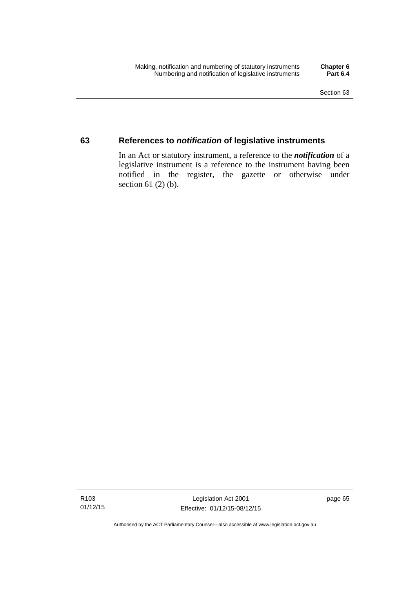## **63 References to** *notification* **of legislative instruments**

In an Act or statutory instrument, a reference to the *notification* of a legislative instrument is a reference to the instrument having been notified in the register, the gazette or otherwise under section  $61$  (2) (b).

Authorised by the ACT Parliamentary Counsel—also accessible at www.legislation.act.gov.au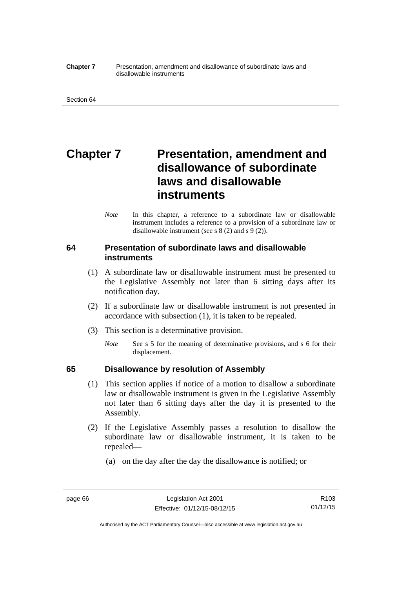#### **Chapter 7** Presentation, amendment and disallowance of subordinate laws and disallowable instruments

# **Chapter 7** Presentation, amendment and **disallowance of subordinate laws and disallowable instruments**

*Note* In this chapter, a reference to a subordinate law or disallowable instrument includes a reference to a provision of a subordinate law or disallowable instrument (see s 8 (2) and s 9 (2)).

## **64 Presentation of subordinate laws and disallowable instruments**

- (1) A subordinate law or disallowable instrument must be presented to the Legislative Assembly not later than 6 sitting days after its notification day.
- (2) If a subordinate law or disallowable instrument is not presented in accordance with subsection (1), it is taken to be repealed.
- (3) This section is a determinative provision.
	- *Note* See s 5 for the meaning of determinative provisions, and s 6 for their displacement.

## **65 Disallowance by resolution of Assembly**

- (1) This section applies if notice of a motion to disallow a subordinate law or disallowable instrument is given in the Legislative Assembly not later than 6 sitting days after the day it is presented to the Assembly.
- (2) If the Legislative Assembly passes a resolution to disallow the subordinate law or disallowable instrument, it is taken to be repealed—
	- (a) on the day after the day the disallowance is notified; or

Authorised by the ACT Parliamentary Counsel—also accessible at www.legislation.act.gov.au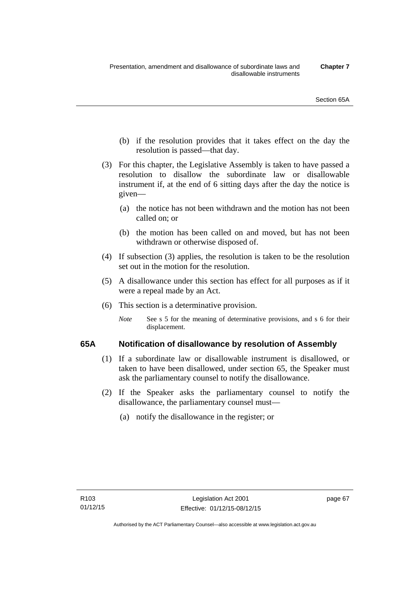- (b) if the resolution provides that it takes effect on the day the resolution is passed—that day.
- (3) For this chapter, the Legislative Assembly is taken to have passed a resolution to disallow the subordinate law or disallowable instrument if, at the end of 6 sitting days after the day the notice is given—
	- (a) the notice has not been withdrawn and the motion has not been called on; or
	- (b) the motion has been called on and moved, but has not been withdrawn or otherwise disposed of.
- (4) If subsection (3) applies, the resolution is taken to be the resolution set out in the motion for the resolution.
- (5) A disallowance under this section has effect for all purposes as if it were a repeal made by an Act.
- (6) This section is a determinative provision.
	- *Note* See s 5 for the meaning of determinative provisions, and s 6 for their displacement.

## **65A Notification of disallowance by resolution of Assembly**

- (1) If a subordinate law or disallowable instrument is disallowed, or taken to have been disallowed, under section 65, the Speaker must ask the parliamentary counsel to notify the disallowance.
- (2) If the Speaker asks the parliamentary counsel to notify the disallowance, the parliamentary counsel must—
	- (a) notify the disallowance in the register; or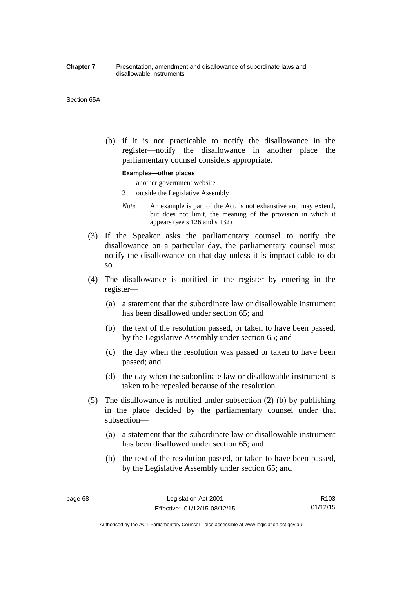#### **Chapter 7** Presentation, amendment and disallowance of subordinate laws and disallowable instruments

#### Section 65A

 (b) if it is not practicable to notify the disallowance in the register—notify the disallowance in another place the parliamentary counsel considers appropriate.

#### **Examples—other places**

- 1 another government website
- 2 outside the Legislative Assembly
- *Note* An example is part of the Act, is not exhaustive and may extend, but does not limit, the meaning of the provision in which it appears (see s 126 and s 132).
- (3) If the Speaker asks the parliamentary counsel to notify the disallowance on a particular day, the parliamentary counsel must notify the disallowance on that day unless it is impracticable to do so.
- (4) The disallowance is notified in the register by entering in the register—
	- (a) a statement that the subordinate law or disallowable instrument has been disallowed under section 65; and
	- (b) the text of the resolution passed, or taken to have been passed, by the Legislative Assembly under section 65; and
	- (c) the day when the resolution was passed or taken to have been passed; and
	- (d) the day when the subordinate law or disallowable instrument is taken to be repealed because of the resolution.
- (5) The disallowance is notified under subsection (2) (b) by publishing in the place decided by the parliamentary counsel under that subsection—
	- (a) a statement that the subordinate law or disallowable instrument has been disallowed under section 65; and
	- (b) the text of the resolution passed, or taken to have been passed, by the Legislative Assembly under section 65; and

Authorised by the ACT Parliamentary Counsel—also accessible at www.legislation.act.gov.au

R103 01/12/15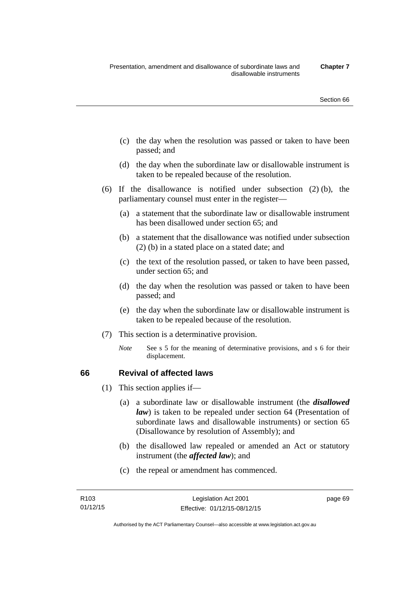- (c) the day when the resolution was passed or taken to have been passed; and
- (d) the day when the subordinate law or disallowable instrument is taken to be repealed because of the resolution.
- (6) If the disallowance is notified under subsection (2) (b), the parliamentary counsel must enter in the register—
	- (a) a statement that the subordinate law or disallowable instrument has been disallowed under section 65; and
	- (b) a statement that the disallowance was notified under subsection (2) (b) in a stated place on a stated date; and
	- (c) the text of the resolution passed, or taken to have been passed, under section 65; and
	- (d) the day when the resolution was passed or taken to have been passed; and
	- (e) the day when the subordinate law or disallowable instrument is taken to be repealed because of the resolution.
- (7) This section is a determinative provision.
	- *Note* See s 5 for the meaning of determinative provisions, and s 6 for their displacement.

## **66 Revival of affected laws**

- (1) This section applies if—
	- (a) a subordinate law or disallowable instrument (the *disallowed law*) is taken to be repealed under section 64 (Presentation of subordinate laws and disallowable instruments) or section 65 (Disallowance by resolution of Assembly); and
	- (b) the disallowed law repealed or amended an Act or statutory instrument (the *affected law*); and
	- (c) the repeal or amendment has commenced.

page 69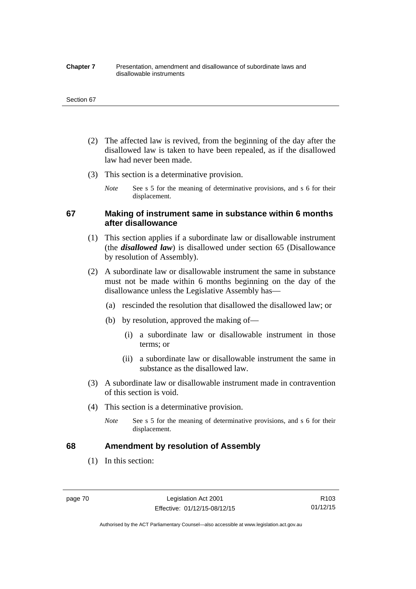#### **Chapter 7** Presentation, amendment and disallowance of subordinate laws and disallowable instruments

#### Section 67

- (2) The affected law is revived, from the beginning of the day after the disallowed law is taken to have been repealed, as if the disallowed law had never been made.
- (3) This section is a determinative provision.
	- *Note* See s 5 for the meaning of determinative provisions, and s 6 for their displacement.

## **67 Making of instrument same in substance within 6 months after disallowance**

- (1) This section applies if a subordinate law or disallowable instrument (the *disallowed law*) is disallowed under section 65 (Disallowance by resolution of Assembly).
- (2) A subordinate law or disallowable instrument the same in substance must not be made within 6 months beginning on the day of the disallowance unless the Legislative Assembly has—
	- (a) rescinded the resolution that disallowed the disallowed law; or
	- (b) by resolution, approved the making of—
		- (i) a subordinate law or disallowable instrument in those terms; or
		- (ii) a subordinate law or disallowable instrument the same in substance as the disallowed law.
- (3) A subordinate law or disallowable instrument made in contravention of this section is void.
- (4) This section is a determinative provision.
	- *Note* See s 5 for the meaning of determinative provisions, and s 6 for their displacement.

## **68 Amendment by resolution of Assembly**

(1) In this section:

page 70 Legislation Act 2001 Effective: 01/12/15-08/12/15

R103 01/12/15

Authorised by the ACT Parliamentary Counsel—also accessible at www.legislation.act.gov.au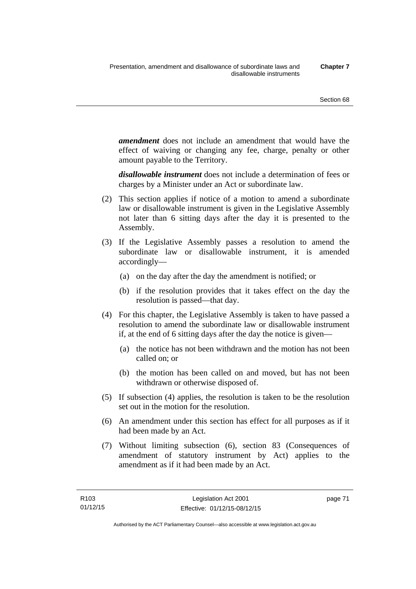*amendment* does not include an amendment that would have the effect of waiving or changing any fee, charge, penalty or other amount payable to the Territory.

*disallowable instrument* does not include a determination of fees or charges by a Minister under an Act or subordinate law.

- (2) This section applies if notice of a motion to amend a subordinate law or disallowable instrument is given in the Legislative Assembly not later than 6 sitting days after the day it is presented to the Assembly.
- (3) If the Legislative Assembly passes a resolution to amend the subordinate law or disallowable instrument, it is amended accordingly—
	- (a) on the day after the day the amendment is notified; or
	- (b) if the resolution provides that it takes effect on the day the resolution is passed—that day.
- (4) For this chapter, the Legislative Assembly is taken to have passed a resolution to amend the subordinate law or disallowable instrument if, at the end of 6 sitting days after the day the notice is given—
	- (a) the notice has not been withdrawn and the motion has not been called on; or
	- (b) the motion has been called on and moved, but has not been withdrawn or otherwise disposed of.
- (5) If subsection (4) applies, the resolution is taken to be the resolution set out in the motion for the resolution.
- (6) An amendment under this section has effect for all purposes as if it had been made by an Act.
- (7) Without limiting subsection (6), section 83 (Consequences of amendment of statutory instrument by Act) applies to the amendment as if it had been made by an Act.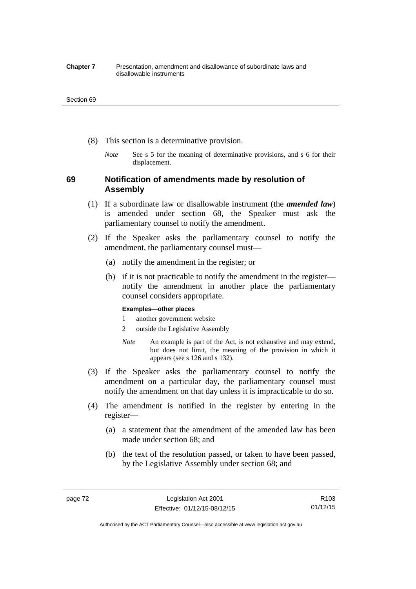#### **Chapter 7** Presentation, amendment and disallowance of subordinate laws and disallowable instruments

#### Section 69

- (8) This section is a determinative provision.
	- *Note* See s 5 for the meaning of determinative provisions, and s 6 for their displacement.

## **69 Notification of amendments made by resolution of Assembly**

- (1) If a subordinate law or disallowable instrument (the *amended law*) is amended under section 68, the Speaker must ask the parliamentary counsel to notify the amendment.
- (2) If the Speaker asks the parliamentary counsel to notify the amendment, the parliamentary counsel must—
	- (a) notify the amendment in the register; or
	- (b) if it is not practicable to notify the amendment in the register notify the amendment in another place the parliamentary counsel considers appropriate.

### **Examples—other places**

- 1 another government website
- 2 outside the Legislative Assembly
- *Note* An example is part of the Act, is not exhaustive and may extend, but does not limit, the meaning of the provision in which it appears (see s 126 and s 132).
- (3) If the Speaker asks the parliamentary counsel to notify the amendment on a particular day, the parliamentary counsel must notify the amendment on that day unless it is impracticable to do so.
- (4) The amendment is notified in the register by entering in the register—
	- (a) a statement that the amendment of the amended law has been made under section 68; and
	- (b) the text of the resolution passed, or taken to have been passed, by the Legislative Assembly under section 68; and

R103 01/12/15

Authorised by the ACT Parliamentary Counsel—also accessible at www.legislation.act.gov.au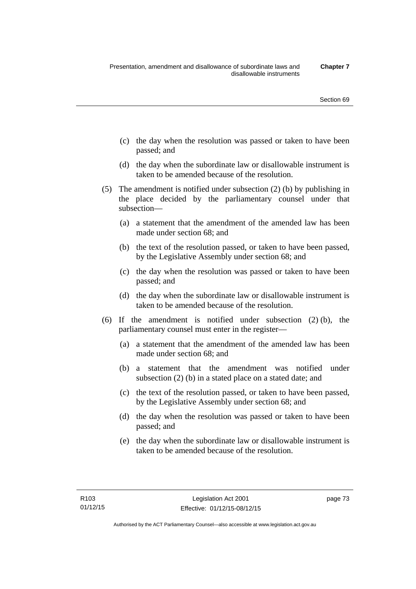- (c) the day when the resolution was passed or taken to have been passed; and
- (d) the day when the subordinate law or disallowable instrument is taken to be amended because of the resolution.
- (5) The amendment is notified under subsection (2) (b) by publishing in the place decided by the parliamentary counsel under that subsection—
	- (a) a statement that the amendment of the amended law has been made under section 68; and
	- (b) the text of the resolution passed, or taken to have been passed, by the Legislative Assembly under section 68; and
	- (c) the day when the resolution was passed or taken to have been passed; and
	- (d) the day when the subordinate law or disallowable instrument is taken to be amended because of the resolution.
- (6) If the amendment is notified under subsection (2) (b), the parliamentary counsel must enter in the register—
	- (a) a statement that the amendment of the amended law has been made under section 68; and
	- (b) a statement that the amendment was notified under subsection (2) (b) in a stated place on a stated date; and
	- (c) the text of the resolution passed, or taken to have been passed, by the Legislative Assembly under section 68; and
	- (d) the day when the resolution was passed or taken to have been passed; and
	- (e) the day when the subordinate law or disallowable instrument is taken to be amended because of the resolution.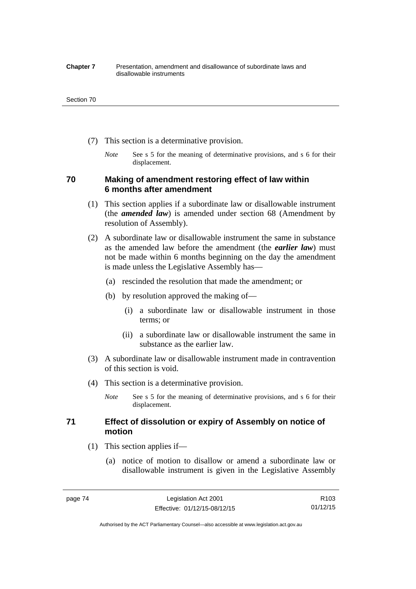#### **Chapter 7** Presentation, amendment and disallowance of subordinate laws and disallowable instruments

#### Section 70

- (7) This section is a determinative provision.
	- *Note* See s 5 for the meaning of determinative provisions, and s 6 for their displacement.

## **70 Making of amendment restoring effect of law within 6 months after amendment**

- (1) This section applies if a subordinate law or disallowable instrument (the *amended law*) is amended under section 68 (Amendment by resolution of Assembly).
- (2) A subordinate law or disallowable instrument the same in substance as the amended law before the amendment (the *earlier law*) must not be made within 6 months beginning on the day the amendment is made unless the Legislative Assembly has—
	- (a) rescinded the resolution that made the amendment; or
	- (b) by resolution approved the making of—
		- (i) a subordinate law or disallowable instrument in those terms; or
		- (ii) a subordinate law or disallowable instrument the same in substance as the earlier law.
- (3) A subordinate law or disallowable instrument made in contravention of this section is void.
- (4) This section is a determinative provision.
	- *Note* See s 5 for the meaning of determinative provisions, and s 6 for their displacement.

## **71 Effect of dissolution or expiry of Assembly on notice of motion**

- (1) This section applies if—
	- (a) notice of motion to disallow or amend a subordinate law or disallowable instrument is given in the Legislative Assembly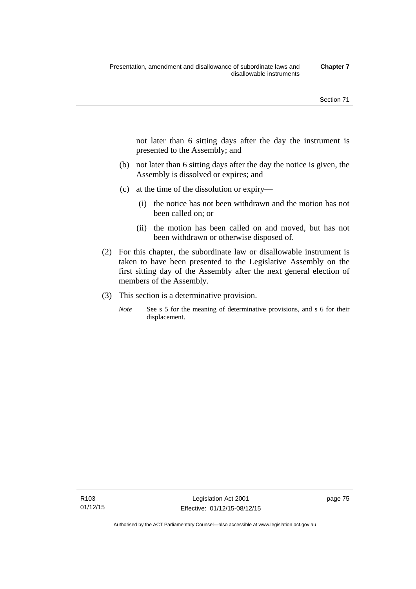not later than 6 sitting days after the day the instrument is presented to the Assembly; and

- (b) not later than 6 sitting days after the day the notice is given, the Assembly is dissolved or expires; and
- (c) at the time of the dissolution or expiry—
	- (i) the notice has not been withdrawn and the motion has not been called on; or
	- (ii) the motion has been called on and moved, but has not been withdrawn or otherwise disposed of.
- (2) For this chapter, the subordinate law or disallowable instrument is taken to have been presented to the Legislative Assembly on the first sitting day of the Assembly after the next general election of members of the Assembly.
- (3) This section is a determinative provision.
	- *Note* See s 5 for the meaning of determinative provisions, and s 6 for their displacement.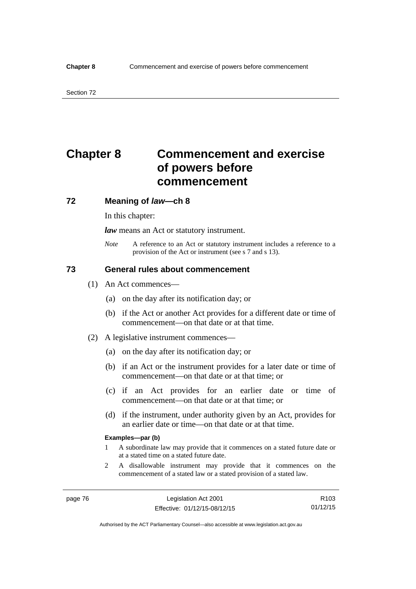# **Chapter 8 Commencement and exercise of powers before commencement**

### **72 Meaning of** *law***—ch 8**

In this chapter:

*law* means an Act or statutory instrument.

*Note* A reference to an Act or statutory instrument includes a reference to a provision of the Act or instrument (see s 7 and s 13).

## **73 General rules about commencement**

- (1) An Act commences—
	- (a) on the day after its notification day; or
	- (b) if the Act or another Act provides for a different date or time of commencement—on that date or at that time.
- (2) A legislative instrument commences—
	- (a) on the day after its notification day; or
	- (b) if an Act or the instrument provides for a later date or time of commencement—on that date or at that time; or
	- (c) if an Act provides for an earlier date or time of commencement—on that date or at that time; or
	- (d) if the instrument, under authority given by an Act, provides for an earlier date or time—on that date or at that time.

#### **Examples—par (b)**

- 1 A subordinate law may provide that it commences on a stated future date or at a stated time on a stated future date.
- 2 A disallowable instrument may provide that it commences on the commencement of a stated law or a stated provision of a stated law.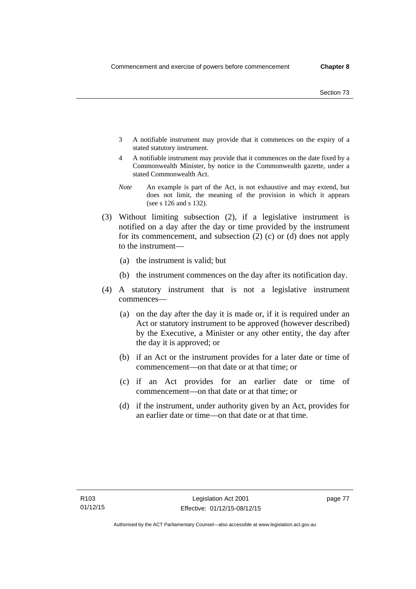- 3 A notifiable instrument may provide that it commences on the expiry of a stated statutory instrument.
- 4 A notifiable instrument may provide that it commences on the date fixed by a Commonwealth Minister, by notice in the Commonwealth gazette, under a stated Commonwealth Act.
- *Note* An example is part of the Act, is not exhaustive and may extend, but does not limit, the meaning of the provision in which it appears (see s 126 and s 132).
- (3) Without limiting subsection (2), if a legislative instrument is notified on a day after the day or time provided by the instrument for its commencement, and subsection (2) (c) or (d) does not apply to the instrument—
	- (a) the instrument is valid; but
	- (b) the instrument commences on the day after its notification day.
- (4) A statutory instrument that is not a legislative instrument commences—
	- (a) on the day after the day it is made or, if it is required under an Act or statutory instrument to be approved (however described) by the Executive, a Minister or any other entity, the day after the day it is approved; or
	- (b) if an Act or the instrument provides for a later date or time of commencement—on that date or at that time; or
	- (c) if an Act provides for an earlier date or time of commencement—on that date or at that time; or
	- (d) if the instrument, under authority given by an Act, provides for an earlier date or time—on that date or at that time.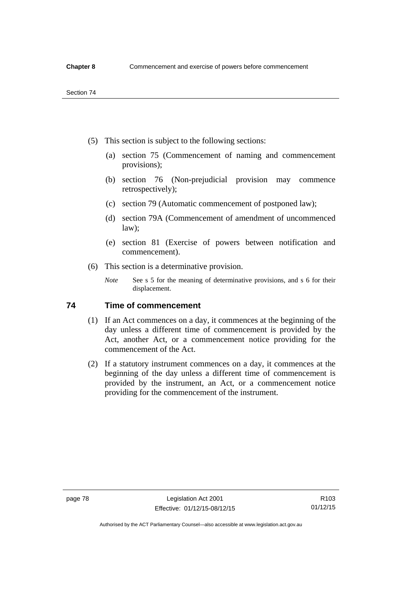- (5) This section is subject to the following sections:
	- (a) section 75 (Commencement of naming and commencement provisions);
	- (b) section 76 (Non-prejudicial provision may commence retrospectively);
	- (c) section 79 (Automatic commencement of postponed law);
	- (d) section 79A (Commencement of amendment of uncommenced law);
	- (e) section 81 (Exercise of powers between notification and commencement).
- (6) This section is a determinative provision.
	- *Note* See s 5 for the meaning of determinative provisions, and s 6 for their displacement.

## **74 Time of commencement**

- (1) If an Act commences on a day, it commences at the beginning of the day unless a different time of commencement is provided by the Act, another Act, or a commencement notice providing for the commencement of the Act.
- (2) If a statutory instrument commences on a day, it commences at the beginning of the day unless a different time of commencement is provided by the instrument, an Act, or a commencement notice providing for the commencement of the instrument.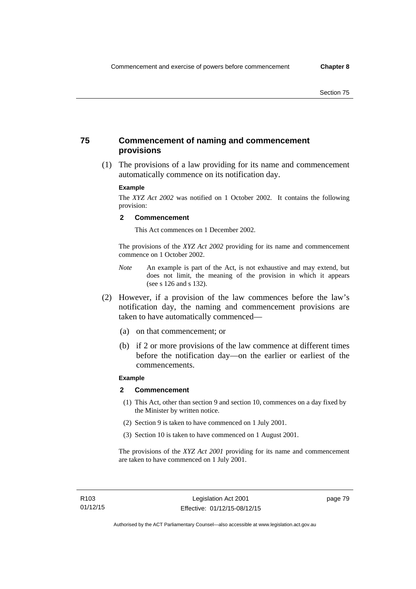## **75 Commencement of naming and commencement provisions**

 (1) The provisions of a law providing for its name and commencement automatically commence on its notification day.

### **Example**

The *XYZ Act 2002* was notified on 1 October 2002. It contains the following provision:

#### **2 Commencement**

This Act commences on 1 December 2002.

The provisions of the *XYZ Act 2002* providing for its name and commencement commence on 1 October 2002.

- *Note* An example is part of the Act, is not exhaustive and may extend, but does not limit, the meaning of the provision in which it appears (see s 126 and s 132).
- (2) However, if a provision of the law commences before the law's notification day, the naming and commencement provisions are taken to have automatically commenced—
	- (a) on that commencement; or
	- (b) if 2 or more provisions of the law commence at different times before the notification day—on the earlier or earliest of the commencements.

## **Example**

#### **2 Commencement**

- (1) This Act, other than section 9 and section 10, commences on a day fixed by the Minister by written notice.
- (2) Section 9 is taken to have commenced on 1 July 2001.
- (3) Section 10 is taken to have commenced on 1 August 2001.

The provisions of the *XYZ Act 2001* providing for its name and commencement are taken to have commenced on 1 July 2001.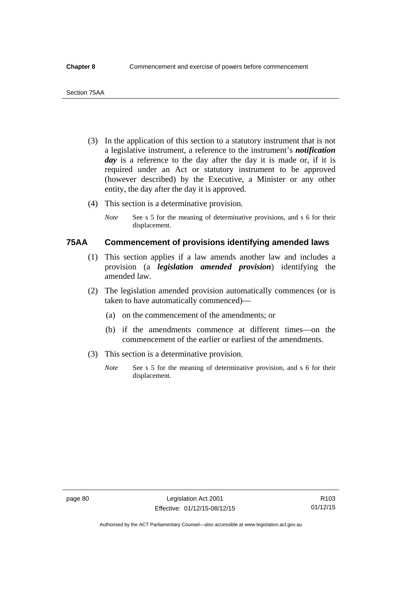- (3) In the application of this section to a statutory instrument that is not a legislative instrument, a reference to the instrument's *notification*  day is a reference to the day after the day it is made or, if it is required under an Act or statutory instrument to be approved (however described) by the Executive, a Minister or any other entity, the day after the day it is approved.
- (4) This section is a determinative provision.
	- *Note* See s 5 for the meaning of determinative provisions, and s 6 for their displacement.

## **75AA Commencement of provisions identifying amended laws**

- (1) This section applies if a law amends another law and includes a provision (a *legislation amended provision*) identifying the amended law.
- (2) The legislation amended provision automatically commences (or is taken to have automatically commenced)—
	- (a) on the commencement of the amendments; or
	- (b) if the amendments commence at different times—on the commencement of the earlier or earliest of the amendments.
- (3) This section is a determinative provision.
	- *Note* See s 5 for the meaning of determinative provision, and s 6 for their displacement.

Authorised by the ACT Parliamentary Counsel—also accessible at www.legislation.act.gov.au

R103 01/12/15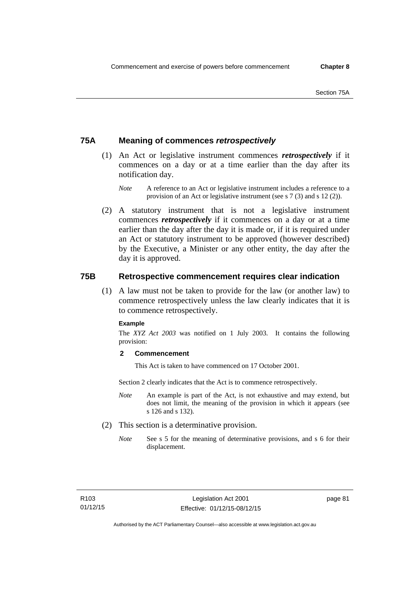## **75A Meaning of commences** *retrospectively*

- (1) An Act or legislative instrument commences *retrospectively* if it commences on a day or at a time earlier than the day after its notification day.
	- *Note* A reference to an Act or legislative instrument includes a reference to a provision of an Act or legislative instrument (see s 7 (3) and s 12 (2)).
- (2) A statutory instrument that is not a legislative instrument commences *retrospectively* if it commences on a day or at a time earlier than the day after the day it is made or, if it is required under an Act or statutory instrument to be approved (however described) by the Executive, a Minister or any other entity, the day after the day it is approved.

## **75B Retrospective commencement requires clear indication**

(1) A law must not be taken to provide for the law (or another law) to commence retrospectively unless the law clearly indicates that it is to commence retrospectively.

#### **Example**

The *XYZ Act 2003* was notified on 1 July 2003. It contains the following provision:

### **2 Commencement**

This Act is taken to have commenced on 17 October 2001.

Section 2 clearly indicates that the Act is to commence retrospectively.

- *Note* An example is part of the Act, is not exhaustive and may extend, but does not limit, the meaning of the provision in which it appears (see s 126 and s 132).
- (2) This section is a determinative provision.
	- *Note* See s 5 for the meaning of determinative provisions, and s 6 for their displacement.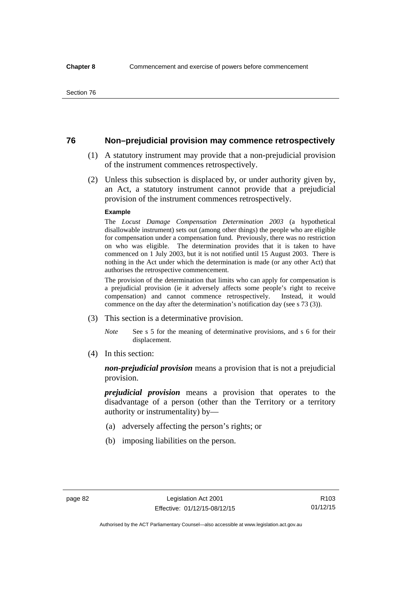## **76 Non–prejudicial provision may commence retrospectively**

- (1) A statutory instrument may provide that a non-prejudicial provision of the instrument commences retrospectively.
- (2) Unless this subsection is displaced by, or under authority given by, an Act, a statutory instrument cannot provide that a prejudicial provision of the instrument commences retrospectively.

#### **Example**

The *Locust Damage Compensation Determination 2003* (a hypothetical disallowable instrument) sets out (among other things) the people who are eligible for compensation under a compensation fund. Previously, there was no restriction on who was eligible. The determination provides that it is taken to have commenced on 1 July 2003, but it is not notified until 15 August 2003. There is nothing in the Act under which the determination is made (or any other Act) that authorises the retrospective commencement.

The provision of the determination that limits who can apply for compensation is a prejudicial provision (ie it adversely affects some people's right to receive compensation) and cannot commence retrospectively. Instead, it would commence on the day after the determination's notification day (see s 73 (3)).

- (3) This section is a determinative provision.
	- *Note* See s 5 for the meaning of determinative provisions, and s 6 for their displacement.
- (4) In this section:

*non-prejudicial provision* means a provision that is not a prejudicial provision.

*prejudicial provision* means a provision that operates to the disadvantage of a person (other than the Territory or a territory authority or instrumentality) by—

- (a) adversely affecting the person's rights; or
- (b) imposing liabilities on the person.

R103 01/12/15

Authorised by the ACT Parliamentary Counsel—also accessible at www.legislation.act.gov.au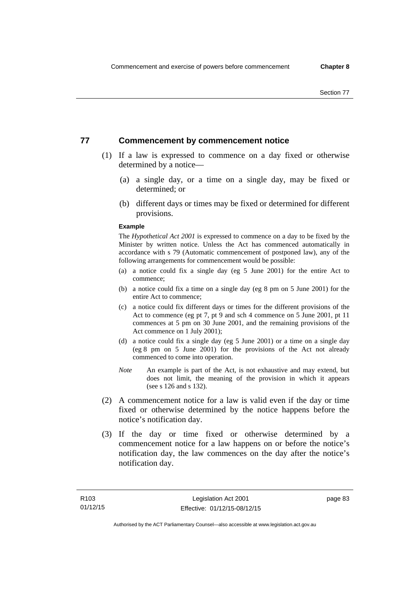## **77 Commencement by commencement notice**

- (1) If a law is expressed to commence on a day fixed or otherwise determined by a notice—
	- (a) a single day, or a time on a single day, may be fixed or determined; or
	- (b) different days or times may be fixed or determined for different provisions.

#### **Example**

The *Hypothetical Act 2001* is expressed to commence on a day to be fixed by the Minister by written notice. Unless the Act has commenced automatically in accordance with s 79 (Automatic commencement of postponed law), any of the following arrangements for commencement would be possible:

- (a) a notice could fix a single day (eg 5 June 2001) for the entire Act to commence;
- (b) a notice could fix a time on a single day (eg 8 pm on 5 June 2001) for the entire Act to commence;
- (c) a notice could fix different days or times for the different provisions of the Act to commence (eg pt 7, pt 9 and sch 4 commence on 5 June 2001, pt 11 commences at 5 pm on 30 June 2001, and the remaining provisions of the Act commence on 1 July 2001);
- (d) a notice could fix a single day (eg 5 June 2001) or a time on a single day (eg 8 pm on 5 June 2001) for the provisions of the Act not already commenced to come into operation.
- *Note* An example is part of the Act, is not exhaustive and may extend, but does not limit, the meaning of the provision in which it appears (see s 126 and s 132).
- (2) A commencement notice for a law is valid even if the day or time fixed or otherwise determined by the notice happens before the notice's notification day.
- (3) If the day or time fixed or otherwise determined by a commencement notice for a law happens on or before the notice's notification day, the law commences on the day after the notice's notification day.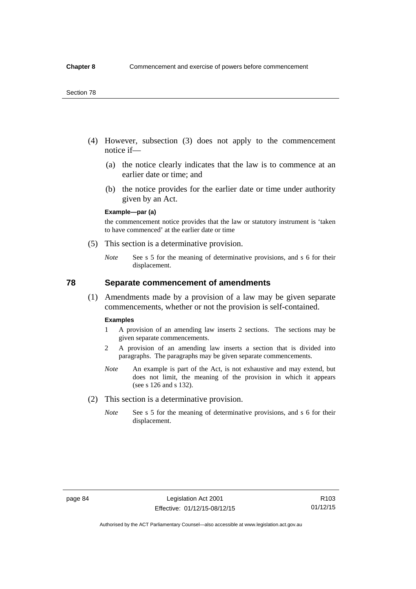#### Section 78

- (4) However, subsection (3) does not apply to the commencement notice if—
	- (a) the notice clearly indicates that the law is to commence at an earlier date or time; and
	- (b) the notice provides for the earlier date or time under authority given by an Act.

### **Example—par (a)**

the commencement notice provides that the law or statutory instrument is 'taken to have commenced' at the earlier date or time

- (5) This section is a determinative provision.
	- *Note* See s 5 for the meaning of determinative provisions, and s 6 for their displacement.

## **78 Separate commencement of amendments**

 (1) Amendments made by a provision of a law may be given separate commencements, whether or not the provision is self-contained.

#### **Examples**

- 1 A provision of an amending law inserts 2 sections. The sections may be given separate commencements.
- 2 A provision of an amending law inserts a section that is divided into paragraphs. The paragraphs may be given separate commencements.
- *Note* An example is part of the Act, is not exhaustive and may extend, but does not limit, the meaning of the provision in which it appears (see s 126 and s 132).
- (2) This section is a determinative provision.
	- *Note* See s 5 for the meaning of determinative provisions, and s 6 for their displacement.

R103 01/12/15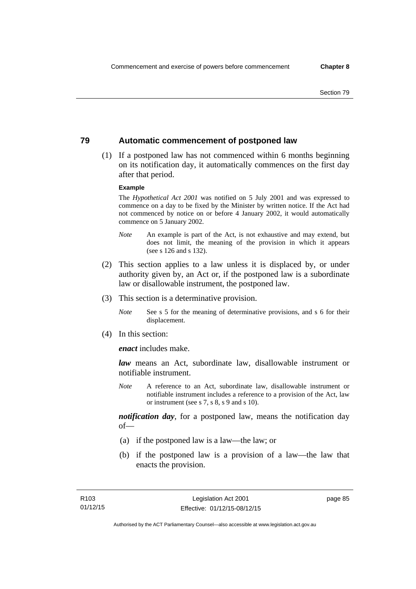## **79 Automatic commencement of postponed law**

 (1) If a postponed law has not commenced within 6 months beginning on its notification day, it automatically commences on the first day after that period.

#### **Example**

The *Hypothetical Act 2001* was notified on 5 July 2001 and was expressed to commence on a day to be fixed by the Minister by written notice. If the Act had not commenced by notice on or before 4 January 2002, it would automatically commence on 5 January 2002.

- *Note* An example is part of the Act, is not exhaustive and may extend, but does not limit, the meaning of the provision in which it appears (see s 126 and s 132).
- (2) This section applies to a law unless it is displaced by, or under authority given by, an Act or, if the postponed law is a subordinate law or disallowable instrument, the postponed law.
- (3) This section is a determinative provision.
	- *Note* See s 5 for the meaning of determinative provisions, and s 6 for their displacement.
- (4) In this section:

*enact* includes make.

*law* means an Act, subordinate law, disallowable instrument or notifiable instrument.

*Note* A reference to an Act, subordinate law, disallowable instrument or notifiable instrument includes a reference to a provision of the Act, law or instrument (see s 7, s 8, s 9 and s 10).

*notification day*, for a postponed law, means the notification day  $of$ 

- (a) if the postponed law is a law—the law; or
- (b) if the postponed law is a provision of a law—the law that enacts the provision.

page 85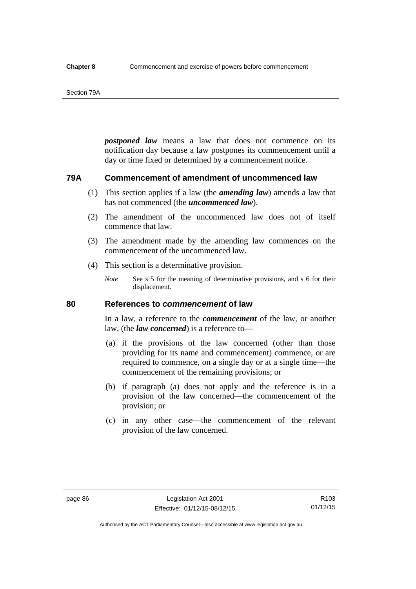#### Section 79A

*postponed law* means a law that does not commence on its notification day because a law postpones its commencement until a day or time fixed or determined by a commencement notice.

## **79A Commencement of amendment of uncommenced law**

- (1) This section applies if a law (the *amending law*) amends a law that has not commenced (the *uncommenced law*).
- (2) The amendment of the uncommenced law does not of itself commence that law.
- (3) The amendment made by the amending law commences on the commencement of the uncommenced law.
- (4) This section is a determinative provision.
	- *Note* See s 5 for the meaning of determinative provisions, and s 6 for their displacement.

## **80 References to** *commencement* **of law**

In a law, a reference to the *commencement* of the law, or another law, (the *law concerned*) is a reference to—

- (a) if the provisions of the law concerned (other than those providing for its name and commencement) commence, or are required to commence, on a single day or at a single time—the commencement of the remaining provisions; or
- (b) if paragraph (a) does not apply and the reference is in a provision of the law concerned—the commencement of the provision; or
- (c) in any other case—the commencement of the relevant provision of the law concerned.

R103 01/12/15

Authorised by the ACT Parliamentary Counsel—also accessible at www.legislation.act.gov.au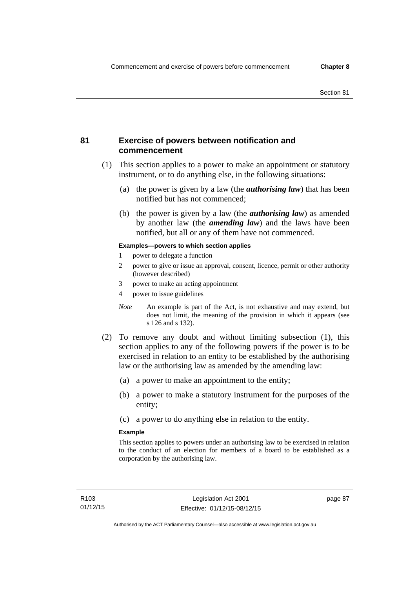## **81 Exercise of powers between notification and commencement**

- (1) This section applies to a power to make an appointment or statutory instrument, or to do anything else, in the following situations:
	- (a) the power is given by a law (the *authorising law*) that has been notified but has not commenced;
	- (b) the power is given by a law (the *authorising law*) as amended by another law (the *amending law*) and the laws have been notified, but all or any of them have not commenced.

### **Examples—powers to which section applies**

- 1 power to delegate a function
- 2 power to give or issue an approval, consent, licence, permit or other authority (however described)
- 3 power to make an acting appointment
- 4 power to issue guidelines
- *Note* An example is part of the Act, is not exhaustive and may extend, but does not limit, the meaning of the provision in which it appears (see s 126 and s 132).
- (2) To remove any doubt and without limiting subsection (1), this section applies to any of the following powers if the power is to be exercised in relation to an entity to be established by the authorising law or the authorising law as amended by the amending law:
	- (a) a power to make an appointment to the entity;
	- (b) a power to make a statutory instrument for the purposes of the entity;
	- (c) a power to do anything else in relation to the entity.

#### **Example**

This section applies to powers under an authorising law to be exercised in relation to the conduct of an election for members of a board to be established as a corporation by the authorising law.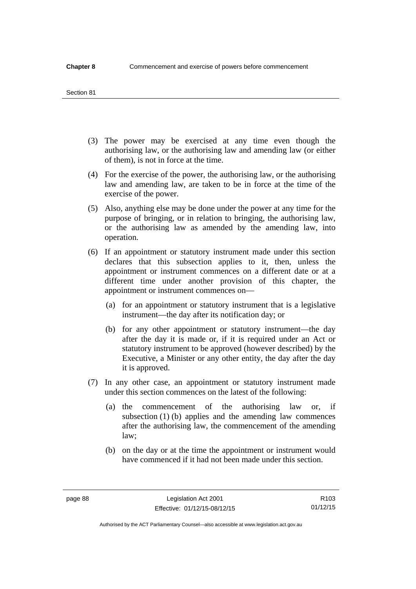#### Section 81

- (3) The power may be exercised at any time even though the authorising law, or the authorising law and amending law (or either of them), is not in force at the time.
- (4) For the exercise of the power, the authorising law, or the authorising law and amending law, are taken to be in force at the time of the exercise of the power.
- (5) Also, anything else may be done under the power at any time for the purpose of bringing, or in relation to bringing, the authorising law, or the authorising law as amended by the amending law, into operation.
- (6) If an appointment or statutory instrument made under this section declares that this subsection applies to it, then, unless the appointment or instrument commences on a different date or at a different time under another provision of this chapter, the appointment or instrument commences on—
	- (a) for an appointment or statutory instrument that is a legislative instrument—the day after its notification day; or
	- (b) for any other appointment or statutory instrument—the day after the day it is made or, if it is required under an Act or statutory instrument to be approved (however described) by the Executive, a Minister or any other entity, the day after the day it is approved.
- (7) In any other case, an appointment or statutory instrument made under this section commences on the latest of the following:
	- (a) the commencement of the authorising law or, if subsection (1) (b) applies and the amending law commences after the authorising law, the commencement of the amending law;
	- (b) on the day or at the time the appointment or instrument would have commenced if it had not been made under this section.

R103 01/12/15

Authorised by the ACT Parliamentary Counsel—also accessible at www.legislation.act.gov.au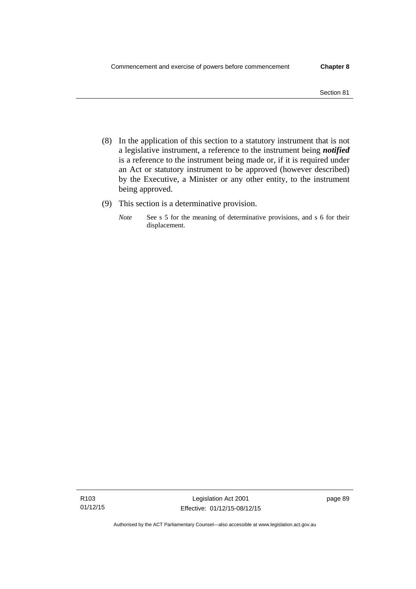- Section 81
- (8) In the application of this section to a statutory instrument that is not a legislative instrument, a reference to the instrument being *notified*  is a reference to the instrument being made or, if it is required under an Act or statutory instrument to be approved (however described) by the Executive, a Minister or any other entity, to the instrument being approved.
- (9) This section is a determinative provision.
	- *Note* See s 5 for the meaning of determinative provisions, and s 6 for their displacement.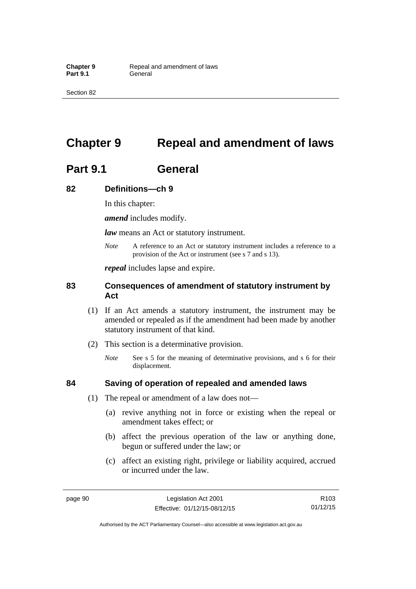Section 82

# **Chapter 9 Repeal and amendment of laws**

# **Part 9.1 General**

## **82 Definitions—ch 9**

In this chapter:

*amend* includes modify.

*law* means an Act or statutory instrument.

*Note* A reference to an Act or statutory instrument includes a reference to a provision of the Act or instrument (see s 7 and s 13).

*repeal* includes lapse and expire.

## **83 Consequences of amendment of statutory instrument by Act**

- (1) If an Act amends a statutory instrument, the instrument may be amended or repealed as if the amendment had been made by another statutory instrument of that kind.
- (2) This section is a determinative provision.
	- *Note* See s 5 for the meaning of determinative provisions, and s 6 for their displacement.

## **84 Saving of operation of repealed and amended laws**

- (1) The repeal or amendment of a law does not—
	- (a) revive anything not in force or existing when the repeal or amendment takes effect; or
	- (b) affect the previous operation of the law or anything done, begun or suffered under the law; or
	- (c) affect an existing right, privilege or liability acquired, accrued or incurred under the law.

page 90 Legislation Act 2001 Effective: 01/12/15-08/12/15

R103 01/12/15

Authorised by the ACT Parliamentary Counsel—also accessible at www.legislation.act.gov.au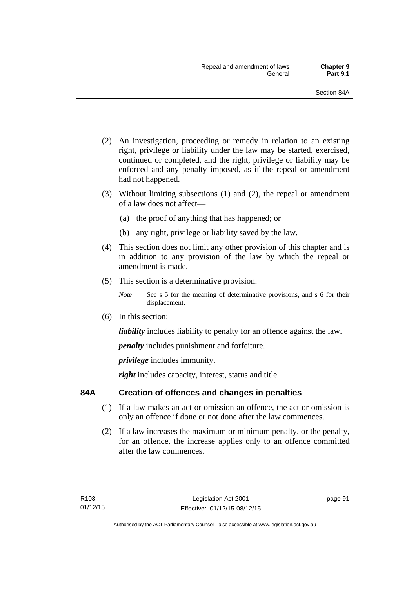- (2) An investigation, proceeding or remedy in relation to an existing right, privilege or liability under the law may be started, exercised, continued or completed, and the right, privilege or liability may be enforced and any penalty imposed, as if the repeal or amendment had not happened.
- (3) Without limiting subsections (1) and (2), the repeal or amendment of a law does not affect—
	- (a) the proof of anything that has happened; or
	- (b) any right, privilege or liability saved by the law.
- (4) This section does not limit any other provision of this chapter and is in addition to any provision of the law by which the repeal or amendment is made.
- (5) This section is a determinative provision.
	- *Note* See s 5 for the meaning of determinative provisions, and s 6 for their displacement.
- (6) In this section:

*liability* includes liability to penalty for an offence against the law.

*penalty* includes punishment and forfeiture.

*privilege* includes immunity.

right includes capacity, interest, status and title.

## **84A Creation of offences and changes in penalties**

- (1) If a law makes an act or omission an offence, the act or omission is only an offence if done or not done after the law commences.
- (2) If a law increases the maximum or minimum penalty, or the penalty, for an offence, the increase applies only to an offence committed after the law commences.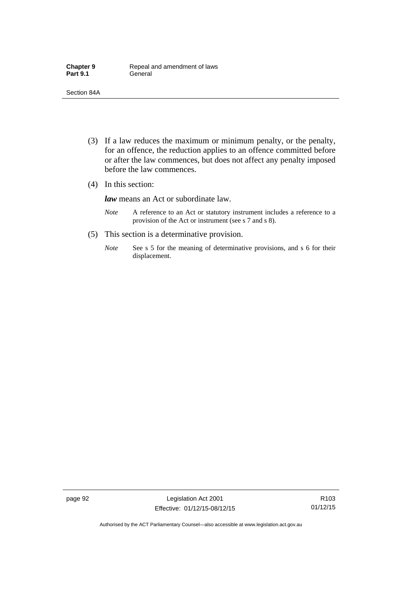- (3) If a law reduces the maximum or minimum penalty, or the penalty, for an offence, the reduction applies to an offence committed before or after the law commences, but does not affect any penalty imposed before the law commences.
- (4) In this section:

*law* means an Act or subordinate law.

- *Note* A reference to an Act or statutory instrument includes a reference to a provision of the Act or instrument (see s 7 and s 8).
- (5) This section is a determinative provision.
	- *Note* See s 5 for the meaning of determinative provisions, and s 6 for their displacement.

page 92 Legislation Act 2001 Effective: 01/12/15-08/12/15

R103 01/12/15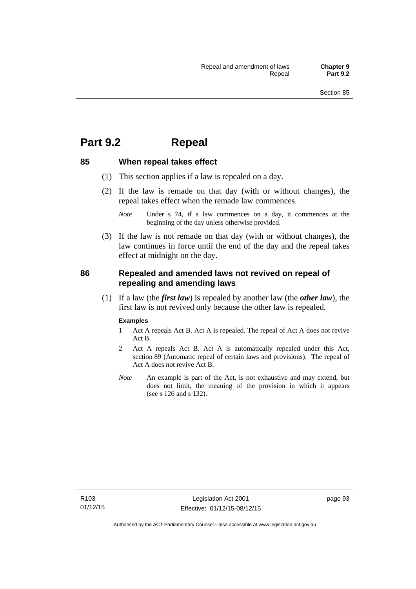## **Part 9.2 Repeal**

## **85 When repeal takes effect**

- (1) This section applies if a law is repealed on a day.
- (2) If the law is remade on that day (with or without changes), the repeal takes effect when the remade law commences.

 (3) If the law is not remade on that day (with or without changes), the law continues in force until the end of the day and the repeal takes effect at midnight on the day.

## **86 Repealed and amended laws not revived on repeal of repealing and amending laws**

 (1) If a law (the *first law*) is repealed by another law (the *other law*), the first law is not revived only because the other law is repealed.

#### **Examples**

- 1 Act A repeals Act B. Act A is repealed. The repeal of Act A does not revive Act B.
- 2 Act A repeals Act B. Act A is automatically repealed under this Act, section 89 (Automatic repeal of certain laws and provisions). The repeal of Act A does not revive Act B.
- *Note* An example is part of the Act, is not exhaustive and may extend, but does not limit, the meaning of the provision in which it appears (see s 126 and s 132).

*Note* Under s 74, if a law commences on a day, it commences at the beginning of the day unless otherwise provided.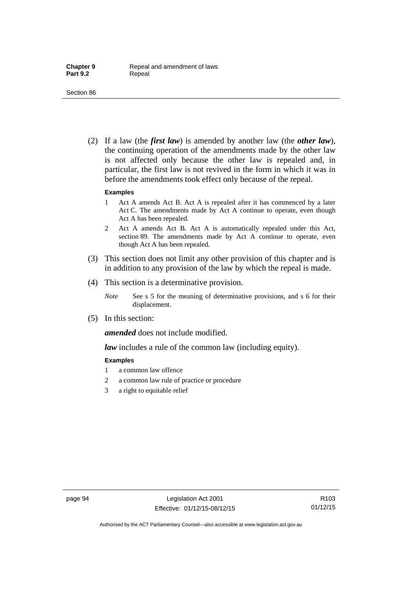(2) If a law (the *first law*) is amended by another law (the *other law*), the continuing operation of the amendments made by the other law is not affected only because the other law is repealed and, in particular, the first law is not revived in the form in which it was in before the amendments took effect only because of the repeal.

#### **Examples**

- 1 Act A amends Act B. Act A is repealed after it has commenced by a later Act C. The amendments made by Act A continue to operate, even though Act A has been repealed.
- 2 Act A amends Act B. Act A is automatically repealed under this Act, section 89. The amendments made by Act A continue to operate, even though Act A has been repealed.
- (3) This section does not limit any other provision of this chapter and is in addition to any provision of the law by which the repeal is made.
- (4) This section is a determinative provision.
	- *Note* See s 5 for the meaning of determinative provisions, and s 6 for their displacement.
- (5) In this section:

*amended* does not include modified.

*law* includes a rule of the common law (including equity).

#### **Examples**

- 1 a common law offence
- 2 a common law rule of practice or procedure
- 3 a right to equitable relief

R103 01/12/15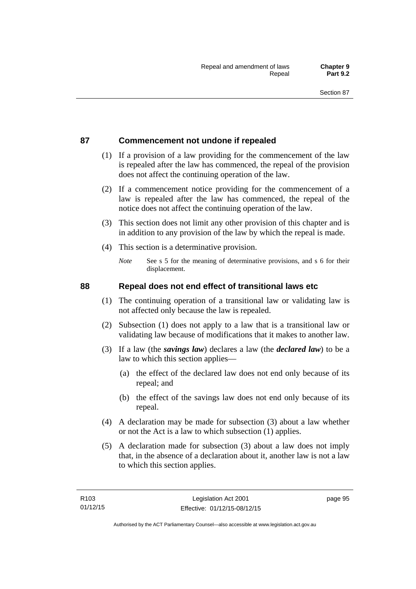## **87 Commencement not undone if repealed**

- (1) If a provision of a law providing for the commencement of the law is repealed after the law has commenced, the repeal of the provision does not affect the continuing operation of the law.
- (2) If a commencement notice providing for the commencement of a law is repealed after the law has commenced, the repeal of the notice does not affect the continuing operation of the law.
- (3) This section does not limit any other provision of this chapter and is in addition to any provision of the law by which the repeal is made.
- (4) This section is a determinative provision.
	- *Note* See s 5 for the meaning of determinative provisions, and s 6 for their displacement.

## **88 Repeal does not end effect of transitional laws etc**

- (1) The continuing operation of a transitional law or validating law is not affected only because the law is repealed.
- (2) Subsection (1) does not apply to a law that is a transitional law or validating law because of modifications that it makes to another law.
- (3) If a law (the *savings law*) declares a law (the *declared law*) to be a law to which this section applies—
	- (a) the effect of the declared law does not end only because of its repeal; and
	- (b) the effect of the savings law does not end only because of its repeal.
- (4) A declaration may be made for subsection (3) about a law whether or not the Act is a law to which subsection (1) applies.
- (5) A declaration made for subsection (3) about a law does not imply that, in the absence of a declaration about it, another law is not a law to which this section applies.

page 95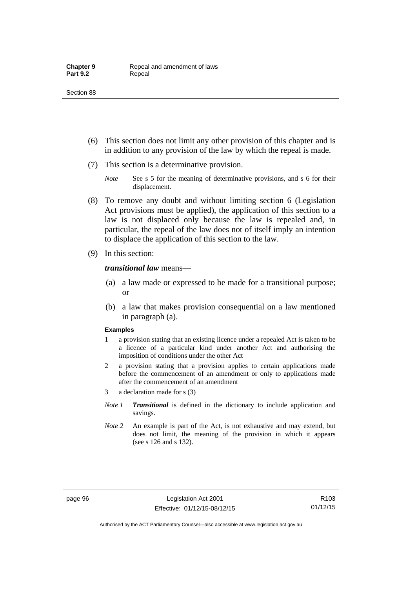- (6) This section does not limit any other provision of this chapter and is in addition to any provision of the law by which the repeal is made.
- (7) This section is a determinative provision.
	- *Note* See s 5 for the meaning of determinative provisions, and s 6 for their displacement.
- (8) To remove any doubt and without limiting section 6 (Legislation Act provisions must be applied), the application of this section to a law is not displaced only because the law is repealed and, in particular, the repeal of the law does not of itself imply an intention to displace the application of this section to the law.
- (9) In this section:

#### *transitional law* means—

- (a) a law made or expressed to be made for a transitional purpose; or
- (b) a law that makes provision consequential on a law mentioned in paragraph (a).

#### **Examples**

- 1 a provision stating that an existing licence under a repealed Act is taken to be a licence of a particular kind under another Act and authorising the imposition of conditions under the other Act
- 2 a provision stating that a provision applies to certain applications made before the commencement of an amendment or only to applications made after the commencement of an amendment
- 3 a declaration made for s (3)
- *Note 1 Transitional* is defined in the dictionary to include application and savings.
- *Note 2* An example is part of the Act, is not exhaustive and may extend, but does not limit, the meaning of the provision in which it appears (see s 126 and s 132).

R103 01/12/15

Authorised by the ACT Parliamentary Counsel—also accessible at www.legislation.act.gov.au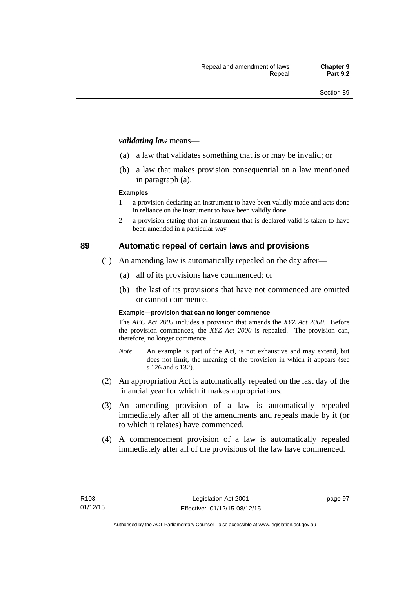#### *validating law* means—

- (a) a law that validates something that is or may be invalid; or
- (b) a law that makes provision consequential on a law mentioned in paragraph (a).

#### **Examples**

- 1 a provision declaring an instrument to have been validly made and acts done in reliance on the instrument to have been validly done
- 2 a provision stating that an instrument that is declared valid is taken to have been amended in a particular way

## **89 Automatic repeal of certain laws and provisions**

- (1) An amending law is automatically repealed on the day after—
	- (a) all of its provisions have commenced; or
	- (b) the last of its provisions that have not commenced are omitted or cannot commence.

#### **Example—provision that can no longer commence**

The *ABC Act 2005* includes a provision that amends the *XYZ Act 2000*. Before the provision commences, the *XYZ Act 2000* is repealed. The provision can, therefore, no longer commence.

- *Note* An example is part of the Act, is not exhaustive and may extend, but does not limit, the meaning of the provision in which it appears (see s 126 and s 132).
- (2) An appropriation Act is automatically repealed on the last day of the financial year for which it makes appropriations.
- (3) An amending provision of a law is automatically repealed immediately after all of the amendments and repeals made by it (or to which it relates) have commenced.
- (4) A commencement provision of a law is automatically repealed immediately after all of the provisions of the law have commenced.

page 97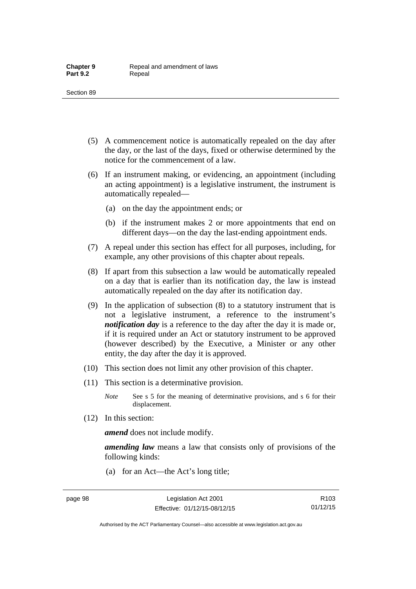- (5) A commencement notice is automatically repealed on the day after the day, or the last of the days, fixed or otherwise determined by the notice for the commencement of a law.
- (6) If an instrument making, or evidencing, an appointment (including an acting appointment) is a legislative instrument, the instrument is automatically repealed—
	- (a) on the day the appointment ends; or
	- (b) if the instrument makes 2 or more appointments that end on different days—on the day the last-ending appointment ends.
- (7) A repeal under this section has effect for all purposes, including, for example, any other provisions of this chapter about repeals.
- (8) If apart from this subsection a law would be automatically repealed on a day that is earlier than its notification day, the law is instead automatically repealed on the day after its notification day.
- (9) In the application of subsection (8) to a statutory instrument that is not a legislative instrument, a reference to the instrument's *notification day* is a reference to the day after the day it is made or, if it is required under an Act or statutory instrument to be approved (however described) by the Executive, a Minister or any other entity, the day after the day it is approved.
- (10) This section does not limit any other provision of this chapter.
- (11) This section is a determinative provision.
	- *Note* See s 5 for the meaning of determinative provisions, and s 6 for their displacement.
- (12) In this section:

*amend* does not include modify.

*amending law* means a law that consists only of provisions of the following kinds:

(a) for an Act—the Act's long title;

R103 01/12/15

Authorised by the ACT Parliamentary Counsel—also accessible at www.legislation.act.gov.au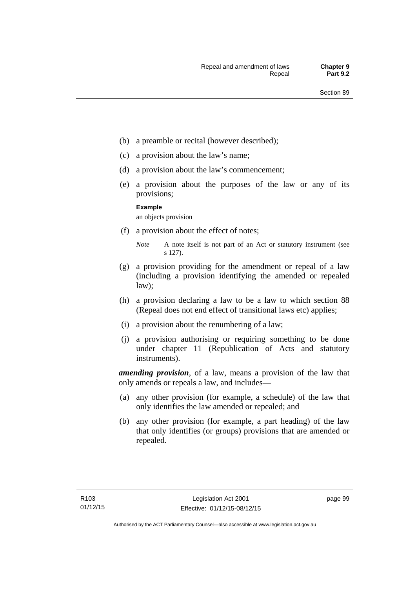- (b) a preamble or recital (however described);
- (c) a provision about the law's name;
- (d) a provision about the law's commencement;
- (e) a provision about the purposes of the law or any of its provisions;

#### **Example**

an objects provision

(f) a provision about the effect of notes;

- (g) a provision providing for the amendment or repeal of a law (including a provision identifying the amended or repealed law);
- (h) a provision declaring a law to be a law to which section 88 (Repeal does not end effect of transitional laws etc) applies;
- (i) a provision about the renumbering of a law;
- (j) a provision authorising or requiring something to be done under chapter 11 (Republication of Acts and statutory instruments).

*amending provision*, of a law, means a provision of the law that only amends or repeals a law, and includes—

- (a) any other provision (for example, a schedule) of the law that only identifies the law amended or repealed; and
- (b) any other provision (for example, a part heading) of the law that only identifies (or groups) provisions that are amended or repealed.

page 99

*Note* A note itself is not part of an Act or statutory instrument (see s 127).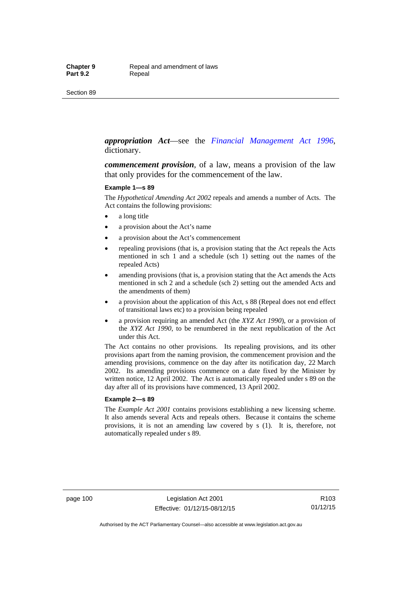#### *appropriation Act*—see the *[Financial Management Act 1996](http://www.legislation.act.gov.au/a/1996-22)*, dictionary.

*commencement provision*, of a law, means a provision of the law that only provides for the commencement of the law.

#### **Example 1—s 89**

The *Hypothetical Amending Act 2002* repeals and amends a number of Acts. The Act contains the following provisions:

- a long title
- a provision about the Act's name
- a provision about the Act's commencement
- repealing provisions (that is, a provision stating that the Act repeals the Acts mentioned in sch 1 and a schedule (sch 1) setting out the names of the repealed Acts)
- amending provisions (that is, a provision stating that the Act amends the Acts mentioned in sch 2 and a schedule (sch 2) setting out the amended Acts and the amendments of them)
- a provision about the application of this Act, s 88 (Repeal does not end effect of transitional laws etc) to a provision being repealed
- a provision requiring an amended Act (the *XYZ Act 1990*), or a provision of the *XYZ Act 1990*, to be renumbered in the next republication of the Act under this Act.

The Act contains no other provisions. Its repealing provisions, and its other provisions apart from the naming provision, the commencement provision and the amending provisions, commence on the day after its notification day, 22 March 2002. Its amending provisions commence on a date fixed by the Minister by written notice, 12 April 2002. The Act is automatically repealed under s 89 on the day after all of its provisions have commenced, 13 April 2002.

#### **Example 2—s 89**

The *Example Act 2001* contains provisions establishing a new licensing scheme. It also amends several Acts and repeals others. Because it contains the scheme provisions, it is not an amending law covered by s (1). It is, therefore, not automatically repealed under s 89.

page 100 Legislation Act 2001 Effective: 01/12/15-08/12/15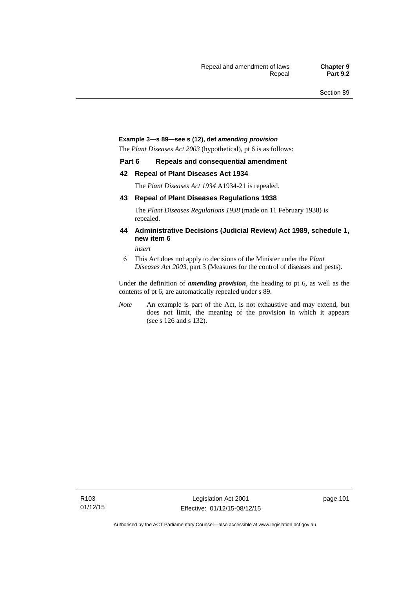#### **Example 3—s 89—see s (12), def** *amending provision*

The *Plant Diseases Act 2003* (hypothetical), pt 6 is as follows:

#### **Part 6 Repeals and consequential amendment**

#### **42 Repeal of Plant Diseases Act 1934**

The *Plant Diseases Act 1934* A1934-21 is repealed.

#### **43 Repeal of Plant Diseases Regulations 1938**

The *Plant Diseases Regulations 1938* (made on 11 February 1938) is repealed.

#### **44 Administrative Decisions (Judicial Review) Act 1989, schedule 1, new item 6**

*insert* 

6 This Act does not apply to decisions of the Minister under the *Plant Diseases Act 2003*, part 3 (Measures for the control of diseases and pests).

Under the definition of *amending provision*, the heading to pt 6, as well as the contents of pt 6, are automatically repealed under s 89.

*Note* An example is part of the Act, is not exhaustive and may extend, but does not limit, the meaning of the provision in which it appears (see s 126 and s 132).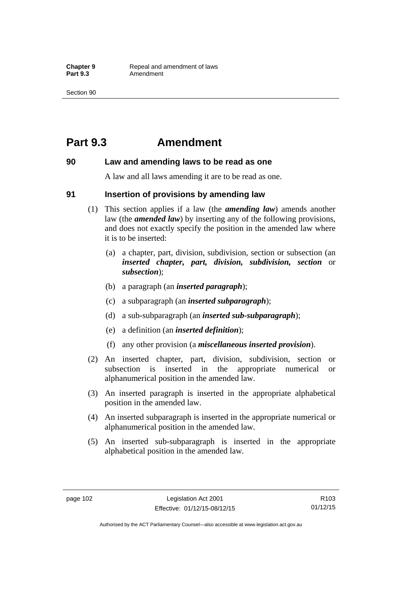## **Part 9.3 Amendment**

### **90 Law and amending laws to be read as one**

A law and all laws amending it are to be read as one.

### **91 Insertion of provisions by amending law**

- (1) This section applies if a law (the *amending law*) amends another law (the *amended law*) by inserting any of the following provisions, and does not exactly specify the position in the amended law where it is to be inserted:
	- (a) a chapter, part, division, subdivision, section or subsection (an *inserted chapter, part, division, subdivision, section* or *subsection*);
	- (b) a paragraph (an *inserted paragraph*);
	- (c) a subparagraph (an *inserted subparagraph*);
	- (d) a sub-subparagraph (an *inserted sub-subparagraph*);
	- (e) a definition (an *inserted definition*);
	- (f) any other provision (a *miscellaneous inserted provision*).
- (2) An inserted chapter, part, division, subdivision, section or subsection is inserted in the appropriate numerical or alphanumerical position in the amended law.
- (3) An inserted paragraph is inserted in the appropriate alphabetical position in the amended law.
- (4) An inserted subparagraph is inserted in the appropriate numerical or alphanumerical position in the amended law.
- (5) An inserted sub-subparagraph is inserted in the appropriate alphabetical position in the amended law.

R103 01/12/15

Authorised by the ACT Parliamentary Counsel—also accessible at www.legislation.act.gov.au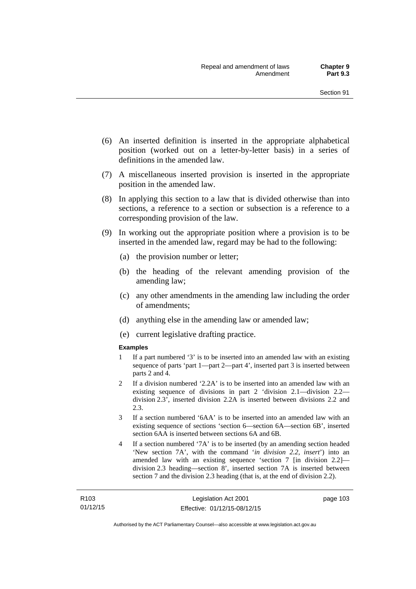- (6) An inserted definition is inserted in the appropriate alphabetical position (worked out on a letter-by-letter basis) in a series of definitions in the amended law.
- (7) A miscellaneous inserted provision is inserted in the appropriate position in the amended law.
- (8) In applying this section to a law that is divided otherwise than into sections, a reference to a section or subsection is a reference to a corresponding provision of the law.
- (9) In working out the appropriate position where a provision is to be inserted in the amended law, regard may be had to the following:
	- (a) the provision number or letter;
	- (b) the heading of the relevant amending provision of the amending law;
	- (c) any other amendments in the amending law including the order of amendments;
	- (d) anything else in the amending law or amended law;
	- (e) current legislative drafting practice.

#### **Examples**

- 1 If a part numbered '3' is to be inserted into an amended law with an existing sequence of parts 'part 1—part 2—part 4', inserted part 3 is inserted between parts 2 and 4.
- 2 If a division numbered '2.2A' is to be inserted into an amended law with an existing sequence of divisions in part 2 'division 2.1—division 2.2 division 2.3', inserted division 2.2A is inserted between divisions 2.2 and 2.3.
- 3 If a section numbered '6AA' is to be inserted into an amended law with an existing sequence of sections 'section 6—section 6A—section 6B', inserted section 6AA is inserted between sections 6A and 6B.
- 4 If a section numbered '7A' is to be inserted (by an amending section headed 'New section 7A', with the command '*in division 2.2, insert*') into an amended law with an existing sequence 'section 7 [in division 2.2] division 2.3 heading—section 8', inserted section 7A is inserted between section 7 and the division 2.3 heading (that is, at the end of division 2.2).

page 103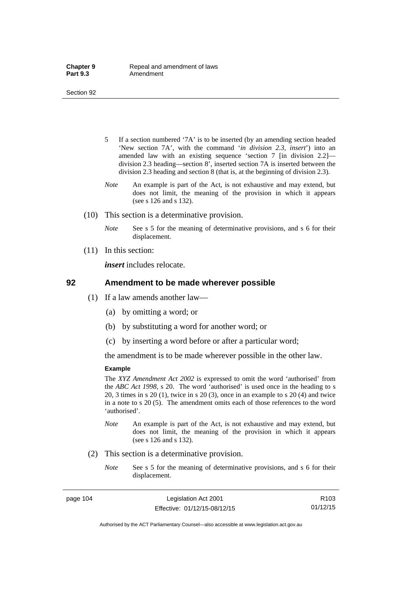- 5 If a section numbered '7A' is to be inserted (by an amending section headed 'New section 7A', with the command '*in division 2.3, insert*') into an amended law with an existing sequence 'section 7 [in division 2.2] division 2.3 heading—section 8', inserted section 7A is inserted between the division 2.3 heading and section 8 (that is, at the beginning of division 2.3).
- *Note* An example is part of the Act, is not exhaustive and may extend, but does not limit, the meaning of the provision in which it appears (see s 126 and s 132).
- (10) This section is a determinative provision.
	- *Note* See s 5 for the meaning of determinative provisions, and s 6 for their displacement.
- (11) In this section:

*insert* includes relocate.

#### **92 Amendment to be made wherever possible**

- (1) If a law amends another law—
	- (a) by omitting a word; or
	- (b) by substituting a word for another word; or
	- (c) by inserting a word before or after a particular word;

the amendment is to be made wherever possible in the other law.

#### **Example**

The *XYZ Amendment Act 2002* is expressed to omit the word 'authorised' from the *ABC Act 1998*, s 20. The word 'authorised' is used once in the heading to s 20, 3 times in s 20 (1), twice in s 20 (3), once in an example to s 20 (4) and twice in a note to s 20 (5). The amendment omits each of those references to the word 'authorised'.

- *Note* An example is part of the Act, is not exhaustive and may extend, but does not limit, the meaning of the provision in which it appears (see s 126 and s 132).
- (2) This section is a determinative provision.
	- *Note* See s 5 for the meaning of determinative provisions, and s 6 for their displacement.

page 104 Legislation Act 2001 Effective: 01/12/15-08/12/15

R103 01/12/15

Authorised by the ACT Parliamentary Counsel—also accessible at www.legislation.act.gov.au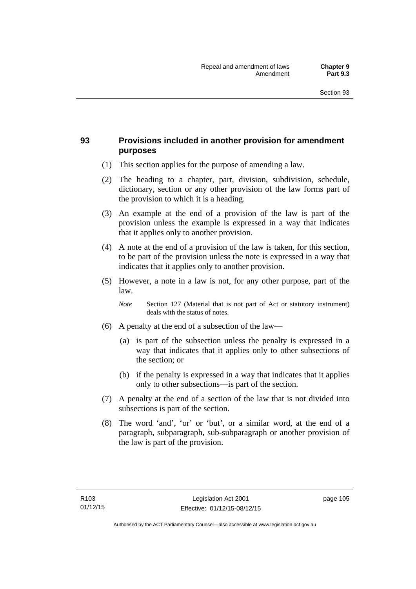## **93 Provisions included in another provision for amendment purposes**

- (1) This section applies for the purpose of amending a law.
- (2) The heading to a chapter, part, division, subdivision, schedule, dictionary, section or any other provision of the law forms part of the provision to which it is a heading.
- (3) An example at the end of a provision of the law is part of the provision unless the example is expressed in a way that indicates that it applies only to another provision.
- (4) A note at the end of a provision of the law is taken, for this section, to be part of the provision unless the note is expressed in a way that indicates that it applies only to another provision.
- (5) However, a note in a law is not, for any other purpose, part of the law.

*Note* Section 127 (Material that is not part of Act or statutory instrument) deals with the status of notes.

- (6) A penalty at the end of a subsection of the law—
	- (a) is part of the subsection unless the penalty is expressed in a way that indicates that it applies only to other subsections of the section; or
	- (b) if the penalty is expressed in a way that indicates that it applies only to other subsections—is part of the section.
- (7) A penalty at the end of a section of the law that is not divided into subsections is part of the section.
- (8) The word 'and', 'or' or 'but', or a similar word, at the end of a paragraph, subparagraph, sub-subparagraph or another provision of the law is part of the provision.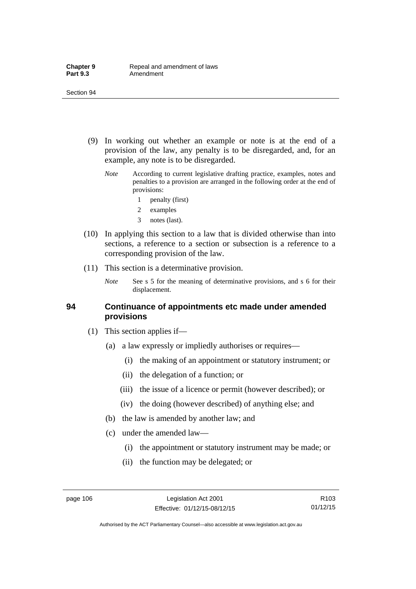- (9) In working out whether an example or note is at the end of a provision of the law, any penalty is to be disregarded, and, for an example, any note is to be disregarded.
	- *Note* According to current legislative drafting practice, examples, notes and penalties to a provision are arranged in the following order at the end of provisions:
		- 1 penalty (first)
		- 2 examples
		- 3 notes (last).
- (10) In applying this section to a law that is divided otherwise than into sections, a reference to a section or subsection is a reference to a corresponding provision of the law.
- (11) This section is a determinative provision.
	- *Note* See s 5 for the meaning of determinative provisions, and s 6 for their displacement.

### **94 Continuance of appointments etc made under amended provisions**

- (1) This section applies if—
	- (a) a law expressly or impliedly authorises or requires—
		- (i) the making of an appointment or statutory instrument; or
		- (ii) the delegation of a function; or
		- (iii) the issue of a licence or permit (however described); or
		- (iv) the doing (however described) of anything else; and
	- (b) the law is amended by another law; and
	- (c) under the amended law—
		- (i) the appointment or statutory instrument may be made; or
		- (ii) the function may be delegated; or

R103 01/12/15

Authorised by the ACT Parliamentary Counsel—also accessible at www.legislation.act.gov.au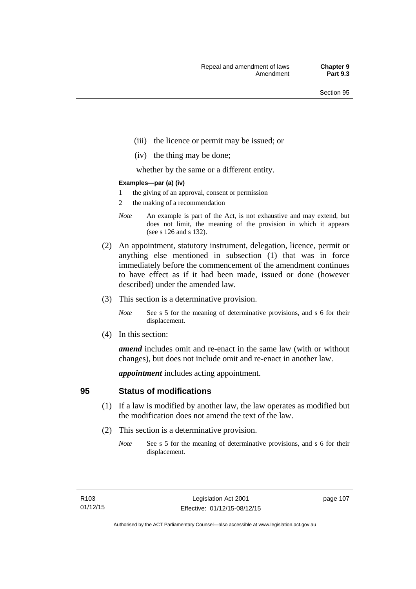- (iii) the licence or permit may be issued; or
- (iv) the thing may be done;

whether by the same or a different entity.

#### **Examples—par (a) (iv)**

- 1 the giving of an approval, consent or permission
- 2 the making of a recommendation
- *Note* An example is part of the Act, is not exhaustive and may extend, but does not limit, the meaning of the provision in which it appears (see s 126 and s 132).
- (2) An appointment, statutory instrument, delegation, licence, permit or anything else mentioned in subsection (1) that was in force immediately before the commencement of the amendment continues to have effect as if it had been made, issued or done (however described) under the amended law.
- (3) This section is a determinative provision.
	- *Note* See s 5 for the meaning of determinative provisions, and s 6 for their displacement.
- (4) In this section:

*amend* includes omit and re-enact in the same law (with or without changes), but does not include omit and re-enact in another law.

*appointment* includes acting appointment.

## **95 Status of modifications**

- (1) If a law is modified by another law, the law operates as modified but the modification does not amend the text of the law.
- (2) This section is a determinative provision.
	- *Note* See s 5 for the meaning of determinative provisions, and s 6 for their displacement.

page 107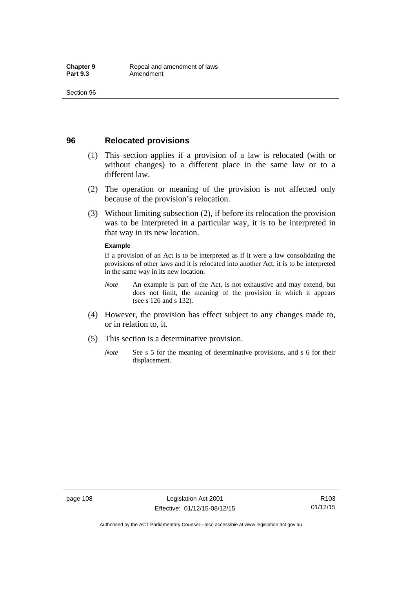## **96 Relocated provisions**

- (1) This section applies if a provision of a law is relocated (with or without changes) to a different place in the same law or to a different law.
- (2) The operation or meaning of the provision is not affected only because of the provision's relocation.
- (3) Without limiting subsection (2), if before its relocation the provision was to be interpreted in a particular way, it is to be interpreted in that way in its new location.

#### **Example**

If a provision of an Act is to be interpreted as if it were a law consolidating the provisions of other laws and it is relocated into another Act, it is to be interpreted in the same way in its new location.

- *Note* An example is part of the Act, is not exhaustive and may extend, but does not limit, the meaning of the provision in which it appears (see s 126 and s 132).
- (4) However, the provision has effect subject to any changes made to, or in relation to, it.
- (5) This section is a determinative provision.
	- *Note* See s 5 for the meaning of determinative provisions, and s 6 for their displacement.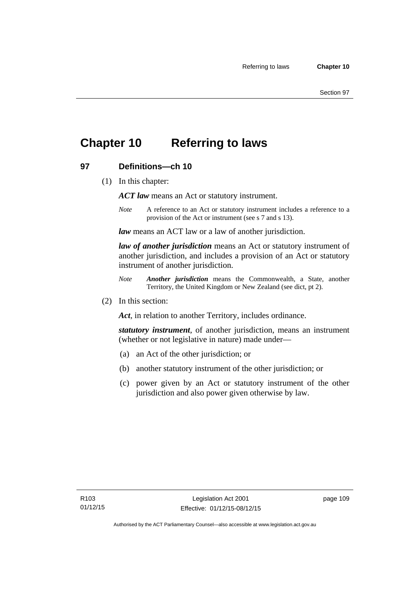## **Chapter 10 Referring to laws**

## **97 Definitions—ch 10**

(1) In this chapter:

*ACT law* means an Act or statutory instrument.

*Note* A reference to an Act or statutory instrument includes a reference to a provision of the Act or instrument (see s 7 and s 13).

*law* means an ACT law or a law of another jurisdiction.

*law of another jurisdiction* means an Act or statutory instrument of another jurisdiction, and includes a provision of an Act or statutory instrument of another jurisdiction.

- *Note Another jurisdiction* means the Commonwealth, a State, another Territory, the United Kingdom or New Zealand (see dict, pt 2).
- (2) In this section:

*Act*, in relation to another Territory, includes ordinance.

*statutory instrument*, of another jurisdiction, means an instrument (whether or not legislative in nature) made under—

- (a) an Act of the other jurisdiction; or
- (b) another statutory instrument of the other jurisdiction; or
- (c) power given by an Act or statutory instrument of the other jurisdiction and also power given otherwise by law.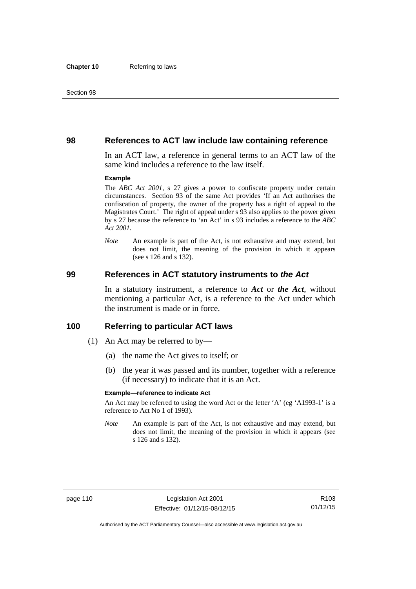### **98 References to ACT law include law containing reference**

In an ACT law, a reference in general terms to an ACT law of the same kind includes a reference to the law itself.

#### **Example**

The *ABC Act 2001*, s 27 gives a power to confiscate property under certain circumstances. Section 93 of the same Act provides 'If an Act authorises the confiscation of property, the owner of the property has a right of appeal to the Magistrates Court.' The right of appeal under s 93 also applies to the power given by s 27 because the reference to 'an Act' in s 93 includes a reference to the *ABC Act 2001*.

*Note* An example is part of the Act, is not exhaustive and may extend, but does not limit, the meaning of the provision in which it appears (see s 126 and s 132).

### **99 References in ACT statutory instruments to** *the Act*

In a statutory instrument, a reference to *Act* or *the Act*, without mentioning a particular Act, is a reference to the Act under which the instrument is made or in force.

### **100 Referring to particular ACT laws**

- (1) An Act may be referred to by—
	- (a) the name the Act gives to itself; or
	- (b) the year it was passed and its number, together with a reference (if necessary) to indicate that it is an Act.

#### **Example—reference to indicate Act**

An Act may be referred to using the word Act or the letter 'A' (eg 'A1993-1' is a reference to Act No 1 of 1993).

*Note* An example is part of the Act, is not exhaustive and may extend, but does not limit, the meaning of the provision in which it appears (see s 126 and s 132).

R103 01/12/15

Authorised by the ACT Parliamentary Counsel—also accessible at www.legislation.act.gov.au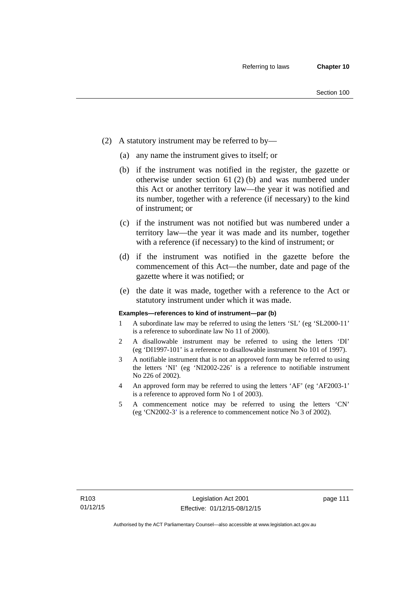- (2) A statutory instrument may be referred to by—
	- (a) any name the instrument gives to itself; or
	- (b) if the instrument was notified in the register, the gazette or otherwise under section 61 (2) (b) and was numbered under this Act or another territory law—the year it was notified and its number, together with a reference (if necessary) to the kind of instrument; or
	- (c) if the instrument was not notified but was numbered under a territory law—the year it was made and its number, together with a reference (if necessary) to the kind of instrument; or
	- (d) if the instrument was notified in the gazette before the commencement of this Act—the number, date and page of the gazette where it was notified; or
	- (e) the date it was made, together with a reference to the Act or statutory instrument under which it was made.

#### **Examples—references to kind of instrument—par (b)**

- 1 A subordinate law may be referred to using the letters 'SL' (eg 'SL2000-11' is a reference to subordinate law No 11 of 2000).
- 2 A disallowable instrument may be referred to using the letters 'DI' (eg 'DI1997-101' is a reference to disallowable instrument No 101 of 1997).
- 3 A notifiable instrument that is not an approved form may be referred to using the letters 'NI' (eg 'NI2002-226' is a reference to notifiable instrument No 226 of 2002).
- 4 An approved form may be referred to using the letters 'AF' (eg 'AF2003-1' is a reference to approved form No 1 of 2003).
- 5 A commencement notice may be referred to using the letters 'CN' (eg 'CN2002-3' is a reference to commencement notice No 3 of 2002).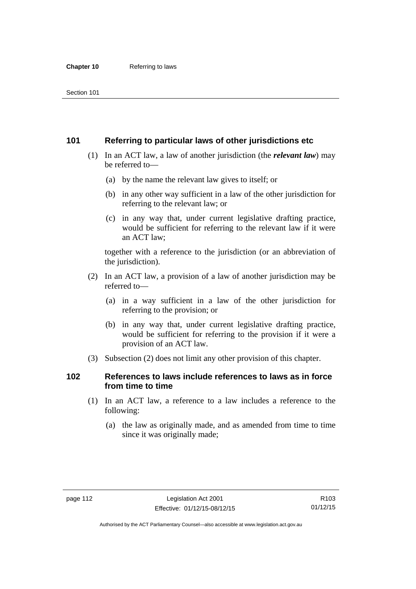## **101 Referring to particular laws of other jurisdictions etc**

- (1) In an ACT law, a law of another jurisdiction (the *relevant law*) may be referred to—
	- (a) by the name the relevant law gives to itself; or
	- (b) in any other way sufficient in a law of the other jurisdiction for referring to the relevant law; or
	- (c) in any way that, under current legislative drafting practice, would be sufficient for referring to the relevant law if it were an ACT law;

together with a reference to the jurisdiction (or an abbreviation of the jurisdiction).

- (2) In an ACT law, a provision of a law of another jurisdiction may be referred to—
	- (a) in a way sufficient in a law of the other jurisdiction for referring to the provision; or
	- (b) in any way that, under current legislative drafting practice, would be sufficient for referring to the provision if it were a provision of an ACT law.
- (3) Subsection (2) does not limit any other provision of this chapter.

## **102 References to laws include references to laws as in force from time to time**

- (1) In an ACT law, a reference to a law includes a reference to the following:
	- (a) the law as originally made, and as amended from time to time since it was originally made;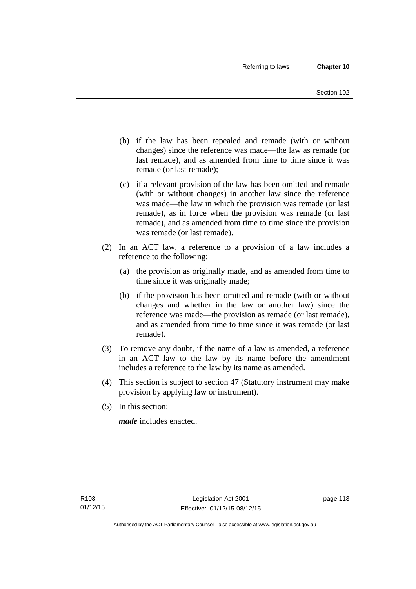- (b) if the law has been repealed and remade (with or without changes) since the reference was made—the law as remade (or last remade), and as amended from time to time since it was remade (or last remade);
- (c) if a relevant provision of the law has been omitted and remade (with or without changes) in another law since the reference was made—the law in which the provision was remade (or last remade), as in force when the provision was remade (or last remade), and as amended from time to time since the provision was remade (or last remade).
- (2) In an ACT law, a reference to a provision of a law includes a reference to the following:
	- (a) the provision as originally made, and as amended from time to time since it was originally made;
	- (b) if the provision has been omitted and remade (with or without changes and whether in the law or another law) since the reference was made—the provision as remade (or last remade), and as amended from time to time since it was remade (or last remade).
- (3) To remove any doubt, if the name of a law is amended, a reference in an ACT law to the law by its name before the amendment includes a reference to the law by its name as amended.
- (4) This section is subject to section 47 (Statutory instrument may make provision by applying law or instrument).
- (5) In this section:

*made* includes enacted.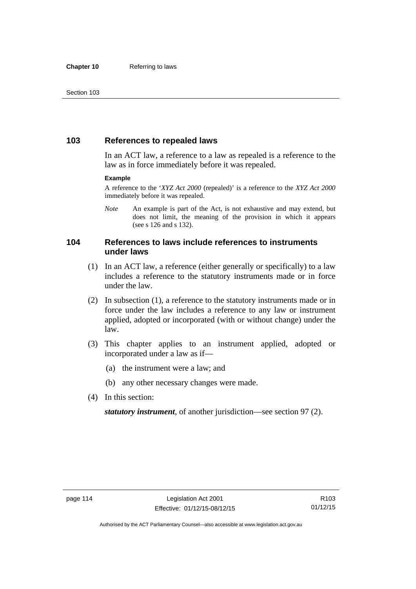## **103 References to repealed laws**

In an ACT law, a reference to a law as repealed is a reference to the law as in force immediately before it was repealed.

#### **Example**

A reference to the '*XYZ Act 2000* (repealed)' is a reference to the *XYZ Act 2000* immediately before it was repealed.

*Note* An example is part of the Act, is not exhaustive and may extend, but does not limit, the meaning of the provision in which it appears (see s 126 and s 132).

## **104 References to laws include references to instruments under laws**

- (1) In an ACT law, a reference (either generally or specifically) to a law includes a reference to the statutory instruments made or in force under the law.
- (2) In subsection (1), a reference to the statutory instruments made or in force under the law includes a reference to any law or instrument applied, adopted or incorporated (with or without change) under the law.
- (3) This chapter applies to an instrument applied, adopted or incorporated under a law as if—
	- (a) the instrument were a law; and
	- (b) any other necessary changes were made.
- (4) In this section:

*statutory instrument*, of another jurisdiction—see section 97 (2).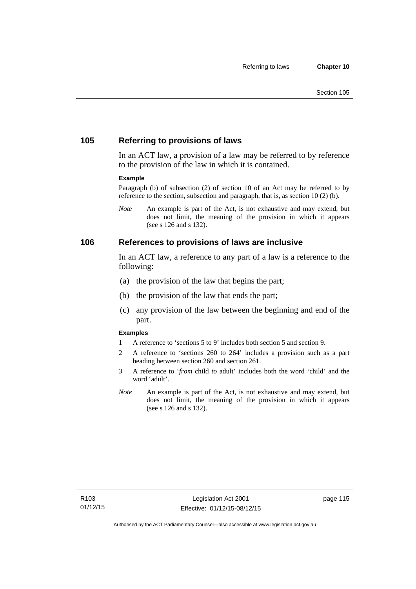## **105 Referring to provisions of laws**

In an ACT law, a provision of a law may be referred to by reference to the provision of the law in which it is contained.

#### **Example**

Paragraph (b) of subsection (2) of section 10 of an Act may be referred to by reference to the section, subsection and paragraph, that is, as section 10 (2) (b).

*Note* An example is part of the Act, is not exhaustive and may extend, but does not limit, the meaning of the provision in which it appears (see s 126 and s 132).

### **106 References to provisions of laws are inclusive**

In an ACT law, a reference to any part of a law is a reference to the following:

- (a) the provision of the law that begins the part;
- (b) the provision of the law that ends the part;
- (c) any provision of the law between the beginning and end of the part.

#### **Examples**

- 1 A reference to 'sections 5 to 9' includes both section 5 and section 9.
- 2 A reference to 'sections 260 to 264' includes a provision such as a part heading between section 260 and section 261.
- 3 A reference to '*from* child *to* adult' includes both the word 'child' and the word 'adult'.
- *Note* An example is part of the Act, is not exhaustive and may extend, but does not limit, the meaning of the provision in which it appears (see s 126 and s 132).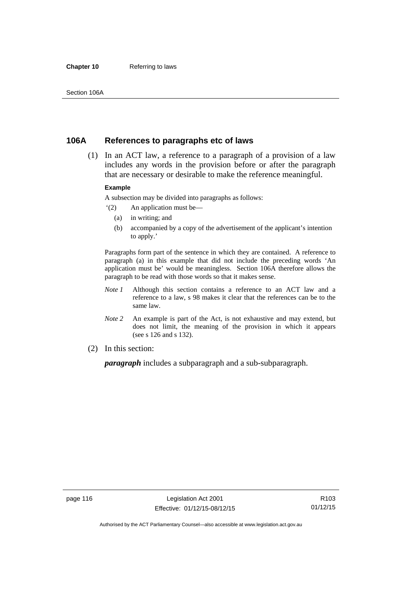#### **Chapter 10** Referring to laws

## **106A References to paragraphs etc of laws**

 (1) In an ACT law, a reference to a paragraph of a provision of a law includes any words in the provision before or after the paragraph that are necessary or desirable to make the reference meaningful.

#### **Example**

A subsection may be divided into paragraphs as follows:

- '(2) An application must be—
	- (a) in writing; and
	- (b) accompanied by a copy of the advertisement of the applicant's intention to apply.'

Paragraphs form part of the sentence in which they are contained. A reference to paragraph (a) in this example that did not include the preceding words 'An application must be' would be meaningless. Section 106A therefore allows the paragraph to be read with those words so that it makes sense.

- *Note 1* Although this section contains a reference to an ACT law and a reference to a law, s 98 makes it clear that the references can be to the same law.
- *Note 2* An example is part of the Act, is not exhaustive and may extend, but does not limit, the meaning of the provision in which it appears (see s 126 and s 132).
- (2) In this section:

*paragraph* includes a subparagraph and a sub-subparagraph.

R103 01/12/15

Authorised by the ACT Parliamentary Counsel—also accessible at www.legislation.act.gov.au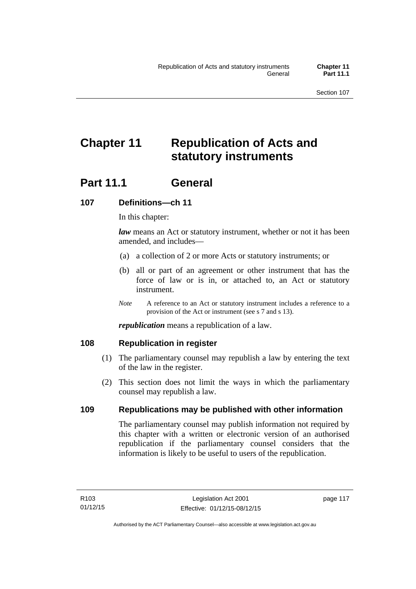# **Chapter 11 Republication of Acts and statutory instruments**

## Part 11.1 General

## **107 Definitions—ch 11**

In this chapter:

*law* means an Act or statutory instrument, whether or not it has been amended, and includes—

- (a) a collection of 2 or more Acts or statutory instruments; or
- (b) all or part of an agreement or other instrument that has the force of law or is in, or attached to, an Act or statutory instrument.
- *Note* A reference to an Act or statutory instrument includes a reference to a provision of the Act or instrument (see s 7 and s 13).

*republication* means a republication of a law.

## **108 Republication in register**

- (1) The parliamentary counsel may republish a law by entering the text of the law in the register.
- (2) This section does not limit the ways in which the parliamentary counsel may republish a law.

## **109 Republications may be published with other information**

The parliamentary counsel may publish information not required by this chapter with a written or electronic version of an authorised republication if the parliamentary counsel considers that the information is likely to be useful to users of the republication.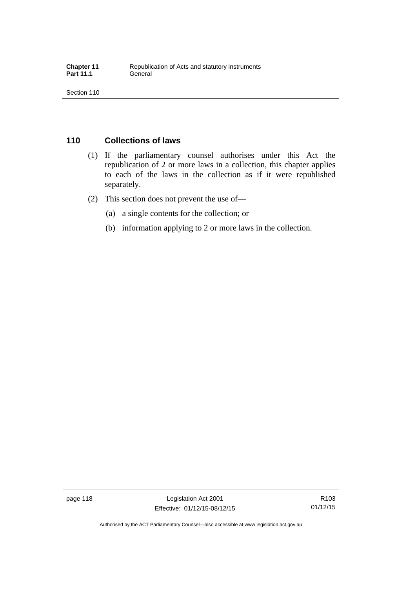## **110 Collections of laws**

- (1) If the parliamentary counsel authorises under this Act the republication of 2 or more laws in a collection, this chapter applies to each of the laws in the collection as if it were republished separately.
- (2) This section does not prevent the use of—
	- (a) a single contents for the collection; or
	- (b) information applying to 2 or more laws in the collection.

R103 01/12/15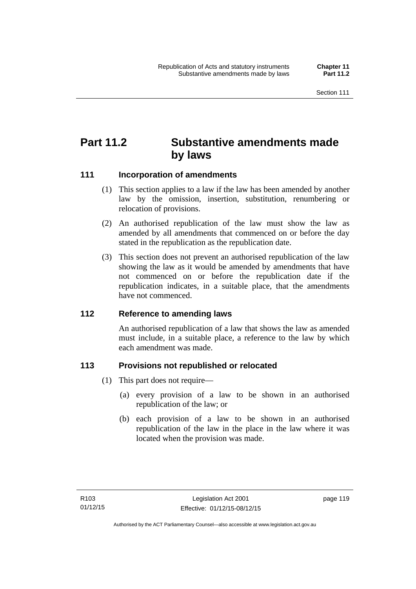## **Part 11.2 Substantive amendments made by laws**

## **111 Incorporation of amendments**

- (1) This section applies to a law if the law has been amended by another law by the omission, insertion, substitution, renumbering or relocation of provisions.
- (2) An authorised republication of the law must show the law as amended by all amendments that commenced on or before the day stated in the republication as the republication date.
- (3) This section does not prevent an authorised republication of the law showing the law as it would be amended by amendments that have not commenced on or before the republication date if the republication indicates, in a suitable place, that the amendments have not commenced.

## **112 Reference to amending laws**

An authorised republication of a law that shows the law as amended must include, in a suitable place, a reference to the law by which each amendment was made.

## **113 Provisions not republished or relocated**

- (1) This part does not require—
	- (a) every provision of a law to be shown in an authorised republication of the law; or
	- (b) each provision of a law to be shown in an authorised republication of the law in the place in the law where it was located when the provision was made.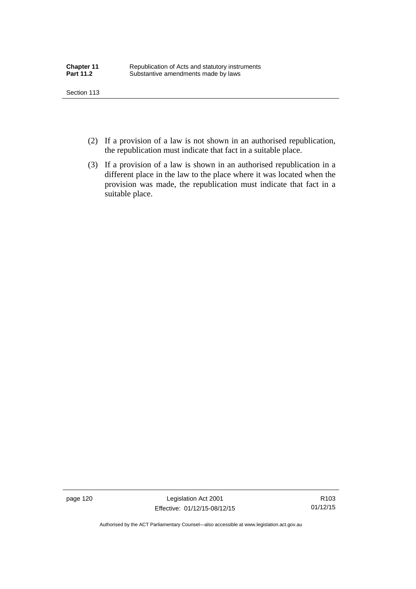- (2) If a provision of a law is not shown in an authorised republication, the republication must indicate that fact in a suitable place.
- (3) If a provision of a law is shown in an authorised republication in a different place in the law to the place where it was located when the provision was made, the republication must indicate that fact in a suitable place.

page 120 Legislation Act 2001 Effective: 01/12/15-08/12/15

R103 01/12/15

Authorised by the ACT Parliamentary Counsel—also accessible at www.legislation.act.gov.au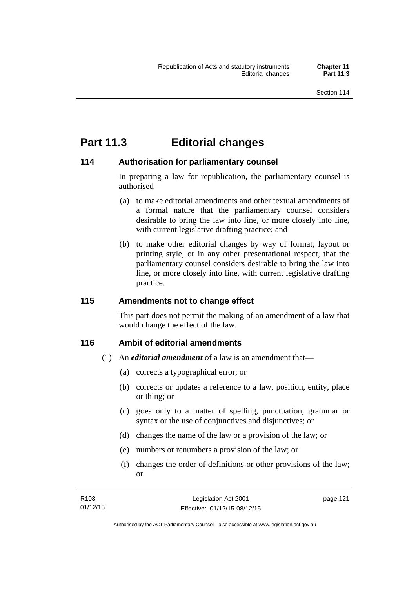## **Part 11.3 Editorial changes**

## **114 Authorisation for parliamentary counsel**

In preparing a law for republication, the parliamentary counsel is authorised—

- (a) to make editorial amendments and other textual amendments of a formal nature that the parliamentary counsel considers desirable to bring the law into line, or more closely into line, with current legislative drafting practice; and
- (b) to make other editorial changes by way of format, layout or printing style, or in any other presentational respect, that the parliamentary counsel considers desirable to bring the law into line, or more closely into line, with current legislative drafting practice.

## **115 Amendments not to change effect**

This part does not permit the making of an amendment of a law that would change the effect of the law.

## **116 Ambit of editorial amendments**

- (1) An *editorial amendment* of a law is an amendment that—
	- (a) corrects a typographical error; or
	- (b) corrects or updates a reference to a law, position, entity, place or thing; or
	- (c) goes only to a matter of spelling, punctuation, grammar or syntax or the use of conjunctives and disjunctives; or
	- (d) changes the name of the law or a provision of the law; or
	- (e) numbers or renumbers a provision of the law; or
	- (f) changes the order of definitions or other provisions of the law; or

| R <sub>103</sub> | Legislation Act 2001         | page 121 |
|------------------|------------------------------|----------|
| 01/12/15         | Effective: 01/12/15-08/12/15 |          |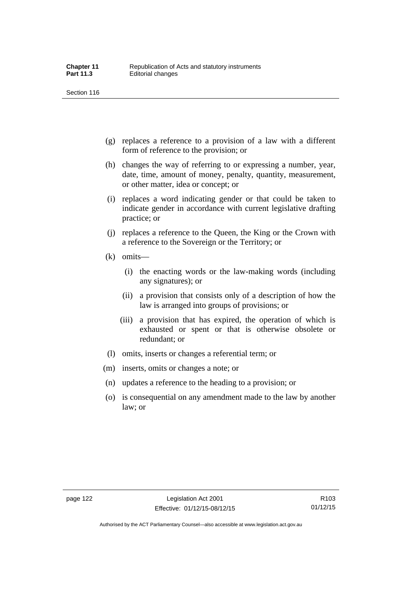- (g) replaces a reference to a provision of a law with a different form of reference to the provision; or
- (h) changes the way of referring to or expressing a number, year, date, time, amount of money, penalty, quantity, measurement, or other matter, idea or concept; or
- (i) replaces a word indicating gender or that could be taken to indicate gender in accordance with current legislative drafting practice; or
- (j) replaces a reference to the Queen, the King or the Crown with a reference to the Sovereign or the Territory; or
- (k) omits—
	- (i) the enacting words or the law-making words (including any signatures); or
	- (ii) a provision that consists only of a description of how the law is arranged into groups of provisions; or
	- (iii) a provision that has expired, the operation of which is exhausted or spent or that is otherwise obsolete or redundant; or
- (l) omits, inserts or changes a referential term; or
- (m) inserts, omits or changes a note; or
- (n) updates a reference to the heading to a provision; or
- (o) is consequential on any amendment made to the law by another law; or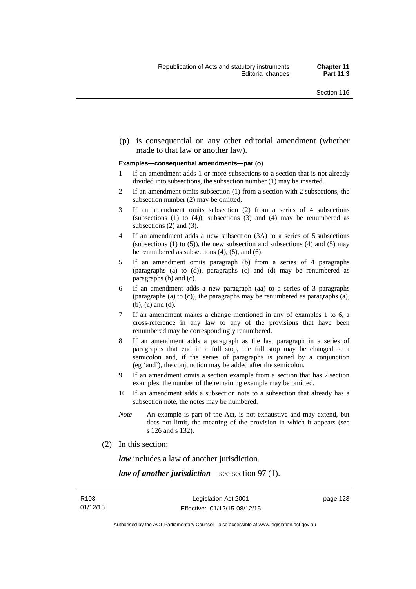(p) is consequential on any other editorial amendment (whether made to that law or another law).

#### **Examples—consequential amendments—par (o)**

- 1 If an amendment adds 1 or more subsections to a section that is not already divided into subsections, the subsection number (1) may be inserted.
- 2 If an amendment omits subsection (1) from a section with 2 subsections, the subsection number (2) may be omitted.
- 3 If an amendment omits subsection (2) from a series of 4 subsections (subsections  $(1)$  to  $(4)$ ), subsections  $(3)$  and  $(4)$  may be renumbered as subsections (2) and (3).
- 4 If an amendment adds a new subsection (3A) to a series of 5 subsections (subsections  $(1)$  to  $(5)$ ), the new subsection and subsections  $(4)$  and  $(5)$  may be renumbered as subsections (4), (5), and (6).
- 5 If an amendment omits paragraph (b) from a series of 4 paragraphs (paragraphs (a) to (d)), paragraphs (c) and (d) may be renumbered as paragraphs (b) and (c).
- 6 If an amendment adds a new paragraph (aa) to a series of 3 paragraphs (paragraphs (a) to (c)), the paragraphs may be renumbered as paragraphs (a), (b), (c) and (d).
- 7 If an amendment makes a change mentioned in any of examples 1 to 6, a cross-reference in any law to any of the provisions that have been renumbered may be correspondingly renumbered.
- 8 If an amendment adds a paragraph as the last paragraph in a series of paragraphs that end in a full stop, the full stop may be changed to a semicolon and, if the series of paragraphs is joined by a conjunction (eg 'and'), the conjunction may be added after the semicolon.
- 9 If an amendment omits a section example from a section that has 2 section examples, the number of the remaining example may be omitted.
- 10 If an amendment adds a subsection note to a subsection that already has a subsection note, the notes may be numbered.
- *Note* An example is part of the Act, is not exhaustive and may extend, but does not limit, the meaning of the provision in which it appears (see s 126 and s 132).
- (2) In this section:

*law* includes a law of another jurisdiction.

*law of another jurisdiction*—see section 97 (1).

page 123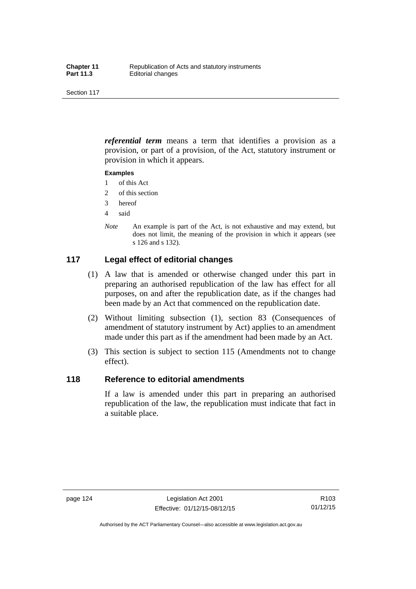*referential term* means a term that identifies a provision as a provision, or part of a provision, of the Act, statutory instrument or provision in which it appears.

#### **Examples**

- 1 of this Act
- 2 of this section
- 3 hereof
- 4 said
- *Note* An example is part of the Act, is not exhaustive and may extend, but does not limit, the meaning of the provision in which it appears (see s 126 and s 132).

## **117 Legal effect of editorial changes**

- (1) A law that is amended or otherwise changed under this part in preparing an authorised republication of the law has effect for all purposes, on and after the republication date, as if the changes had been made by an Act that commenced on the republication date.
- (2) Without limiting subsection (1), section 83 (Consequences of amendment of statutory instrument by Act) applies to an amendment made under this part as if the amendment had been made by an Act.
- (3) This section is subject to section 115 (Amendments not to change effect).

## **118 Reference to editorial amendments**

If a law is amended under this part in preparing an authorised republication of the law, the republication must indicate that fact in a suitable place.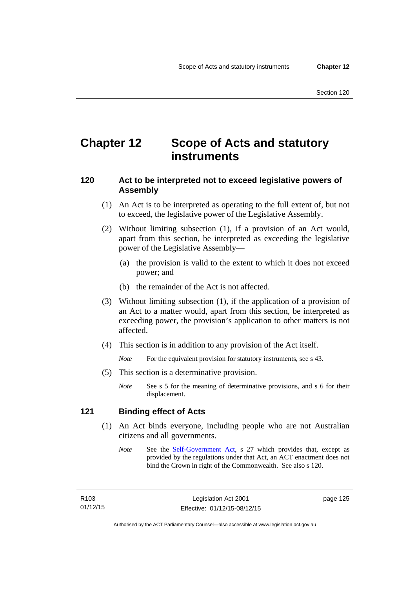## **Chapter 12 Scope of Acts and statutory instruments**

## **120 Act to be interpreted not to exceed legislative powers of Assembly**

- (1) An Act is to be interpreted as operating to the full extent of, but not to exceed, the legislative power of the Legislative Assembly.
- (2) Without limiting subsection (1), if a provision of an Act would, apart from this section, be interpreted as exceeding the legislative power of the Legislative Assembly—
	- (a) the provision is valid to the extent to which it does not exceed power; and
	- (b) the remainder of the Act is not affected.
- (3) Without limiting subsection (1), if the application of a provision of an Act to a matter would, apart from this section, be interpreted as exceeding power, the provision's application to other matters is not affected.
- (4) This section is in addition to any provision of the Act itself.

*Note* For the equivalent provision for statutory instruments, see s 43.

- (5) This section is a determinative provision.
	- *Note* See s 5 for the meaning of determinative provisions, and s 6 for their displacement.

## **121 Binding effect of Acts**

- (1) An Act binds everyone, including people who are not Australian citizens and all governments.
	- *Note* See the [Self-Government Act](http://www.comlaw.gov.au/Series/C2004A03699), s 27 which provides that, except as provided by the regulations under that Act, an ACT enactment does not bind the Crown in right of the Commonwealth. See also s 120.

R103 01/12/15 page 125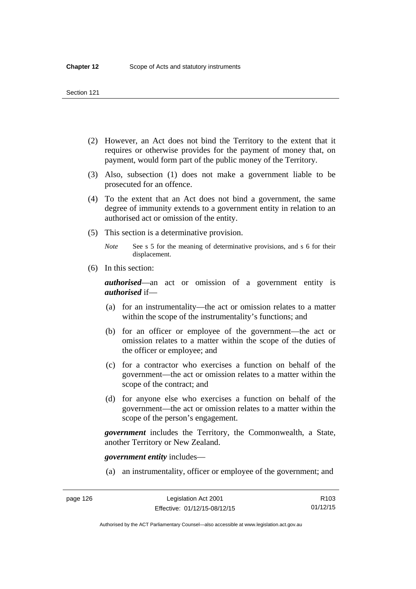- (2) However, an Act does not bind the Territory to the extent that it requires or otherwise provides for the payment of money that, on payment, would form part of the public money of the Territory.
- (3) Also, subsection (1) does not make a government liable to be prosecuted for an offence.
- (4) To the extent that an Act does not bind a government, the same degree of immunity extends to a government entity in relation to an authorised act or omission of the entity.
- (5) This section is a determinative provision.

*Note* See s 5 for the meaning of determinative provisions, and s 6 for their displacement.

(6) In this section:

*authorised*—an act or omission of a government entity is *authorised* if—

- (a) for an instrumentality—the act or omission relates to a matter within the scope of the instrumentality's functions; and
- (b) for an officer or employee of the government—the act or omission relates to a matter within the scope of the duties of the officer or employee; and
- (c) for a contractor who exercises a function on behalf of the government—the act or omission relates to a matter within the scope of the contract; and
- (d) for anyone else who exercises a function on behalf of the government—the act or omission relates to a matter within the scope of the person's engagement.

*government* includes the Territory, the Commonwealth, a State, another Territory or New Zealand.

*government entity* includes—

(a) an instrumentality, officer or employee of the government; and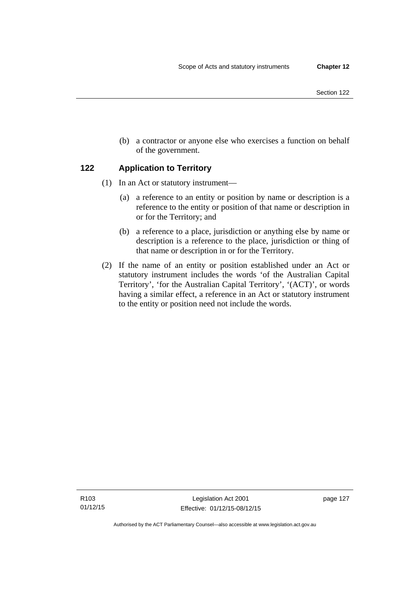(b) a contractor or anyone else who exercises a function on behalf of the government.

## **122 Application to Territory**

- (1) In an Act or statutory instrument—
	- (a) a reference to an entity or position by name or description is a reference to the entity or position of that name or description in or for the Territory; and
	- (b) a reference to a place, jurisdiction or anything else by name or description is a reference to the place, jurisdiction or thing of that name or description in or for the Territory.
- (2) If the name of an entity or position established under an Act or statutory instrument includes the words 'of the Australian Capital Territory', 'for the Australian Capital Territory', '(ACT)', or words having a similar effect, a reference in an Act or statutory instrument to the entity or position need not include the words.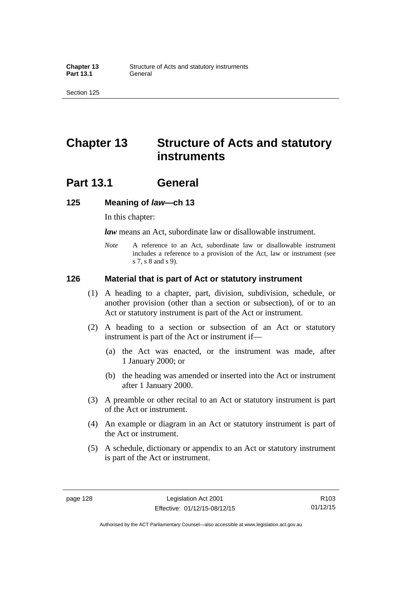## **Chapter 13 Structure of Acts and statutory instruments**

## **Part 13.1 General**

### **125 Meaning of** *law***—ch 13**

In this chapter:

*law* means an Act, subordinate law or disallowable instrument.

*Note* A reference to an Act, subordinate law or disallowable instrument includes a reference to a provision of the Act, law or instrument (see s 7, s 8 and s 9).

### **126 Material that is part of Act or statutory instrument**

- (1) A heading to a chapter, part, division, subdivision, schedule, or another provision (other than a section or subsection), of or to an Act or statutory instrument is part of the Act or instrument.
- (2) A heading to a section or subsection of an Act or statutory instrument is part of the Act or instrument if—
	- (a) the Act was enacted, or the instrument was made, after 1 January 2000; or
	- (b) the heading was amended or inserted into the Act or instrument after 1 January 2000.
- (3) A preamble or other recital to an Act or statutory instrument is part of the Act or instrument.
- (4) An example or diagram in an Act or statutory instrument is part of the Act or instrument.
- (5) A schedule, dictionary or appendix to an Act or statutory instrument is part of the Act or instrument.

R103 01/12/15

Authorised by the ACT Parliamentary Counsel—also accessible at www.legislation.act.gov.au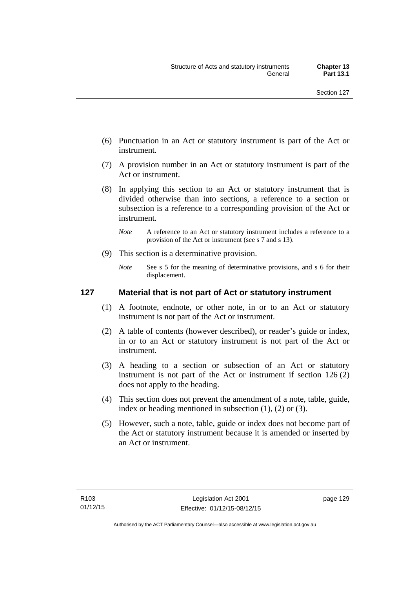- (6) Punctuation in an Act or statutory instrument is part of the Act or instrument.
- (7) A provision number in an Act or statutory instrument is part of the Act or instrument.
- (8) In applying this section to an Act or statutory instrument that is divided otherwise than into sections, a reference to a section or subsection is a reference to a corresponding provision of the Act or instrument.
	- *Note* A reference to an Act or statutory instrument includes a reference to a provision of the Act or instrument (see s 7 and s 13).
- (9) This section is a determinative provision.
	- *Note* See s 5 for the meaning of determinative provisions, and s 6 for their displacement.

### **127 Material that is not part of Act or statutory instrument**

- (1) A footnote, endnote, or other note, in or to an Act or statutory instrument is not part of the Act or instrument.
- (2) A table of contents (however described), or reader's guide or index, in or to an Act or statutory instrument is not part of the Act or instrument.
- (3) A heading to a section or subsection of an Act or statutory instrument is not part of the Act or instrument if section 126 (2) does not apply to the heading.
- (4) This section does not prevent the amendment of a note, table, guide, index or heading mentioned in subsection (1), (2) or (3).
- (5) However, such a note, table, guide or index does not become part of the Act or statutory instrument because it is amended or inserted by an Act or instrument.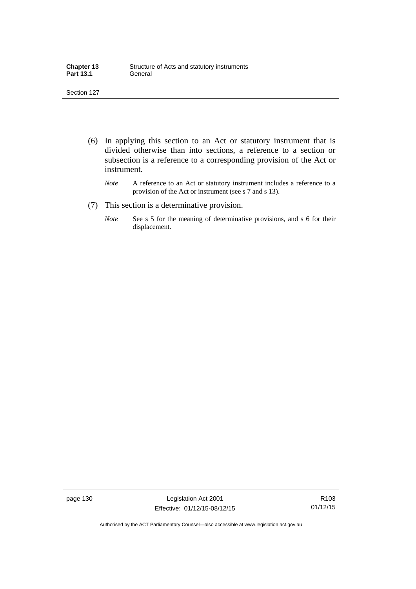| <b>Chapter 13</b> | Structure of Acts and statutory instruments |
|-------------------|---------------------------------------------|
| <b>Part 13.1</b>  | General                                     |

- (6) In applying this section to an Act or statutory instrument that is divided otherwise than into sections, a reference to a section or subsection is a reference to a corresponding provision of the Act or instrument.
	- *Note* A reference to an Act or statutory instrument includes a reference to a provision of the Act or instrument (see s 7 and s 13).
- (7) This section is a determinative provision.
	- *Note* See s 5 for the meaning of determinative provisions, and s 6 for their displacement.

page 130 Legislation Act 2001 Effective: 01/12/15-08/12/15

R103 01/12/15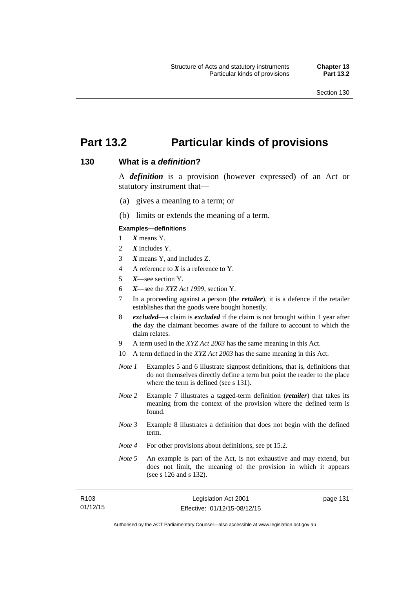# **Part 13.2 Particular kinds of provisions**

#### **130 What is a** *definition***?**

A *definition* is a provision (however expressed) of an Act or statutory instrument that—

- (a) gives a meaning to a term; or
- (b) limits or extends the meaning of a term.

#### **Examples—definitions**

- 1 *X* means Y.
- 2 *X* includes Y.
- 3 *X* means Y, and includes Z.
- 4 A reference to *X* is a reference to Y.
- 5 *X*—see section Y.
- 6 *X*—see the *XYZ Act 1999*, section Y.
- 7 In a proceeding against a person (the *retailer*), it is a defence if the retailer establishes that the goods were bought honestly.
- 8 *excluded*—a claim is *excluded* if the claim is not brought within 1 year after the day the claimant becomes aware of the failure to account to which the claim relates.
- 9 A term used in the *XYZ Act 2003* has the same meaning in this Act.
- 10 A term defined in the *XYZ Act 2003* has the same meaning in this Act.
- *Note 1* Examples 5 and 6 illustrate signpost definitions, that is, definitions that do not themselves directly define a term but point the reader to the place where the term is defined (see s 131).
- *Note 2* Example 7 illustrates a tagged-term definition (*retailer*) that takes its meaning from the context of the provision where the defined term is found.
- *Note 3* Example 8 illustrates a definition that does not begin with the defined term.
- *Note 4* For other provisions about definitions, see pt 15.2.
- *Note* 5 An example is part of the Act, is not exhaustive and may extend, but does not limit, the meaning of the provision in which it appears (see s 126 and s 132).

| R103     | Legislation Act 2001         | page 131 |
|----------|------------------------------|----------|
| 01/12/15 | Effective: 01/12/15-08/12/15 |          |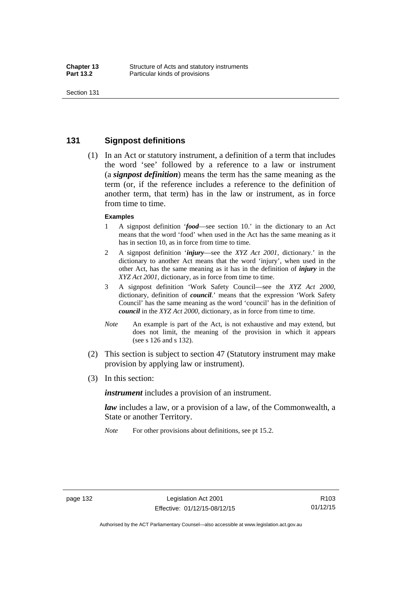### **131 Signpost definitions**

 (1) In an Act or statutory instrument, a definition of a term that includes the word 'see' followed by a reference to a law or instrument (a *signpost definition*) means the term has the same meaning as the term (or, if the reference includes a reference to the definition of another term, that term) has in the law or instrument, as in force from time to time.

#### **Examples**

- 1 A signpost definition '*food*—see section 10.' in the dictionary to an Act means that the word 'food' when used in the Act has the same meaning as it has in section 10, as in force from time to time.
- 2 A signpost definition '*injury*—see the *XYZ Act 2001*, dictionary.' in the dictionary to another Act means that the word 'injury', when used in the other Act, has the same meaning as it has in the definition of *injury* in the *XYZ Act 2001*, dictionary, as in force from time to time.
- 3 A signpost definition 'Work Safety Council—see the *XYZ Act 2000*, dictionary, definition of *council*.' means that the expression 'Work Safety Council' has the same meaning as the word 'council' has in the definition of *council* in the *XYZ Act 2000*, dictionary, as in force from time to time.
- *Note* An example is part of the Act, is not exhaustive and may extend, but does not limit, the meaning of the provision in which it appears (see s 126 and s 132).
- (2) This section is subject to section 47 (Statutory instrument may make provision by applying law or instrument).
- (3) In this section:

*instrument* includes a provision of an instrument.

*law* includes a law, or a provision of a law, of the Commonwealth, a State or another Territory.

*Note* For other provisions about definitions, see pt 15.2.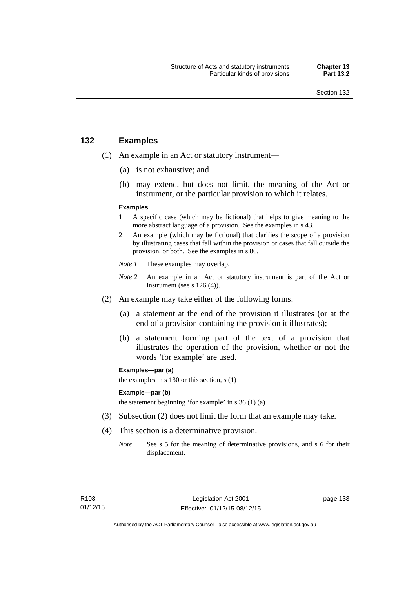### **132 Examples**

- (1) An example in an Act or statutory instrument—
	- (a) is not exhaustive; and
	- (b) may extend, but does not limit, the meaning of the Act or instrument, or the particular provision to which it relates.

#### **Examples**

- 1 A specific case (which may be fictional) that helps to give meaning to the more abstract language of a provision. See the examples in s 43.
- 2 An example (which may be fictional) that clarifies the scope of a provision by illustrating cases that fall within the provision or cases that fall outside the provision, or both. See the examples in s 86.
- *Note 1* These examples may overlap.
- *Note* 2 An example in an Act or statutory instrument is part of the Act or instrument (see s 126 (4)).
- (2) An example may take either of the following forms:
	- (a) a statement at the end of the provision it illustrates (or at the end of a provision containing the provision it illustrates);
	- (b) a statement forming part of the text of a provision that illustrates the operation of the provision, whether or not the words 'for example' are used.

**Examples—par (a)** 

the examples in s 130 or this section, s (1)

#### **Example—par (b)**

the statement beginning 'for example' in s 36 (1) (a)

- (3) Subsection (2) does not limit the form that an example may take.
- (4) This section is a determinative provision.
	- *Note* See s 5 for the meaning of determinative provisions, and s 6 for their displacement.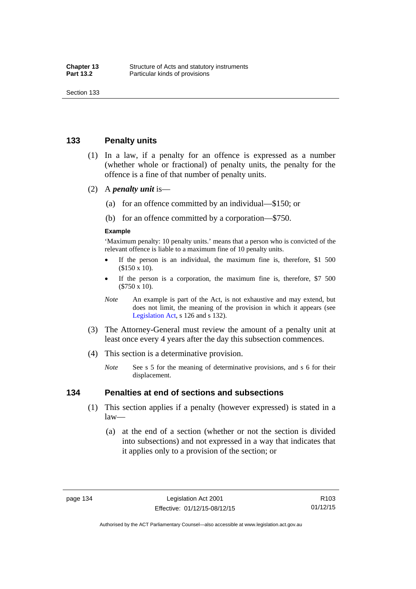### **133 Penalty units**

- (1) In a law, if a penalty for an offence is expressed as a number (whether whole or fractional) of penalty units, the penalty for the offence is a fine of that number of penalty units.
- (2) A *penalty unit* is—
	- (a) for an offence committed by an individual—\$150; or
	- (b) for an offence committed by a corporation—\$750.

#### **Example**

'Maximum penalty: 10 penalty units.' means that a person who is convicted of the relevant offence is liable to a maximum fine of 10 penalty units.

- If the person is an individual, the maximum fine is, therefore, \$1 500 (\$150 x 10).
- If the person is a corporation, the maximum fine is, therefore, \$7 500 (\$750 x 10).
- *Note* An example is part of the Act, is not exhaustive and may extend, but does not limit, the meaning of the provision in which it appears (see [Legislation Act,](http://www.legislation.act.gov.au/a/2001-14) s 126 and s 132).
- (3) The Attorney-General must review the amount of a penalty unit at least once every 4 years after the day this subsection commences.
- (4) This section is a determinative provision.
	- *Note* See s 5 for the meaning of determinative provisions, and s 6 for their displacement.

### **134 Penalties at end of sections and subsections**

- (1) This section applies if a penalty (however expressed) is stated in a law—
	- (a) at the end of a section (whether or not the section is divided into subsections) and not expressed in a way that indicates that it applies only to a provision of the section; or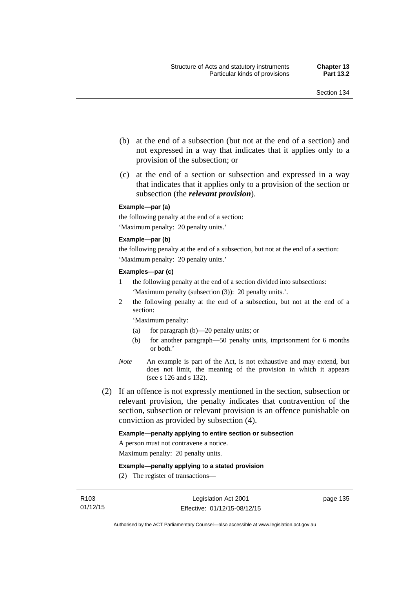- (b) at the end of a subsection (but not at the end of a section) and not expressed in a way that indicates that it applies only to a provision of the subsection; or
- (c) at the end of a section or subsection and expressed in a way that indicates that it applies only to a provision of the section or subsection (the *relevant provision*).

#### **Example—par (a)**

the following penalty at the end of a section: 'Maximum penalty: 20 penalty units.'

#### **Example—par (b)**

the following penalty at the end of a subsection, but not at the end of a section: 'Maximum penalty: 20 penalty units.'

#### **Examples—par (c)**

- 1 the following penalty at the end of a section divided into subsections: 'Maximum penalty (subsection (3)): 20 penalty units.'.
- 2 the following penalty at the end of a subsection, but not at the end of a section:

'Maximum penalty:

- (a) for paragraph (b)—20 penalty units; or
- (b) for another paragraph—50 penalty units, imprisonment for 6 months or both.'
- *Note* An example is part of the Act, is not exhaustive and may extend, but does not limit, the meaning of the provision in which it appears (see s 126 and s 132).
- (2) If an offence is not expressly mentioned in the section, subsection or relevant provision, the penalty indicates that contravention of the section, subsection or relevant provision is an offence punishable on conviction as provided by subsection (4).

#### **Example—penalty applying to entire section or subsection**

A person must not contravene a notice.

Maximum penalty: 20 penalty units.

**Example—penalty applying to a stated provision** 

(2) The register of transactions—

page 135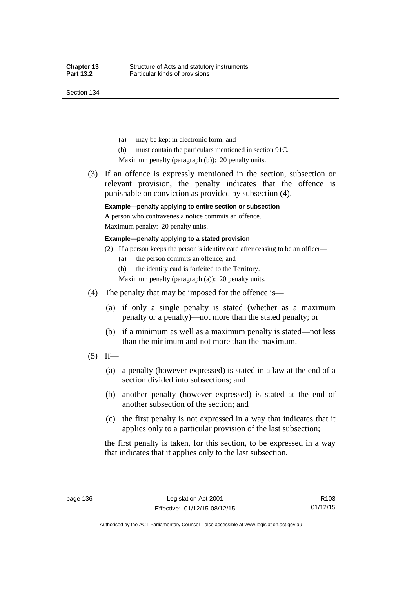Section 134

- (a) may be kept in electronic form; and
- (b) must contain the particulars mentioned in section 91C.

Maximum penalty (paragraph (b)): 20 penalty units.

 (3) If an offence is expressly mentioned in the section, subsection or relevant provision, the penalty indicates that the offence is punishable on conviction as provided by subsection (4).

### **Example—penalty applying to entire section or subsection**

A person who contravenes a notice commits an offence. Maximum penalty: 20 penalty units.

**Example—penalty applying to a stated provision** 

- (2) If a person keeps the person's identity card after ceasing to be an officer—
	- (a) the person commits an offence; and
	- (b) the identity card is forfeited to the Territory.

Maximum penalty (paragraph (a)): 20 penalty units.

- (4) The penalty that may be imposed for the offence is—
	- (a) if only a single penalty is stated (whether as a maximum penalty or a penalty)—not more than the stated penalty; or
	- (b) if a minimum as well as a maximum penalty is stated—not less than the minimum and not more than the maximum.
- $(5)$  If—
	- (a) a penalty (however expressed) is stated in a law at the end of a section divided into subsections; and
	- (b) another penalty (however expressed) is stated at the end of another subsection of the section; and
	- (c) the first penalty is not expressed in a way that indicates that it applies only to a particular provision of the last subsection;

the first penalty is taken, for this section, to be expressed in a way that indicates that it applies only to the last subsection.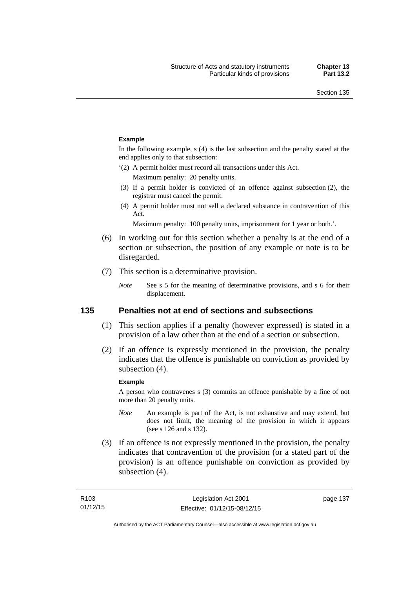#### **Example**

In the following example, s (4) is the last subsection and the penalty stated at the end applies only to that subsection:

'(2) A permit holder must record all transactions under this Act.

Maximum penalty: 20 penalty units.

- (3) If a permit holder is convicted of an offence against subsection (2), the registrar must cancel the permit.
- (4) A permit holder must not sell a declared substance in contravention of this Act.

Maximum penalty: 100 penalty units, imprisonment for 1 year or both.'.

- (6) In working out for this section whether a penalty is at the end of a section or subsection, the position of any example or note is to be disregarded.
- (7) This section is a determinative provision.
	- *Note* See s 5 for the meaning of determinative provisions, and s 6 for their displacement.

### **135 Penalties not at end of sections and subsections**

- (1) This section applies if a penalty (however expressed) is stated in a provision of a law other than at the end of a section or subsection.
- (2) If an offence is expressly mentioned in the provision, the penalty indicates that the offence is punishable on conviction as provided by subsection (4).

#### **Example**

A person who contravenes s (3) commits an offence punishable by a fine of not more than 20 penalty units.

- *Note* An example is part of the Act, is not exhaustive and may extend, but does not limit, the meaning of the provision in which it appears (see s 126 and s 132).
- (3) If an offence is not expressly mentioned in the provision, the penalty indicates that contravention of the provision (or a stated part of the provision) is an offence punishable on conviction as provided by subsection (4).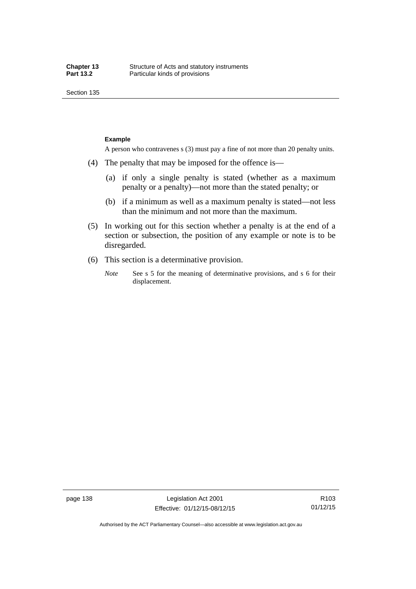Section 135

#### **Example**

A person who contravenes s (3) must pay a fine of not more than 20 penalty units.

- (4) The penalty that may be imposed for the offence is—
	- (a) if only a single penalty is stated (whether as a maximum penalty or a penalty)—not more than the stated penalty; or
	- (b) if a minimum as well as a maximum penalty is stated—not less than the minimum and not more than the maximum.
- (5) In working out for this section whether a penalty is at the end of a section or subsection, the position of any example or note is to be disregarded.
- (6) This section is a determinative provision.
	- *Note* See s 5 for the meaning of determinative provisions, and s 6 for their displacement.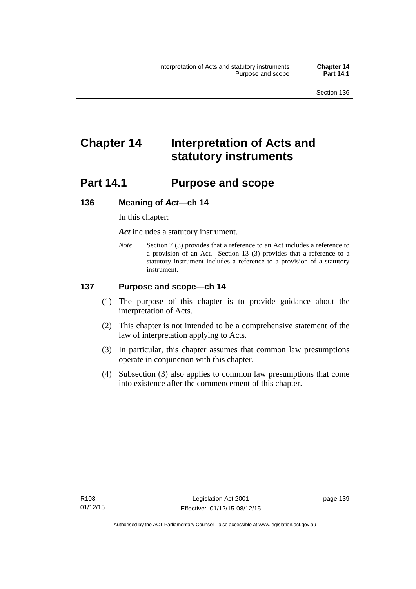# **Chapter 14 Interpretation of Acts and statutory instruments**

# **Part 14.1 Purpose and scope**

### **136 Meaning of** *Act***—ch 14**

In this chapter:

*Act* includes a statutory instrument.

*Note* Section 7 (3) provides that a reference to an Act includes a reference to a provision of an Act. Section 13 (3) provides that a reference to a statutory instrument includes a reference to a provision of a statutory instrument.

### **137 Purpose and scope—ch 14**

- (1) The purpose of this chapter is to provide guidance about the interpretation of Acts.
- (2) This chapter is not intended to be a comprehensive statement of the law of interpretation applying to Acts.
- (3) In particular, this chapter assumes that common law presumptions operate in conjunction with this chapter.
- (4) Subsection (3) also applies to common law presumptions that come into existence after the commencement of this chapter.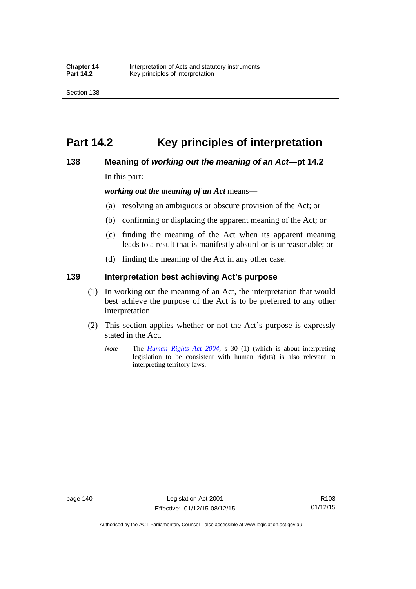# **Part 14.2 Key principles of interpretation**

### **138 Meaning of** *working out the meaning of an Act***—pt 14.2**

In this part:

*working out the meaning of an Act* means—

- (a) resolving an ambiguous or obscure provision of the Act; or
- (b) confirming or displacing the apparent meaning of the Act; or
- (c) finding the meaning of the Act when its apparent meaning leads to a result that is manifestly absurd or is unreasonable; or
- (d) finding the meaning of the Act in any other case.

### **139 Interpretation best achieving Act's purpose**

- (1) In working out the meaning of an Act, the interpretation that would best achieve the purpose of the Act is to be preferred to any other interpretation.
- (2) This section applies whether or not the Act's purpose is expressly stated in the Act.
	- *Note* The *[Human Rights Act 2004](http://www.legislation.act.gov.au/a/2004-5)*, s 30 (1) (which is about interpreting legislation to be consistent with human rights) is also relevant to interpreting territory laws.

R103 01/12/15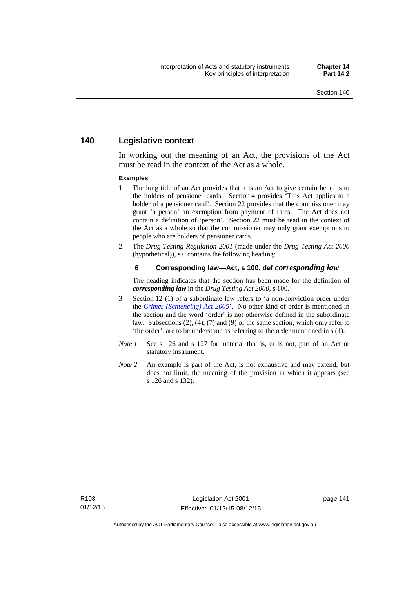### **140 Legislative context**

In working out the meaning of an Act, the provisions of the Act must be read in the context of the Act as a whole.

#### **Examples**

- 1 The long title of an Act provides that it is an Act to give certain benefits to the holders of pensioner cards. Section 4 provides 'This Act applies to a holder of a pensioner card'. Section 22 provides that the commissioner may grant 'a person' an exemption from payment of rates. The Act does not contain a definition of 'person'. Section 22 must be read in the context of the Act as a whole so that the commissioner may only grant exemptions to people who are holders of pensioner cards.
- 2 The *Drug Testing Regulation 2001* (made under the *Drug Testing Act 2000* (hypothetical)), s 6 contains the following heading:

#### **6 Corresponding law—Act, s 100, def** *corresponding law*

The heading indicates that the section has been made for the definition of *corresponding law* in the *Drug Testing Act 2000*, s 100.

- 3 Section 12 (1) of a subordinate law refers to 'a non-conviction order under the *[Crimes \(Sentencing\) Act 2005](http://www.legislation.act.gov.au/a/2005-58)*'. No other kind of order is mentioned in the section and the word 'order' is not otherwise defined in the subordinate law. Subsections (2), (4), (7) and (9) of the same section, which only refer to 'the order', are to be understood as referring to the order mentioned in s (1).
- *Note 1* See s 126 and s 127 for material that is, or is not, part of an Act or statutory instrument.
- *Note 2* An example is part of the Act, is not exhaustive and may extend, but does not limit, the meaning of the provision in which it appears (see s 126 and s 132).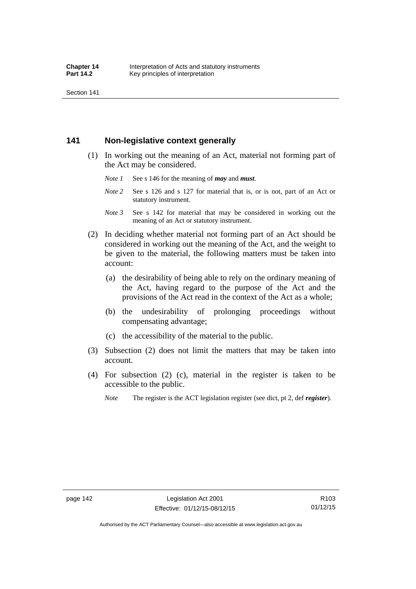Section 141

### **141 Non-legislative context generally**

- (1) In working out the meaning of an Act, material not forming part of the Act may be considered.
	- *Note 1* See s 146 for the meaning of *may* and *must*.
	- *Note* 2 See s 126 and s 127 for material that is, or is not, part of an Act or statutory instrument.
	- *Note 3* See s 142 for material that may be considered in working out the meaning of an Act or statutory instrument.
- (2) In deciding whether material not forming part of an Act should be considered in working out the meaning of the Act, and the weight to be given to the material, the following matters must be taken into account:
	- (a) the desirability of being able to rely on the ordinary meaning of the Act, having regard to the purpose of the Act and the provisions of the Act read in the context of the Act as a whole;
	- (b) the undesirability of prolonging proceedings without compensating advantage;
	- (c) the accessibility of the material to the public.
- (3) Subsection (2) does not limit the matters that may be taken into account.
- (4) For subsection (2) (c), material in the register is taken to be accessible to the public.
	- *Note* The register is the ACT legislation register (see dict, pt 2, def *register*).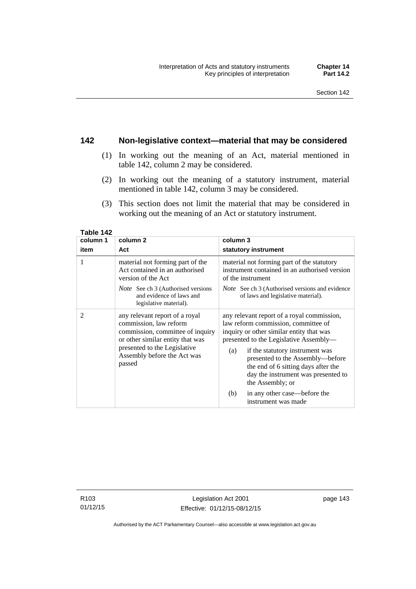### **142 Non-legislative context—material that may be considered**

- (1) In working out the meaning of an Act, material mentioned in table 142, column 2 may be considered.
- (2) In working out the meaning of a statutory instrument, material mentioned in table 142, column 3 may be considered.
- (3) This section does not limit the material that may be considered in working out the meaning of an Act or statutory instrument.

| column 1       | column <sub>2</sub>                                                                                                                                                                                       | column 3                                                                                                                                                                                                                                                                                                                                                |
|----------------|-----------------------------------------------------------------------------------------------------------------------------------------------------------------------------------------------------------|---------------------------------------------------------------------------------------------------------------------------------------------------------------------------------------------------------------------------------------------------------------------------------------------------------------------------------------------------------|
| item           | Act                                                                                                                                                                                                       | statutory instrument                                                                                                                                                                                                                                                                                                                                    |
| 1              | material not forming part of the<br>Act contained in an authorised<br>version of the Act                                                                                                                  | material not forming part of the statutory<br>instrument contained in an authorised version<br>of the instrument                                                                                                                                                                                                                                        |
|                | <i>Note</i> See ch 3 (Authorised versions<br>and evidence of laws and<br>legislative material).                                                                                                           | <i>Note</i> See ch 3 (Authorised versions and evidence<br>of laws and legislative material).                                                                                                                                                                                                                                                            |
| $\overline{2}$ | any relevant report of a royal<br>commission, law reform<br>commission, committee of inquiry<br>or other similar entity that was<br>presented to the Legislative<br>Assembly before the Act was<br>passed | any relevant report of a royal commission,<br>law reform commission, committee of<br>inquiry or other similar entity that was<br>presented to the Legislative Assembly—<br>if the statutory instrument was<br>(a)<br>presented to the Assembly-before<br>the end of 6 sitting days after the<br>day the instrument was presented to<br>the Assembly; or |
|                |                                                                                                                                                                                                           | in any other case—before the<br>(b)<br>instrument was made                                                                                                                                                                                                                                                                                              |

**Table 142** 

R103 01/12/15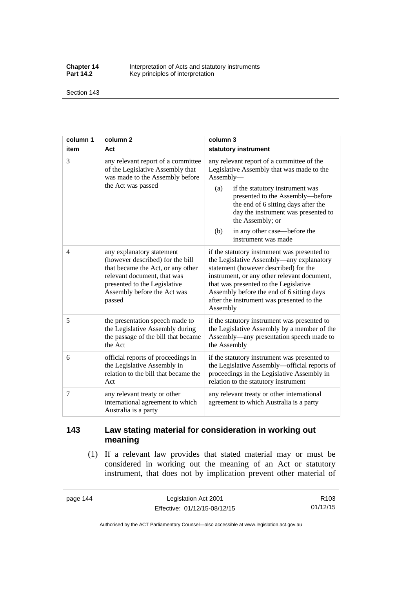**Chapter 14** Interpretation of Acts and statutory instruments<br>**Part 14.2** Key principles of interpretation Key principles of interpretation

Section 143

| column 1 | column <sub>2</sub>                                                                                                                                                                                        | column 3                                                                                                                                                                                                                                                                                                                                          |  |
|----------|------------------------------------------------------------------------------------------------------------------------------------------------------------------------------------------------------------|---------------------------------------------------------------------------------------------------------------------------------------------------------------------------------------------------------------------------------------------------------------------------------------------------------------------------------------------------|--|
| item     | Act                                                                                                                                                                                                        | statutory instrument                                                                                                                                                                                                                                                                                                                              |  |
| 3        | any relevant report of a committee<br>of the Legislative Assembly that<br>was made to the Assembly before<br>the Act was passed                                                                            | any relevant report of a committee of the<br>Legislative Assembly that was made to the<br>Assembly-<br>if the statutory instrument was<br>(a)<br>presented to the Assembly-before<br>the end of 6 sitting days after the<br>day the instrument was presented to<br>the Assembly; or<br>in any other case—before the<br>(b)<br>instrument was made |  |
| 4        | any explanatory statement<br>(however described) for the bill<br>that became the Act, or any other<br>relevant document, that was<br>presented to the Legislative<br>Assembly before the Act was<br>passed | if the statutory instrument was presented to<br>the Legislative Assembly-any explanatory<br>statement (however described) for the<br>instrument, or any other relevant document,<br>that was presented to the Legislative<br>Assembly before the end of 6 sitting days<br>after the instrument was presented to the<br>Assembly                   |  |
| 5        | the presentation speech made to<br>the Legislative Assembly during<br>the passage of the bill that became<br>the Act                                                                                       | if the statutory instrument was presented to<br>the Legislative Assembly by a member of the<br>Assembly—any presentation speech made to<br>the Assembly                                                                                                                                                                                           |  |
| 6        | official reports of proceedings in<br>the Legislative Assembly in<br>relation to the bill that became the<br>Act                                                                                           | if the statutory instrument was presented to<br>the Legislative Assembly-official reports of<br>proceedings in the Legislative Assembly in<br>relation to the statutory instrument                                                                                                                                                                |  |
| 7        | any relevant treaty or other<br>international agreement to which<br>Australia is a party                                                                                                                   | any relevant treaty or other international<br>agreement to which Australia is a party                                                                                                                                                                                                                                                             |  |

## **143 Law stating material for consideration in working out meaning**

 (1) If a relevant law provides that stated material may or must be considered in working out the meaning of an Act or statutory instrument, that does not by implication prevent other material of

page 144 Legislation Act 2001 Effective: 01/12/15-08/12/15

R103 01/12/15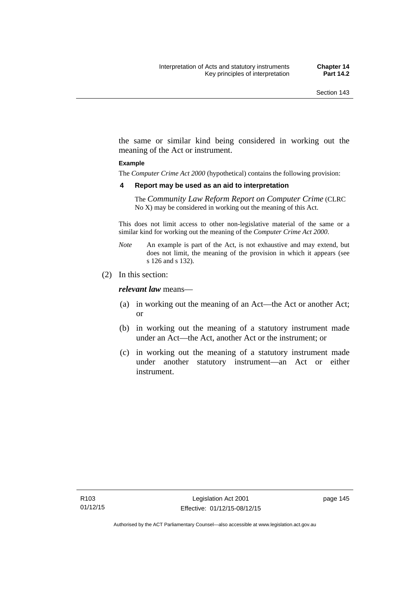the same or similar kind being considered in working out the meaning of the Act or instrument.

#### **Example**

The *Computer Crime Act 2000* (hypothetical) contains the following provision:

#### **4 Report may be used as an aid to interpretation**

The *Community Law Reform Report on Computer Crime* (CLRC No X) may be considered in working out the meaning of this Act.

This does not limit access to other non-legislative material of the same or a similar kind for working out the meaning of the *Computer Crime Act 2000*.

- *Note* An example is part of the Act, is not exhaustive and may extend, but does not limit, the meaning of the provision in which it appears (see s 126 and s 132).
- (2) In this section:

*relevant law* means—

- (a) in working out the meaning of an Act—the Act or another Act; or
- (b) in working out the meaning of a statutory instrument made under an Act—the Act, another Act or the instrument; or
- (c) in working out the meaning of a statutory instrument made under another statutory instrument—an Act or either instrument.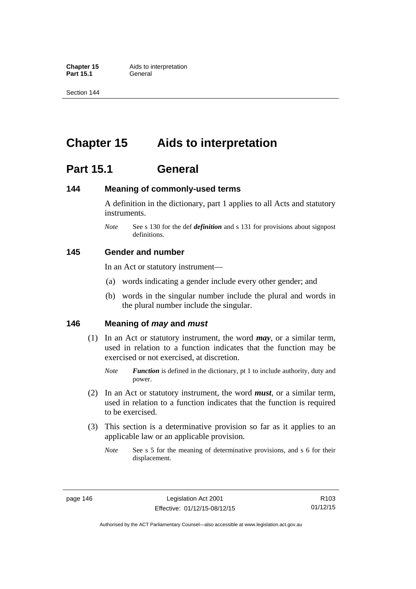**Part 15.1** 

Section 144

# **Chapter 15 Aids to interpretation**

# **Part 15.1 General**

### **144 Meaning of commonly-used terms**

A definition in the dictionary, part 1 applies to all Acts and statutory instruments.

*Note* See s 130 for the def *definition* and s 131 for provisions about signpost definitions.

### **145 Gender and number**

In an Act or statutory instrument—

- (a) words indicating a gender include every other gender; and
- (b) words in the singular number include the plural and words in the plural number include the singular.

### **146 Meaning of** *may* **and** *must*

- (1) In an Act or statutory instrument, the word *may*, or a similar term, used in relation to a function indicates that the function may be exercised or not exercised, at discretion.
	- *Note Function* is defined in the dictionary, pt 1 to include authority, duty and power.
- (2) In an Act or statutory instrument, the word *must*, or a similar term, used in relation to a function indicates that the function is required to be exercised.
- (3) This section is a determinative provision so far as it applies to an applicable law or an applicable provision.
	- *Note* See s 5 for the meaning of determinative provisions, and s 6 for their displacement.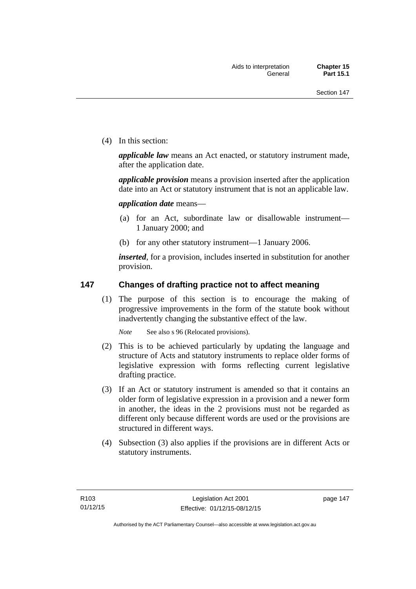(4) In this section:

*applicable law* means an Act enacted, or statutory instrument made, after the application date.

*applicable provision* means a provision inserted after the application date into an Act or statutory instrument that is not an applicable law.

*application date* means—

- (a) for an Act, subordinate law or disallowable instrument— 1 January 2000; and
- (b) for any other statutory instrument—1 January 2006.

*inserted*, for a provision, includes inserted in substitution for another provision.

### **147 Changes of drafting practice not to affect meaning**

(1) The purpose of this section is to encourage the making of progressive improvements in the form of the statute book without inadvertently changing the substantive effect of the law.

*Note* See also s 96 (Relocated provisions).

- (2) This is to be achieved particularly by updating the language and structure of Acts and statutory instruments to replace older forms of legislative expression with forms reflecting current legislative drafting practice.
- (3) If an Act or statutory instrument is amended so that it contains an older form of legislative expression in a provision and a newer form in another, the ideas in the 2 provisions must not be regarded as different only because different words are used or the provisions are structured in different ways.
- (4) Subsection (3) also applies if the provisions are in different Acts or statutory instruments.

page 147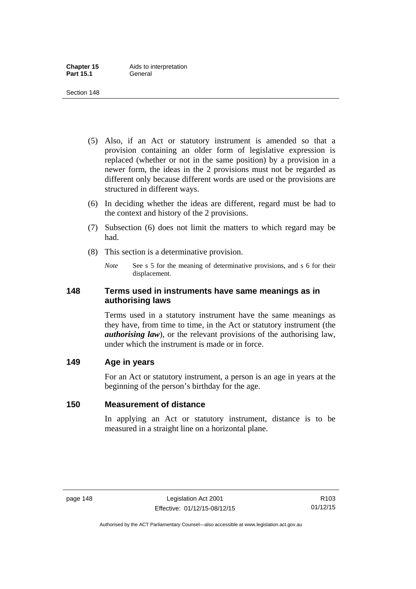- (5) Also, if an Act or statutory instrument is amended so that a provision containing an older form of legislative expression is replaced (whether or not in the same position) by a provision in a newer form, the ideas in the 2 provisions must not be regarded as different only because different words are used or the provisions are structured in different ways.
- (6) In deciding whether the ideas are different, regard must be had to the context and history of the 2 provisions.
- (7) Subsection (6) does not limit the matters to which regard may be had.
- (8) This section is a determinative provision.
	- *Note* See s 5 for the meaning of determinative provisions, and s 6 for their displacement.

### **148 Terms used in instruments have same meanings as in authorising laws**

Terms used in a statutory instrument have the same meanings as they have, from time to time, in the Act or statutory instrument (the *authorising law*), or the relevant provisions of the authorising law, under which the instrument is made or in force.

### **149 Age in years**

For an Act or statutory instrument, a person is an age in years at the beginning of the person's birthday for the age.

## **150 Measurement of distance**

In applying an Act or statutory instrument, distance is to be measured in a straight line on a horizontal plane.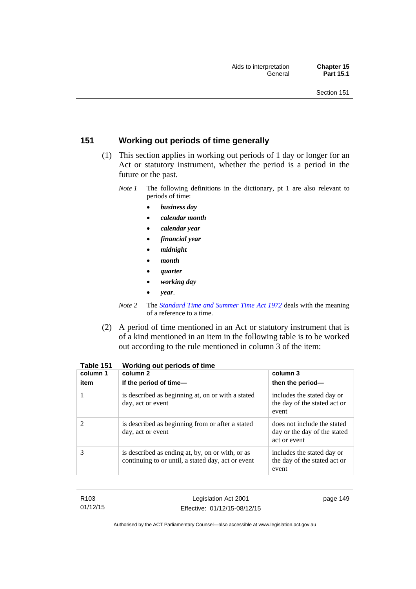## **151 Working out periods of time generally**

- (1) This section applies in working out periods of 1 day or longer for an Act or statutory instrument, whether the period is a period in the future or the past.
	- *Note 1* The following definitions in the dictionary, pt 1 are also relevant to periods of time:
		- *business day*
		- *calendar month*
		- *calendar year*
		- *financial year*
		- *midnight*
		- *month*
		- *quarter*
		- *working day*
		- *year*.
	- *Note 2* The *[Standard Time and Summer Time Act 1972](http://www.legislation.act.gov.au/a/1972-34)* deals with the meaning of a reference to a time.
- (2) A period of time mentioned in an Act or statutory instrument that is of a kind mentioned in an item in the following table is to be worked out according to the rule mentioned in column 3 of the item:

| column 1<br>item | column 2<br>If the period of time-                                                                     | column 3<br>then the period-                                                |
|------------------|--------------------------------------------------------------------------------------------------------|-----------------------------------------------------------------------------|
|                  | is described as beginning at, on or with a stated<br>day, act or event                                 | includes the stated day or<br>the day of the stated act or<br>event         |
|                  | is described as beginning from or after a stated<br>day, act or event                                  | does not include the stated<br>day or the day of the stated<br>act or event |
| 3                | is described as ending at, by, on or with, or as<br>continuing to or until, a stated day, act or event | includes the stated day or<br>the day of the stated act or<br>event         |

| Table 151 |  | Working out periods of time |
|-----------|--|-----------------------------|
|-----------|--|-----------------------------|

| R103     |
|----------|
| 01/12/15 |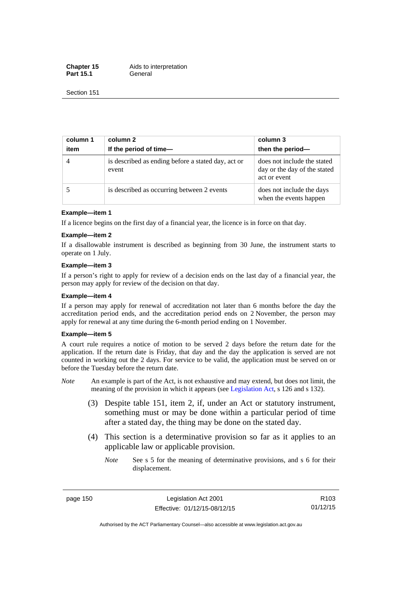**Chapter 15** Aids to interpretation Part 15.1 **General** 

Section 151

| column 1<br>item | column 2<br>If the period of time-                          | column 3<br>then the period-                                                |
|------------------|-------------------------------------------------------------|-----------------------------------------------------------------------------|
| $\overline{4}$   | is described as ending before a stated day, act or<br>event | does not include the stated<br>day or the day of the stated<br>act or event |
|                  | is described as occurring between 2 events                  | does not include the days<br>when the events happen                         |

#### **Example—item 1**

If a licence begins on the first day of a financial year, the licence is in force on that day.

#### **Example—item 2**

If a disallowable instrument is described as beginning from 30 June, the instrument starts to operate on 1 July.

#### **Example—item 3**

If a person's right to apply for review of a decision ends on the last day of a financial year, the person may apply for review of the decision on that day.

#### **Example—item 4**

If a person may apply for renewal of accreditation not later than 6 months before the day the accreditation period ends, and the accreditation period ends on 2 November, the person may apply for renewal at any time during the 6-month period ending on 1 November.

#### **Example—item 5**

A court rule requires a notice of motion to be served 2 days before the return date for the application. If the return date is Friday, that day and the day the application is served are not counted in working out the 2 days. For service to be valid, the application must be served on or before the Tuesday before the return date.

- *Note* An example is part of the Act, is not exhaustive and may extend, but does not limit, the meaning of the provision in which it appears (see [Legislation Act](http://www.legislation.act.gov.au/a/2001-14), s 126 and s 132).
	- (3) Despite table 151, item 2, if, under an Act or statutory instrument, something must or may be done within a particular period of time after a stated day, the thing may be done on the stated day.
	- (4) This section is a determinative provision so far as it applies to an applicable law or applicable provision.
		- *Note* See s 5 for the meaning of determinative provisions, and s 6 for their displacement.

page 150 Legislation Act 2001 Effective: 01/12/15-08/12/15

R103 01/12/15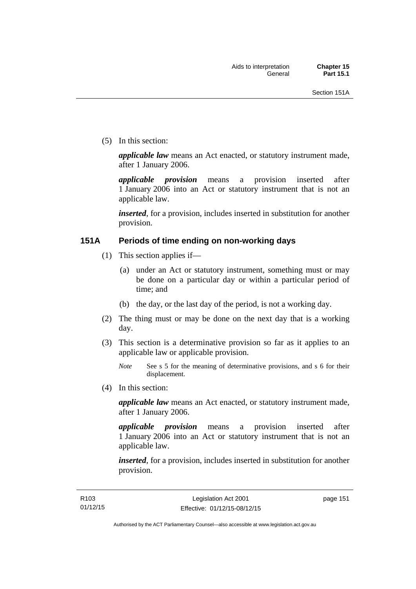(5) In this section:

*applicable law* means an Act enacted, or statutory instrument made, after 1 January 2006.

*applicable provision* means a provision inserted after 1 January 2006 into an Act or statutory instrument that is not an applicable law.

*inserted*, for a provision, includes inserted in substitution for another provision.

### **151A Periods of time ending on non-working days**

- (1) This section applies if—
	- (a) under an Act or statutory instrument, something must or may be done on a particular day or within a particular period of time; and
	- (b) the day, or the last day of the period, is not a working day.
- (2) The thing must or may be done on the next day that is a working day.
- (3) This section is a determinative provision so far as it applies to an applicable law or applicable provision.

(4) In this section:

*applicable law* means an Act enacted, or statutory instrument made, after 1 January 2006.

*applicable provision* means a provision inserted after 1 January 2006 into an Act or statutory instrument that is not an applicable law.

*inserted*, for a provision, includes inserted in substitution for another provision.

page 151

*Note* See s 5 for the meaning of determinative provisions, and s 6 for their displacement.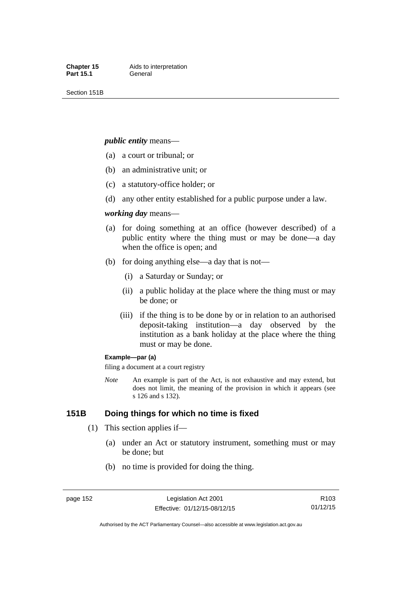Section 151B

#### *public entity* means—

- (a) a court or tribunal; or
- (b) an administrative unit; or
- (c) a statutory-office holder; or
- (d) any other entity established for a public purpose under a law.

#### *working day* means—

- (a) for doing something at an office (however described) of a public entity where the thing must or may be done—a day when the office is open; and
- (b) for doing anything else—a day that is not—
	- (i) a Saturday or Sunday; or
	- (ii) a public holiday at the place where the thing must or may be done; or
	- (iii) if the thing is to be done by or in relation to an authorised deposit-taking institution—a day observed by the institution as a bank holiday at the place where the thing must or may be done.

#### **Example—par (a)**

filing a document at a court registry

*Note* An example is part of the Act, is not exhaustive and may extend, but does not limit, the meaning of the provision in which it appears (see s 126 and s 132).

### **151B Doing things for which no time is fixed**

- (1) This section applies if—
	- (a) under an Act or statutory instrument, something must or may be done; but
	- (b) no time is provided for doing the thing.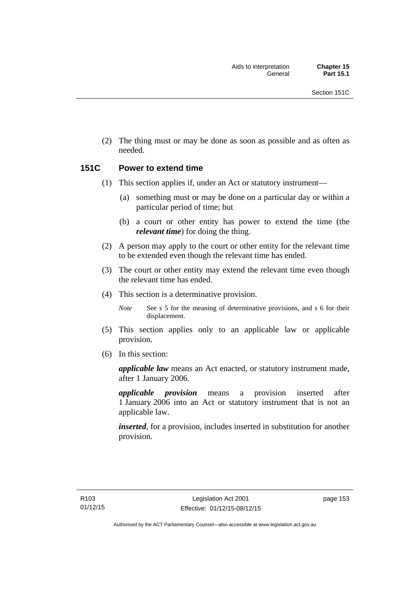(2) The thing must or may be done as soon as possible and as often as needed.

### **151C Power to extend time**

- (1) This section applies if, under an Act or statutory instrument—
	- (a) something must or may be done on a particular day or within a particular period of time; but
	- (b) a court or other entity has power to extend the time (the *relevant time*) for doing the thing.
- (2) A person may apply to the court or other entity for the relevant time to be extended even though the relevant time has ended.
- (3) The court or other entity may extend the relevant time even though the relevant time has ended.
- (4) This section is a determinative provision.

*Note* See s 5 for the meaning of determinative provisions, and s 6 for their displacement.

- (5) This section applies only to an applicable law or applicable provision.
- (6) In this section:

*applicable law* means an Act enacted, or statutory instrument made, after 1 January 2006.

*applicable provision* means a provision inserted after 1 January 2006 into an Act or statutory instrument that is not an applicable law.

*inserted*, for a provision, includes inserted in substitution for another provision.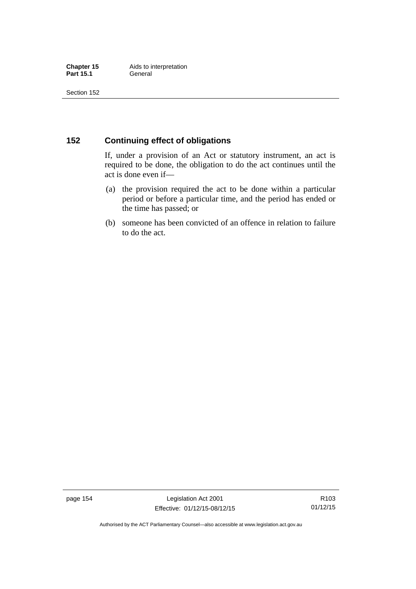### **152 Continuing effect of obligations**

If, under a provision of an Act or statutory instrument, an act is required to be done, the obligation to do the act continues until the act is done even if—

- (a) the provision required the act to be done within a particular period or before a particular time, and the period has ended or the time has passed; or
- (b) someone has been convicted of an offence in relation to failure to do the act.

page 154 Legislation Act 2001 Effective: 01/12/15-08/12/15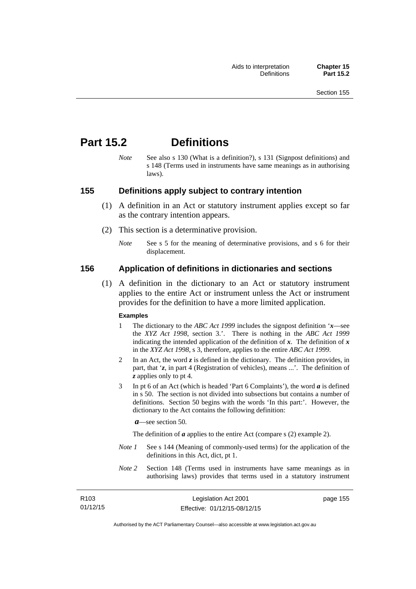# **Part 15.2 Definitions**

*Note* See also s 130 (What is a definition?), s 131 (Signpost definitions) and s 148 (Terms used in instruments have same meanings as in authorising laws).

### **155 Definitions apply subject to contrary intention**

- (1) A definition in an Act or statutory instrument applies except so far as the contrary intention appears.
- (2) This section is a determinative provision.
	- *Note* See s 5 for the meaning of determinative provisions, and s 6 for their displacement.

### **156 Application of definitions in dictionaries and sections**

 (1) A definition in the dictionary to an Act or statutory instrument applies to the entire Act or instrument unless the Act or instrument provides for the definition to have a more limited application.

#### **Examples**

- 1 The dictionary to the *ABC Act 1999* includes the signpost definition '*x*—see the *XYZ Act 1998*, section 3.'. There is nothing in the *ABC Act 1999* indicating the intended application of the definition of  $x$ . The definition of  $x$ in the *XYZ Act 1998*, s 3, therefore, applies to the entire *ABC Act 1999*.
- 2 In an Act, the word *z* is defined in the dictionary. The definition provides, in part, that '*z*, in part 4 (Registration of vehicles), means ...'. The definition of *z* applies only to pt 4.
- 3 In pt 6 of an Act (which is headed 'Part 6 Complaints'), the word *a* is defined in s 50. The section is not divided into subsections but contains a number of definitions. Section 50 begins with the words 'In this part:'. However, the dictionary to the Act contains the following definition:

*a*—see section 50.

The definition of *a* applies to the entire Act (compare s (2) example 2).

- *Note 1* See s 144 (Meaning of commonly-used terms) for the application of the definitions in this Act, dict, pt 1.
- *Note 2* Section 148 (Terms used in instruments have same meanings as in authorising laws) provides that terms used in a statutory instrument

| R <sub>103</sub> | Legislation Act 2001         | page 155 |
|------------------|------------------------------|----------|
| 01/12/15         | Effective: 01/12/15-08/12/15 |          |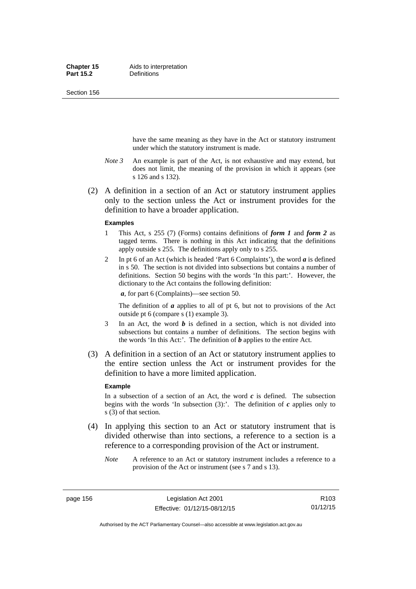Section 156

have the same meaning as they have in the Act or statutory instrument under which the statutory instrument is made.

- *Note 3* An example is part of the Act, is not exhaustive and may extend, but does not limit, the meaning of the provision in which it appears (see s 126 and s 132).
- (2) A definition in a section of an Act or statutory instrument applies only to the section unless the Act or instrument provides for the definition to have a broader application.

#### **Examples**

- 1 This Act, s 255 (7) (Forms) contains definitions of *form 1* and *form 2* as tagged terms. There is nothing in this Act indicating that the definitions apply outside s 255. The definitions apply only to s 255.
- 2 In pt 6 of an Act (which is headed 'Part 6 Complaints'), the word *a* is defined in s 50. The section is not divided into subsections but contains a number of definitions. Section 50 begins with the words 'In this part:'. However, the dictionary to the Act contains the following definition:

*a*, for part 6 (Complaints)—see section 50.

The definition of *a* applies to all of pt 6, but not to provisions of the Act outside pt 6 (compare s (1) example 3).

- 3 In an Act, the word *b* is defined in a section, which is not divided into subsections but contains a number of definitions. The section begins with the words 'In this Act:'. The definition of *b* applies to the entire Act.
- (3) A definition in a section of an Act or statutory instrument applies to the entire section unless the Act or instrument provides for the definition to have a more limited application.

#### **Example**

In a subsection of a section of an Act, the word  $c$  is defined. The subsection begins with the words 'In subsection  $(3)$ :'. The definition of  $c$  applies only to s (3) of that section.

- (4) In applying this section to an Act or statutory instrument that is divided otherwise than into sections, a reference to a section is a reference to a corresponding provision of the Act or instrument.
	- *Note* A reference to an Act or statutory instrument includes a reference to a provision of the Act or instrument (see s 7 and s 13).

page 156 Legislation Act 2001 Effective: 01/12/15-08/12/15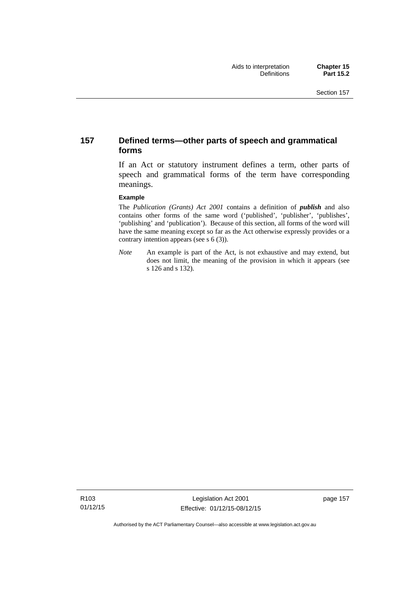### **157 Defined terms—other parts of speech and grammatical forms**

If an Act or statutory instrument defines a term, other parts of speech and grammatical forms of the term have corresponding meanings.

#### **Example**

The *Publication (Grants) Act 2001* contains a definition of *publish* and also contains other forms of the same word ('published', 'publisher', 'publishes', 'publishing' and 'publication'). Because of this section, all forms of the word will have the same meaning except so far as the Act otherwise expressly provides or a contrary intention appears (see s 6 (3)).

*Note* An example is part of the Act, is not exhaustive and may extend, but does not limit, the meaning of the provision in which it appears (see s 126 and s 132).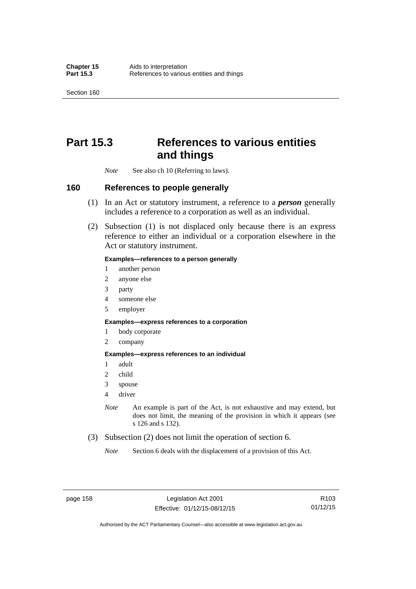Section 160

# **Part 15.3 References to various entities and things**

*Note* See also ch 10 (Referring to laws).

### **160 References to people generally**

- (1) In an Act or statutory instrument, a reference to a *person* generally includes a reference to a corporation as well as an individual.
- (2) Subsection (1) is not displaced only because there is an express reference to either an individual or a corporation elsewhere in the Act or statutory instrument.

#### **Examples—references to a person generally**

- 1 another person
- 2 anyone else
- 3 party
- 4 someone else
- 5 employer

#### **Examples—express references to a corporation**

- 1 body corporate
- 2 company

#### **Examples—express references to an individual**

- 1 adult
- 2 child
- 3 spouse
- 4 driver
- *Note* An example is part of the Act, is not exhaustive and may extend, but does not limit, the meaning of the provision in which it appears (see s 126 and s 132).
- (3) Subsection (2) does not limit the operation of section 6.
	- *Note* Section 6 deals with the displacement of a provision of this Act.

R103 01/12/15

Authorised by the ACT Parliamentary Counsel—also accessible at www.legislation.act.gov.au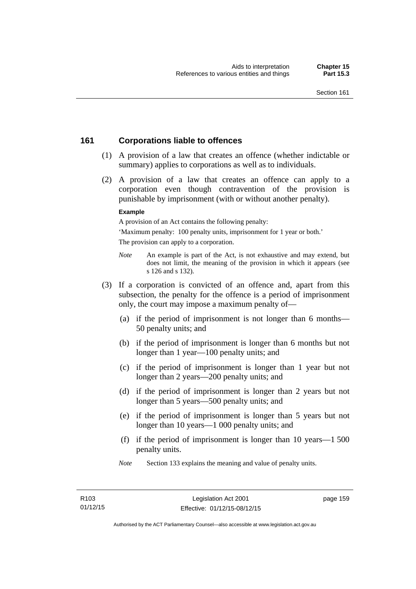### **161 Corporations liable to offences**

- (1) A provision of a law that creates an offence (whether indictable or summary) applies to corporations as well as to individuals.
- (2) A provision of a law that creates an offence can apply to a corporation even though contravention of the provision is punishable by imprisonment (with or without another penalty).

#### **Example**

A provision of an Act contains the following penalty:

'Maximum penalty: 100 penalty units, imprisonment for 1 year or both.' The provision can apply to a corporation.

- *Note* An example is part of the Act, is not exhaustive and may extend, but does not limit, the meaning of the provision in which it appears (see s 126 and s 132).
- (3) If a corporation is convicted of an offence and, apart from this subsection, the penalty for the offence is a period of imprisonment only, the court may impose a maximum penalty of—
	- (a) if the period of imprisonment is not longer than 6 months— 50 penalty units; and
	- (b) if the period of imprisonment is longer than 6 months but not longer than 1 year—100 penalty units; and
	- (c) if the period of imprisonment is longer than 1 year but not longer than 2 years—200 penalty units; and
	- (d) if the period of imprisonment is longer than 2 years but not longer than 5 years—500 penalty units; and
	- (e) if the period of imprisonment is longer than 5 years but not longer than 10 years—1 000 penalty units; and
	- (f) if the period of imprisonment is longer than 10 years—1 500 penalty units.
	- *Note* Section 133 explains the meaning and value of penalty units.

page 159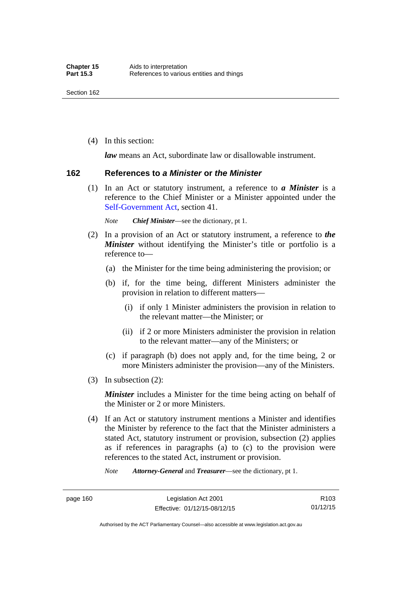(4) In this section:

*law* means an Act, subordinate law or disallowable instrument.

### **162 References to** *a Minister* **or** *the Minister*

 (1) In an Act or statutory instrument, a reference to *a Minister* is a reference to the Chief Minister or a Minister appointed under the [Self-Government Act,](http://www.comlaw.gov.au/Series/C2004A03699) section 41.

*Note Chief Minister*—see the dictionary, pt 1.

- (2) In a provision of an Act or statutory instrument, a reference to *the Minister* without identifying the Minister's title or portfolio is a reference to—
	- (a) the Minister for the time being administering the provision; or
	- (b) if, for the time being, different Ministers administer the provision in relation to different matters—
		- (i) if only 1 Minister administers the provision in relation to the relevant matter—the Minister; or
		- (ii) if 2 or more Ministers administer the provision in relation to the relevant matter—any of the Ministers; or
	- (c) if paragraph (b) does not apply and, for the time being, 2 or more Ministers administer the provision—any of the Ministers.
- (3) In subsection (2):

*Minister* includes a Minister for the time being acting on behalf of the Minister or 2 or more Ministers.

 (4) If an Act or statutory instrument mentions a Minister and identifies the Minister by reference to the fact that the Minister administers a stated Act, statutory instrument or provision, subsection (2) applies as if references in paragraphs (a) to (c) to the provision were references to the stated Act, instrument or provision.

*Note Attorney-General* and *Treasurer*—see the dictionary, pt 1.

page 160 Legislation Act 2001 Effective: 01/12/15-08/12/15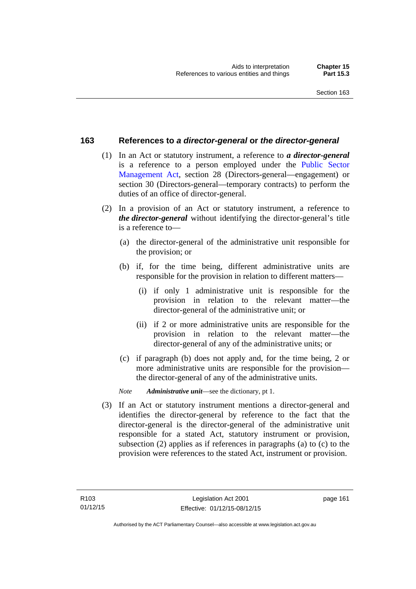### **163 References to** *a director-general* **or** *the director-general*

- (1) In an Act or statutory instrument, a reference to *a director-general* is a reference to a person employed under the [Public Sector](http://www.legislation.act.gov.au/a/1994-37)  [Management Act,](http://www.legislation.act.gov.au/a/1994-37) section 28 (Directors-general—engagement) or section 30 (Directors-general—temporary contracts) to perform the duties of an office of director-general.
- (2) In a provision of an Act or statutory instrument, a reference to *the director-general* without identifying the director-general's title is a reference to—
	- (a) the director-general of the administrative unit responsible for the provision; or
	- (b) if, for the time being, different administrative units are responsible for the provision in relation to different matters—
		- (i) if only 1 administrative unit is responsible for the provision in relation to the relevant matter—the director-general of the administrative unit; or
		- (ii) if 2 or more administrative units are responsible for the provision in relation to the relevant matter—the director-general of any of the administrative units; or
	- (c) if paragraph (b) does not apply and, for the time being, 2 or more administrative units are responsible for the provision the director-general of any of the administrative units.
	- *Note Administrative unit*—see the dictionary, pt 1.
- (3) If an Act or statutory instrument mentions a director-general and identifies the director-general by reference to the fact that the director-general is the director-general of the administrative unit responsible for a stated Act, statutory instrument or provision, subsection (2) applies as if references in paragraphs (a) to (c) to the provision were references to the stated Act, instrument or provision.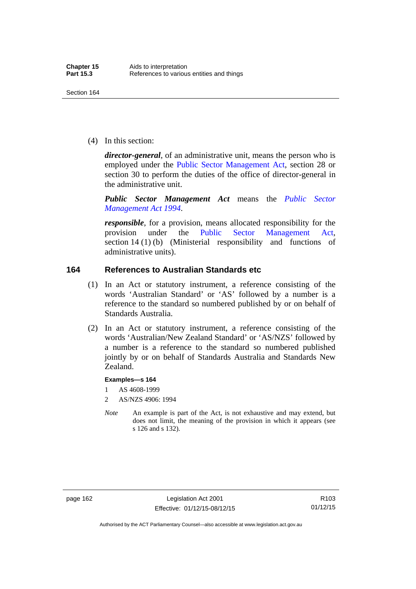(4) In this section:

*director-general*, of an administrative unit, means the person who is employed under the [Public Sector Management Act,](http://www.legislation.act.gov.au/a/1994-37) section 28 or section 30 to perform the duties of the office of director-general in the administrative unit.

*Public Sector Management Act* means the *[Public Sector](http://www.legislation.act.gov.au/a/1994-37)  [Management Act 1994](http://www.legislation.act.gov.au/a/1994-37)*.

*responsible*, for a provision, means allocated responsibility for the provision under the [Public Sector Management Act](http://www.legislation.act.gov.au/a/1994-37), section 14 (1) (b) (Ministerial responsibility and functions of administrative units).

### **164 References to Australian Standards etc**

- (1) In an Act or statutory instrument, a reference consisting of the words 'Australian Standard' or 'AS' followed by a number is a reference to the standard so numbered published by or on behalf of Standards Australia.
- (2) In an Act or statutory instrument, a reference consisting of the words 'Australian/New Zealand Standard' or 'AS/NZS' followed by a number is a reference to the standard so numbered published jointly by or on behalf of Standards Australia and Standards New Zealand.

#### **Examples—s 164**

- 1 AS 4608-1999
- 2 AS/NZS 4906: 1994
- *Note* An example is part of the Act, is not exhaustive and may extend, but does not limit, the meaning of the provision in which it appears (see s 126 and s 132).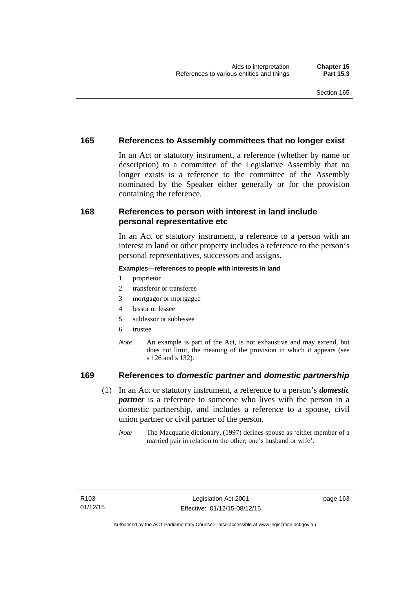### **165 References to Assembly committees that no longer exist**

In an Act or statutory instrument, a reference (whether by name or description) to a committee of the Legislative Assembly that no longer exists is a reference to the committee of the Assembly nominated by the Speaker either generally or for the provision containing the reference.

### **168 References to person with interest in land include personal representative etc**

In an Act or statutory instrument, a reference to a person with an interest in land or other property includes a reference to the person's personal representatives, successors and assigns.

#### **Examples—references to people with interests in land**

- 1 proprietor
- 2 transferor or transferee
- 3 mortgagor or mortgagee
- 4 lessor or lessee
- 5 sublessor or sublessee
- 6 trustee
- *Note* An example is part of the Act, is not exhaustive and may extend, but does not limit, the meaning of the provision in which it appears (see s 126 and s 132).

### **169 References to** *domestic partner* **and** *domestic partnership*

- (1) In an Act or statutory instrument, a reference to a person's *domestic partner* is a reference to someone who lives with the person in a domestic partnership, and includes a reference to a spouse, civil union partner or civil partner of the person.
	- *Note* The Macquarie dictionary, (1997) defines spouse as 'either member of a married pair in relation to the other; one's husband or wife'.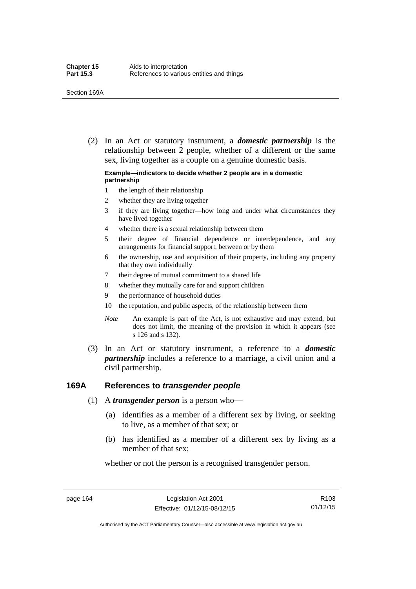(2) In an Act or statutory instrument, a *domestic partnership* is the relationship between 2 people, whether of a different or the same sex, living together as a couple on a genuine domestic basis.

#### **Example—indicators to decide whether 2 people are in a domestic partnership**

- 1 the length of their relationship
- 2 whether they are living together
- 3 if they are living together—how long and under what circumstances they have lived together
- 4 whether there is a sexual relationship between them
- 5 their degree of financial dependence or interdependence, and any arrangements for financial support, between or by them
- 6 the ownership, use and acquisition of their property, including any property that they own individually
- 7 their degree of mutual commitment to a shared life
- 8 whether they mutually care for and support children
- 9 the performance of household duties
- 10 the reputation, and public aspects, of the relationship between them
- *Note* An example is part of the Act, is not exhaustive and may extend, but does not limit, the meaning of the provision in which it appears (see s 126 and s 132).
- (3) In an Act or statutory instrument, a reference to a *domestic partnership* includes a reference to a marriage, a civil union and a civil partnership.

#### **169A References to** *transgender people*

- (1) A *transgender person* is a person who—
	- (a) identifies as a member of a different sex by living, or seeking to live, as a member of that sex; or
	- (b) has identified as a member of a different sex by living as a member of that sex;

whether or not the person is a recognised transgender person.

page 164 Legislation Act 2001 Effective: 01/12/15-08/12/15

R103 01/12/15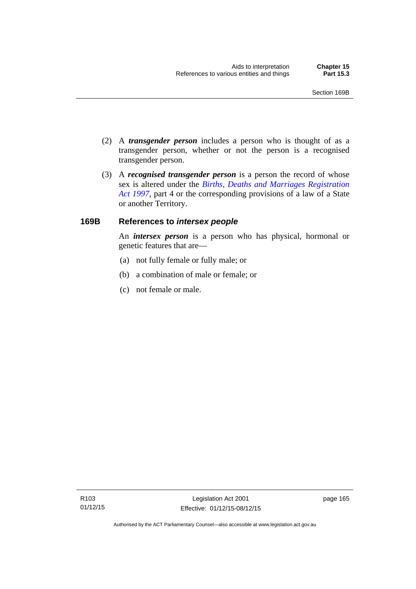- (2) A *transgender person* includes a person who is thought of as a transgender person, whether or not the person is a recognised transgender person.
- (3) A *recognised transgender person* is a person the record of whose sex is altered under the *[Births, Deaths and Marriages Registration](http://www.legislation.act.gov.au/a/1997-112)  [Act 1997](http://www.legislation.act.gov.au/a/1997-112)*, part 4 or the corresponding provisions of a law of a State or another Territory.

## **169B References to** *intersex people*

An *intersex person* is a person who has physical, hormonal or genetic features that are—

- (a) not fully female or fully male; or
- (b) a combination of male or female; or
- (c) not female or male.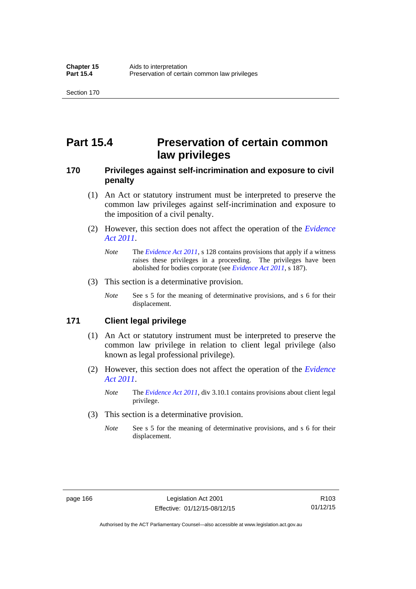# **Part 15.4 Preservation of certain common law privileges**

## **170 Privileges against self-incrimination and exposure to civil penalty**

- (1) An Act or statutory instrument must be interpreted to preserve the common law privileges against self-incrimination and exposure to the imposition of a civil penalty.
- (2) However, this section does not affect the operation of the *[Evidence](http://www.legislation.act.gov.au/a/2011-12)  [Act 2011](http://www.legislation.act.gov.au/a/2011-12)*.
	- *Note* The *[Evidence Act 2011](http://www.legislation.act.gov.au/a/2011-12)*, s 128 contains provisions that apply if a witness raises these privileges in a proceeding. The privileges have been abolished for bodies corporate (see *[Evidence Act 2011](http://www.legislation.act.gov.au/a/2011-12)*, s 187).
- (3) This section is a determinative provision.
	- *Note* See s 5 for the meaning of determinative provisions, and s 6 for their displacement.

### **171 Client legal privilege**

- (1) An Act or statutory instrument must be interpreted to preserve the common law privilege in relation to client legal privilege (also known as legal professional privilege).
- (2) However, this section does not affect the operation of the *[Evidence](http://www.legislation.act.gov.au/a/2011-12)  [Act 2011](http://www.legislation.act.gov.au/a/2011-12)*.
	- *Note* The *[Evidence Act 2011](http://www.legislation.act.gov.au/a/2011-12)*, div 3.10.1 contains provisions about client legal privilege.
- (3) This section is a determinative provision.
	- *Note* See s 5 for the meaning of determinative provisions, and s 6 for their displacement.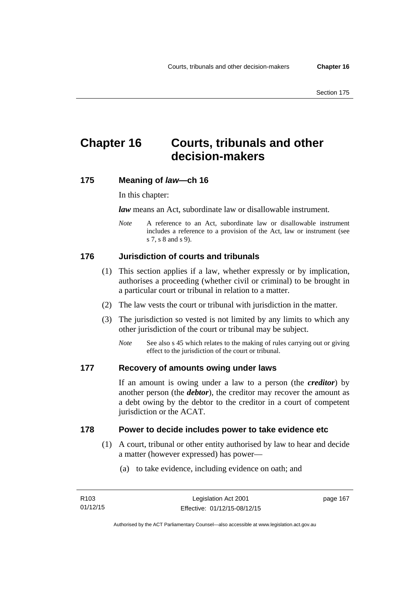# **Chapter 16 Courts, tribunals and other decision-makers**

## **175 Meaning of** *law***—ch 16**

In this chapter:

*law* means an Act, subordinate law or disallowable instrument.

*Note* A reference to an Act, subordinate law or disallowable instrument includes a reference to a provision of the Act, law or instrument (see s 7, s 8 and s 9).

# **176 Jurisdiction of courts and tribunals**

- (1) This section applies if a law, whether expressly or by implication, authorises a proceeding (whether civil or criminal) to be brought in a particular court or tribunal in relation to a matter.
- (2) The law vests the court or tribunal with jurisdiction in the matter.
- (3) The jurisdiction so vested is not limited by any limits to which any other jurisdiction of the court or tribunal may be subject.
	- *Note* See also s 45 which relates to the making of rules carrying out or giving effect to the jurisdiction of the court or tribunal.

#### **177 Recovery of amounts owing under laws**

If an amount is owing under a law to a person (the *creditor*) by another person (the *debtor*), the creditor may recover the amount as a debt owing by the debtor to the creditor in a court of competent jurisdiction or the ACAT.

#### **178 Power to decide includes power to take evidence etc**

- (1) A court, tribunal or other entity authorised by law to hear and decide a matter (however expressed) has power—
	- (a) to take evidence, including evidence on oath; and

page 167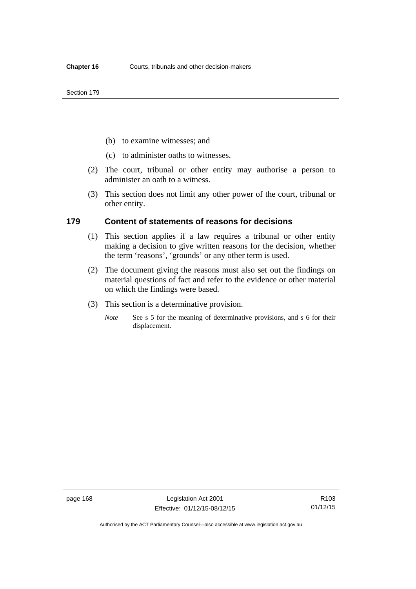- (b) to examine witnesses; and
- (c) to administer oaths to witnesses.
- (2) The court, tribunal or other entity may authorise a person to administer an oath to a witness.
- (3) This section does not limit any other power of the court, tribunal or other entity.

#### **179 Content of statements of reasons for decisions**

- (1) This section applies if a law requires a tribunal or other entity making a decision to give written reasons for the decision, whether the term 'reasons', 'grounds' or any other term is used.
- (2) The document giving the reasons must also set out the findings on material questions of fact and refer to the evidence or other material on which the findings were based.
- (3) This section is a determinative provision.
	- *Note* See s 5 for the meaning of determinative provisions, and s 6 for their displacement.

Authorised by the ACT Parliamentary Counsel—also accessible at www.legislation.act.gov.au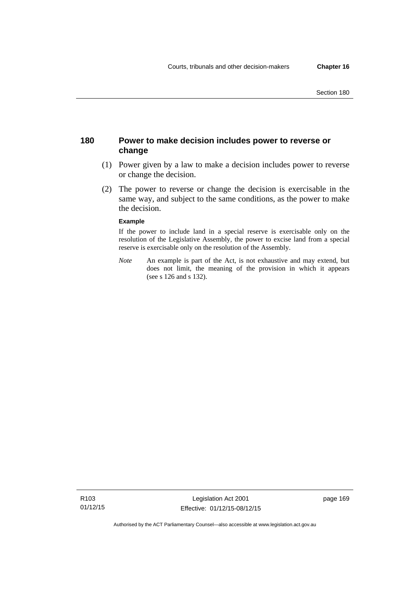## **180 Power to make decision includes power to reverse or change**

- (1) Power given by a law to make a decision includes power to reverse or change the decision.
- (2) The power to reverse or change the decision is exercisable in the same way, and subject to the same conditions, as the power to make the decision.

#### **Example**

If the power to include land in a special reserve is exercisable only on the resolution of the Legislative Assembly, the power to excise land from a special reserve is exercisable only on the resolution of the Assembly.

*Note* An example is part of the Act, is not exhaustive and may extend, but does not limit, the meaning of the provision in which it appears (see s 126 and s 132).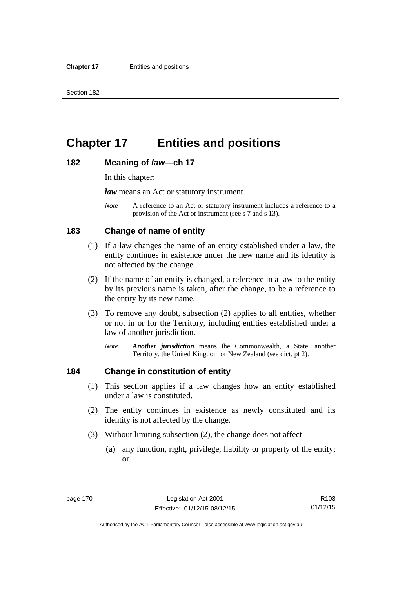# **Chapter 17 Entities and positions**

#### **182 Meaning of** *law***—ch 17**

In this chapter:

*law* means an Act or statutory instrument.

*Note* A reference to an Act or statutory instrument includes a reference to a provision of the Act or instrument (see s 7 and s 13).

## **183 Change of name of entity**

- (1) If a law changes the name of an entity established under a law, the entity continues in existence under the new name and its identity is not affected by the change.
- (2) If the name of an entity is changed, a reference in a law to the entity by its previous name is taken, after the change, to be a reference to the entity by its new name.
- (3) To remove any doubt, subsection (2) applies to all entities, whether or not in or for the Territory, including entities established under a law of another jurisdiction.
	- *Note Another jurisdiction* means the Commonwealth, a State, another Territory, the United Kingdom or New Zealand (see dict, pt 2).

### **184 Change in constitution of entity**

- (1) This section applies if a law changes how an entity established under a law is constituted.
- (2) The entity continues in existence as newly constituted and its identity is not affected by the change.
- (3) Without limiting subsection (2), the change does not affect—
	- (a) any function, right, privilege, liability or property of the entity; or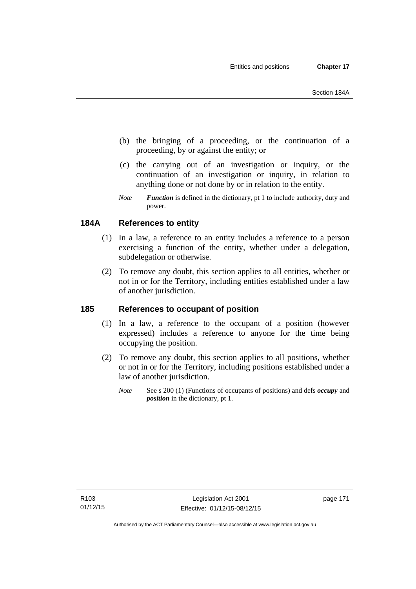- (b) the bringing of a proceeding, or the continuation of a proceeding, by or against the entity; or
- (c) the carrying out of an investigation or inquiry, or the continuation of an investigation or inquiry, in relation to anything done or not done by or in relation to the entity.
- *Note Function* is defined in the dictionary, pt 1 to include authority, duty and power.

# **184A References to entity**

- (1) In a law, a reference to an entity includes a reference to a person exercising a function of the entity, whether under a delegation, subdelegation or otherwise.
- (2) To remove any doubt, this section applies to all entities, whether or not in or for the Territory, including entities established under a law of another jurisdiction.

# **185 References to occupant of position**

- (1) In a law, a reference to the occupant of a position (however expressed) includes a reference to anyone for the time being occupying the position.
- (2) To remove any doubt, this section applies to all positions, whether or not in or for the Territory, including positions established under a law of another jurisdiction.
	- *Note* See s 200 (1) (Functions of occupants of positions) and defs *occupy* and *position* in the dictionary, pt 1.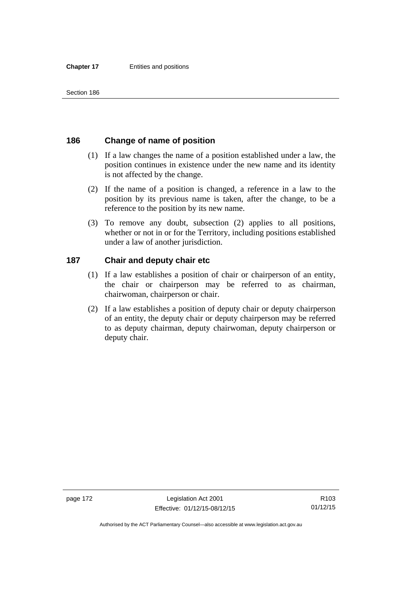## **186 Change of name of position**

- (1) If a law changes the name of a position established under a law, the position continues in existence under the new name and its identity is not affected by the change.
- (2) If the name of a position is changed, a reference in a law to the position by its previous name is taken, after the change, to be a reference to the position by its new name.
- (3) To remove any doubt, subsection (2) applies to all positions, whether or not in or for the Territory, including positions established under a law of another jurisdiction.

## **187 Chair and deputy chair etc**

- (1) If a law establishes a position of chair or chairperson of an entity, the chair or chairperson may be referred to as chairman, chairwoman, chairperson or chair.
- (2) If a law establishes a position of deputy chair or deputy chairperson of an entity, the deputy chair or deputy chairperson may be referred to as deputy chairman, deputy chairwoman, deputy chairperson or deputy chair.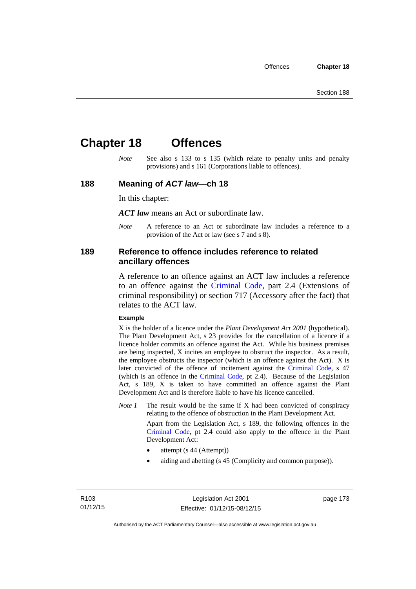# **Chapter 18 Offences**

*Note* See also s 133 to s 135 (which relate to penalty units and penalty provisions) and s 161 (Corporations liable to offences).

#### **188 Meaning of** *ACT law***—ch 18**

In this chapter:

*ACT law* means an Act or subordinate law.

*Note* A reference to an Act or subordinate law includes a reference to a provision of the Act or law (see s 7 and s 8).

### **189 Reference to offence includes reference to related ancillary offences**

A reference to an offence against an ACT law includes a reference to an offence against the [Criminal Code,](http://www.legislation.act.gov.au/a/2002-51) part 2.4 (Extensions of criminal responsibility) or section 717 (Accessory after the fact) that relates to the ACT law.

#### **Example**

X is the holder of a licence under the *Plant Development Act 2001* (hypothetical). The Plant Development Act, s 23 provides for the cancellation of a licence if a licence holder commits an offence against the Act. While his business premises are being inspected, X incites an employee to obstruct the inspector. As a result, the employee obstructs the inspector (which is an offence against the Act). X is later convicted of the offence of incitement against the [Criminal Code](http://www.legislation.act.gov.au/a/2002-51), s 47 (which is an offence in the [Criminal Code,](http://www.legislation.act.gov.au/a/2002-51) pt 2.4). Because of the Legislation Act, s 189, X is taken to have committed an offence against the Plant Development Act and is therefore liable to have his licence cancelled.

*Note 1* The result would be the same if X had been convicted of conspiracy relating to the offence of obstruction in the Plant Development Act.

> Apart from the Legislation Act, s 189, the following offences in the [Criminal Code,](http://www.legislation.act.gov.au/a/2002-51) pt 2.4 could also apply to the offence in the Plant Development Act:

- attempt (s 44 (Attempt))
- aiding and abetting (s 45 (Complicity and common purpose)).

R103 01/12/15 page 173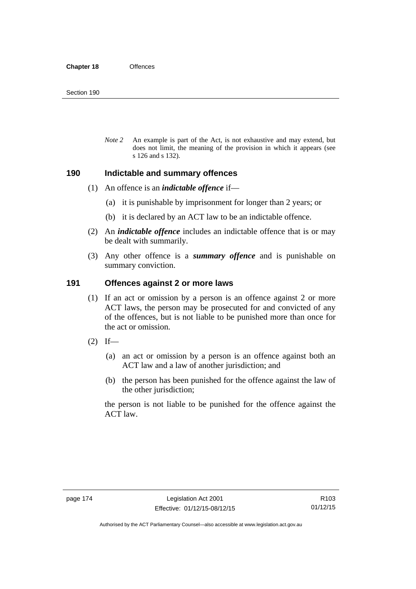*Note 2* An example is part of the Act, is not exhaustive and may extend, but does not limit, the meaning of the provision in which it appears (see s 126 and s 132).

#### **190 Indictable and summary offences**

- (1) An offence is an *indictable offence* if—
	- (a) it is punishable by imprisonment for longer than 2 years; or
	- (b) it is declared by an ACT law to be an indictable offence.
- (2) An *indictable offence* includes an indictable offence that is or may be dealt with summarily.
- (3) Any other offence is a *summary offence* and is punishable on summary conviction.

#### **191 Offences against 2 or more laws**

- (1) If an act or omission by a person is an offence against 2 or more ACT laws, the person may be prosecuted for and convicted of any of the offences, but is not liable to be punished more than once for the act or omission.
- $(2)$  If—
	- (a) an act or omission by a person is an offence against both an ACT law and a law of another jurisdiction; and
	- (b) the person has been punished for the offence against the law of the other jurisdiction;

the person is not liable to be punished for the offence against the ACT law.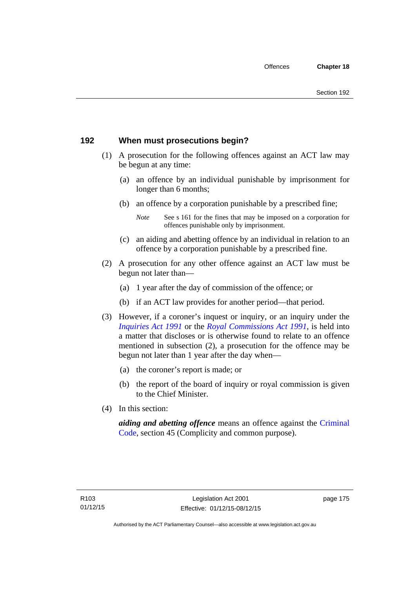# **192 When must prosecutions begin?**

- (1) A prosecution for the following offences against an ACT law may be begun at any time:
	- (a) an offence by an individual punishable by imprisonment for longer than 6 months;
	- (b) an offence by a corporation punishable by a prescribed fine;
		- *Note* See s 161 for the fines that may be imposed on a corporation for offences punishable only by imprisonment.
	- (c) an aiding and abetting offence by an individual in relation to an offence by a corporation punishable by a prescribed fine.
- (2) A prosecution for any other offence against an ACT law must be begun not later than—
	- (a) 1 year after the day of commission of the offence; or
	- (b) if an ACT law provides for another period—that period.
- (3) However, if a coroner's inquest or inquiry, or an inquiry under the *[Inquiries Act 1991](http://www.legislation.act.gov.au/a/1991-2)* or the *[Royal Commissions Act 1991](http://www.legislation.act.gov.au/a/1991-1)*, is held into a matter that discloses or is otherwise found to relate to an offence mentioned in subsection (2), a prosecution for the offence may be begun not later than 1 year after the day when—
	- (a) the coroner's report is made; or
	- (b) the report of the board of inquiry or royal commission is given to the Chief Minister.
- (4) In this section:

*aiding and abetting offence* means an offence against the [Criminal](http://www.legislation.act.gov.au/a/2002-51)  [Code](http://www.legislation.act.gov.au/a/2002-51), section 45 (Complicity and common purpose).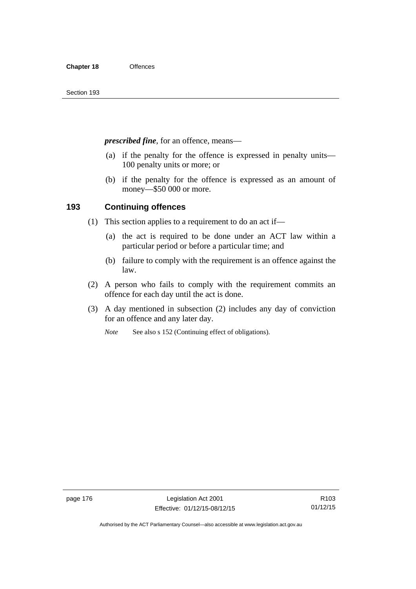*prescribed fine*, for an offence, means—

- (a) if the penalty for the offence is expressed in penalty units— 100 penalty units or more; or
- (b) if the penalty for the offence is expressed as an amount of money—\$50 000 or more.

## **193 Continuing offences**

- (1) This section applies to a requirement to do an act if—
	- (a) the act is required to be done under an ACT law within a particular period or before a particular time; and
	- (b) failure to comply with the requirement is an offence against the law.
- (2) A person who fails to comply with the requirement commits an offence for each day until the act is done.
- (3) A day mentioned in subsection (2) includes any day of conviction for an offence and any later day.

*Note* See also s 152 (Continuing effect of obligations).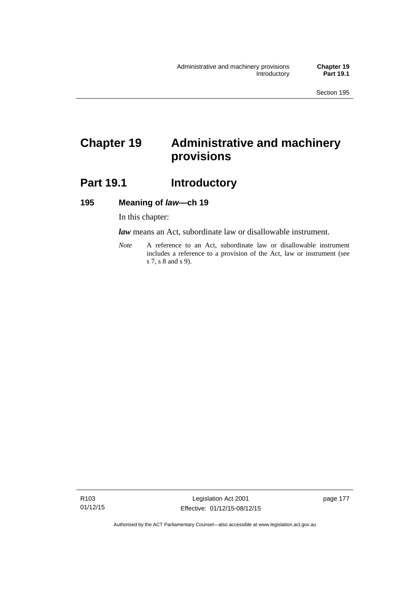# **Chapter 19 Administrative and machinery provisions**

# Part 19.1 **Introductory**

#### **195 Meaning of** *law***—ch 19**

In this chapter:

*law* means an Act, subordinate law or disallowable instrument.

*Note* A reference to an Act, subordinate law or disallowable instrument includes a reference to a provision of the Act, law or instrument (see s 7, s 8 and s 9).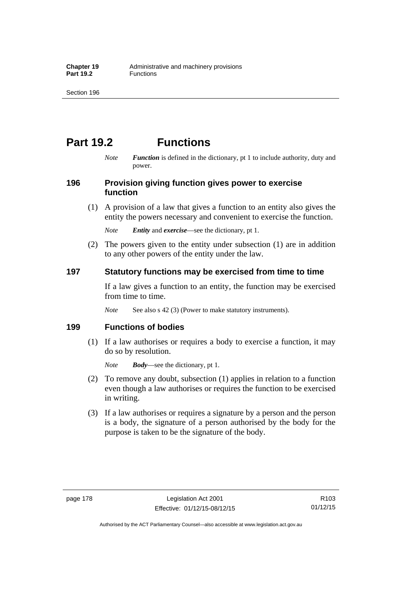# **Part 19.2 Functions**

*Note Function* is defined in the dictionary, pt 1 to include authority, duty and power.

## **196 Provision giving function gives power to exercise function**

 (1) A provision of a law that gives a function to an entity also gives the entity the powers necessary and convenient to exercise the function.

*Note Entity* and *exercise*—see the dictionary, pt 1.

 (2) The powers given to the entity under subsection (1) are in addition to any other powers of the entity under the law.

## **197 Statutory functions may be exercised from time to time**

If a law gives a function to an entity, the function may be exercised from time to time.

*Note* See also s 42 (3) (Power to make statutory instruments).

## **199 Functions of bodies**

 (1) If a law authorises or requires a body to exercise a function, it may do so by resolution.

*Note Body*—see the dictionary, pt 1.

- (2) To remove any doubt, subsection (1) applies in relation to a function even though a law authorises or requires the function to be exercised in writing.
- (3) If a law authorises or requires a signature by a person and the person is a body, the signature of a person authorised by the body for the purpose is taken to be the signature of the body.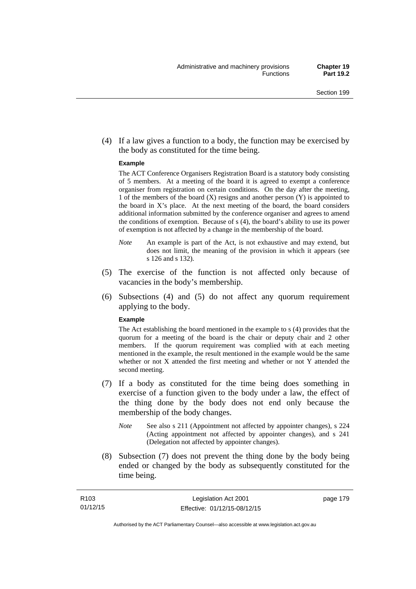(4) If a law gives a function to a body, the function may be exercised by the body as constituted for the time being.

#### **Example**

The ACT Conference Organisers Registration Board is a statutory body consisting of 5 members. At a meeting of the board it is agreed to exempt a conference organiser from registration on certain conditions. On the day after the meeting, 1 of the members of the board (X) resigns and another person (Y) is appointed to the board in  $X$ 's place. At the next meeting of the board, the board considers additional information submitted by the conference organiser and agrees to amend the conditions of exemption. Because of s (4), the board's ability to use its power of exemption is not affected by a change in the membership of the board.

- *Note* An example is part of the Act, is not exhaustive and may extend, but does not limit, the meaning of the provision in which it appears (see s 126 and s 132).
- (5) The exercise of the function is not affected only because of vacancies in the body's membership.
- (6) Subsections (4) and (5) do not affect any quorum requirement applying to the body.

#### **Example**

The Act establishing the board mentioned in the example to s (4) provides that the quorum for a meeting of the board is the chair or deputy chair and 2 other members. If the quorum requirement was complied with at each meeting mentioned in the example, the result mentioned in the example would be the same whether or not X attended the first meeting and whether or not Y attended the second meeting.

- (7) If a body as constituted for the time being does something in exercise of a function given to the body under a law, the effect of the thing done by the body does not end only because the membership of the body changes.
	- *Note* See also s 211 (Appointment not affected by appointer changes), s 224 (Acting appointment not affected by appointer changes), and s 241 (Delegation not affected by appointer changes).
- (8) Subsection (7) does not prevent the thing done by the body being ended or changed by the body as subsequently constituted for the time being.

page 179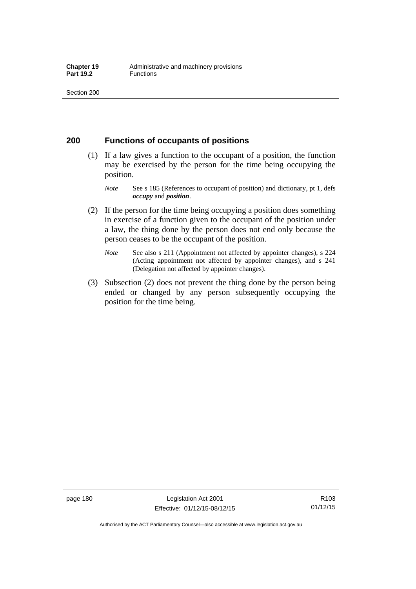### **200 Functions of occupants of positions**

- (1) If a law gives a function to the occupant of a position, the function may be exercised by the person for the time being occupying the position.
	- *Note* See s 185 (References to occupant of position) and dictionary, pt 1, defs *occupy* and *position*.
- (2) If the person for the time being occupying a position does something in exercise of a function given to the occupant of the position under a law, the thing done by the person does not end only because the person ceases to be the occupant of the position.
	- *Note* See also s 211 (Appointment not affected by appointer changes), s 224 (Acting appointment not affected by appointer changes), and s 241 (Delegation not affected by appointer changes).
- (3) Subsection (2) does not prevent the thing done by the person being ended or changed by any person subsequently occupying the position for the time being.

R103 01/12/15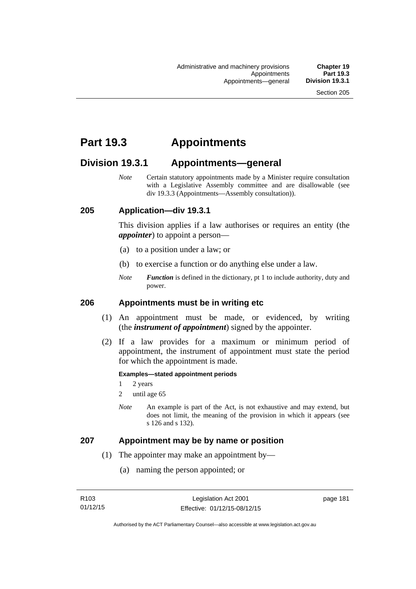# **Part 19.3 Appointments**

# **Division 19.3.1 Appointments—general**

*Note* Certain statutory appointments made by a Minister require consultation with a Legislative Assembly committee and are disallowable (see div 19.3.3 (Appointments—Assembly consultation)).

## **205 Application—div 19.3.1**

This division applies if a law authorises or requires an entity (the *appointer*) to appoint a person—

- (a) to a position under a law; or
- (b) to exercise a function or do anything else under a law.
- *Note Function* is defined in the dictionary, pt 1 to include authority, duty and power.

#### **206 Appointments must be in writing etc**

- (1) An appointment must be made, or evidenced, by writing (the *instrument of appointment*) signed by the appointer.
- (2) If a law provides for a maximum or minimum period of appointment, the instrument of appointment must state the period for which the appointment is made.

#### **Examples—stated appointment periods**

- 1 2 years
- 2 until age 65
- *Note* An example is part of the Act, is not exhaustive and may extend, but does not limit, the meaning of the provision in which it appears (see s 126 and s 132).

#### **207 Appointment may be by name or position**

- (1) The appointer may make an appointment by—
	- (a) naming the person appointed; or

page 181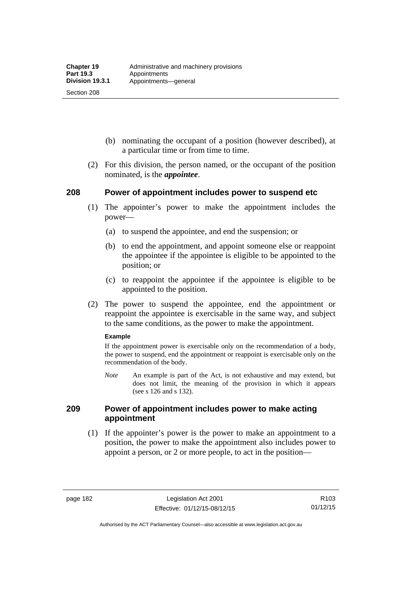Section 208

- (b) nominating the occupant of a position (however described), at a particular time or from time to time.
- (2) For this division, the person named, or the occupant of the position nominated, is the *appointee*.

## **208 Power of appointment includes power to suspend etc**

- (1) The appointer's power to make the appointment includes the power—
	- (a) to suspend the appointee, and end the suspension; or
	- (b) to end the appointment, and appoint someone else or reappoint the appointee if the appointee is eligible to be appointed to the position; or
	- (c) to reappoint the appointee if the appointee is eligible to be appointed to the position.
- (2) The power to suspend the appointee, end the appointment or reappoint the appointee is exercisable in the same way, and subject to the same conditions, as the power to make the appointment.

#### **Example**

If the appointment power is exercisable only on the recommendation of a body, the power to suspend, end the appointment or reappoint is exercisable only on the recommendation of the body.

*Note* An example is part of the Act, is not exhaustive and may extend, but does not limit, the meaning of the provision in which it appears (see s 126 and s 132).

## **209 Power of appointment includes power to make acting appointment**

 (1) If the appointer's power is the power to make an appointment to a position, the power to make the appointment also includes power to appoint a person, or 2 or more people, to act in the position—

page 182 Legislation Act 2001 Effective: 01/12/15-08/12/15

Authorised by the ACT Parliamentary Counsel—also accessible at www.legislation.act.gov.au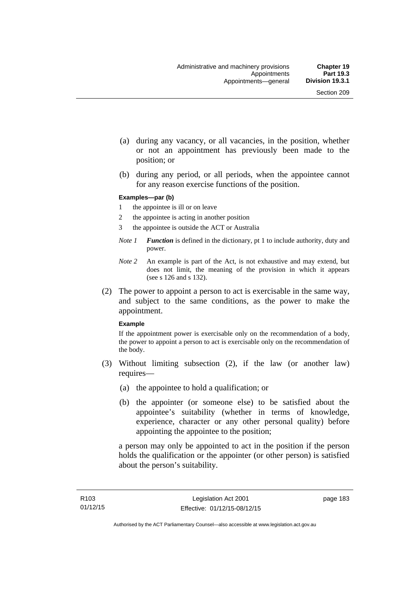- (a) during any vacancy, or all vacancies, in the position, whether or not an appointment has previously been made to the position; or
- (b) during any period, or all periods, when the appointee cannot for any reason exercise functions of the position.

#### **Examples—par (b)**

- 1 the appointee is ill or on leave
- 2 the appointee is acting in another position
- 3 the appointee is outside the ACT or Australia
- *Note 1 Function* is defined in the dictionary, pt 1 to include authority, duty and power.
- *Note 2* An example is part of the Act, is not exhaustive and may extend, but does not limit, the meaning of the provision in which it appears (see s 126 and s 132).
- (2) The power to appoint a person to act is exercisable in the same way, and subject to the same conditions, as the power to make the appointment.

#### **Example**

If the appointment power is exercisable only on the recommendation of a body, the power to appoint a person to act is exercisable only on the recommendation of the body.

- (3) Without limiting subsection (2), if the law (or another law) requires—
	- (a) the appointee to hold a qualification; or
	- (b) the appointer (or someone else) to be satisfied about the appointee's suitability (whether in terms of knowledge, experience, character or any other personal quality) before appointing the appointee to the position;

a person may only be appointed to act in the position if the person holds the qualification or the appointer (or other person) is satisfied about the person's suitability.

page 183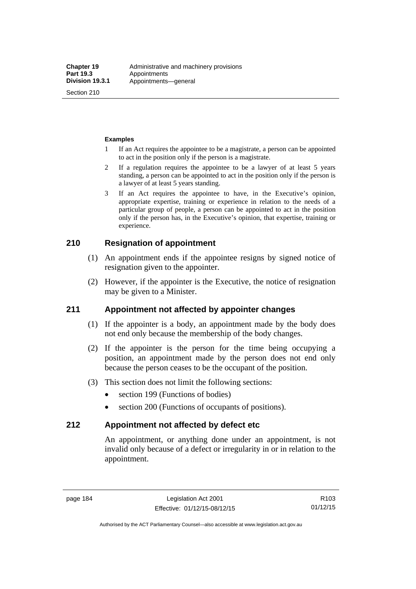Section 210

#### **Examples**

- 1 If an Act requires the appointee to be a magistrate, a person can be appointed to act in the position only if the person is a magistrate.
- 2 If a regulation requires the appointee to be a lawyer of at least 5 years standing, a person can be appointed to act in the position only if the person is a lawyer of at least 5 years standing.
- 3 If an Act requires the appointee to have, in the Executive's opinion, appropriate expertise, training or experience in relation to the needs of a particular group of people, a person can be appointed to act in the position only if the person has, in the Executive's opinion, that expertise, training or experience.

# **210 Resignation of appointment**

- (1) An appointment ends if the appointee resigns by signed notice of resignation given to the appointer.
- (2) However, if the appointer is the Executive, the notice of resignation may be given to a Minister.

## **211 Appointment not affected by appointer changes**

- (1) If the appointer is a body, an appointment made by the body does not end only because the membership of the body changes.
- (2) If the appointer is the person for the time being occupying a position, an appointment made by the person does not end only because the person ceases to be the occupant of the position.
- (3) This section does not limit the following sections:
	- section 199 (Functions of bodies)
	- section 200 (Functions of occupants of positions).

## **212 Appointment not affected by defect etc**

An appointment, or anything done under an appointment, is not invalid only because of a defect or irregularity in or in relation to the appointment.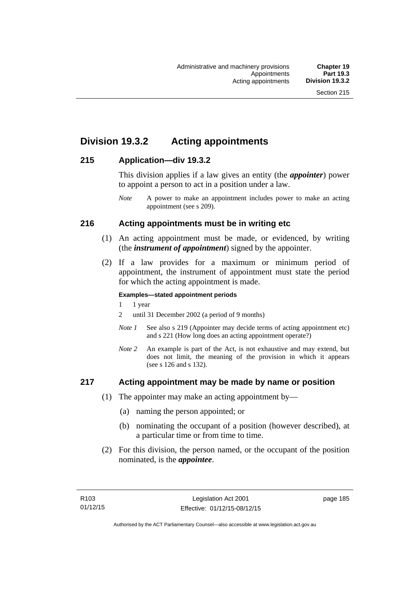# **Division 19.3.2 Acting appointments**

## **215 Application—div 19.3.2**

This division applies if a law gives an entity (the *appointer*) power to appoint a person to act in a position under a law.

# **216 Acting appointments must be in writing etc**

- (1) An acting appointment must be made, or evidenced, by writing (the *instrument of appointment*) signed by the appointer.
- (2) If a law provides for a maximum or minimum period of appointment, the instrument of appointment must state the period for which the acting appointment is made.

#### **Examples—stated appointment periods**

- 1 1 year
- 2 until 31 December 2002 (a period of 9 months)
- *Note 1* See also s 219 (Appointer may decide terms of acting appointment etc) and s 221 (How long does an acting appointment operate?)
- *Note 2* An example is part of the Act, is not exhaustive and may extend, but does not limit, the meaning of the provision in which it appears (see s 126 and s 132).

## **217 Acting appointment may be made by name or position**

- (1) The appointer may make an acting appointment by—
	- (a) naming the person appointed; or
	- (b) nominating the occupant of a position (however described), at a particular time or from time to time.
- (2) For this division, the person named, or the occupant of the position nominated, is the *appointee*.

*Note* A power to make an appointment includes power to make an acting appointment (see s 209).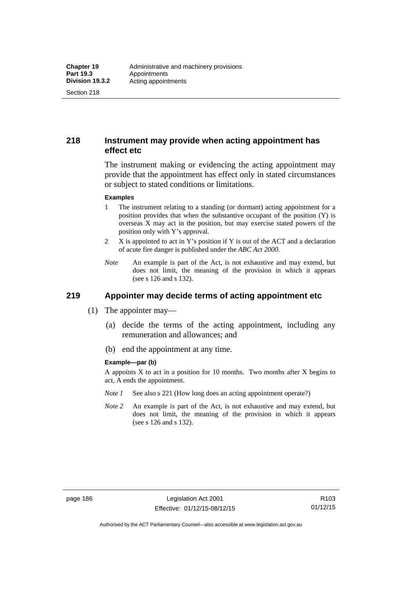Section 218

# **218 Instrument may provide when acting appointment has effect etc**

The instrument making or evidencing the acting appointment may provide that the appointment has effect only in stated circumstances or subject to stated conditions or limitations.

#### **Examples**

- 1 The instrument relating to a standing (or dormant) acting appointment for a position provides that when the substantive occupant of the position (Y) is overseas X may act in the position, but may exercise stated powers of the position only with Y's approval.
- 2 X is appointed to act in Y's position if Y is out of the ACT and a declaration of acute fire danger is published under the *ABC Act 2000*.
- *Note* An example is part of the Act, is not exhaustive and may extend, but does not limit, the meaning of the provision in which it appears (see s 126 and s 132).

# **219 Appointer may decide terms of acting appointment etc**

- (1) The appointer may—
	- (a) decide the terms of the acting appointment, including any remuneration and allowances; and
	- (b) end the appointment at any time.

#### **Example—par (b)**

A appoints  $X$  to act in a position for 10 months. Two months after  $X$  begins to act, A ends the appointment.

- *Note 1* See also s 221 (How long does an acting appointment operate?)
- *Note 2* An example is part of the Act, is not exhaustive and may extend, but does not limit, the meaning of the provision in which it appears (see s 126 and s 132).

R103 01/12/15

Authorised by the ACT Parliamentary Counsel—also accessible at www.legislation.act.gov.au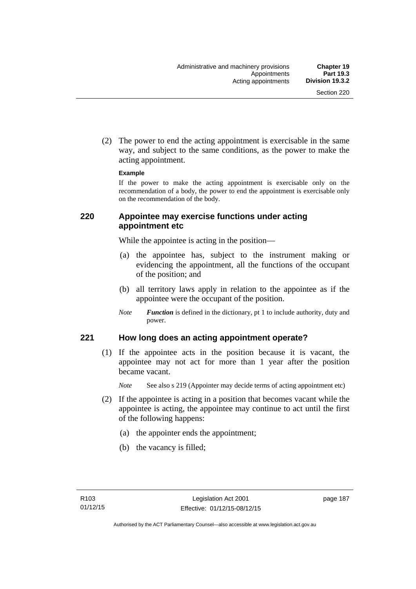(2) The power to end the acting appointment is exercisable in the same way, and subject to the same conditions, as the power to make the acting appointment.

#### **Example**

If the power to make the acting appointment is exercisable only on the recommendation of a body, the power to end the appointment is exercisable only on the recommendation of the body.

## **220 Appointee may exercise functions under acting appointment etc**

While the appointee is acting in the position—

- (a) the appointee has, subject to the instrument making or evidencing the appointment, all the functions of the occupant of the position; and
- (b) all territory laws apply in relation to the appointee as if the appointee were the occupant of the position.
- *Note Function* is defined in the dictionary, pt 1 to include authority, duty and power.

## **221 How long does an acting appointment operate?**

 (1) If the appointee acts in the position because it is vacant, the appointee may not act for more than 1 year after the position became vacant.

*Note* See also s 219 (Appointer may decide terms of acting appointment etc)

- (2) If the appointee is acting in a position that becomes vacant while the appointee is acting, the appointee may continue to act until the first of the following happens:
	- (a) the appointer ends the appointment;
	- (b) the vacancy is filled;

page 187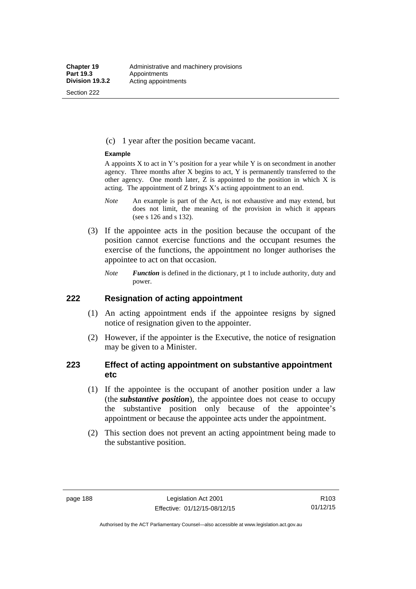Section 222

(c) 1 year after the position became vacant.

#### **Example**

A appoints  $X$  to act in Y's position for a year while Y is on secondment in another agency. Three months after X begins to act, Y is permanently transferred to the other agency. One month later,  $Z$  is appointed to the position in which  $X$  is acting. The appointment of Z brings X's acting appointment to an end.

- *Note* An example is part of the Act, is not exhaustive and may extend, but does not limit, the meaning of the provision in which it appears (see s 126 and s 132).
- (3) If the appointee acts in the position because the occupant of the position cannot exercise functions and the occupant resumes the exercise of the functions, the appointment no longer authorises the appointee to act on that occasion.
	- *Note Function* is defined in the dictionary, pt 1 to include authority, duty and power.

### **222 Resignation of acting appointment**

- (1) An acting appointment ends if the appointee resigns by signed notice of resignation given to the appointer.
- (2) However, if the appointer is the Executive, the notice of resignation may be given to a Minister.

## **223 Effect of acting appointment on substantive appointment etc**

- (1) If the appointee is the occupant of another position under a law (the *substantive position*), the appointee does not cease to occupy the substantive position only because of the appointee's appointment or because the appointee acts under the appointment.
- (2) This section does not prevent an acting appointment being made to the substantive position.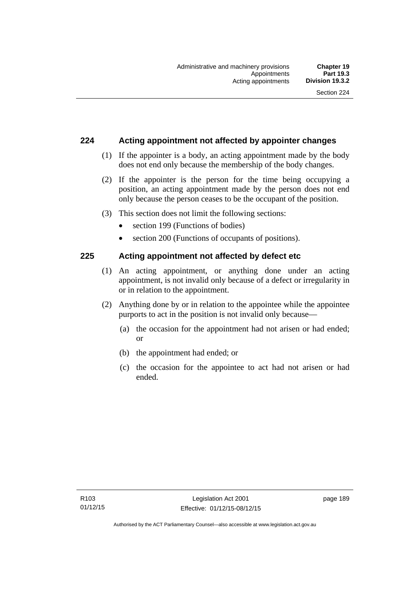## **224 Acting appointment not affected by appointer changes**

- (1) If the appointer is a body, an acting appointment made by the body does not end only because the membership of the body changes.
- (2) If the appointer is the person for the time being occupying a position, an acting appointment made by the person does not end only because the person ceases to be the occupant of the position.
- (3) This section does not limit the following sections:
	- section 199 (Functions of bodies)
	- section 200 (Functions of occupants of positions).

## **225 Acting appointment not affected by defect etc**

- (1) An acting appointment, or anything done under an acting appointment, is not invalid only because of a defect or irregularity in or in relation to the appointment.
- (2) Anything done by or in relation to the appointee while the appointee purports to act in the position is not invalid only because—
	- (a) the occasion for the appointment had not arisen or had ended; or
	- (b) the appointment had ended; or
	- (c) the occasion for the appointee to act had not arisen or had ended.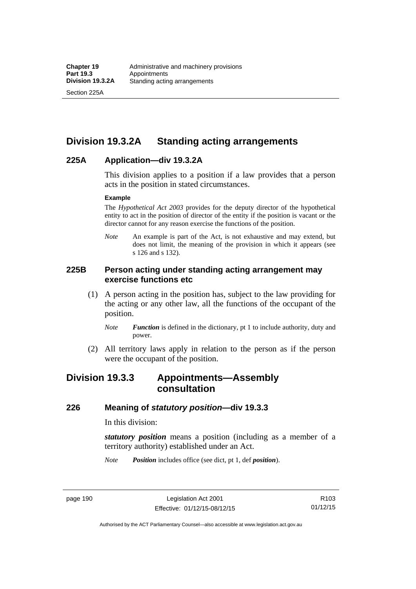Section 225A

# **Division 19.3.2A Standing acting arrangements**

## **225A Application—div 19.3.2A**

This division applies to a position if a law provides that a person acts in the position in stated circumstances.

#### **Example**

The *Hypothetical Act 2003* provides for the deputy director of the hypothetical entity to act in the position of director of the entity if the position is vacant or the director cannot for any reason exercise the functions of the position.

*Note* An example is part of the Act, is not exhaustive and may extend, but does not limit, the meaning of the provision in which it appears (see s 126 and s 132).

## **225B Person acting under standing acting arrangement may exercise functions etc**

- (1) A person acting in the position has, subject to the law providing for the acting or any other law, all the functions of the occupant of the position.
	- *Note Function* is defined in the dictionary, pt 1 to include authority, duty and power.
- (2) All territory laws apply in relation to the person as if the person were the occupant of the position.

# **Division 19.3.3 Appointments—Assembly consultation**

### **226 Meaning of** *statutory position***—div 19.3.3**

In this division:

*statutory position* means a position (including as a member of a territory authority) established under an Act.

*Note Position* includes office (see dict, pt 1, def *position*).

page 190 Legislation Act 2001 Effective: 01/12/15-08/12/15

R103 01/12/15

Authorised by the ACT Parliamentary Counsel—also accessible at www.legislation.act.gov.au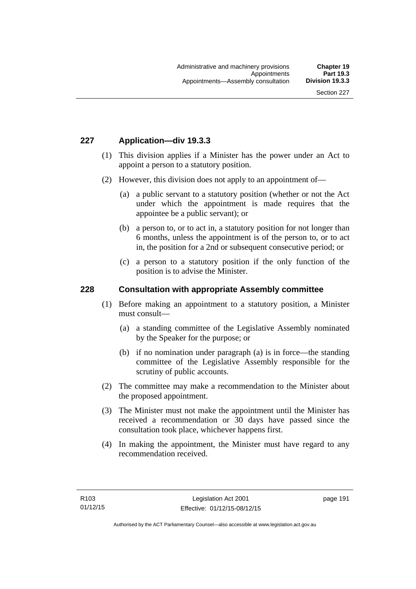## **227 Application—div 19.3.3**

- (1) This division applies if a Minister has the power under an Act to appoint a person to a statutory position.
- (2) However, this division does not apply to an appointment of—
	- (a) a public servant to a statutory position (whether or not the Act under which the appointment is made requires that the appointee be a public servant); or
	- (b) a person to, or to act in, a statutory position for not longer than 6 months, unless the appointment is of the person to, or to act in, the position for a 2nd or subsequent consecutive period; or
	- (c) a person to a statutory position if the only function of the position is to advise the Minister.

#### **228 Consultation with appropriate Assembly committee**

- (1) Before making an appointment to a statutory position, a Minister must consult—
	- (a) a standing committee of the Legislative Assembly nominated by the Speaker for the purpose; or
	- (b) if no nomination under paragraph (a) is in force—the standing committee of the Legislative Assembly responsible for the scrutiny of public accounts.
- (2) The committee may make a recommendation to the Minister about the proposed appointment.
- (3) The Minister must not make the appointment until the Minister has received a recommendation or 30 days have passed since the consultation took place, whichever happens first.
- (4) In making the appointment, the Minister must have regard to any recommendation received.

page 191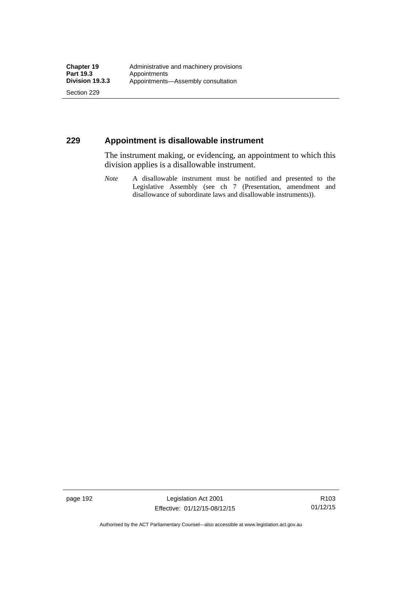Section 229

## **229 Appointment is disallowable instrument**

The instrument making, or evidencing, an appointment to which this division applies is a disallowable instrument.

*Note* A disallowable instrument must be notified and presented to the Legislative Assembly (see ch 7 (Presentation, amendment and disallowance of subordinate laws and disallowable instruments)).

page 192 Legislation Act 2001 Effective: 01/12/15-08/12/15

R103 01/12/15

Authorised by the ACT Parliamentary Counsel—also accessible at www.legislation.act.gov.au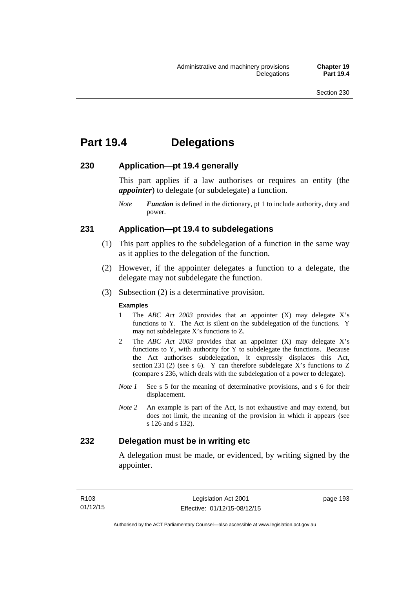# **Part 19.4 Delegations**

### **230 Application—pt 19.4 generally**

This part applies if a law authorises or requires an entity (the *appointer*) to delegate (or subdelegate) a function.

*Note Function* is defined in the dictionary, pt 1 to include authority, duty and power.

## **231 Application—pt 19.4 to subdelegations**

- (1) This part applies to the subdelegation of a function in the same way as it applies to the delegation of the function.
- (2) However, if the appointer delegates a function to a delegate, the delegate may not subdelegate the function.
- (3) Subsection (2) is a determinative provision.

#### **Examples**

- 1 The *ABC Act 2003* provides that an appointer (X) may delegate X's functions to Y. The Act is silent on the subdelegation of the functions. Y may not subdelegate X's functions to Z.
- 2 The *ABC Act 2003* provides that an appointer (X) may delegate X's functions to Y, with authority for Y to subdelegate the functions. Because the Act authorises subdelegation, it expressly displaces this Act, section 231 (2) (see s 6). Y can therefore subdelegate  $\overline{X}$ 's functions to Z (compare s 236, which deals with the subdelegation of a power to delegate)*.*
- *Note 1* See s 5 for the meaning of determinative provisions, and s 6 for their displacement.
- *Note 2* An example is part of the Act, is not exhaustive and may extend, but does not limit, the meaning of the provision in which it appears (see s 126 and s 132).

## **232 Delegation must be in writing etc**

A delegation must be made, or evidenced, by writing signed by the appointer.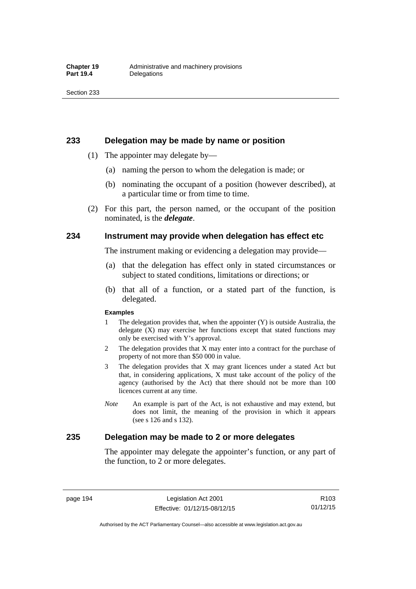#### **233 Delegation may be made by name or position**

- (1) The appointer may delegate by—
	- (a) naming the person to whom the delegation is made; or
	- (b) nominating the occupant of a position (however described), at a particular time or from time to time.
- (2) For this part, the person named, or the occupant of the position nominated, is the *delegate*.

### **234 Instrument may provide when delegation has effect etc**

The instrument making or evidencing a delegation may provide—

- (a) that the delegation has effect only in stated circumstances or subject to stated conditions, limitations or directions; or
- (b) that all of a function, or a stated part of the function, is delegated.

#### **Examples**

- 1 The delegation provides that, when the appointer (Y) is outside Australia, the delegate (X) may exercise her functions except that stated functions may only be exercised with Y's approval.
- 2 The delegation provides that X may enter into a contract for the purchase of property of not more than \$50 000 in value.
- 3 The delegation provides that X may grant licences under a stated Act but that, in considering applications, X must take account of the policy of the agency (authorised by the Act) that there should not be more than 100 licences current at any time.
- *Note* An example is part of the Act, is not exhaustive and may extend, but does not limit, the meaning of the provision in which it appears (see s 126 and s 132).

### **235 Delegation may be made to 2 or more delegates**

The appointer may delegate the appointer's function, or any part of the function, to 2 or more delegates.

page 194 Legislation Act 2001 Effective: 01/12/15-08/12/15

Authorised by the ACT Parliamentary Counsel—also accessible at www.legislation.act.gov.au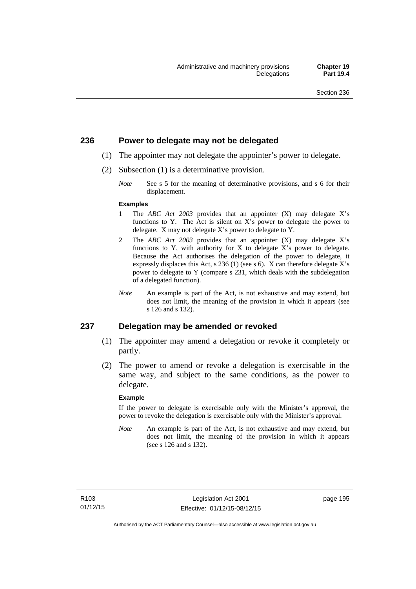### **236 Power to delegate may not be delegated**

- (1) The appointer may not delegate the appointer's power to delegate.
- (2) Subsection (1) is a determinative provision.
	- *Note* See s 5 for the meaning of determinative provisions, and s 6 for their displacement.

#### **Examples**

- 1 The *ABC Act 2003* provides that an appointer (X) may delegate X's functions to Y. The Act is silent on X's power to delegate the power to delegate. X may not delegate X's power to delegate to Y.
- 2 The *ABC Act 2003* provides that an appointer (X) may delegate X's functions to Y, with authority for X to delegate X's power to delegate. Because the Act authorises the delegation of the power to delegate, it expressly displaces this Act, s 236 (1) (see s 6). X can therefore delegate X's power to delegate to Y (compare s 231, which deals with the subdelegation of a delegated function).
- *Note* An example is part of the Act, is not exhaustive and may extend, but does not limit, the meaning of the provision in which it appears (see s 126 and s 132).

#### **237 Delegation may be amended or revoked**

- (1) The appointer may amend a delegation or revoke it completely or partly.
- (2) The power to amend or revoke a delegation is exercisable in the same way, and subject to the same conditions, as the power to delegate.

#### **Example**

If the power to delegate is exercisable only with the Minister's approval, the power to revoke the delegation is exercisable only with the Minister's approval.

*Note* An example is part of the Act, is not exhaustive and may extend, but does not limit, the meaning of the provision in which it appears (see s 126 and s 132).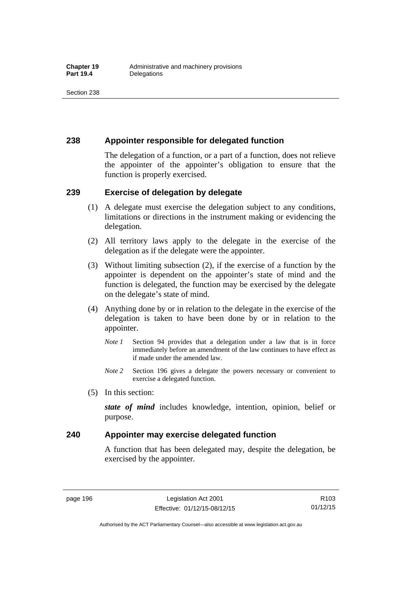## **238 Appointer responsible for delegated function**

The delegation of a function, or a part of a function, does not relieve the appointer of the appointer's obligation to ensure that the function is properly exercised.

## **239 Exercise of delegation by delegate**

- (1) A delegate must exercise the delegation subject to any conditions, limitations or directions in the instrument making or evidencing the delegation.
- (2) All territory laws apply to the delegate in the exercise of the delegation as if the delegate were the appointer.
- (3) Without limiting subsection (2), if the exercise of a function by the appointer is dependent on the appointer's state of mind and the function is delegated, the function may be exercised by the delegate on the delegate's state of mind.
- (4) Anything done by or in relation to the delegate in the exercise of the delegation is taken to have been done by or in relation to the appointer.
	- *Note 1* Section 94 provides that a delegation under a law that is in force immediately before an amendment of the law continues to have effect as if made under the amended law.
	- *Note 2* Section 196 gives a delegate the powers necessary or convenient to exercise a delegated function.
- (5) In this section:

*state of mind* includes knowledge, intention, opinion, belief or purpose.

## **240 Appointer may exercise delegated function**

A function that has been delegated may, despite the delegation, be exercised by the appointer.

page 196 Legislation Act 2001 Effective: 01/12/15-08/12/15

Authorised by the ACT Parliamentary Counsel—also accessible at www.legislation.act.gov.au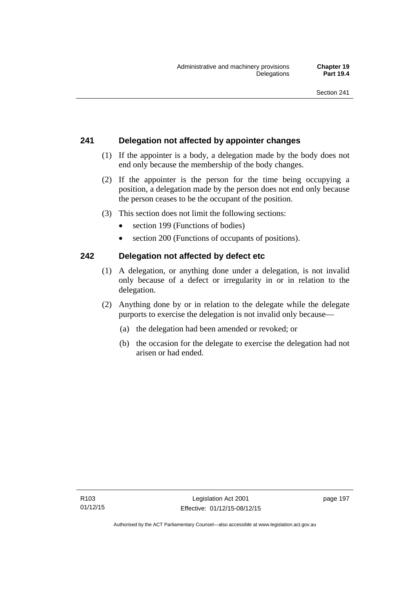# **241 Delegation not affected by appointer changes**

- (1) If the appointer is a body, a delegation made by the body does not end only because the membership of the body changes.
- (2) If the appointer is the person for the time being occupying a position, a delegation made by the person does not end only because the person ceases to be the occupant of the position.
- (3) This section does not limit the following sections:
	- section 199 (Functions of bodies)
	- section 200 (Functions of occupants of positions).

# **242 Delegation not affected by defect etc**

- (1) A delegation, or anything done under a delegation, is not invalid only because of a defect or irregularity in or in relation to the delegation.
- (2) Anything done by or in relation to the delegate while the delegate purports to exercise the delegation is not invalid only because—
	- (a) the delegation had been amended or revoked; or
	- (b) the occasion for the delegate to exercise the delegation had not arisen or had ended.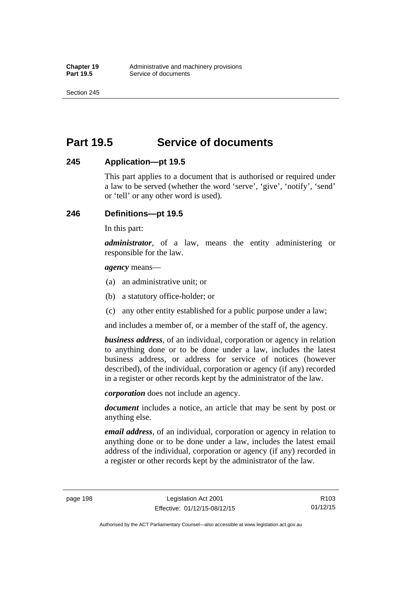Section 245

# **Part 19.5 Service of documents**

## **245 Application—pt 19.5**

This part applies to a document that is authorised or required under a law to be served (whether the word 'serve', 'give', 'notify', 'send' or 'tell' or any other word is used).

# **246 Definitions—pt 19.5**

In this part:

*administrator*, of a law, means the entity administering or responsible for the law.

*agency* means—

- (a) an administrative unit; or
- (b) a statutory office-holder; or
- (c) any other entity established for a public purpose under a law;

and includes a member of, or a member of the staff of, the agency.

*business address*, of an individual, corporation or agency in relation to anything done or to be done under a law, includes the latest business address, or address for service of notices (however described), of the individual, corporation or agency (if any) recorded in a register or other records kept by the administrator of the law.

*corporation* does not include an agency.

*document* includes a notice, an article that may be sent by post or anything else.

*email address*, of an individual, corporation or agency in relation to anything done or to be done under a law, includes the latest email address of the individual, corporation or agency (if any) recorded in a register or other records kept by the administrator of the law.

page 198 Legislation Act 2001 Effective: 01/12/15-08/12/15

Authorised by the ACT Parliamentary Counsel—also accessible at www.legislation.act.gov.au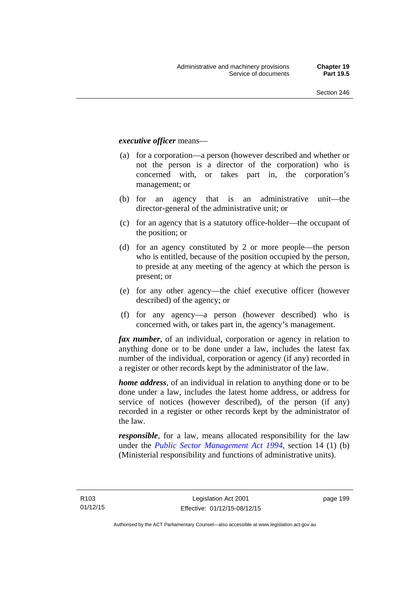#### *executive officer* means—

- (a) for a corporation—a person (however described and whether or not the person is a director of the corporation) who is concerned with, or takes part in, the corporation's management; or
- (b) for an agency that is an administrative unit—the director-general of the administrative unit; or
- (c) for an agency that is a statutory office-holder—the occupant of the position; or
- (d) for an agency constituted by 2 or more people—the person who is entitled, because of the position occupied by the person, to preside at any meeting of the agency at which the person is present; or
- (e) for any other agency—the chief executive officer (however described) of the agency; or
- (f) for any agency—a person (however described) who is concerned with, or takes part in, the agency's management.

*fax number*, of an individual, corporation or agency in relation to anything done or to be done under a law, includes the latest fax number of the individual, corporation or agency (if any) recorded in a register or other records kept by the administrator of the law.

*home address*, of an individual in relation to anything done or to be done under a law, includes the latest home address, or address for service of notices (however described), of the person (if any) recorded in a register or other records kept by the administrator of the law.

*responsible*, for a law, means allocated responsibility for the law under the *[Public Sector Management Act 1994](http://www.legislation.act.gov.au/a/1994-37)*, section 14 (1) (b) (Ministerial responsibility and functions of administrative units).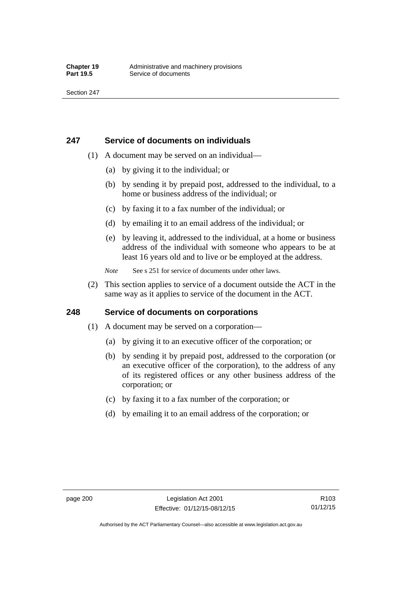## **247 Service of documents on individuals**

- (1) A document may be served on an individual—
	- (a) by giving it to the individual; or
	- (b) by sending it by prepaid post, addressed to the individual, to a home or business address of the individual; or
	- (c) by faxing it to a fax number of the individual; or
	- (d) by emailing it to an email address of the individual; or
	- (e) by leaving it, addressed to the individual, at a home or business address of the individual with someone who appears to be at least 16 years old and to live or be employed at the address.
	- *Note* See s 251 for service of documents under other laws.
- (2) This section applies to service of a document outside the ACT in the same way as it applies to service of the document in the ACT.

# **248 Service of documents on corporations**

- (1) A document may be served on a corporation—
	- (a) by giving it to an executive officer of the corporation; or
	- (b) by sending it by prepaid post, addressed to the corporation (or an executive officer of the corporation), to the address of any of its registered offices or any other business address of the corporation; or
	- (c) by faxing it to a fax number of the corporation; or
	- (d) by emailing it to an email address of the corporation; or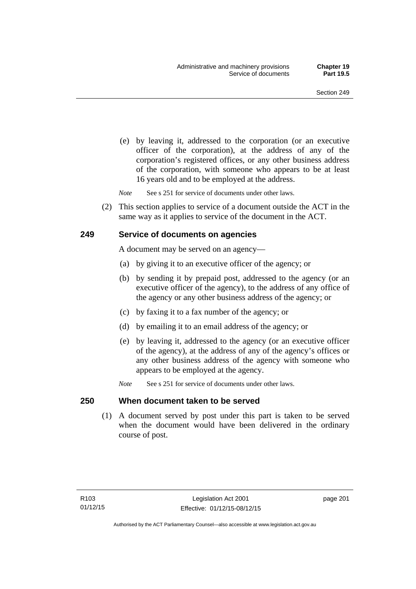(e) by leaving it, addressed to the corporation (or an executive officer of the corporation), at the address of any of the corporation's registered offices, or any other business address of the corporation, with someone who appears to be at least 16 years old and to be employed at the address.

*Note* See s 251 for service of documents under other laws.

 (2) This section applies to service of a document outside the ACT in the same way as it applies to service of the document in the ACT.

### **249 Service of documents on agencies**

A document may be served on an agency—

- (a) by giving it to an executive officer of the agency; or
- (b) by sending it by prepaid post, addressed to the agency (or an executive officer of the agency), to the address of any office of the agency or any other business address of the agency; or
- (c) by faxing it to a fax number of the agency; or
- (d) by emailing it to an email address of the agency; or
- (e) by leaving it, addressed to the agency (or an executive officer of the agency), at the address of any of the agency's offices or any other business address of the agency with someone who appears to be employed at the agency.
- *Note* See s 251 for service of documents under other laws.

#### **250 When document taken to be served**

 (1) A document served by post under this part is taken to be served when the document would have been delivered in the ordinary course of post.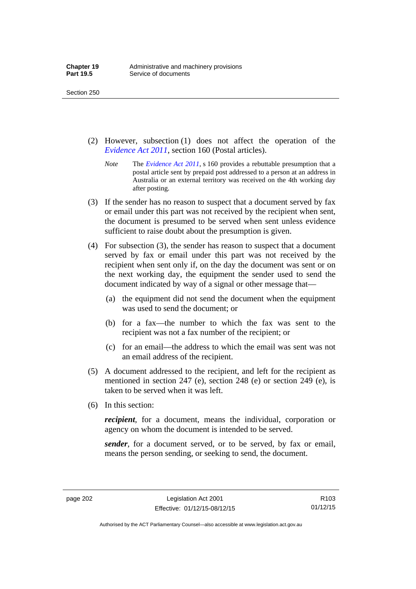- (2) However, subsection (1) does not affect the operation of the *[Evidence Act 2011](http://www.legislation.act.gov.au/a/2011-12)*, section 160 (Postal articles).
	- *Note* The *[Evidence Act 2011](http://www.legislation.act.gov.au/a/2011-12)*, s 160 provides a rebuttable presumption that a postal article sent by prepaid post addressed to a person at an address in Australia or an external territory was received on the 4th working day after posting.
- (3) If the sender has no reason to suspect that a document served by fax or email under this part was not received by the recipient when sent, the document is presumed to be served when sent unless evidence sufficient to raise doubt about the presumption is given.
- (4) For subsection (3), the sender has reason to suspect that a document served by fax or email under this part was not received by the recipient when sent only if, on the day the document was sent or on the next working day, the equipment the sender used to send the document indicated by way of a signal or other message that—
	- (a) the equipment did not send the document when the equipment was used to send the document; or
	- (b) for a fax—the number to which the fax was sent to the recipient was not a fax number of the recipient; or
	- (c) for an email—the address to which the email was sent was not an email address of the recipient.
- (5) A document addressed to the recipient, and left for the recipient as mentioned in section 247 (e), section 248 (e) or section 249 (e), is taken to be served when it was left.
- (6) In this section:

*recipient*, for a document, means the individual, corporation or agency on whom the document is intended to be served.

*sender*, for a document served, or to be served, by fax or email, means the person sending, or seeking to send, the document.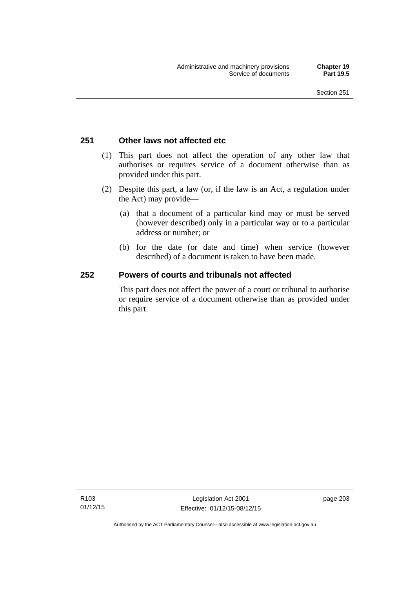### **251 Other laws not affected etc**

- (1) This part does not affect the operation of any other law that authorises or requires service of a document otherwise than as provided under this part.
- (2) Despite this part, a law (or, if the law is an Act, a regulation under the Act) may provide—
	- (a) that a document of a particular kind may or must be served (however described) only in a particular way or to a particular address or number; or
	- (b) for the date (or date and time) when service (however described) of a document is taken to have been made.

### **252 Powers of courts and tribunals not affected**

This part does not affect the power of a court or tribunal to authorise or require service of a document otherwise than as provided under this part.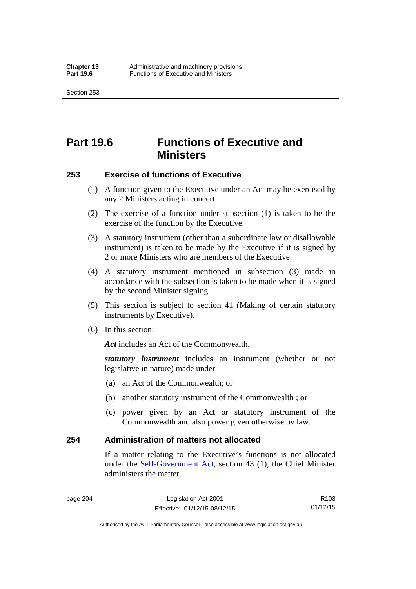Section 253

# **Part 19.6 Functions of Executive and Ministers**

### **253 Exercise of functions of Executive**

- (1) A function given to the Executive under an Act may be exercised by any 2 Ministers acting in concert.
- (2) The exercise of a function under subsection (1) is taken to be the exercise of the function by the Executive.
- (3) A statutory instrument (other than a subordinate law or disallowable instrument) is taken to be made by the Executive if it is signed by 2 or more Ministers who are members of the Executive.
- (4) A statutory instrument mentioned in subsection (3) made in accordance with the subsection is taken to be made when it is signed by the second Minister signing.
- (5) This section is subject to section 41 (Making of certain statutory instruments by Executive).
- (6) In this section:

Act includes an Act of the Commonwealth.

*statutory instrument* includes an instrument (whether or not legislative in nature) made under—

- (a) an Act of the Commonwealth; or
- (b) another statutory instrument of the Commonwealth ; or
- (c) power given by an Act or statutory instrument of the Commonwealth and also power given otherwise by law.

### **254 Administration of matters not allocated**

If a matter relating to the Executive's functions is not allocated under the [Self-Government Act,](http://www.comlaw.gov.au/Series/C2004A03699) section 43 (1), the Chief Minister administers the matter.

R103 01/12/15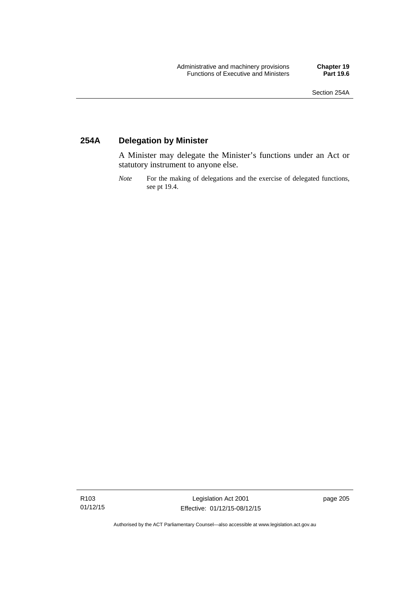### **254A Delegation by Minister**

A Minister may delegate the Minister's functions under an Act or statutory instrument to anyone else.

*Note* For the making of delegations and the exercise of delegated functions, see pt 19.4.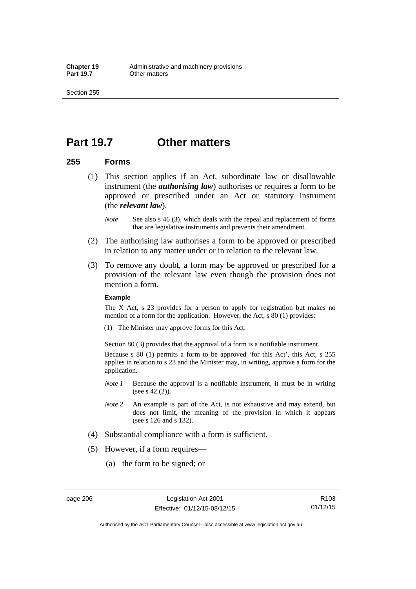### **Part 19.7 Other matters**

### **255 Forms**

- (1) This section applies if an Act, subordinate law or disallowable instrument (the *authorising law*) authorises or requires a form to be approved or prescribed under an Act or statutory instrument (the *relevant law*).
	- *Note* See also s 46 (3), which deals with the repeal and replacement of forms that are legislative instruments and prevents their amendment.
- (2) The authorising law authorises a form to be approved or prescribed in relation to any matter under or in relation to the relevant law.
- (3) To remove any doubt, a form may be approved or prescribed for a provision of the relevant law even though the provision does not mention a form.

#### **Example**

The X Act, s 23 provides for a person to apply for registration but makes no mention of a form for the application. However, the Act, s 80 (1) provides:

(1) The Minister may approve forms for this Act.

Section 80 (3) provides that the approval of a form is a notifiable instrument.

Because s 80 (1) permits a form to be approved 'for this Act', this Act, s 255 applies in relation to s 23 and the Minister may, in writing, approve a form for the application.

- *Note 1* Because the approval is a notifiable instrument, it must be in writing (see s 42 (2)).
- *Note 2* An example is part of the Act, is not exhaustive and may extend, but does not limit, the meaning of the provision in which it appears (see s 126 and s 132).
- (4) Substantial compliance with a form is sufficient.
- (5) However, if a form requires—
	- (a) the form to be signed; or

R103 01/12/15

Authorised by the ACT Parliamentary Counsel—also accessible at www.legislation.act.gov.au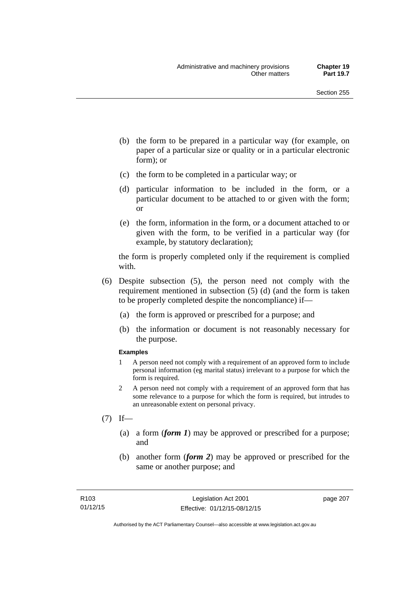- (b) the form to be prepared in a particular way (for example, on paper of a particular size or quality or in a particular electronic form); or
- (c) the form to be completed in a particular way; or
- (d) particular information to be included in the form, or a particular document to be attached to or given with the form; or
- (e) the form, information in the form, or a document attached to or given with the form, to be verified in a particular way (for example, by statutory declaration);

the form is properly completed only if the requirement is complied with.

- (6) Despite subsection (5), the person need not comply with the requirement mentioned in subsection (5) (d) (and the form is taken to be properly completed despite the noncompliance) if—
	- (a) the form is approved or prescribed for a purpose; and
	- (b) the information or document is not reasonably necessary for the purpose.

#### **Examples**

- 1 A person need not comply with a requirement of an approved form to include personal information (eg marital status) irrelevant to a purpose for which the form is required.
- 2 A person need not comply with a requirement of an approved form that has some relevance to a purpose for which the form is required, but intrudes to an unreasonable extent on personal privacy.
- $(7)$  If—
	- (a) a form (*form 1*) may be approved or prescribed for a purpose; and
	- (b) another form (*form 2*) may be approved or prescribed for the same or another purpose; and

page 207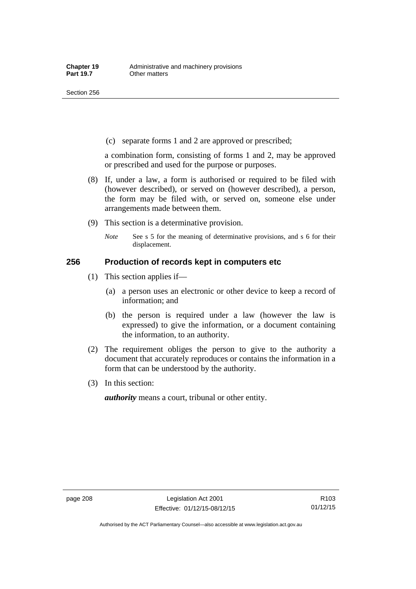(c) separate forms 1 and 2 are approved or prescribed;

a combination form, consisting of forms 1 and 2, may be approved or prescribed and used for the purpose or purposes.

- (8) If, under a law, a form is authorised or required to be filed with (however described), or served on (however described), a person, the form may be filed with, or served on, someone else under arrangements made between them.
- (9) This section is a determinative provision.
	- *Note* See s 5 for the meaning of determinative provisions, and s 6 for their displacement.

### **256 Production of records kept in computers etc**

- (1) This section applies if—
	- (a) a person uses an electronic or other device to keep a record of information; and
	- (b) the person is required under a law (however the law is expressed) to give the information, or a document containing the information, to an authority.
- (2) The requirement obliges the person to give to the authority a document that accurately reproduces or contains the information in a form that can be understood by the authority.
- (3) In this section:

*authority* means a court, tribunal or other entity.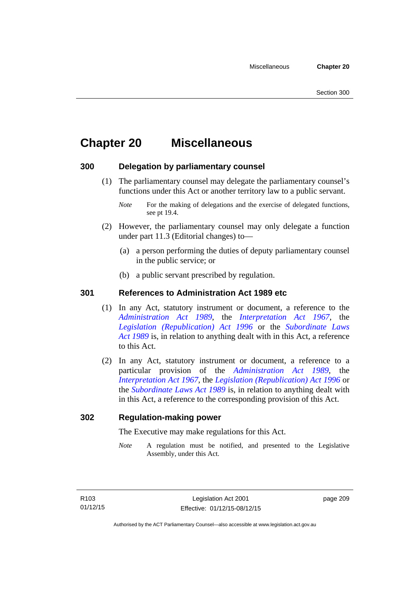# **Chapter 20 Miscellaneous**

### **300 Delegation by parliamentary counsel**

 (1) The parliamentary counsel may delegate the parliamentary counsel's functions under this Act or another territory law to a public servant.

- (2) However, the parliamentary counsel may only delegate a function under part 11.3 (Editorial changes) to—
	- (a) a person performing the duties of deputy parliamentary counsel in the public service; or
	- (b) a public servant prescribed by regulation.

### **301 References to Administration Act 1989 etc**

- (1) In any Act, statutory instrument or document, a reference to the *[Administration Act 1989](http://www.legislation.act.gov.au/a/alt_a1989-41co)*, the *[Interpretation Act 1967](http://www.legislation.act.gov.au/a/1967-48)*, the *[Legislation \(Republication\) Act 1996](http://www.legislation.act.gov.au/a/1996-51)* or the *[Subordinate Laws](http://www.legislation.act.gov.au/a/alt_a1989-24co)  [Act 1989](http://www.legislation.act.gov.au/a/alt_a1989-24co)* is, in relation to anything dealt with in this Act, a reference to this Act.
- (2) In any Act, statutory instrument or document, a reference to a particular provision of the *[Administration Act 1989](http://www.legislation.act.gov.au/a/alt_a1989-41co)*, the *[Interpretation Act 1967](http://www.legislation.act.gov.au/a/1967-48)*, the *[Legislation \(Republication\) Act 1996](http://www.legislation.act.gov.au/a/1996-51)* or the *[Subordinate Laws Act 1989](http://www.legislation.act.gov.au/a/alt_a1989-24co)* is, in relation to anything dealt with in this Act, a reference to the corresponding provision of this Act.

### **302 Regulation-making power**

The Executive may make regulations for this Act.

*Note* A regulation must be notified, and presented to the Legislative Assembly, under this Act.

page 209

*Note* For the making of delegations and the exercise of delegated functions, see pt 19.4.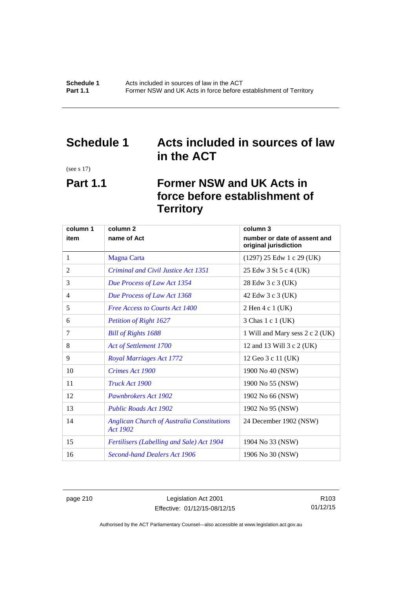## **Schedule 1 Acts included in sources of law in the ACT**

(see s 17)

# **Part 1.1 Former NSW and UK Acts in force before establishment of Territory**

| column 1 | column <sub>2</sub><br>column 3                                      |                                                       |  |
|----------|----------------------------------------------------------------------|-------------------------------------------------------|--|
| item     | name of Act                                                          | number or date of assent and<br>original jurisdiction |  |
| 1        | <b>Magna Carta</b>                                                   | $(1297)$ 25 Edw 1 c 29 (UK)                           |  |
| 2        | Criminal and Civil Justice Act 1351                                  | 25 Edw 3 St 5 c 4 (UK)                                |  |
| 3        | Due Process of Law Act 1354                                          | 28 Edw 3 c 3 (UK)                                     |  |
| 4        | Due Process of Law Act 1368                                          | 42 Edw 3 c 3 (UK)                                     |  |
| 5        | <b>Free Access to Courts Act 1400</b>                                | 2 Hen 4 c 1 (UK)                                      |  |
| 6        | <b>Petition of Right 1627</b>                                        | 3 Chas 1 c 1 (UK)                                     |  |
| 7        | <b>Bill of Rights 1688</b>                                           | 1 Will and Mary sess 2 c 2 (UK)                       |  |
| 8        | Act of Settlement 1700                                               | 12 and 13 Will 3 c 2 (UK)                             |  |
| 9        | <b>Royal Marriages Act 1772</b>                                      | 12 Geo 3 c 11 (UK)                                    |  |
| 10       | Crimes Act 1900                                                      | 1900 No 40 (NSW)                                      |  |
| 11       | Truck Act 1900                                                       | 1900 No 55 (NSW)                                      |  |
| 12       | <b>Pawnbrokers Act 1902</b>                                          | 1902 No 66 (NSW)                                      |  |
| 13       | <b>Public Roads Act 1902</b>                                         | 1902 No 95 (NSW)                                      |  |
| 14       | <b>Anglican Church of Australia Constitutions</b><br><b>Act 1902</b> | 24 December 1902 (NSW)                                |  |
| 15       | <b>Fertilisers (Labelling and Sale) Act 1904</b>                     | 1904 No 33 (NSW)                                      |  |
| 16       | <b>Second-hand Dealers Act 1906</b>                                  | 1906 No 30 (NSW)                                      |  |

page 210 Legislation Act 2001 Effective: 01/12/15-08/12/15

R103 01/12/15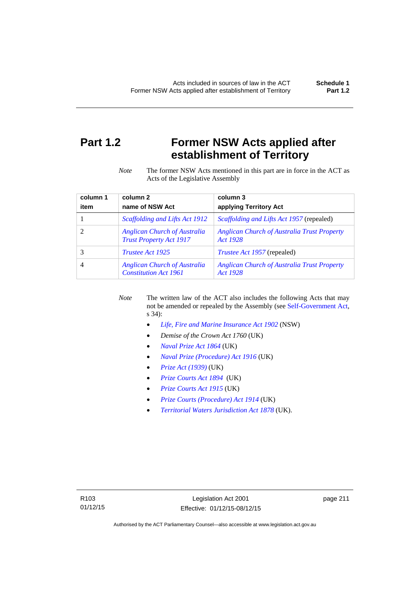# **Part 1.2 Former NSW Acts applied after establishment of Territory**

*Note* The former NSW Acts mentioned in this part are in force in the ACT as Acts of the Legislative Assembly

| column 1 | column <sub>2</sub>                                                   | column 3                                                       |
|----------|-----------------------------------------------------------------------|----------------------------------------------------------------|
| item     | name of NSW Act                                                       | applying Territory Act                                         |
|          | Scaffolding and Lifts Act 1912                                        | <i>Scaffolding and Lifts Act 1957</i> (repealed)               |
|          | <b>Anglican Church of Australia</b><br><b>Trust Property Act 1917</b> | <b>Anglican Church of Australia Trust Property</b><br>Act 1928 |
|          | <i>Trustee Act 1925</i>                                               | <i>Trustee Act 1957</i> (repealed)                             |
| 4        | <b>Anglican Church of Australia</b><br><b>Constitution Act 1961</b>   | <b>Anglican Church of Australia Trust Property</b><br>Act 1928 |

*Note* The written law of the ACT also includes the following Acts that may not be amended or repealed by the Assembly (see [Self-Government Act,](http://www.comlaw.gov.au/Series/C2004A03699) s 34):

- *[Life, Fire and Marine Insurance Act 1902](http://www.legislation.nsw.gov.au/maintop/scanact/sessional/NONE/0)* (NSW)
- *Demise of the Crown Act 1760* (UK)
- *[Naval Prize Act 1864](http://www.legislation.gov.uk/ukpga/Vict/27-28/25/contents)* (UK)
- *[Naval Prize \(Procedure\) Act 1916](http://www.legislation.gov.uk/ukpga/Geo5/6-7/2/contents)* (UK)
- *[Prize Act \(1939\)](http://www.legislation.gov.uk/ukpga/Geo6/2-3/65/contents)* (UK)
- *[Prize Courts Act 1894](http://www.legislation.gov.uk/ukpga/Vict/57-58/39/contents)* (UK)
- *[Prize Courts Act 1915](http://www.legislation.gov.uk/ukpga/Geo5/5-6/57/contents)* (UK)
- *[Prize Courts \(Procedure\) Act 1914](http://www.legislation.gov.uk/ukpga/Geo5/4-5/13/contents)* (UK)
- *[Territorial Waters Jurisdiction Act 1878](http://www.legislation.gov.uk/ukpga/Vict/41-42/73/contents)* (UK).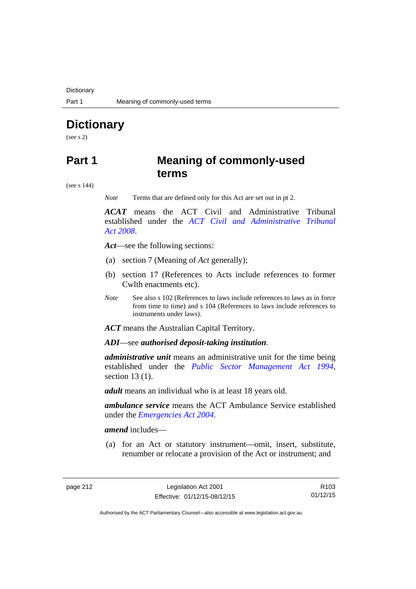**Dictionary** 

# **Dictionary**

(see s 2)

### **Part 1 Meaning of commonly-used terms**

(see s 144)

*Note* Terms that are defined only for this Act are set out in pt 2.

*ACAT* means the ACT Civil and Administrative Tribunal established under the *[ACT Civil and Administrative Tribunal](http://www.legislation.act.gov.au/a/2008-35)  [Act 2008](http://www.legislation.act.gov.au/a/2008-35)*.

*Act*—see the following sections:

- (a) section 7 (Meaning of *Act* generally);
- (b) section 17 (References to Acts include references to former Cwlth enactments etc).
- *Note* See also s 102 (References to laws include references to laws as in force from time to time) and s 104 (References to laws include references to instruments under laws).

*ACT* means the Australian Capital Territory.

*ADI*—see *authorised deposit-taking institution*.

*administrative unit* means an administrative unit for the time being established under the *[Public Sector Management Act 1994](http://www.legislation.act.gov.au/a/1994-37)*, section 13 (1).

*adult* means an individual who is at least 18 years old.

*ambulance service* means the ACT Ambulance Service established under the *[Emergencies Act 2004](http://www.legislation.act.gov.au/a/2004-28)*.

*amend* includes—

(a) for an Act or statutory instrument—omit, insert, substitute, renumber or relocate a provision of the Act or instrument; and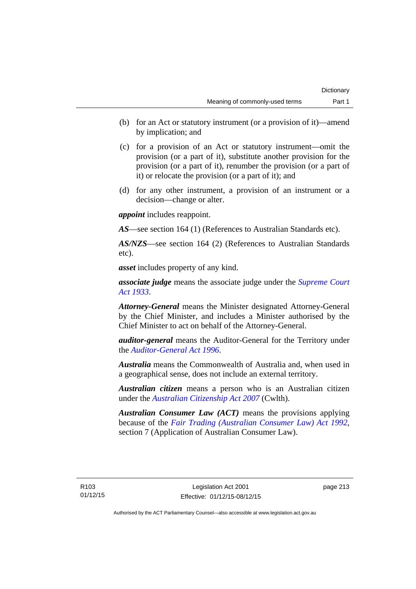- (b) for an Act or statutory instrument (or a provision of it)—amend by implication; and
- (c) for a provision of an Act or statutory instrument—omit the provision (or a part of it), substitute another provision for the provision (or a part of it), renumber the provision (or a part of it) or relocate the provision (or a part of it); and
- (d) for any other instrument, a provision of an instrument or a decision—change or alter.

*appoint* includes reappoint.

*AS*—see section 164 (1) (References to Australian Standards etc).

*AS/NZS*—see section 164 (2) (References to Australian Standards etc).

*asset* includes property of any kind.

*associate judge* means the associate judge under the *[Supreme Court](http://www.legislation.act.gov.au/a/1933-34)  [Act 1933](http://www.legislation.act.gov.au/a/1933-34)*.

*Attorney-General* means the Minister designated Attorney-General by the Chief Minister, and includes a Minister authorised by the Chief Minister to act on behalf of the Attorney-General.

*auditor-general* means the Auditor-General for the Territory under the *[Auditor-General Act 1996](http://www.legislation.act.gov.au/a/1996-23)*.

*Australia* means the Commonwealth of Australia and, when used in a geographical sense, does not include an external territory.

*Australian citizen* means a person who is an Australian citizen under the *[Australian Citizenship Act 2007](http://www.comlaw.gov.au/Series/C2007A00020)* (Cwlth).

*Australian Consumer Law (ACT)* means the provisions applying because of the *[Fair Trading \(Australian Consumer Law\) Act 1992](http://www.legislation.act.gov.au/a/1992-72)*, section 7 (Application of Australian Consumer Law).

R103 01/12/15 page 213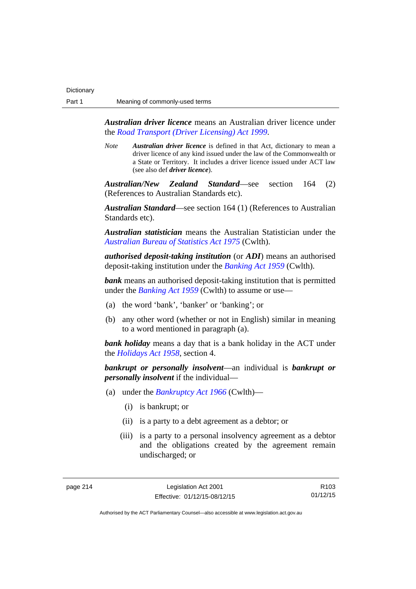*Australian driver licence* means an Australian driver licence under the *[Road Transport \(Driver Licensing\) Act 1999](http://www.legislation.act.gov.au/a/1999-78)*.

*Note Australian driver licence* is defined in that Act, dictionary to mean a driver licence of any kind issued under the law of the Commonwealth or a State or Territory. It includes a driver licence issued under ACT law (see also def *driver licence*).

*Australian/New Zealand Standard*—see section 164 (2) (References to Australian Standards etc).

*Australian Standard*—see section 164 (1) (References to Australian Standards etc).

*Australian statistician* means the Australian Statistician under the *[Australian Bureau of Statistics Act 1975](http://www.comlaw.gov.au/Series/C2004A00282)* (Cwlth).

*authorised deposit-taking institution* (or *ADI*) means an authorised deposit-taking institution under the *[Banking Act 1959](http://www.comlaw.gov.au/Series/C2004A07357)* (Cwlth).

**bank** means an authorised deposit-taking institution that is permitted under the *[Banking Act 1959](http://www.comlaw.gov.au/Series/C2004A07357)* (Cwlth) to assume or use—

- (a) the word 'bank', 'banker' or 'banking'; or
- (b) any other word (whether or not in English) similar in meaning to a word mentioned in paragraph (a).

*bank holiday* means a day that is a bank holiday in the ACT under the *[Holidays Act 1958](http://www.legislation.act.gov.au/a/1958-19)*, section 4.

*bankrupt or personally insolvent*—an individual is *bankrupt or personally insolvent* if the individual—

- (a) under the *[Bankruptcy Act 1966](http://www.comlaw.gov.au/Series/C2004A07422)* (Cwlth)—
	- (i) is bankrupt; or
	- (ii) is a party to a debt agreement as a debtor; or
	- (iii) is a party to a personal insolvency agreement as a debtor and the obligations created by the agreement remain undischarged; or

page 214 Legislation Act 2001 Effective: 01/12/15-08/12/15

R103 01/12/15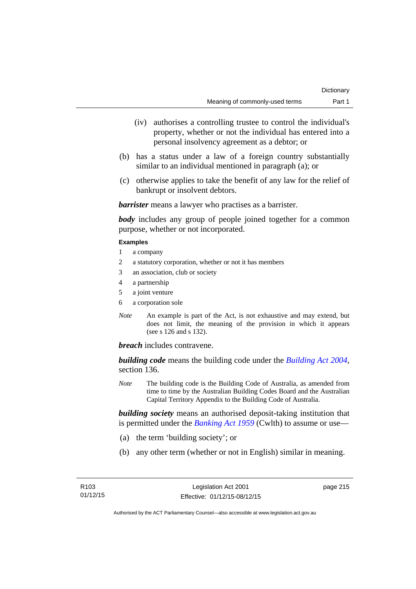- (iv) authorises a controlling trustee to control the individual's property, whether or not the individual has entered into a personal insolvency agreement as a debtor; or
- (b) has a status under a law of a foreign country substantially similar to an individual mentioned in paragraph (a); or
- (c) otherwise applies to take the benefit of any law for the relief of bankrupt or insolvent debtors.

*barrister* means a lawyer who practises as a barrister.

*body* includes any group of people joined together for a common purpose, whether or not incorporated.

#### **Examples**

- 1 a company
- 2 a statutory corporation, whether or not it has members
- 3 an association, club or society
- 4 a partnership
- 5 a joint venture
- 6 a corporation sole
- *Note* An example is part of the Act, is not exhaustive and may extend, but does not limit, the meaning of the provision in which it appears (see s 126 and s 132).

*breach* includes contravene.

*building code* means the building code under the *[Building Act 2004](http://www.legislation.act.gov.au/a/2004-11)*, section 136.

*Note* The building code is the Building Code of Australia, as amended from time to time by the Australian Building Codes Board and the Australian Capital Territory Appendix to the Building Code of Australia.

*building society* means an authorised deposit-taking institution that is permitted under the *[Banking Act 1959](http://www.comlaw.gov.au/Series/C2004A07357)* (Cwlth) to assume or use—

- (a) the term 'building society'; or
- (b) any other term (whether or not in English) similar in meaning.

page 215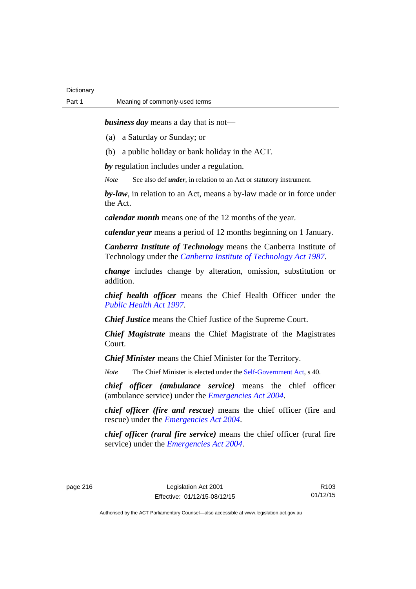*business day* means a day that is not—

(a) a Saturday or Sunday; or

(b) a public holiday or bank holiday in the ACT.

*by* regulation includes under a regulation.

*Note* See also def *under*, in relation to an Act or statutory instrument.

*by-law*, in relation to an Act, means a by-law made or in force under the Act.

*calendar month* means one of the 12 months of the year.

*calendar year* means a period of 12 months beginning on 1 January.

*Canberra Institute of Technology* means the Canberra Institute of Technology under the *[Canberra Institute of Technology Act 1987](http://www.legislation.act.gov.au/a/1987-71)*.

*change* includes change by alteration, omission, substitution or addition.

*chief health officer* means the Chief Health Officer under the *[Public Health Act 1997](http://www.legislation.act.gov.au/a/1997-69)*.

*Chief Justice* means the Chief Justice of the Supreme Court.

*Chief Magistrate* means the Chief Magistrate of the Magistrates Court.

*Chief Minister* means the Chief Minister for the Territory.

*Note* The Chief Minister is elected under the [Self-Government Act](http://www.comlaw.gov.au/Series/C2004A03699), s 40.

*chief officer (ambulance service)* means the chief officer (ambulance service) under the *[Emergencies Act 2004](http://www.legislation.act.gov.au/a/2004-28)*.

*chief officer (fire and rescue)* means the chief officer (fire and rescue) under the *[Emergencies Act 2004](http://www.legislation.act.gov.au/a/2004-28)*.

*chief officer (rural fire service)* means the chief officer (rural fire service) under the *[Emergencies Act 2004](http://www.legislation.act.gov.au/a/2004-28)*.

page 216 Legislation Act 2001 Effective: 01/12/15-08/12/15

R103 01/12/15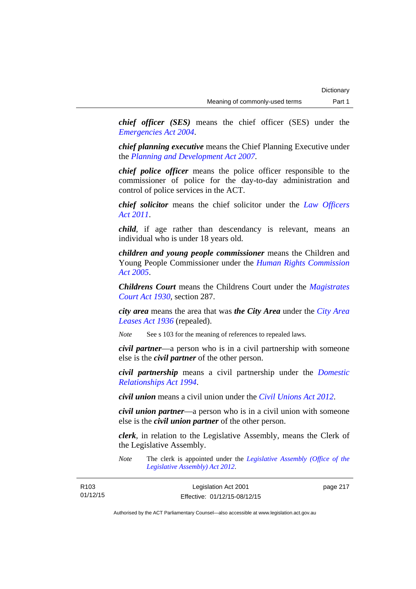*chief officer (SES)* means the chief officer (SES) under the *[Emergencies Act 2004](http://www.legislation.act.gov.au/a/2004-28)*.

*chief planning executive* means the Chief Planning Executive under the *[Planning and Development Act 2007](http://www.legislation.act.gov.au/a/2007-24)*.

*chief police officer* means the police officer responsible to the commissioner of police for the day-to-day administration and control of police services in the ACT.

*chief solicitor* means the chief solicitor under the *[Law Officers](http://www.legislation.act.gov.au/a/2011-30)  [Act 2011](http://www.legislation.act.gov.au/a/2011-30)*.

*child*, if age rather than descendancy is relevant, means an individual who is under 18 years old.

*children and young people commissioner* means the Children and Young People Commissioner under the *[Human Rights Commission](http://www.legislation.act.gov.au/a/2005-40)  [Act 2005](http://www.legislation.act.gov.au/a/2005-40)*.

*Childrens Court* means the Childrens Court under the *[Magistrates](http://www.legislation.act.gov.au/a/1930-21)  [Court Act 1930](http://www.legislation.act.gov.au/a/1930-21)*, section 287.

*city area* means the area that was *the City Area* under the *[City Area](http://www.legislation.act.gov.au/a/1936-31)  [Leases Act 1936](http://www.legislation.act.gov.au/a/1936-31)* (repealed).

*Note* See s 103 for the meaning of references to repealed laws.

*civil partner*—a person who is in a civil partnership with someone else is the *civil partner* of the other person.

*civil partnership* means a civil partnership under the *[Domestic](http://www.legislation.act.gov.au/a/1994-28)  [Relationships Act 1994](http://www.legislation.act.gov.au/a/1994-28)*.

*civil union* means a civil union under the *[Civil Unions Act 2012](http://www.legislation.act.gov.au/a/2012-40)*.

*civil union partner*—a person who is in a civil union with someone else is the *civil union partner* of the other person.

*clerk*, in relation to the Legislative Assembly, means the Clerk of the Legislative Assembly.

*Note* The clerk is appointed under the *[Legislative Assembly \(Office of the](http://www.legislation.act.gov.au/a/2012-26)  [Legislative Assembly\) Act 2012](http://www.legislation.act.gov.au/a/2012-26)*.

| R <sub>103</sub> | Legislation Act 2001         | page 217 |
|------------------|------------------------------|----------|
| 01/12/15         | Effective: 01/12/15-08/12/15 |          |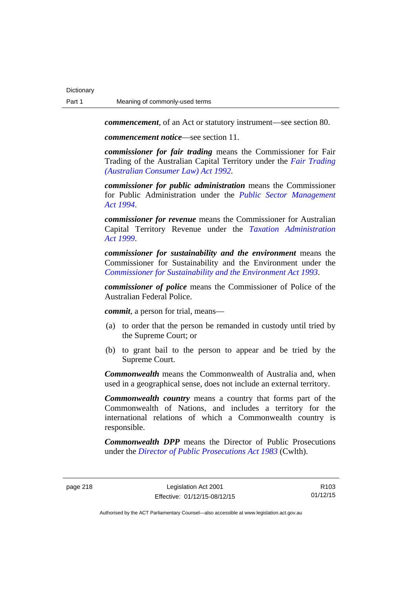*commencement*, of an Act or statutory instrument—see section 80.

*commencement notice*—see section 11.

*commissioner for fair trading* means the Commissioner for Fair Trading of the Australian Capital Territory under the *[Fair Trading](http://www.legislation.act.gov.au/a/1992-72)  [\(Australian Consumer Law\) Act 1992](http://www.legislation.act.gov.au/a/1992-72)*.

*commissioner for public administration* means the Commissioner for Public Administration under the *[Public Sector Management](http://www.legislation.act.gov.au/a/1994-37)  [Act 1994](http://www.legislation.act.gov.au/a/1994-37)*.

*commissioner for revenue* means the Commissioner for Australian Capital Territory Revenue under the *[Taxation Administration](http://www.legislation.act.gov.au/a/1999-4)  [Act 1999](http://www.legislation.act.gov.au/a/1999-4)*.

*commissioner for sustainability and the environment* means the Commissioner for Sustainability and the Environment under the *[Commissioner for Sustainability and the Environment Act 1993](http://www.legislation.act.gov.au/a/1993-37)*.

*commissioner of police* means the Commissioner of Police of the Australian Federal Police.

*commit*, a person for trial, means—

- (a) to order that the person be remanded in custody until tried by the Supreme Court; or
- (b) to grant bail to the person to appear and be tried by the Supreme Court.

*Commonwealth* means the Commonwealth of Australia and, when used in a geographical sense, does not include an external territory.

*Commonwealth country* means a country that forms part of the Commonwealth of Nations, and includes a territory for the international relations of which a Commonwealth country is responsible.

*Commonwealth DPP* means the Director of Public Prosecutions under the *[Director of Public Prosecutions Act 1983](http://www.comlaw.gov.au/Series/C2004A02830)* (Cwlth).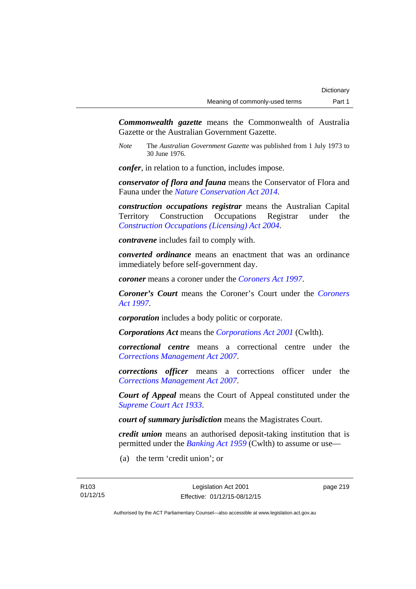*Commonwealth gazette* means the Commonwealth of Australia Gazette or the Australian Government Gazette.

*Note* The *Australian Government Gazette* was published from 1 July 1973 to 30 June 1976.

*confer*, in relation to a function, includes impose.

*conservator of flora and fauna* means the Conservator of Flora and Fauna under the *[Nature Conservation Act 2014](http://www.legislation.act.gov.au/a/2014-59)*.

*construction occupations registrar* means the Australian Capital Territory Construction Occupations Registrar under the *[Construction Occupations \(Licensing\) Act 2004](http://www.legislation.act.gov.au/a/2004-12)*.

*contravene* includes fail to comply with.

*converted ordinance* means an enactment that was an ordinance immediately before self-government day.

*coroner* means a coroner under the *[Coroners Act 1997](http://www.legislation.act.gov.au/a/1997-57)*.

*Coroner's Court* means the Coroner's Court under the *[Coroners](http://www.legislation.act.gov.au/a/1997-57)  [Act 1997](http://www.legislation.act.gov.au/a/1997-57)*.

*corporation* includes a body politic or corporate.

*Corporations Act* means the *[Corporations Act 2001](http://www.comlaw.gov.au/Series/C2004A00818)* (Cwlth).

*correctional centre* means a correctional centre under the *[Corrections Management Act 2007](http://www.legislation.act.gov.au/a/2007-15)*.

*corrections officer* means a corrections officer under the *[Corrections Management Act 2007](http://www.legislation.act.gov.au/a/2007-15)*.

*Court of Appeal* means the Court of Appeal constituted under the *[Supreme Court Act 1933](http://www.legislation.act.gov.au/a/1933-34)*.

*court of summary jurisdiction* means the Magistrates Court.

*credit union* means an authorised deposit-taking institution that is permitted under the *[Banking Act 1959](http://www.comlaw.gov.au/Series/C2004A07357)* (Cwlth) to assume or use—

(a) the term 'credit union'; or

page 219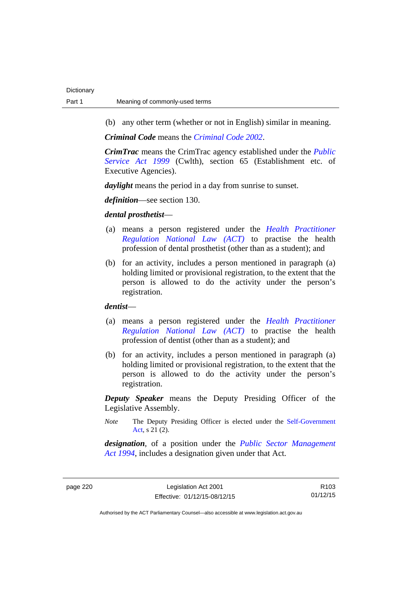(b) any other term (whether or not in English) similar in meaning.

*Criminal Code* means the *[Criminal Code 2002](http://www.legislation.act.gov.au/a/2002-51)*.

*CrimTrac* means the CrimTrac agency established under the *[Public](http://www.comlaw.gov.au/Series/C2004A00538)  [Service Act 1999](http://www.comlaw.gov.au/Series/C2004A00538)* (Cwlth), section 65 (Establishment etc. of Executive Agencies).

*daylight* means the period in a day from sunrise to sunset.

*definition*—see section 130.

### *dental prosthetist*—

- (a) means a person registered under the *[Health Practitioner](http://www.legislation.act.gov.au/a/db_39269/default.asp)  [Regulation National Law \(ACT\)](http://www.legislation.act.gov.au/a/db_39269/default.asp)* to practise the health profession of dental prosthetist (other than as a student); and
- (b) for an activity, includes a person mentioned in paragraph (a) holding limited or provisional registration, to the extent that the person is allowed to do the activity under the person's registration.

### *dentist*—

- (a) means a person registered under the *[Health Practitioner](http://www.legislation.act.gov.au/a/db_39269/default.asp)  [Regulation National Law \(ACT\)](http://www.legislation.act.gov.au/a/db_39269/default.asp)* to practise the health profession of dentist (other than as a student); and
- (b) for an activity, includes a person mentioned in paragraph (a) holding limited or provisional registration, to the extent that the person is allowed to do the activity under the person's registration.

*Deputy Speaker* means the Deputy Presiding Officer of the Legislative Assembly.

*Note* The Deputy Presiding Officer is elected under the [Self-Government](http://www.comlaw.gov.au/Series/C2004A03699)  [Act](http://www.comlaw.gov.au/Series/C2004A03699), s 21 (2).

*designation*, of a position under the *[Public Sector Management](http://www.legislation.act.gov.au/a/1994-37)  [Act 1994](http://www.legislation.act.gov.au/a/1994-37)*, includes a designation given under that Act.

page 220 Legislation Act 2001 Effective: 01/12/15-08/12/15

R103 01/12/15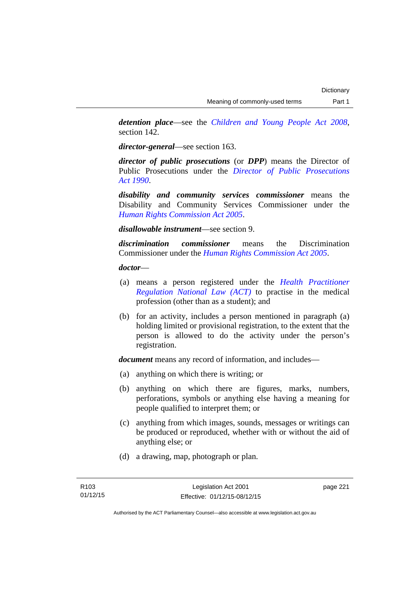*detention place*—see the *[Children and Young People Act 2008](http://www.legislation.act.gov.au/a/2008-19)*, section 142.

*director-general*—see section 163.

*director of public prosecutions* (or *DPP*) means the Director of Public Prosecutions under the *[Director of Public Prosecutions](http://www.legislation.act.gov.au/a/1990-22)  [Act 1990](http://www.legislation.act.gov.au/a/1990-22)*.

*disability and community services commissioner* means the Disability and Community Services Commissioner under the *[Human Rights Commission Act 2005](http://www.legislation.act.gov.au/a/2005-40)*.

*disallowable instrument*—see section 9.

*discrimination commissioner* means the Discrimination Commissioner under the *[Human Rights Commission Act 2005](http://www.legislation.act.gov.au/a/2005-40)*.

*doctor*—

- (a) means a person registered under the *[Health Practitioner](http://www.legislation.act.gov.au/a/db_39269/default.asp)  [Regulation National Law \(ACT\)](http://www.legislation.act.gov.au/a/db_39269/default.asp)* to practise in the medical profession (other than as a student); and
- (b) for an activity, includes a person mentioned in paragraph (a) holding limited or provisional registration, to the extent that the person is allowed to do the activity under the person's registration.

*document* means any record of information, and includes—

- (a) anything on which there is writing; or
- (b) anything on which there are figures, marks, numbers, perforations, symbols or anything else having a meaning for people qualified to interpret them; or
- (c) anything from which images, sounds, messages or writings can be produced or reproduced, whether with or without the aid of anything else; or
- (d) a drawing, map, photograph or plan.

page 221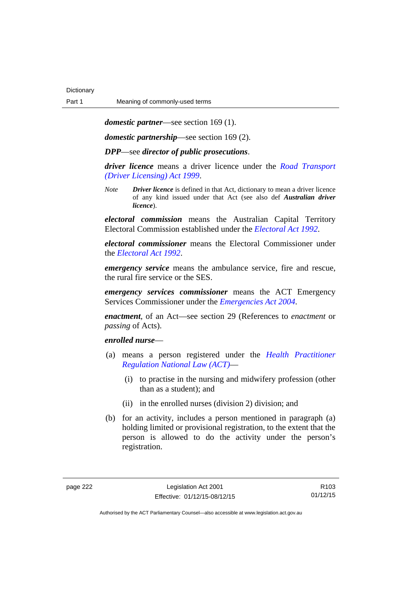*domestic partner*—see section 169 (1).

*domestic partnership*—see section 169 (2).

*DPP*—see *director of public prosecutions*.

*driver licence* means a driver licence under the *[Road Transport](http://www.legislation.act.gov.au/a/1999-78)  [\(Driver Licensing\) Act 1999](http://www.legislation.act.gov.au/a/1999-78)*.

*Note Driver licence* is defined in that Act, dictionary to mean a driver licence of any kind issued under that Act (see also def *Australian driver licence*).

*electoral commission* means the Australian Capital Territory Electoral Commission established under the *[Electoral Act 1992](http://www.legislation.act.gov.au/a/1992-71)*.

*electoral commissioner* means the Electoral Commissioner under the *[Electoral Act 1992](http://www.legislation.act.gov.au/a/1992-71)*.

*emergency service* means the ambulance service, fire and rescue, the rural fire service or the SES.

*emergency services commissioner* means the ACT Emergency Services Commissioner under the *[Emergencies Act 2004](http://www.legislation.act.gov.au/a/2004-28)*.

*enactment*, of an Act—see section 29 (References to *enactment* or *passing* of Acts).

### *enrolled nurse*—

- (a) means a person registered under the *[Health Practitioner](http://www.legislation.act.gov.au/a/db_39269/default.asp)  [Regulation National Law \(ACT\)](http://www.legislation.act.gov.au/a/db_39269/default.asp)*—
	- (i) to practise in the nursing and midwifery profession (other than as a student); and
	- (ii) in the enrolled nurses (division 2) division; and
- (b) for an activity, includes a person mentioned in paragraph (a) holding limited or provisional registration, to the extent that the person is allowed to do the activity under the person's registration.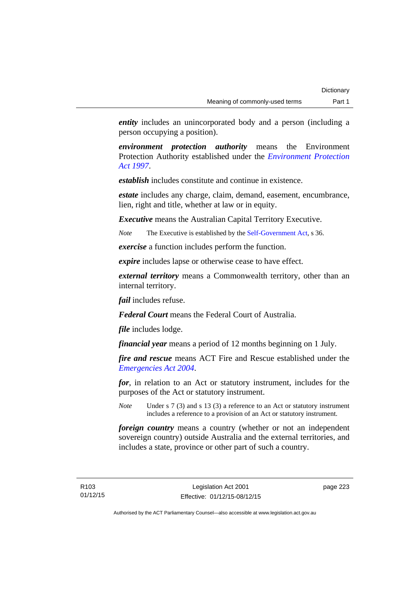*entity* includes an unincorporated body and a person (including a person occupying a position).

*environment protection authority* means the Environment Protection Authority established under the *[Environment Protection](http://www.legislation.act.gov.au/a/1997-92)  [Act 1997](http://www.legislation.act.gov.au/a/1997-92)*.

*establish* includes constitute and continue in existence.

*estate* includes any charge, claim, demand, easement, encumbrance, lien, right and title, whether at law or in equity.

*Executive* means the Australian Capital Territory Executive.

*Note* The Executive is established by the [Self-Government Act](http://www.comlaw.gov.au/Series/C2004A03699), s 36.

*exercise* a function includes perform the function.

*expire* includes lapse or otherwise cease to have effect.

*external territory* means a Commonwealth territory, other than an internal territory.

*fail* includes refuse.

*Federal Court* means the Federal Court of Australia.

*file* includes lodge.

*financial year* means a period of 12 months beginning on 1 July.

*fire and rescue* means ACT Fire and Rescue established under the *[Emergencies Act 2004](http://www.legislation.act.gov.au/a/2004-28)*.

*for*, in relation to an Act or statutory instrument, includes for the purposes of the Act or statutory instrument.

*Note* Under s 7 (3) and s 13 (3) a reference to an Act or statutory instrument includes a reference to a provision of an Act or statutory instrument.

*foreign country* means a country (whether or not an independent sovereign country) outside Australia and the external territories, and includes a state, province or other part of such a country.

page 223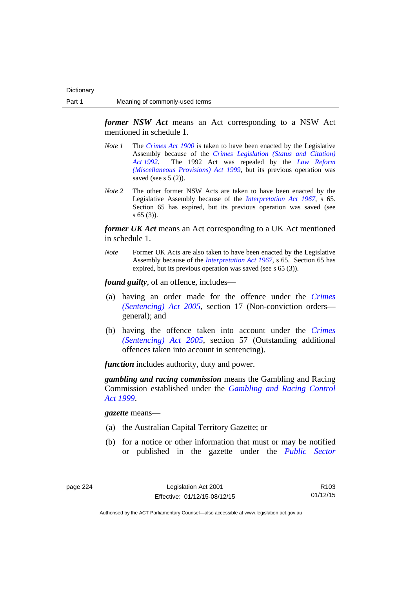*former NSW Act* means an Act corresponding to a NSW Act mentioned in schedule 1.

- *Note 1* The *[Crimes Act 1900](http://www.legislation.act.gov.au/a/1900-40)* is taken to have been enacted by the Legislative Assembly because of the *[Crimes Legislation \(Status and Citation\)](http://www.legislation.act.gov.au/a/1992-6)  [Act 1992](http://www.legislation.act.gov.au/a/1992-6)*. The 1992 Act was repealed by the *[Law Reform](http://www.legislation.act.gov.au/a/1999-66)  [\(Miscellaneous Provisions\) Act 1999](http://www.legislation.act.gov.au/a/1999-66)*, but its previous operation was saved (see s  $5(2)$ ).
- *Note 2* The other former NSW Acts are taken to have been enacted by the Legislative Assembly because of the *[Interpretation Act 1967](http://www.legislation.act.gov.au/a/1967-48)*, s 65. Section 65 has expired, but its previous operation was saved (see s 65 (3)).

*former UK Act* means an Act corresponding to a UK Act mentioned in schedule 1.

*Note* Former UK Acts are also taken to have been enacted by the Legislative Assembly because of the *[Interpretation Act 1967](http://www.legislation.act.gov.au/a/1967-48)*, s 65. Section 65 has expired, but its previous operation was saved (see s 65 (3)).

*found guilty*, of an offence, includes—

- (a) having an order made for the offence under the *[Crimes](http://www.legislation.act.gov.au/a/2005-58)  [\(Sentencing\) Act 2005](http://www.legislation.act.gov.au/a/2005-58)*, section 17 (Non-conviction orders general); and
- (b) having the offence taken into account under the *[Crimes](http://www.legislation.act.gov.au/a/2005-58)  [\(Sentencing\) Act 2005](http://www.legislation.act.gov.au/a/2005-58)*, section 57 (Outstanding additional offences taken into account in sentencing).

*function* includes authority, duty and power.

*gambling and racing commission* means the Gambling and Racing Commission established under the *[Gambling and Racing Control](http://www.legislation.act.gov.au/a/1999-46)  [Act 1999](http://www.legislation.act.gov.au/a/1999-46)*.

*gazette* means—

- (a) the Australian Capital Territory Gazette; or
- (b) for a notice or other information that must or may be notified or published in the gazette under the *[Public Sector](http://www.legislation.act.gov.au/a/1994-37)*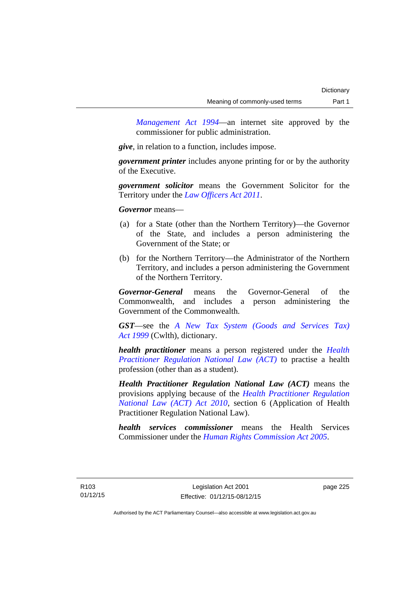*Management Act 1994*—an internet site approved by the commissioner for public administration.

*give*, in relation to a function, includes impose.

*government printer* includes anyone printing for or by the authority of the Executive.

*government solicitor* means the Government Solicitor for the Territory under the *[Law Officers Act 2011](http://www.legislation.act.gov.au/a/2011-30)*.

*Governor* means—

- (a) for a State (other than the Northern Territory)—the Governor of the State, and includes a person administering the Government of the State; or
- (b) for the Northern Territory—the Administrator of the Northern Territory, and includes a person administering the Government of the Northern Territory.

*Governor-General* means the Governor-General of the Commonwealth, and includes a person administering the Government of the Commonwealth.

*GST*—see the *[A New Tax System \(Goods and Services Tax\)](http://www.comlaw.gov.au/Series/C2004A00446)  [Act 1999](http://www.comlaw.gov.au/Series/C2004A00446)* (Cwlth), dictionary.

*health practitioner* means a person registered under the *[Health](http://www.legislation.act.gov.au/a/db_39269/default.asp)  [Practitioner Regulation National Law \(ACT\)](http://www.legislation.act.gov.au/a/db_39269/default.asp)* to practise a health profession (other than as a student).

*Health Practitioner Regulation National Law (ACT)* means the provisions applying because of the *[Health Practitioner Regulation](http://www.legislation.act.gov.au/a/2010-10)  [National Law \(ACT\) Act 2010](http://www.legislation.act.gov.au/a/2010-10)*, section 6 (Application of Health Practitioner Regulation National Law).

*health services commissioner* means the Health Services Commissioner under the *[Human Rights Commission Act 2005](http://www.legislation.act.gov.au/a/2005-40)*.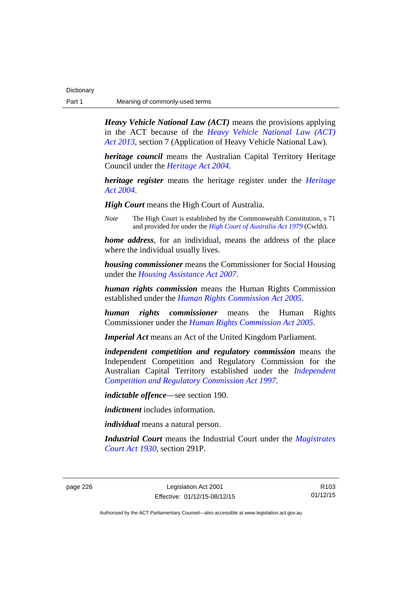| Dictionary |                                |
|------------|--------------------------------|
| Part 1     | Meaning of commonly-used terms |

*Heavy Vehicle National Law (ACT)* means the provisions applying in the ACT because of the *[Heavy Vehicle National Law \(ACT\)](http://www.legislation.act.gov.au/a/2013-51/default.asp)  [Act 2013](http://www.legislation.act.gov.au/a/2013-51/default.asp)*, section 7 (Application of Heavy Vehicle National Law).

*heritage council* means the Australian Capital Territory Heritage Council under the *[Heritage Act 2004](http://www.legislation.act.gov.au/a/2004-57)*.

*heritage register* means the heritage register under the *[Heritage](http://www.legislation.act.gov.au/a/2004-57)  [Act 2004](http://www.legislation.act.gov.au/a/2004-57)*.

*High Court* means the High Court of Australia.

*Note* The High Court is established by the Commonwealth Constitution, s 71 and provided for under the *[High Court of Australia Act 1979](http://www.comlaw.gov.au/Series/C2004A02147)* (Cwlth).

*home address*, for an individual, means the address of the place where the individual usually lives.

*housing commissioner* means the Commissioner for Social Housing under the *[Housing Assistance Act 2007](http://www.legislation.act.gov.au/a/2007-8)*.

*human rights commission* means the Human Rights Commission established under the *[Human Rights Commission Act 2005](http://www.legislation.act.gov.au/a/2005-40)*.

*human rights commissioner* means the Human Rights Commissioner under the *[Human Rights Commission Act 2005](http://www.legislation.act.gov.au/a/2005-40)*.

*Imperial Act* means an Act of the United Kingdom Parliament.

*independent competition and regulatory commission* means the Independent Competition and Regulatory Commission for the Australian Capital Territory established under the *[Independent](http://www.legislation.act.gov.au/a/1997-77)  [Competition and Regulatory Commission Act 1997](http://www.legislation.act.gov.au/a/1997-77)*.

*indictable offence*—see section 190.

*indictment* includes information.

*individual* means a natural person.

*Industrial Court* means the Industrial Court under the *[Magistrates](http://www.legislation.act.gov.au/a/1930-21)  [Court Act 1930](http://www.legislation.act.gov.au/a/1930-21)*, section 291P.

page 226 Legislation Act 2001 Effective: 01/12/15-08/12/15

R103 01/12/15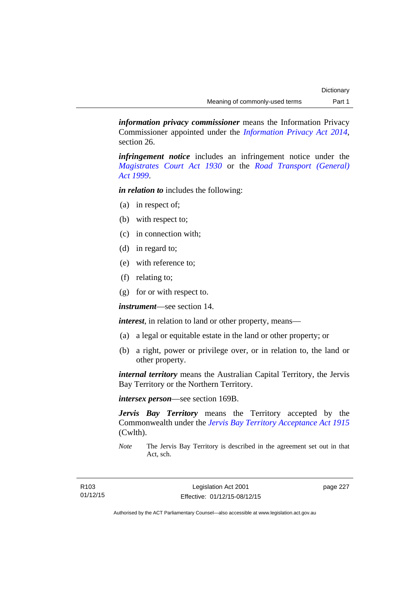*information privacy commissioner* means the Information Privacy Commissioner appointed under the *[Information Privacy Act 2014](http://www.legislation.act.gov.au/a/2014-24/default.asp)*, section 26.

*infringement notice* includes an infringement notice under the *[Magistrates Court Act 1930](http://www.legislation.act.gov.au/a/1930-21)* or the *[Road Transport \(General\)](http://www.legislation.act.gov.au/a/1999-77)  [Act 1999](http://www.legislation.act.gov.au/a/1999-77)*.

*in relation to* includes the following:

- (a) in respect of;
- (b) with respect to;
- (c) in connection with;
- (d) in regard to;
- (e) with reference to;
- (f) relating to;
- (g) for or with respect to.

*instrument*—see section 14.

*interest*, in relation to land or other property, means—

- (a) a legal or equitable estate in the land or other property; or
- (b) a right, power or privilege over, or in relation to, the land or other property.

*internal territory* means the Australian Capital Territory, the Jervis Bay Territory or the Northern Territory.

*intersex person*—see section 169B.

*Jervis Bay Territory* means the Territory accepted by the Commonwealth under the *[Jervis Bay Territory Acceptance Act 1915](http://www.comlaw.gov.au/Series/C2004A07489)* (Cwlth).

*Note* The Jervis Bay Territory is described in the agreement set out in that Act, sch.

page 227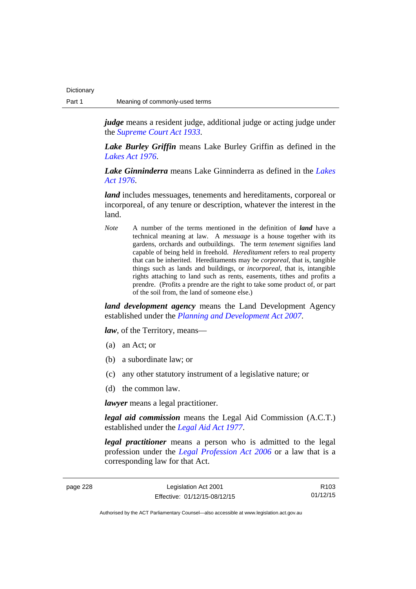*judge* means a resident judge, additional judge or acting judge under the *[Supreme Court Act 1933](http://www.legislation.act.gov.au/a/1933-34)*.

*Lake Burley Griffin* means Lake Burley Griffin as defined in the *[Lakes Act 1976](http://www.legislation.act.gov.au/a/1976-65)*.

*Lake Ginninderra* means Lake Ginninderra as defined in the *[Lakes](http://www.legislation.act.gov.au/a/1976-65)  [Act 1976](http://www.legislation.act.gov.au/a/1976-65)*.

*land* includes messuages, tenements and hereditaments, corporeal or incorporeal, of any tenure or description, whatever the interest in the land.

*Note* A number of the terms mentioned in the definition of *land* have a technical meaning at law. A *messuage* is a house together with its gardens, orchards and outbuildings. The term *tenement* signifies land capable of being held in freehold. *Hereditament* refers to real property that can be inherited. Hereditaments may be *corporeal*, that is, tangible things such as lands and buildings, or *incorporeal*, that is, intangible rights attaching to land such as rents, easements, tithes and profits a prendre. (Profits a prendre are the right to take some product of, or part of the soil from, the land of someone else.)

*land development agency* means the Land Development Agency established under the *[Planning and Development Act 2007](http://www.legislation.act.gov.au/a/2007-24)*.

*law*, of the Territory, means—

- (a) an Act; or
- (b) a subordinate law; or
- (c) any other statutory instrument of a legislative nature; or
- (d) the common law.

*lawyer* means a legal practitioner.

*legal aid commission* means the Legal Aid Commission (A.C.T.) established under the *[Legal Aid Act 1977](http://www.legislation.act.gov.au/a/1977-31)*.

*legal practitioner* means a person who is admitted to the legal profession under the *[Legal Profession Act 2006](http://www.legislation.act.gov.au/a/2006-25)* or a law that is a corresponding law for that Act.

| page 228 | Legislation Act 2001         | R <sub>103</sub> |
|----------|------------------------------|------------------|
|          | Effective: 01/12/15-08/12/15 | 01/12/15         |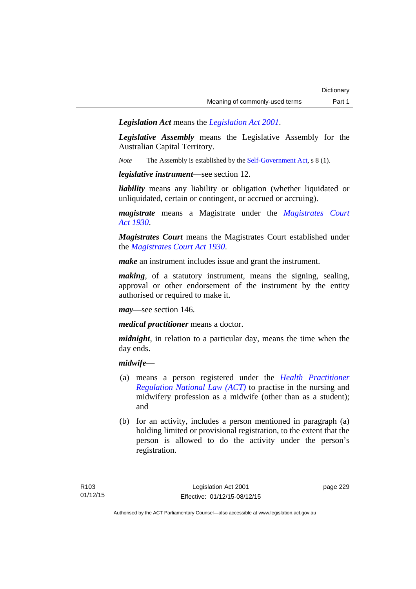*Legislation Act* means the *[Legislation Act 2001](http://www.legislation.act.gov.au/a/2001-14)*.

*Legislative Assembly* means the Legislative Assembly for the Australian Capital Territory.

*Note* The Assembly is established by the [Self-Government Act](http://www.comlaw.gov.au/Series/C2004A03699), s 8 (1).

*legislative instrument*—see section 12.

*liability* means any liability or obligation (whether liquidated or unliquidated, certain or contingent, or accrued or accruing).

*magistrate* means a Magistrate under the *[Magistrates Court](http://www.legislation.act.gov.au/a/1930-21)  [Act 1930](http://www.legislation.act.gov.au/a/1930-21)*.

*Magistrates Court* means the Magistrates Court established under the *[Magistrates Court Act 1930](http://www.legislation.act.gov.au/a/1930-21)*.

*make* an instrument includes issue and grant the instrument.

*making*, of a statutory instrument, means the signing, sealing, approval or other endorsement of the instrument by the entity authorised or required to make it.

*may*—see section 146.

*medical practitioner* means a doctor.

*midnight*, in relation to a particular day, means the time when the day ends.

### *midwife*—

- (a) means a person registered under the *[Health Practitioner](http://www.legislation.act.gov.au/a/db_39269/default.asp)  [Regulation National Law \(ACT\)](http://www.legislation.act.gov.au/a/db_39269/default.asp)* to practise in the nursing and midwifery profession as a midwife (other than as a student); and
- (b) for an activity, includes a person mentioned in paragraph (a) holding limited or provisional registration, to the extent that the person is allowed to do the activity under the person's registration.

page 229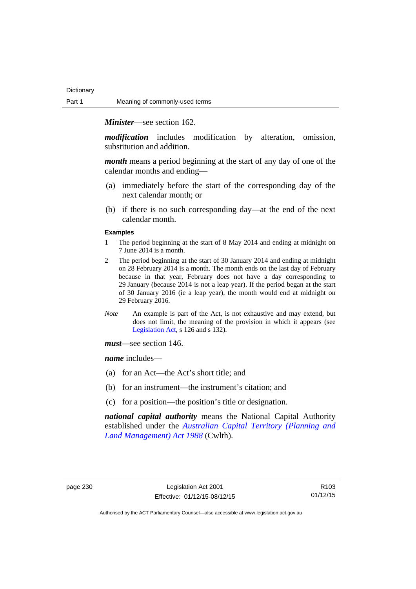*Minister*—see section 162.

*modification* includes modification by alteration, omission, substitution and addition.

*month* means a period beginning at the start of any day of one of the calendar months and ending—

- (a) immediately before the start of the corresponding day of the next calendar month; or
- (b) if there is no such corresponding day—at the end of the next calendar month.

#### **Examples**

- 1 The period beginning at the start of 8 May 2014 and ending at midnight on 7 June 2014 is a month.
- 2 The period beginning at the start of 30 January 2014 and ending at midnight on 28 February 2014 is a month. The month ends on the last day of February because in that year, February does not have a day corresponding to 29 January (because 2014 is not a leap year). If the period began at the start of 30 January 2016 (ie a leap year), the month would end at midnight on 29 February 2016.
- *Note* An example is part of the Act, is not exhaustive and may extend, but does not limit, the meaning of the provision in which it appears (see [Legislation Act,](http://www.legislation.act.gov.au/a/2001-14) s 126 and s 132).

*must*—see section 146.

*name* includes—

- (a) for an Act—the Act's short title; and
- (b) for an instrument—the instrument's citation; and
- (c) for a position—the position's title or designation.

*national capital authority* means the National Capital Authority established under the *[Australian Capital Territory \(Planning and](http://www.comlaw.gov.au/Series/C2004A03701)  [Land Management\) Act 1988](http://www.comlaw.gov.au/Series/C2004A03701)* (Cwlth).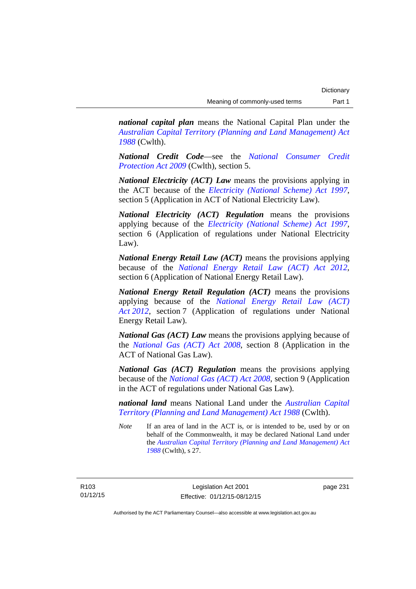*national capital plan* means the National Capital Plan under the *[Australian Capital Territory \(Planning and Land Management\) Act](http://www.comlaw.gov.au/Series/C2004A03701)  [1988](http://www.comlaw.gov.au/Series/C2004A03701)* (Cwlth).

*National Credit Code*—see the *[National Consumer Credit](http://www.comlaw.gov.au/Series/C2009A00134)  [Protection Act 2009](http://www.comlaw.gov.au/Series/C2009A00134)* (Cwlth), section 5.

*National Electricity (ACT) Law* means the provisions applying in the ACT because of the *[Electricity \(National Scheme\) Act 1997](http://www.legislation.act.gov.au/a/1997-79)*, section 5 (Application in ACT of National Electricity Law).

*National Electricity (ACT) Regulation* means the provisions applying because of the *[Electricity \(National Scheme\) Act 1997](http://www.legislation.act.gov.au/a/1997-79)*, section 6 (Application of regulations under National Electricity Law).

*National Energy Retail Law (ACT)* means the provisions applying because of the *[National Energy Retail Law \(ACT\) Act 2012](http://www.legislation.act.gov.au/a/2012-31)*, section 6 (Application of National Energy Retail Law).

*National Energy Retail Regulation (ACT)* means the provisions applying because of the *[National Energy Retail Law \(ACT\)](http://www.legislation.act.gov.au/a/2012-31)  [Act 2012](http://www.legislation.act.gov.au/a/2012-31)*, section 7 (Application of regulations under National Energy Retail Law).

*National Gas (ACT) Law* means the provisions applying because of the *[National Gas \(ACT\) Act 2008](http://www.legislation.act.gov.au/a/2008-15)*, section 8 (Application in the ACT of National Gas Law).

*National Gas (ACT) Regulation* means the provisions applying because of the *[National Gas \(ACT\) Act 2008](http://www.legislation.act.gov.au/a/2008-15)*, section 9 (Application in the ACT of regulations under National Gas Law).

*national land* means National Land under the *[Australian Capital](http://www.comlaw.gov.au/Series/C2004A03701)  [Territory \(Planning and Land Management\) Act 1988](http://www.comlaw.gov.au/Series/C2004A03701)* (Cwlth).

*Note* If an area of land in the ACT is, or is intended to be, used by or on behalf of the Commonwealth, it may be declared National Land under the *[Australian Capital Territory \(Planning and Land Management\) Act](http://www.comlaw.gov.au/Series/C2004A03701)  [1988](http://www.comlaw.gov.au/Series/C2004A03701)* (Cwlth), s 27.

R103 01/12/15 page 231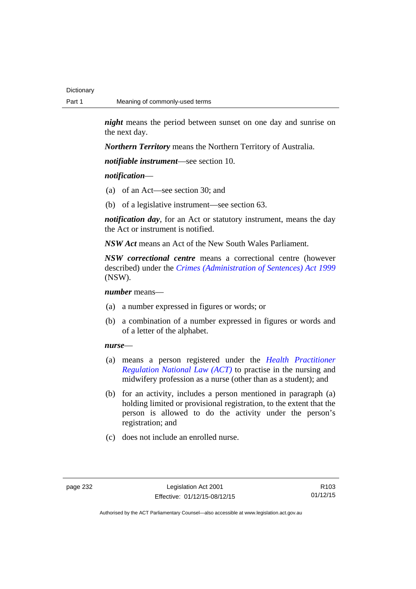*night* means the period between sunset on one day and sunrise on the next day.

*Northern Territory* means the Northern Territory of Australia.

*notifiable instrument*—see section 10.

### *notification*—

- (a) of an Act—see section 30; and
- (b) of a legislative instrument—see section 63.

*notification day*, for an Act or statutory instrument, means the day the Act or instrument is notified.

*NSW Act* means an Act of the New South Wales Parliament.

*NSW correctional centre* means a correctional centre (however described) under the *[Crimes \(Administration of Sentences\) Act 1999](http://www.legislation.nsw.gov.au/maintop/view/inforce/act+93+1999+cd+0+N)* (NSW).

*number* means—

- (a) a number expressed in figures or words; or
- (b) a combination of a number expressed in figures or words and of a letter of the alphabet.

### *nurse*—

- (a) means a person registered under the *[Health Practitioner](http://www.legislation.act.gov.au/a/db_39269/default.asp)  [Regulation National Law \(ACT\)](http://www.legislation.act.gov.au/a/db_39269/default.asp)* to practise in the nursing and midwifery profession as a nurse (other than as a student); and
- (b) for an activity, includes a person mentioned in paragraph (a) holding limited or provisional registration, to the extent that the person is allowed to do the activity under the person's registration; and
- (c) does not include an enrolled nurse.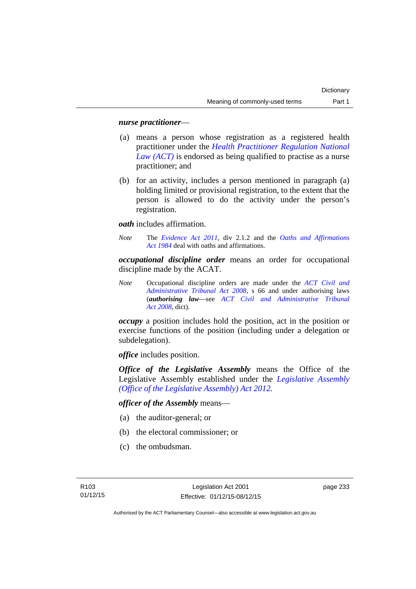### *nurse practitioner*—

- (a) means a person whose registration as a registered health practitioner under the *[Health Practitioner Regulation National](http://www.legislation.act.gov.au/a/db_39269/default.asp)  [Law \(ACT\)](http://www.legislation.act.gov.au/a/db_39269/default.asp)* is endorsed as being qualified to practise as a nurse practitioner; and
- (b) for an activity, includes a person mentioned in paragraph (a) holding limited or provisional registration, to the extent that the person is allowed to do the activity under the person's registration.

*oath* includes affirmation.

*Note* The *[Evidence Act 2011](http://www.legislation.act.gov.au/a/2011-12)*, div 2.1.2 and the *[Oaths and Affirmations](http://www.legislation.act.gov.au/a/1984-79)  [Act 1984](http://www.legislation.act.gov.au/a/1984-79)* deal with oaths and affirmations.

*occupational discipline order* means an order for occupational discipline made by the ACAT.

*Note* Occupational discipline orders are made under the *[ACT Civil and](http://www.legislation.act.gov.au/a/2008-35)  [Administrative Tribunal Act 2008](http://www.legislation.act.gov.au/a/2008-35)*, s 66 and under authorising laws (*authorising law*—see *[ACT Civil and Administrative Tribunal](http://www.legislation.act.gov.au/a/2008-35)  [Act 2008](http://www.legislation.act.gov.au/a/2008-35)*, dict).

*occupy* a position includes hold the position, act in the position or exercise functions of the position (including under a delegation or subdelegation).

*office* includes position.

*Office of the Legislative Assembly* means the Office of the Legislative Assembly established under the *[Legislative Assembly](http://www.legislation.act.gov.au/a/2012-26)  [\(Office of the Legislative Assembly\) Act 2012](http://www.legislation.act.gov.au/a/2012-26)*.

*officer of the Assembly* means—

- (a) the auditor-general; or
- (b) the electoral commissioner; or
- (c) the ombudsman.

page 233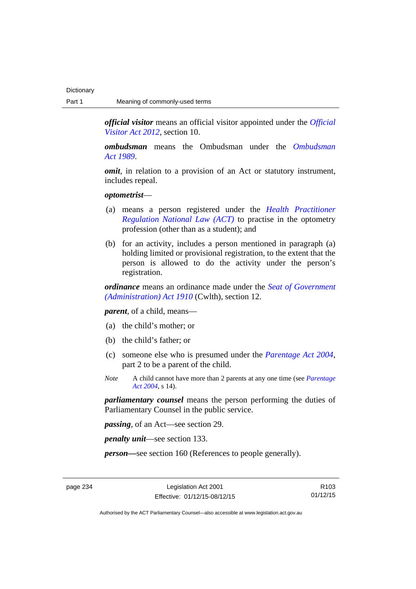*official visitor* means an official visitor appointed under the *[Official](http://www.legislation.act.gov.au/a/2012-33)  [Visitor Act 2012](http://www.legislation.act.gov.au/a/2012-33)*, section 10.

*ombudsman* means the Ombudsman under the *[Ombudsman](http://www.legislation.act.gov.au/a/alt_a1989-45co)  [Act 1989](http://www.legislation.act.gov.au/a/alt_a1989-45co)*.

*omit*, in relation to a provision of an Act or statutory instrument, includes repeal.

### *optometrist*—

- (a) means a person registered under the *[Health Practitioner](http://www.legislation.act.gov.au/a/db_39269/default.asp)  [Regulation National Law \(ACT\)](http://www.legislation.act.gov.au/a/db_39269/default.asp)* to practise in the optometry profession (other than as a student); and
- (b) for an activity, includes a person mentioned in paragraph (a) holding limited or provisional registration, to the extent that the person is allowed to do the activity under the person's registration.

*ordinance* means an ordinance made under the *[Seat of Government](http://www.comlaw.gov.au/Series/C2004A07446)  [\(Administration\) Act 1910](http://www.comlaw.gov.au/Series/C2004A07446)* (Cwlth), section 12.

*parent*, of a child, means—

- (a) the child's mother; or
- (b) the child's father; or
- (c) someone else who is presumed under the *[Parentage Act 2004](http://www.legislation.act.gov.au/a/2004-1)*, part 2 to be a parent of the child.
- *Note* A child cannot have more than 2 parents at any one time (see *[Parentage](http://www.legislation.act.gov.au/a/2004-1)  [Act 2004](http://www.legislation.act.gov.au/a/2004-1)*, s 14).

*parliamentary counsel* means the person performing the duties of Parliamentary Counsel in the public service.

*passing*, of an Act—see section 29.

*penalty unit*—see section 133.

*person—*see section 160 (References to people generally).

page 234 Legislation Act 2001 Effective: 01/12/15-08/12/15

R103 01/12/15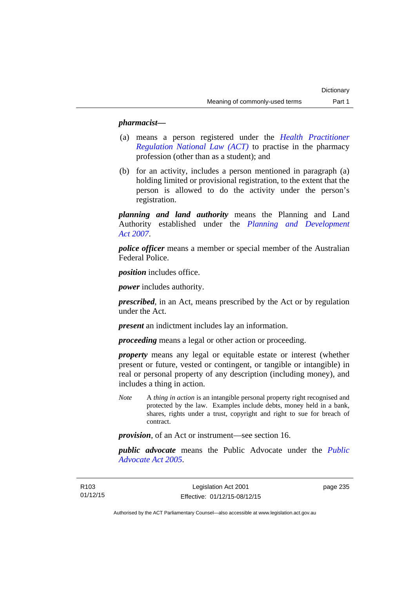### *pharmacist***—**

- (a) means a person registered under the *[Health Practitioner](http://www.legislation.act.gov.au/a/db_39269/default.asp)  [Regulation National Law \(ACT\)](http://www.legislation.act.gov.au/a/db_39269/default.asp)* to practise in the pharmacy profession (other than as a student); and
- (b) for an activity, includes a person mentioned in paragraph (a) holding limited or provisional registration, to the extent that the person is allowed to do the activity under the person's registration.

*planning and land authority* means the Planning and Land Authority established under the *[Planning and Development](http://www.legislation.act.gov.au/a/2007-24)  [Act 2007](http://www.legislation.act.gov.au/a/2007-24)*.

*police officer* means a member or special member of the Australian Federal Police.

*position* includes office.

*power* includes authority.

*prescribed*, in an Act, means prescribed by the Act or by regulation under the Act.

*present* an indictment includes lay an information.

*proceeding* means a legal or other action or proceeding.

*property* means any legal or equitable estate or interest (whether present or future, vested or contingent, or tangible or intangible) in real or personal property of any description (including money), and includes a thing in action.

*Note* A *thing in action* is an intangible personal property right recognised and protected by the law. Examples include debts, money held in a bank, shares, rights under a trust, copyright and right to sue for breach of contract.

*provision*, of an Act or instrument—see section 16.

*public advocate* means the Public Advocate under the *[Public](http://www.legislation.act.gov.au/a/2005-47)  [Advocate Act 2005](http://www.legislation.act.gov.au/a/2005-47)*.

page 235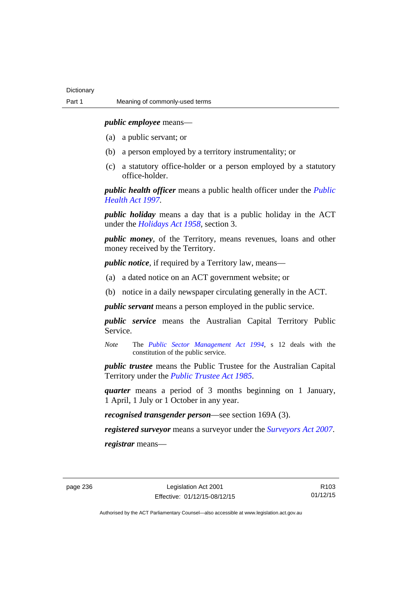*public employee* means—

- (a) a public servant; or
- (b) a person employed by a territory instrumentality; or
- (c) a statutory office-holder or a person employed by a statutory office-holder.

*public health officer* means a public health officer under the *[Public](http://www.legislation.act.gov.au/a/1997-69)  [Health Act 1997.](http://www.legislation.act.gov.au/a/1997-69)*

*public holiday* means a day that is a public holiday in the ACT under the *[Holidays Act 1958](http://www.legislation.act.gov.au/a/1958-19)*, section 3.

*public money*, of the Territory, means revenues, loans and other money received by the Territory.

*public notice*, if required by a Territory law, means—

- (a) a dated notice on an ACT government website; or
- (b) notice in a daily newspaper circulating generally in the ACT.

*public servant* means a person employed in the public service.

*public service* means the Australian Capital Territory Public Service.

*Note* The *[Public Sector Management Act 1994](http://www.legislation.act.gov.au/a/1994-37)*, s 12 deals with the constitution of the public service.

*public trustee* means the Public Trustee for the Australian Capital Territory under the *[Public Trustee Act 1985](http://www.legislation.act.gov.au/a/1985-8)*.

*quarter* means a period of 3 months beginning on 1 January, 1 April, 1 July or 1 October in any year.

*recognised transgender person*—see section 169A (3).

*registered surveyor* means a surveyor under the *[Surveyors Act 2007](http://www.legislation.act.gov.au/a/2007-33)*.

*registrar* means—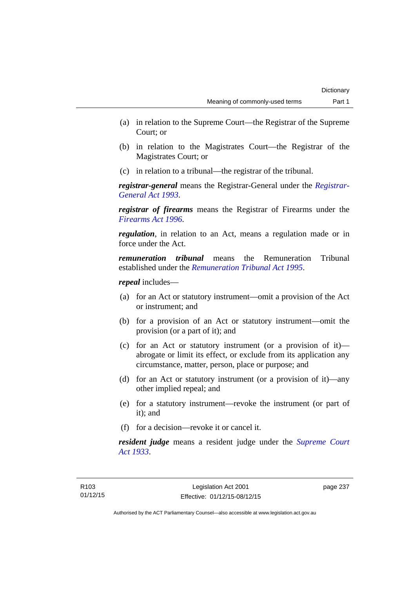- (a) in relation to the Supreme Court—the Registrar of the Supreme Court; or
- (b) in relation to the Magistrates Court—the Registrar of the Magistrates Court; or
- (c) in relation to a tribunal—the registrar of the tribunal.

*registrar-general* means the Registrar-General under the *[Registrar-](http://www.legislation.act.gov.au/a/1993-63)[General Act 1993](http://www.legislation.act.gov.au/a/1993-63)*.

*registrar of firearms* means the Registrar of Firearms under the *[Firearms Act 1996](http://www.legislation.act.gov.au/a/1996-74)*.

*regulation*, in relation to an Act, means a regulation made or in force under the Act.

*remuneration tribunal* means the Remuneration Tribunal established under the *[Remuneration Tribunal Act 1995](http://www.legislation.act.gov.au/a/1995-55)*.

*repeal* includes—

- (a) for an Act or statutory instrument—omit a provision of the Act or instrument; and
- (b) for a provision of an Act or statutory instrument—omit the provision (or a part of it); and
- (c) for an Act or statutory instrument (or a provision of it) abrogate or limit its effect, or exclude from its application any circumstance, matter, person, place or purpose; and
- (d) for an Act or statutory instrument (or a provision of it)—any other implied repeal; and
- (e) for a statutory instrument—revoke the instrument (or part of it); and
- (f) for a decision—revoke it or cancel it.

*resident judge* means a resident judge under the *[Supreme Court](http://www.legislation.act.gov.au/a/1933-34)  [Act 1933](http://www.legislation.act.gov.au/a/1933-34)*.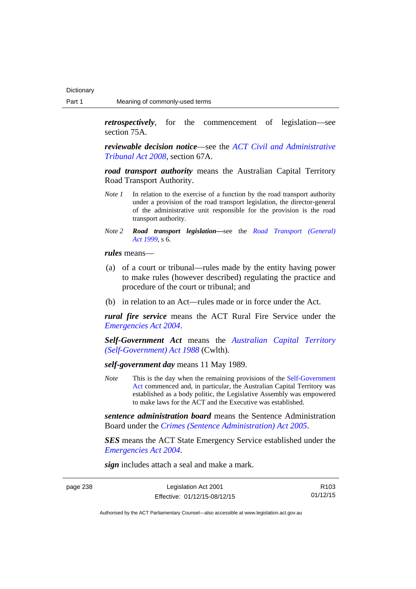*retrospectively*, for the commencement of legislation—see section 75A.

*reviewable decision notice*—see the *[ACT Civil and Administrative](http://www.legislation.act.gov.au/a/2008-35)  [Tribunal Act 2008](http://www.legislation.act.gov.au/a/2008-35)*, section 67A.

*road transport authority* means the Australian Capital Territory Road Transport Authority.

- *Note 1* In relation to the exercise of a function by the road transport authority under a provision of the road transport legislation, the director-general of the administrative unit responsible for the provision is the road transport authority.
- *Note 2 Road transport legislation––*see the *[Road Transport \(General\)](http://www.legislation.act.gov.au/a/1999-77)  [Act 1999](http://www.legislation.act.gov.au/a/1999-77)*, s 6.

*rules* means—

- (a) of a court or tribunal—rules made by the entity having power to make rules (however described) regulating the practice and procedure of the court or tribunal; and
- (b) in relation to an Act—rules made or in force under the Act.

*rural fire service* means the ACT Rural Fire Service under the *[Emergencies Act 2004](http://www.legislation.act.gov.au/a/2004-28)*.

*Self-Government Act* means the *[Australian Capital Territory](http://www.comlaw.gov.au/Series/C2004A03699)  [\(Self-Government\) Act 1988](http://www.comlaw.gov.au/Series/C2004A03699)* (Cwlth).

*self-government day* means 11 May 1989.

*Note* This is the day when the remaining provisions of the Self-Government [Act](http://www.comlaw.gov.au/Series/C2004A03699) commenced and, in particular, the Australian Capital Territory was established as a body politic, the Legislative Assembly was empowered to make laws for the ACT and the Executive was established.

*sentence administration board* means the Sentence Administration Board under the *[Crimes \(Sentence Administration\) Act 2005](http://www.legislation.act.gov.au/a/2005-59)*.

*SES* means the ACT State Emergency Service established under the *[Emergencies Act 2004](http://www.legislation.act.gov.au/a/2004-28)*.

*sign* includes attach a seal and make a mark.

| page 238 |  |  |
|----------|--|--|
|----------|--|--|

| page 238 | Legislation Act 2001         | R <sub>103</sub> |
|----------|------------------------------|------------------|
|          | Effective: 01/12/15-08/12/15 | 01/12/15         |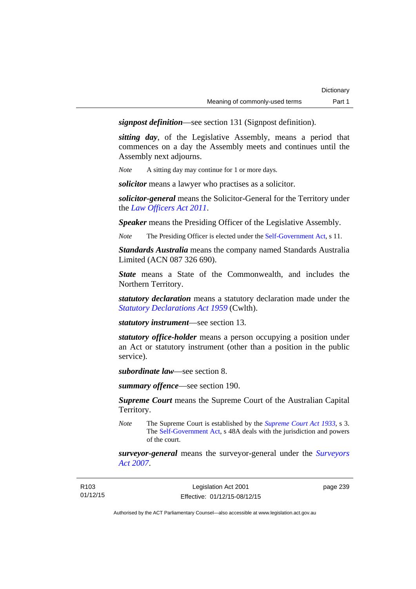*signpost definition*—see section 131 (Signpost definition).

*sitting day*, of the Legislative Assembly, means a period that commences on a day the Assembly meets and continues until the Assembly next adjourns.

*Note* A sitting day may continue for 1 or more days.

*solicitor* means a lawyer who practises as a solicitor.

*solicitor-general* means the Solicitor-General for the Territory under the *[Law Officers Act 2011](http://www.legislation.act.gov.au/a/2011-30)*.

*Speaker* means the Presiding Officer of the Legislative Assembly.

*Note* The Presiding Officer is elected under the [Self-Government Act](http://www.comlaw.gov.au/Series/C2004A03699), s 11.

*Standards Australia* means the company named Standards Australia Limited (ACN 087 326 690).

*State* means a State of the Commonwealth, and includes the Northern Territory.

*statutory declaration* means a statutory declaration made under the *[Statutory Declarations Act 1959](http://www.comlaw.gov.au/Series/C2004A07365)* (Cwlth).

*statutory instrument*—see section 13.

*statutory office-holder* means a person occupying a position under an Act or statutory instrument (other than a position in the public service).

*subordinate law*—see section 8.

*summary offence*—see section 190.

*Supreme Court* means the Supreme Court of the Australian Capital Territory.

*Note* The Supreme Court is established by the *[Supreme Court Act 1933](http://www.legislation.act.gov.au/a/1933-34)*, s 3. The [Self-Government Act](http://www.comlaw.gov.au/Series/C2004A03699), s 48A deals with the jurisdiction and powers of the court.

*surveyor-general* means the surveyor-general under the *[Surveyors](http://www.legislation.act.gov.au/a/2007-33)  [Act 2007](http://www.legislation.act.gov.au/a/2007-33)*.

| R103     |  |
|----------|--|
| 01/12/15 |  |

page 239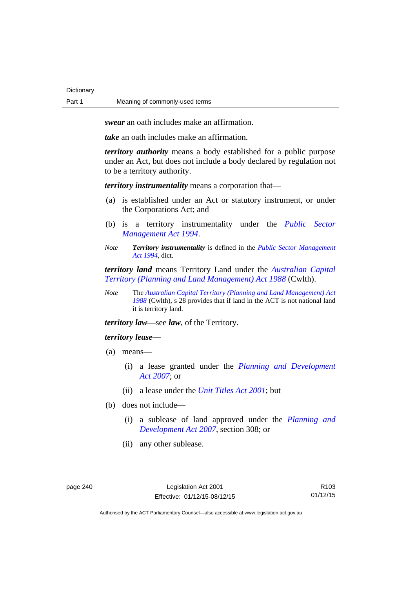**Dictionary** 

*swear* an oath includes make an affirmation.

*take* an oath includes make an affirmation.

*territory authority* means a body established for a public purpose under an Act, but does not include a body declared by regulation not to be a territory authority.

*territory instrumentality* means a corporation that—

- (a) is established under an Act or statutory instrument, or under the Corporations Act; and
- (b) is a territory instrumentality under the *[Public Sector](http://www.legislation.act.gov.au/a/1994-37)  [Management Act 1994](http://www.legislation.act.gov.au/a/1994-37)*.
- *Note Territory instrumentality* is defined in the *[Public Sector Management](http://www.legislation.act.gov.au/a/1994-37)  [Act 1994](http://www.legislation.act.gov.au/a/1994-37)*, dict.

*territory land* means Territory Land under the *[Australian Capital](http://www.comlaw.gov.au/Series/C2004A03701)  [Territory \(Planning and Land Management\) Act 1988](http://www.comlaw.gov.au/Series/C2004A03701)* (Cwlth).

*Note* The *[Australian Capital Territory \(Planning and Land Management\) Act](http://www.comlaw.gov.au/Series/C2004A03701)  [1988](http://www.comlaw.gov.au/Series/C2004A03701)* (Cwlth), s 28 provides that if land in the ACT is not national land it is territory land.

*territory law*—see *law*, of the Territory.

### *territory lease*—

- (a) means—
	- (i) a lease granted under the *[Planning and Development](http://www.legislation.act.gov.au/a/2007-24)  [Act 2007](http://www.legislation.act.gov.au/a/2007-24)*; or
	- (ii) a lease under the *[Unit Titles Act 2001](http://www.legislation.act.gov.au/a/2001-16)*; but
- (b) does not include—
	- (i) a sublease of land approved under the *[Planning and](http://www.legislation.act.gov.au/a/2007-24)  [Development Act 2007](http://www.legislation.act.gov.au/a/2007-24)*, section 308; or
	- (ii) any other sublease.

R103 01/12/15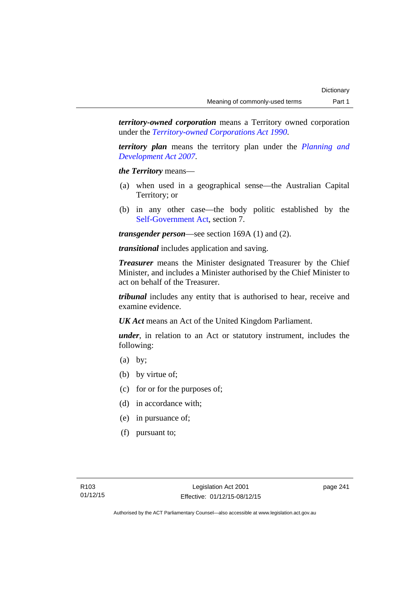*territory-owned corporation* means a Territory owned corporation under the *[Territory-owned Corporations Act 1990](http://www.legislation.act.gov.au/a/1990-53)*.

*territory plan* means the territory plan under the *[Planning and](http://www.legislation.act.gov.au/a/2007-24)  [Development Act 2007](http://www.legislation.act.gov.au/a/2007-24)*.

*the Territory* means—

- (a) when used in a geographical sense—the Australian Capital Territory; or
- (b) in any other case—the body politic established by the [Self-Government Act,](http://www.comlaw.gov.au/Series/C2004A03699) section 7.

*transgender person*—see section 169A (1) and (2).

*transitional* includes application and saving.

*Treasurer* means the Minister designated Treasurer by the Chief Minister, and includes a Minister authorised by the Chief Minister to act on behalf of the Treasurer.

*tribunal* includes any entity that is authorised to hear, receive and examine evidence.

*UK Act* means an Act of the United Kingdom Parliament.

*under*, in relation to an Act or statutory instrument, includes the following:

- (a) by;
- (b) by virtue of;
- (c) for or for the purposes of;
- (d) in accordance with;
- (e) in pursuance of;
- (f) pursuant to;

page 241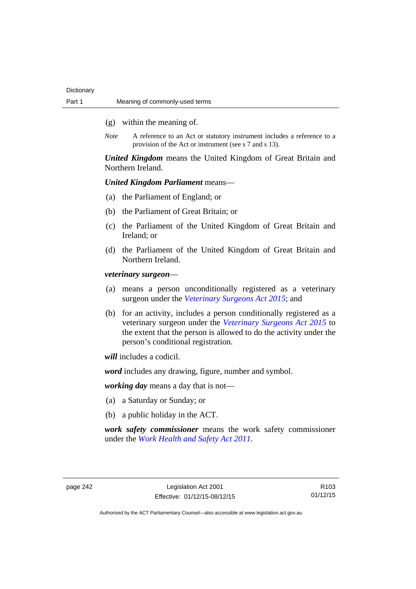- (g) within the meaning of.
- *Note* A reference to an Act or statutory instrument includes a reference to a provision of the Act or instrument (see s 7 and s 13).

*United Kingdom* means the United Kingdom of Great Britain and Northern Ireland.

# *United Kingdom Parliament* means—

- (a) the Parliament of England; or
- (b) the Parliament of Great Britain; or
- (c) the Parliament of the United Kingdom of Great Britain and Ireland; or
- (d) the Parliament of the United Kingdom of Great Britain and Northern Ireland.

*veterinary surgeon*—

- (a) means a person unconditionally registered as a veterinary surgeon under the *[Veterinary Surgeons Act 2015](http://www.legislation.act.gov.au/a/2015-29)*; and
- (b) for an activity, includes a person conditionally registered as a veterinary surgeon under the *[Veterinary Surgeons Act 2015](http://www.legislation.act.gov.au/a/2015-29)* to the extent that the person is allowed to do the activity under the person's conditional registration.

*will* includes a codicil.

*word* includes any drawing, figure, number and symbol.

*working day* means a day that is not—

- (a) a Saturday or Sunday; or
- (b) a public holiday in the ACT.

*work safety commissioner* means the work safety commissioner under the *[Work Health and Safety Act 2011](http://www.legislation.act.gov.au/a/2011-35)*.

page 242 Legislation Act 2001 Effective: 01/12/15-08/12/15

R103 01/12/15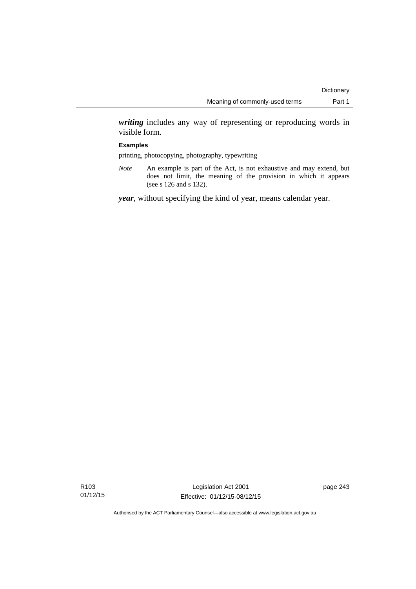*writing* includes any way of representing or reproducing words in visible form.

### **Examples**

printing, photocopying, photography, typewriting

*Note* An example is part of the Act, is not exhaustive and may extend, but does not limit, the meaning of the provision in which it appears (see s 126 and s 132).

*year*, without specifying the kind of year, means calendar year.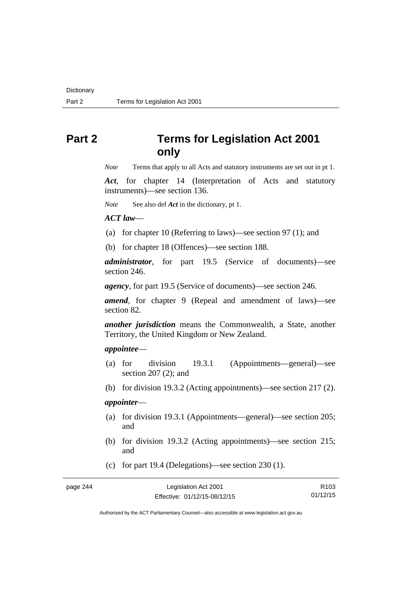# **Part 2 Terms for Legislation Act 2001 only**

*Note* Terms that apply to all Acts and statutory instruments are set out in pt 1.

*Act*, for chapter 14 (Interpretation of Acts and statutory instruments)—see section 136.

*Note* See also def *Act* in the dictionary, pt 1.

*ACT law*—

(a) for chapter 10 (Referring to laws)—see section 97 (1); and

(b) for chapter 18 (Offences)—see section 188.

*administrator*, for part 19.5 (Service of documents)—see section 246.

*agency*, for part 19.5 (Service of documents)—see section 246.

*amend*, for chapter 9 (Repeal and amendment of laws)—see section 82.

*another jurisdiction* means the Commonwealth, a State, another Territory, the United Kingdom or New Zealand.

## *appointee*—

- (a) for division 19.3.1 (Appointments—general)—see section 207 (2); and
- (b) for division 19.3.2 (Acting appointments)—see section 217 (2).

# *appointer*—

- (a) for division 19.3.1 (Appointments—general)—see section 205; and
- (b) for division 19.3.2 (Acting appointments)—see section 215; and
- (c) for part 19.4 (Delegations)—see section 230 (1).

page 244

| Legislation Act 2001         | R <sub>103</sub> |
|------------------------------|------------------|
| Effective: 01/12/15-08/12/15 | 01/12/15         |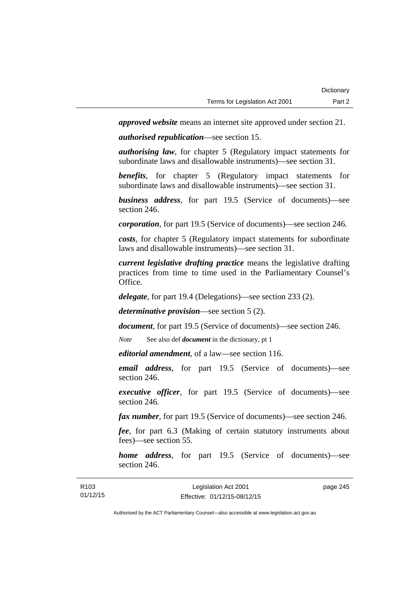*approved website* means an internet site approved under section 21.

*authorised republication*—see section 15.

*authorising law*, for chapter 5 (Regulatory impact statements for subordinate laws and disallowable instruments)—see section 31.

*benefits*, for chapter 5 (Regulatory impact statements for subordinate laws and disallowable instruments)—see section 31.

*business address*, for part 19.5 (Service of documents)—see section 246.

*corporation*, for part 19.5 (Service of documents)—see section 246.

*costs*, for chapter 5 (Regulatory impact statements for subordinate laws and disallowable instruments)—see section 31.

*current legislative drafting practice* means the legislative drafting practices from time to time used in the Parliamentary Counsel's Office.

*delegate*, for part 19.4 (Delegations)—see section 233 (2).

*determinative provision*—see section 5 (2).

*document*, for part 19.5 (Service of documents)—see section 246.

*Note* See also def *document* in the dictionary, pt 1

*editorial amendment*, of a law—see section 116.

*email address*, for part 19.5 (Service of documents)—see section 246.

*executive officer*, for part 19.5 (Service of documents)—see section 246.

*fax number*, for part 19.5 (Service of documents)—see section 246.

*fee*, for part 6.3 (Making of certain statutory instruments about fees)—see section 55.

*home address*, for part 19.5 (Service of documents)—see section 246.

| R <sub>103</sub> | Legislation Act 2001         | page 245 |
|------------------|------------------------------|----------|
| 01/12/15         | Effective: 01/12/15-08/12/15 |          |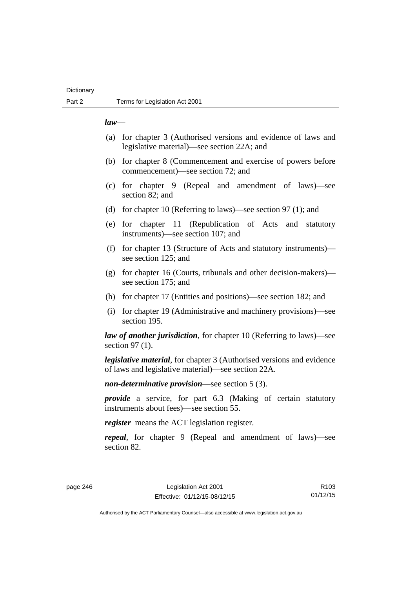# **Dictionary**

### *law*—

- (a) for chapter 3 (Authorised versions and evidence of laws and legislative material)—see section 22A; and
- (b) for chapter 8 (Commencement and exercise of powers before commencement)—see section 72; and
- (c) for chapter 9 (Repeal and amendment of laws)—see section 82; and
- (d) for chapter 10 (Referring to laws)—see section 97 (1); and
- (e) for chapter 11 (Republication of Acts and statutory instruments)—see section 107; and
- (f) for chapter 13 (Structure of Acts and statutory instruments) see section 125; and
- (g) for chapter 16 (Courts, tribunals and other decision-makers) see section 175; and
- (h) for chapter 17 (Entities and positions)—see section 182; and
- (i) for chapter 19 (Administrative and machinery provisions)—see section 195.

*law of another jurisdiction*, for chapter 10 (Referring to laws)—see section 97 (1).

*legislative material*, for chapter 3 (Authorised versions and evidence of laws and legislative material)—see section 22A.

*non-determinative provision*—see section 5 (3).

*provide* a service, for part 6.3 (Making of certain statutory instruments about fees)—see section 55.

*register* means the ACT legislation register.

*repeal*, for chapter 9 (Repeal and amendment of laws)—see section 82.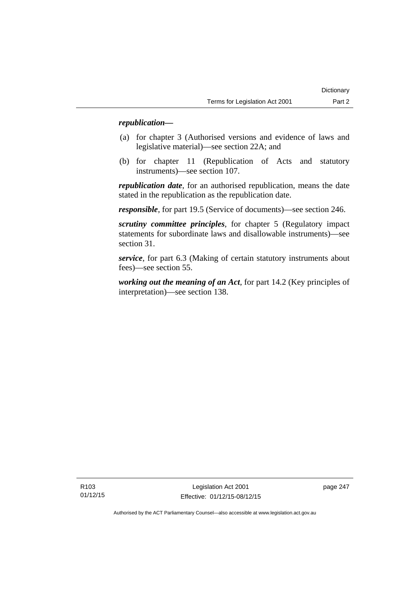# *republication—*

- (a) for chapter 3 (Authorised versions and evidence of laws and legislative material)—see section 22A; and
- (b) for chapter 11 (Republication of Acts and statutory instruments)—see section 107.

*republication date*, for an authorised republication, means the date stated in the republication as the republication date.

*responsible*, for part 19.5 (Service of documents)—see section 246.

*scrutiny committee principles*, for chapter 5 (Regulatory impact statements for subordinate laws and disallowable instruments)—see section 31.

*service*, for part 6.3 (Making of certain statutory instruments about fees)—see section 55.

*working out the meaning of an Act*, for part 14.2 (Key principles of interpretation)—see section 138.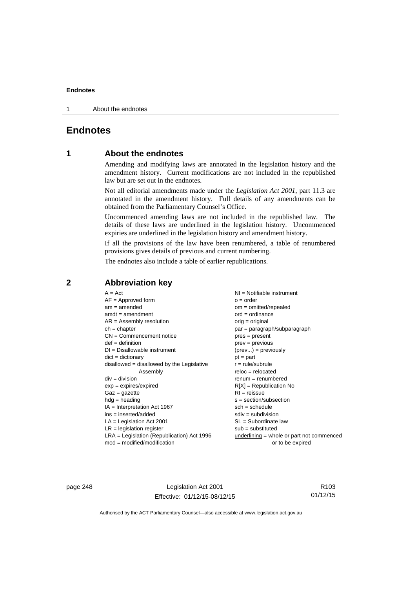1 About the endnotes

# **Endnotes**

# **1 About the endnotes**

Amending and modifying laws are annotated in the legislation history and the amendment history. Current modifications are not included in the republished law but are set out in the endnotes.

Not all editorial amendments made under the *Legislation Act 2001*, part 11.3 are annotated in the amendment history. Full details of any amendments can be obtained from the Parliamentary Counsel's Office.

Uncommenced amending laws are not included in the republished law. The details of these laws are underlined in the legislation history. Uncommenced expiries are underlined in the legislation history and amendment history.

If all the provisions of the law have been renumbered, a table of renumbered provisions gives details of previous and current numbering.

The endnotes also include a table of earlier republications.

| $A = Act$                                    | NI = Notifiable instrument                  |
|----------------------------------------------|---------------------------------------------|
| $AF =$ Approved form                         | $o = order$                                 |
| $am = amended$                               | $om = omitted/repealed$                     |
| $amdt = amendment$                           | $ord = ordinance$                           |
| $AR = Assembly resolution$                   | $orig = original$                           |
| $ch = chapter$                               | $par = paragraph/subparagraph$              |
| $CN =$ Commencement notice                   | $pres = present$                            |
| $def = definition$                           | $prev = previous$                           |
| $DI = Disallowable instrument$               | $(\text{prev}) = \text{previously}$         |
| $dict = dictionary$                          | $pt = part$                                 |
| $disallowed = disallowed by the Legislative$ | $r = rule/subrule$                          |
| Assembly                                     | $reloc = relocated$                         |
| $div = division$                             | $renum = renumbered$                        |
| $exp = expires/expired$                      | $R[X]$ = Republication No                   |
| $Gaz = gazette$                              | $RI = reissue$                              |
| $hdg = heading$                              | $s = section/subsection$                    |
| $IA = Interpretation Act 1967$               | $sch = schedule$                            |
| $ins = inserted/added$                       | $sdiv = subdivision$                        |
| $LA =$ Legislation Act 2001                  | SL = Subordinate law                        |
| $LR =$ legislation register                  | $sub =$ substituted                         |
| $LRA =$ Legislation (Republication) Act 1996 | $underlining = whole or part not commenced$ |
| $mod = modified/modification$                | or to be expired                            |

**2 Abbreviation key** 

page 248 Legislation Act 2001 Effective: 01/12/15-08/12/15

R103 01/12/15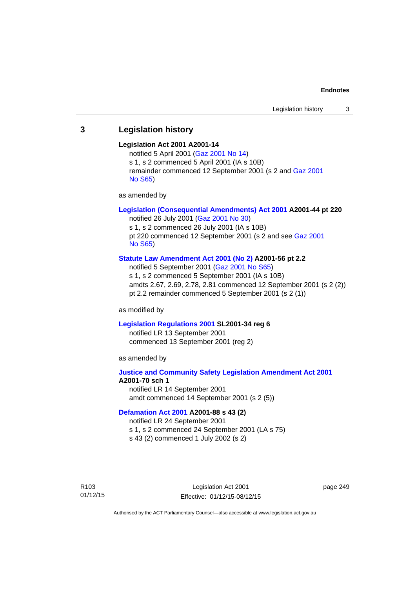# **3 Legislation history**

### **Legislation Act 2001 A2001-14**

notified 5 April 2001 ([Gaz 2001 No 14](http://www.legislation.act.gov.au/gaz/2001-14/default.asp)) s 1, s 2 commenced 5 April 2001 (IA s 10B) remainder commenced 12 September 2001 (s 2 and [Gaz 2001](http://www.legislation.act.gov.au/gaz/2001-S65/default.asp)  [No S65](http://www.legislation.act.gov.au/gaz/2001-S65/default.asp))

as amended by

# **[Legislation \(Consequential Amendments\) Act 2001](http://www.legislation.act.gov.au/a/2001-44) A2001-44 pt 220**

notified 26 July 2001 ([Gaz 2001 No 30\)](http://www.legislation.act.gov.au/gaz/2001-30/default.asp) s 1, s 2 commenced 26 July 2001 (IA s 10B) pt 220 commenced 12 September 2001 (s 2 and see [Gaz 2001](http://www.legislation.act.gov.au/gaz/2001-S65/default.asp)  [No S65](http://www.legislation.act.gov.au/gaz/2001-S65/default.asp))

### **[Statute Law Amendment Act 2001 \(No 2\)](http://www.legislation.act.gov.au/a/2001-56) A2001-56 pt 2.2**

notified 5 September 2001 [\(Gaz 2001 No S65\)](http://www.legislation.act.gov.au/gaz/2001-S65/default.asp) s 1, s 2 commenced 5 September 2001 (IA s 10B) amdts 2.67, 2.69, 2.78, 2.81 commenced 12 September 2001 (s 2 (2)) pt 2.2 remainder commenced 5 September 2001 (s 2 (1))

as modified by

#### **[Legislation Regulations 2001](http://www.legislation.act.gov.au/sl/2001-34) SL2001-34 reg 6**

notified LR 13 September 2001 commenced 13 September 2001 (reg 2)

as amended by

# **[Justice and Community Safety Legislation Amendment Act 2001](http://www.legislation.act.gov.au/a/2001-70) A2001-70 sch 1**  notified LR 14 September 2001

amdt commenced 14 September 2001 (s 2 (5))

### **[Defamation Act 2001](http://www.legislation.act.gov.au/a/2001-88) A2001-88 s 43 (2)**

notified LR 24 September 2001

s 1, s 2 commenced 24 September 2001 (LA s 75)

s 43 (2) commenced 1 July 2002 (s 2)

R103 01/12/15

Legislation Act 2001 Effective: 01/12/15-08/12/15 page 249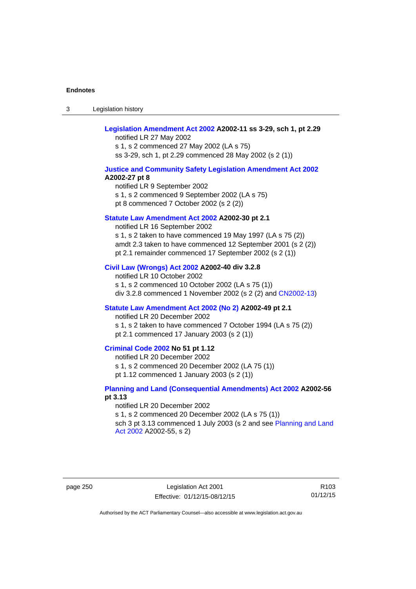3 Legislation history

# **[Legislation Amendment Act 2002](http://www.legislation.act.gov.au/a/2002-11) A2002-11 ss 3-29, sch 1, pt 2.29**

notified LR 27 May 2002 s 1, s 2 commenced 27 May 2002 (LA s 75) ss 3-29, sch 1, pt 2.29 commenced 28 May 2002 (s 2 (1))

### **[Justice and Community Safety Legislation Amendment Act 2002](http://www.legislation.act.gov.au/a/2002-27) A2002-27 pt 8**

notified LR 9 September 2002 s 1, s 2 commenced 9 September 2002 (LA s 75) pt 8 commenced 7 October 2002 (s 2 (2))

### **[Statute Law Amendment Act 2002](http://www.legislation.act.gov.au/a/2002-30) A2002-30 pt 2.1**

notified LR 16 September 2002 s 1, s 2 taken to have commenced 19 May 1997 (LA s 75 (2)) amdt 2.3 taken to have commenced 12 September 2001 (s 2 (2)) pt 2.1 remainder commenced 17 September 2002 (s 2 (1))

#### **[Civil Law \(Wrongs\) Act 2002](http://www.legislation.act.gov.au/a/2002-40) A2002-40 div 3.2.8**

notified LR 10 October 2002 s 1, s 2 commenced 10 October 2002 (LA s 75 (1)) div 3.2.8 commenced 1 November 2002 (s 2 (2) and [CN2002-13](http://www.legislation.act.gov.au/cn/2002-13/default.asp))

### **[Statute Law Amendment Act 2002 \(No 2\)](http://www.legislation.act.gov.au/a/2002-49) A2002-49 pt 2.1**

notified LR 20 December 2002 s 1, s 2 taken to have commenced 7 October 1994 (LA s 75 (2)) pt 2.1 commenced 17 January 2003 (s 2 (1))

### **[Criminal Code 2002](http://www.legislation.act.gov.au/a/2002-51) No 51 pt 1.12**

notified LR 20 December 2002 s 1, s 2 commenced 20 December 2002 (LA 75 (1)) pt 1.12 commenced 1 January 2003 (s 2 (1))

### **[Planning and Land \(Consequential Amendments\) Act 2002](http://www.legislation.act.gov.au/a/2002-56) A2002-56 pt 3.13**

notified LR 20 December 2002 s 1, s 2 commenced 20 December 2002 (LA s 75 (1)) sch 3 pt 3.13 commenced 1 July 2003 (s 2 and see Planning and Land [Act 2002](http://www.legislation.act.gov.au/a/2002-55) A2002-55, s 2)

page 250 Legislation Act 2001 Effective: 01/12/15-08/12/15

R103 01/12/15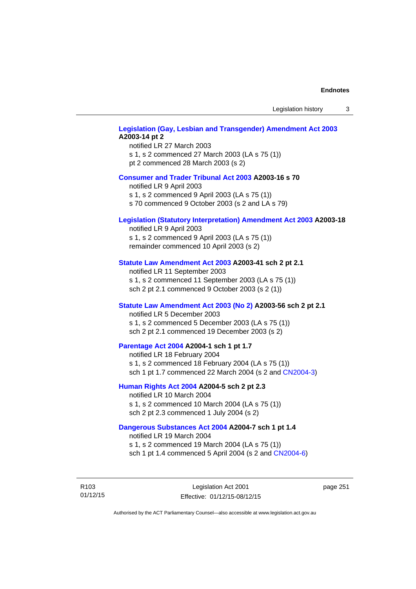Legislation history 3

# **[Legislation \(Gay, Lesbian and Transgender\) Amendment Act 2003](http://www.legislation.act.gov.au/a/2003-14) A2003-14 pt 2**

notified LR 27 March 2003 s 1, s 2 commenced 27 March 2003 (LA s 75 (1)) pt 2 commenced 28 March 2003 (s 2)

### **[Consumer and Trader Tribunal Act 2003](http://www.legislation.act.gov.au/a/2003-16) A2003-16 s 70**

notified LR 9 April 2003

s 1, s 2 commenced 9 April 2003 (LA s 75 (1))

s 70 commenced 9 October 2003 (s 2 and LA s 79)

### **[Legislation \(Statutory Interpretation\) Amendment Act 2003](http://www.legislation.act.gov.au/a/2003-18) A2003-18**

notified LR 9 April 2003 s 1, s 2 commenced 9 April 2003 (LA s 75 (1)) remainder commenced 10 April 2003 (s 2)

#### **[Statute Law Amendment Act 2003](http://www.legislation.act.gov.au/a/2003-41) A2003-41 sch 2 pt 2.1**

notified LR 11 September 2003 s 1, s 2 commenced 11 September 2003 (LA s 75 (1)) sch 2 pt 2.1 commenced 9 October 2003 (s 2 (1))

### **[Statute Law Amendment Act 2003 \(No 2\)](http://www.legislation.act.gov.au/a/2003-56) A2003-56 sch 2 pt 2.1**

notified LR 5 December 2003 s 1, s 2 commenced 5 December 2003 (LA s 75 (1)) sch 2 pt 2.1 commenced 19 December 2003 (s 2)

### **[Parentage Act 2004](http://www.legislation.act.gov.au/a/2004-1) A2004-1 sch 1 pt 1.7**

notified LR 18 February 2004 s 1, s 2 commenced 18 February 2004 (LA s 75 (1)) sch 1 pt 1.7 commenced 22 March 2004 (s 2 and [CN2004-3\)](http://www.legislation.act.gov.au/cn/2004-3/default.asp)

### **[Human Rights Act 2004](http://www.legislation.act.gov.au/a/2004-5) A2004-5 sch 2 pt 2.3**

notified LR 10 March 2004 s 1, s 2 commenced 10 March 2004 (LA s 75 (1)) sch 2 pt 2.3 commenced 1 July 2004 (s 2)

### **[Dangerous Substances Act 2004](http://www.legislation.act.gov.au/a/2004-7) A2004-7 sch 1 pt 1.4**

notified LR 19 March 2004 s 1, s 2 commenced 19 March 2004 (LA s 75 (1)) sch 1 pt 1.4 commenced 5 April 2004 (s 2 and [CN2004-6](http://www.legislation.act.gov.au/cn/2004-6/default.asp))

R103 01/12/15

Legislation Act 2001 Effective: 01/12/15-08/12/15 page 251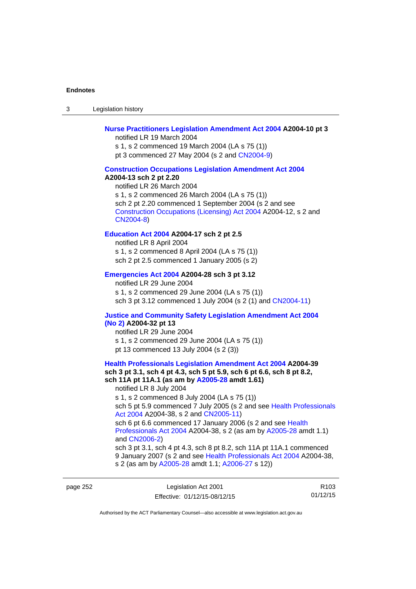3 Legislation history

### **[Nurse Practitioners Legislation Amendment Act 2004](http://www.legislation.act.gov.au/a/2004-10) A2004-10 pt 3**

notified LR 19 March 2004 s 1, s 2 commenced 19 March 2004 (LA s 75 (1)) pt 3 commenced 27 May 2004 (s 2 and [CN2004-9\)](http://www.legislation.act.gov.au/cn/2004-9/default.asp)

#### **[Construction Occupations Legislation Amendment Act 2004](http://www.legislation.act.gov.au/a/2004-13)**

#### **A2004-13 sch 2 pt 2.20**

notified LR 26 March 2004 s 1, s 2 commenced 26 March 2004 (LA s 75 (1)) sch 2 pt 2.20 commenced 1 September 2004 (s 2 and see [Construction Occupations \(Licensing\) Act 2004](http://www.legislation.act.gov.au/a/2004-12) A2004-12, s 2 and [CN2004-8\)](http://www.legislation.act.gov.au/cn/2004-8/default.asp)

### **[Education Act 2004](http://www.legislation.act.gov.au/a/2004-17) A2004-17 sch 2 pt 2.5**

notified LR 8 April 2004 s 1, s 2 commenced 8 April 2004 (LA s 75 (1)) sch 2 pt 2.5 commenced 1 January 2005 (s 2)

#### **[Emergencies Act 2004](http://www.legislation.act.gov.au/a/2004-28) A2004-28 sch 3 pt 3.12**

notified LR 29 June 2004 s 1, s 2 commenced 29 June 2004 (LA s 75 (1)) sch 3 pt 3.12 commenced 1 July 2004 (s 2 (1) and [CN2004-11](http://www.legislation.act.gov.au/cn/2004-11/default.asp))

# **[Justice and Community Safety Legislation Amendment Act 2004](http://www.legislation.act.gov.au/a/2004-32)**

## **[\(No 2\)](http://www.legislation.act.gov.au/a/2004-32) A2004-32 pt 13**

notified LR 29 June 2004 s 1, s 2 commenced 29 June 2004 (LA s 75 (1)) pt 13 commenced 13 July 2004 (s 2 (3))

### **[Health Professionals Legislation Amendment Act 2004](http://www.legislation.act.gov.au/a/2004-39) A2004-39 sch 3 pt 3.1, sch 4 pt 4.3, sch 5 pt 5.9, sch 6 pt 6.6, sch 8 pt 8.2, sch 11A pt 11A.1 (as am by [A2005-28](http://www.legislation.act.gov.au/a/2005-28) amdt 1.61)**  notified LR 8 July 2004 s 1, s 2 commenced 8 July 2004 (LA s 75 (1))

sch 5 pt 5.9 commenced 7 July 2005 (s 2 and see Health Professionals [Act 2004](http://www.legislation.act.gov.au/a/2004-38) A2004-38, s 2 and [CN2005-11\)](http://www.legislation.act.gov.au/cn/2005-11/default.asp)

sch 6 pt 6.6 commenced 17 January 2006 (s 2 and see Health [Professionals Act 2004](http://www.legislation.act.gov.au/a/2004-38) A2004-38, s 2 (as am by [A2005-28](http://www.legislation.act.gov.au/a/2005-28) amdt 1.1) and [CN2006-2](http://www.legislation.act.gov.au/cn/2006-2/default.asp))

sch 3 pt 3.1, sch 4 pt 4.3, sch 8 pt 8.2, sch 11A pt 11A.1 commenced 9 January 2007 (s 2 and see [Health Professionals Act 2004](http://www.legislation.act.gov.au/a/2004-38) A2004-38, s 2 (as am by [A2005-28](http://www.legislation.act.gov.au/a/2005-28) amdt 1.1; [A2006-27](http://www.legislation.act.gov.au/a/2006-27) s 12))

page 252 Legislation Act 2001 Effective: 01/12/15-08/12/15

R103 01/12/15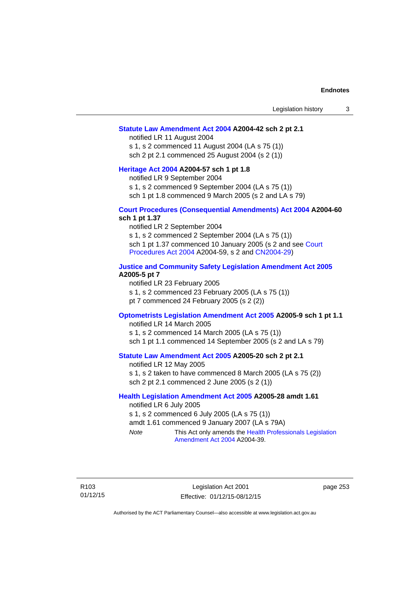#### **[Statute Law Amendment Act 2004](http://www.legislation.act.gov.au/a/2004-42) A2004-42 sch 2 pt 2.1**

notified LR 11 August 2004 s 1, s 2 commenced 11 August 2004 (LA s 75 (1)) sch 2 pt 2.1 commenced 25 August 2004 (s 2 (1))

#### **[Heritage Act 2004](http://www.legislation.act.gov.au/a/2004-57) A2004-57 sch 1 pt 1.8**

notified LR 9 September 2004

s 1, s 2 commenced 9 September 2004 (LA s 75 (1))

sch 1 pt 1.8 commenced 9 March 2005 (s 2 and LA s 79)

### **[Court Procedures \(Consequential Amendments\) Act 2004](http://www.legislation.act.gov.au/a/2004-60) A2004-60 sch 1 pt 1.37**

notified LR 2 September 2004 s 1, s 2 commenced 2 September 2004 (LA s 75 (1)) sch 1 pt 1.37 commenced 10 January 2005 (s 2 and see [Court](http://www.legislation.act.gov.au/a/2004-59)  [Procedures Act 2004](http://www.legislation.act.gov.au/a/2004-59) A2004-59, s 2 and [CN2004-29\)](http://www.legislation.act.gov.au/cn/2004-29/default.asp)

### **[Justice and Community Safety Legislation Amendment Act 2005](http://www.legislation.act.gov.au/a/2005-5) A2005-5 pt 7**

notified LR 23 February 2005 s 1, s 2 commenced 23 February 2005 (LA s 75 (1)) pt 7 commenced 24 February 2005 (s 2 (2))

### **[Optometrists Legislation Amendment Act 2005](http://www.legislation.act.gov.au/a/2005-9) A2005-9 sch 1 pt 1.1**

notified LR 14 March 2005 s 1, s 2 commenced 14 March 2005 (LA s 75 (1)) sch 1 pt 1.1 commenced 14 September 2005 (s 2 and LA s 79)

### **[Statute Law Amendment Act 2005](http://www.legislation.act.gov.au/a/2005-20) A2005-20 sch 2 pt 2.1**

notified LR 12 May 2005 s 1, s 2 taken to have commenced 8 March 2005 (LA s 75 (2)) sch 2 pt 2.1 commenced 2 June 2005 (s 2 (1))

### **[Health Legislation Amendment Act 2005](http://www.legislation.act.gov.au/a/2005-28) A2005-28 amdt 1.61**

notified LR 6 July 2005 s 1, s 2 commenced 6 July 2005 (LA s 75 (1)) amdt 1.61 commenced 9 January 2007 (LA s 79A) *Note* This Act only amends the [Health Professionals Legislation](http://www.legislation.act.gov.au/a/2004-39)  [Amendment Act 2004](http://www.legislation.act.gov.au/a/2004-39) A2004-39.

R103 01/12/15 page 253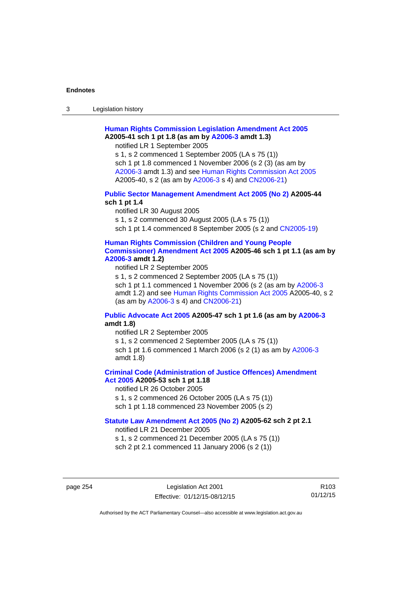3 Legislation history

# **[Human Rights Commission Legislation Amendment Act 2005](http://www.legislation.act.gov.au/a/2005-41) A2005-41 sch 1 pt 1.8 (as am by [A2006-3](http://www.legislation.act.gov.au/a/2006-3) amdt 1.3)**

notified LR 1 September 2005

s 1, s 2 commenced 1 September 2005 (LA s 75 (1)) sch 1 pt 1.8 commenced 1 November 2006 (s 2 (3) (as am by [A2006-3](http://www.legislation.act.gov.au/a/2006-3) amdt 1.3) and see [Human Rights Commission Act 2005](http://www.legislation.act.gov.au/a/2005-40) A2005-40, s 2 (as am by [A2006-3](http://www.legislation.act.gov.au/a/2006-3) s 4) and [CN2006-21](http://www.legislation.act.gov.au/cn/2006-21/default.asp))

### **[Public Sector Management Amendment Act 2005 \(No 2\)](http://www.legislation.act.gov.au/a/2005-44) A2005-44 sch 1 pt 1.4**

notified LR 30 August 2005 s 1, s 2 commenced 30 August 2005 (LA s 75 (1)) sch 1 pt 1.4 commenced 8 September 2005 (s 2 and [CN2005-19\)](http://www.legislation.act.gov.au/cn/2005-19/default.asp)

### **[Human Rights Commission \(Children and Young People](http://www.legislation.act.gov.au/a/2005-46)  [Commissioner\) Amendment Act 2005](http://www.legislation.act.gov.au/a/2005-46) A2005-46 sch 1 pt 1.1 (as am by [A2006-3](http://www.legislation.act.gov.au/a/2006-3) amdt 1.2)**

notified LR 2 September 2005

s 1, s 2 commenced 2 September 2005 (LA s 75 (1)) sch 1 pt 1.1 commenced 1 November 2006 (s 2 (as am by [A2006-3](http://www.legislation.act.gov.au/a/2006-3) amdt 1.2) and see [Human Rights Commission Act 2005](http://www.legislation.act.gov.au/a/2005-40) A2005-40, s 2 (as am by [A2006-3](http://www.legislation.act.gov.au/a/2006-3) s 4) and [CN2006-21](http://www.legislation.act.gov.au/cn/2006-21/default.asp))

### **[Public Advocate Act 2005](http://www.legislation.act.gov.au/a/2005-47) A2005-47 sch 1 pt 1.6 (as am by [A2006-3](http://www.legislation.act.gov.au/a/2006-3) amdt 1.8)**

notified LR 2 September 2005

s 1, s 2 commenced 2 September 2005 (LA s 75 (1)) sch 1 pt 1.6 commenced 1 March 2006 (s 2 (1) as am by [A2006-3](http://www.legislation.act.gov.au/a/2006-3) amdt 1.8)

### **[Criminal Code \(Administration of Justice Offences\) Amendment](http://www.legislation.act.gov.au/a/2005-53)**

**[Act 2005](http://www.legislation.act.gov.au/a/2005-53) A2005-53 sch 1 pt 1.18** 

notified LR 26 October 2005

s 1, s 2 commenced 26 October 2005 (LA s 75 (1))

sch 1 pt 1.18 commenced 23 November 2005 (s 2)

## **[Statute Law Amendment Act 2005 \(No 2\)](http://www.legislation.act.gov.au/a/2005-62) A2005-62 sch 2 pt 2.1**

notified LR 21 December 2005

s 1, s 2 commenced 21 December 2005 (LA s 75 (1)) sch 2 pt 2.1 commenced 11 January 2006 (s 2 (1))

page 254 Legislation Act 2001 Effective: 01/12/15-08/12/15

R103 01/12/15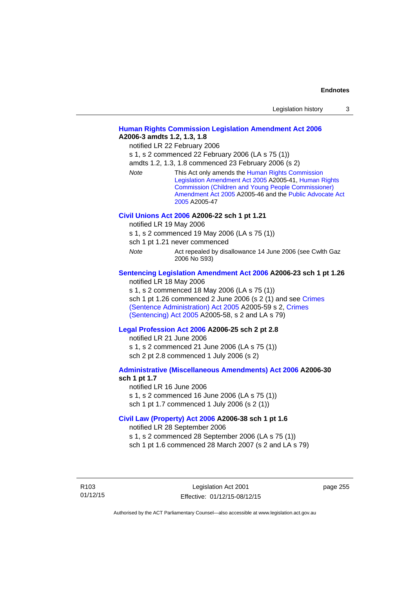| Legislation history |  |
|---------------------|--|
|                     |  |

### **[Human Rights Commission Legislation Amendment Act 2006](http://www.legislation.act.gov.au/a/2006-3) A2006-3 amdts 1.2, 1.3, 1.8**

notified LR 22 February 2006

s 1, s 2 commenced 22 February 2006 (LA s 75 (1))

amdts 1.2, 1.3, 1.8 commenced 23 February 2006 (s 2)

*Note* This Act only amends the [Human Rights Commission](http://www.legislation.act.gov.au/a/2005-41)  [Legislation Amendment Act 2005](http://www.legislation.act.gov.au/a/2005-41) A2005-41, [Human Rights](http://www.legislation.act.gov.au/a/2005-46)  [Commission \(Children and Young People Commissioner\)](http://www.legislation.act.gov.au/a/2005-46)  [Amendment Act 2005](http://www.legislation.act.gov.au/a/2005-46) A2005-46 and the [Public Advocate Act](http://www.legislation.act.gov.au/a/2005-47)  [2005](http://www.legislation.act.gov.au/a/2005-47) A2005-47

### **[Civil Unions Act 2006](http://www.legislation.act.gov.au/a/2006-22) A2006-22 sch 1 pt 1.21**

notified LR 19 May 2006

s 1, s 2 commenced 19 May 2006 (LA s 75 (1))

sch 1 pt 1.21 never commenced

*Note* **Act repealed by disallowance 14 June 2006 (see Cwlth Gaz** 2006 No S93)

### **[Sentencing Legislation Amendment Act 2006](http://www.legislation.act.gov.au/a/2006-23) A2006-23 sch 1 pt 1.26**

notified LR 18 May 2006

s 1, s 2 commenced 18 May 2006 (LA s 75 (1)) sch 1 pt 1.26 commenced 2 June 2006 (s 2 (1) and see [Crimes](http://www.legislation.act.gov.au/a/2005-59)  [\(Sentence Administration\) Act 2005](http://www.legislation.act.gov.au/a/2005-59) A2005-59 s 2, [Crimes](http://www.legislation.act.gov.au/a/2005-58)  [\(Sentencing\) Act 2005](http://www.legislation.act.gov.au/a/2005-58) A2005-58, s 2 and LA s 79)

### **[Legal Profession Act 2006](http://www.legislation.act.gov.au/a/2006-25) A2006-25 sch 2 pt 2.8**

notified LR 21 June 2006 s 1, s 2 commenced 21 June 2006 (LA s 75 (1)) sch 2 pt 2.8 commenced 1 July 2006 (s 2)

### **[Administrative \(Miscellaneous Amendments\) Act 2006](http://www.legislation.act.gov.au/a/2006-30) A2006-30 sch 1 pt 1.7**

notified LR 16 June 2006 s 1, s 2 commenced 16 June 2006 (LA s 75 (1)) sch 1 pt 1.7 commenced 1 July 2006 (s 2 (1))

### **[Civil Law \(Property\) Act 2006](http://www.legislation.act.gov.au/a/2006-38) A2006-38 sch 1 pt 1.6**

notified LR 28 September 2006

s 1, s 2 commenced 28 September 2006 (LA s 75 (1))

sch 1 pt 1.6 commenced 28 March 2007 (s 2 and LA s 79)

R103 01/12/15 page 255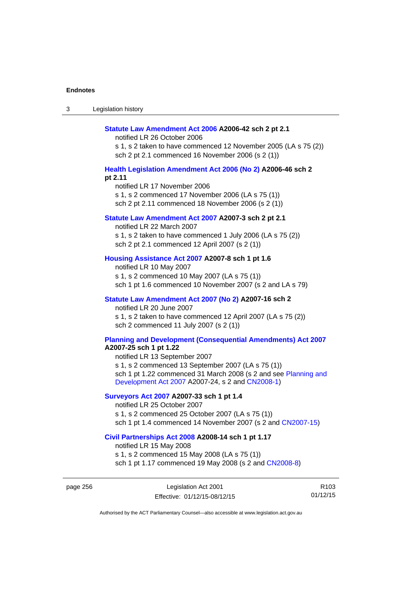| Legislation history<br>ు |
|--------------------------|
|--------------------------|

#### **[Statute Law Amendment Act 2006](http://www.legislation.act.gov.au/a/2006-42) A2006-42 sch 2 pt 2.1**

notified LR 26 October 2006

s 1, s 2 taken to have commenced 12 November 2005 (LA s 75 (2)) sch 2 pt 2.1 commenced 16 November 2006 (s 2 (1))

### **[Health Legislation Amendment Act 2006 \(No 2\)](http://www.legislation.act.gov.au/a/2006-46) A2006-46 sch 2 pt 2.11**

notified LR 17 November 2006 s 1, s 2 commenced 17 November 2006 (LA s 75 (1)) sch 2 pt 2.11 commenced 18 November 2006 (s 2 (1))

### **[Statute Law Amendment Act 2007](http://www.legislation.act.gov.au/a/2007-3) A2007-3 sch 2 pt 2.1**

notified LR 22 March 2007 s 1, s 2 taken to have commenced 1 July 2006 (LA s 75 (2)) sch 2 pt 2.1 commenced 12 April 2007 (s 2 (1))

### **[Housing Assistance Act 2007](http://www.legislation.act.gov.au/a/2007-8) A2007-8 sch 1 pt 1.6**

notified LR 10 May 2007 s 1, s 2 commenced 10 May 2007 (LA s 75 (1)) sch 1 pt 1.6 commenced 10 November 2007 (s 2 and LA s 79)

### **[Statute Law Amendment Act 2007 \(No 2\)](http://www.legislation.act.gov.au/a/2007-16) A2007-16 sch 2**

notified LR 20 June 2007 s 1, s 2 taken to have commenced 12 April 2007 (LA s 75 (2)) sch 2 commenced 11 July 2007 (s 2 (1))

# **[Planning and Development \(Consequential Amendments\) Act 2007](http://www.legislation.act.gov.au/a/2007-25)**

**A2007-25 sch 1 pt 1.22** 

notified LR 13 September 2007 s 1, s 2 commenced 13 September 2007 (LA s 75 (1)) sch 1 pt 1.22 commenced 31 March 2008 (s 2 and see [Planning and](http://www.legislation.act.gov.au/a/2007-24)  [Development Act 2007](http://www.legislation.act.gov.au/a/2007-24) A2007-24, s 2 and [CN2008-1](http://www.legislation.act.gov.au/cn/2008-1/default.asp))

### **[Surveyors Act 2007](http://www.legislation.act.gov.au/a/2007-33) A2007-33 sch 1 pt 1.4**

notified LR 25 October 2007 s 1, s 2 commenced 25 October 2007 (LA s 75 (1)) sch 1 pt 1.4 commenced 14 November 2007 (s 2 and [CN2007-15\)](http://www.legislation.act.gov.au/cn/2007-15/default.asp)

#### **[Civil Partnerships Act 2008](http://www.legislation.act.gov.au/a/2008-14) A2008-14 sch 1 pt 1.17**

notified LR 15 May 2008

s 1, s 2 commenced 15 May 2008 (LA s 75 (1)) sch 1 pt 1.17 commenced 19 May 2008 (s 2 and [CN2008-8](http://www.legislation.act.gov.au/cn/2008-8/default.asp))

page 256 Legislation Act 2001 Effective: 01/12/15-08/12/15

R103 01/12/15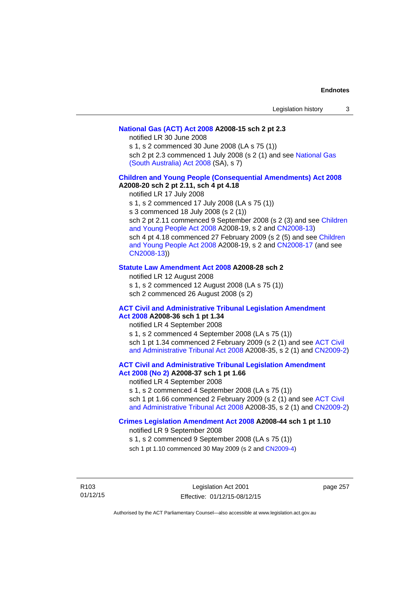### **[National Gas \(ACT\) Act 2008](http://www.legislation.act.gov.au/a/2008-15) A2008-15 sch 2 pt 2.3**

notified LR 30 June 2008

s 1, s 2 commenced 30 June 2008 (LA s 75 (1))

sch 2 pt 2.3 commenced 1 July 2008 (s 2 (1) and see [National Gas](http://www.legislation.sa.gov.au/LZ/C/A/NATIONAL GAS (SOUTH AUSTRALIA) ACT 2008.aspx)  [\(South Australia\) Act 2008](http://www.legislation.sa.gov.au/LZ/C/A/NATIONAL GAS (SOUTH AUSTRALIA) ACT 2008.aspx) (SA), s 7)

### **[Children and Young People \(Consequential Amendments\) Act 2008](http://www.legislation.act.gov.au/a/2008-20) A2008-20 sch 2 pt 2.11, sch 4 pt 4.18**

notified LR 17 July 2008

s 1, s 2 commenced 17 July 2008 (LA s 75 (1))

s 3 commenced 18 July 2008 (s 2 (1))

sch 2 pt 2.11 commenced 9 September 2008 (s 2 (3) and see [Children](http://www.legislation.act.gov.au/a/2008-19)  [and Young People Act 2008](http://www.legislation.act.gov.au/a/2008-19) A2008-19, s 2 and [CN2008-13](http://www.legislation.act.gov.au/cn/2008-13/default.asp)) sch 4 pt 4.18 commenced 27 February 2009 (s 2 (5) and see [Children](http://www.legislation.act.gov.au/a/2008-19)  [and Young People Act 2008](http://www.legislation.act.gov.au/a/2008-19) A2008-19, s 2 and [CN2008-17 \(](http://www.legislation.act.gov.au/cn/2008-17/default.asp)and see [CN2008-13](http://www.legislation.act.gov.au/cn/2008-13/default.asp)))

### **[Statute Law Amendment Act 2008](http://www.legislation.act.gov.au/a/2008-28) A2008-28 sch 2**

notified LR 12 August 2008 s 1, s 2 commenced 12 August 2008 (LA s 75 (1)) sch 2 commenced 26 August 2008 (s 2)

### **[ACT Civil and Administrative Tribunal Legislation Amendment](http://www.legislation.act.gov.au/a/2008-36)**

**[Act 2008](http://www.legislation.act.gov.au/a/2008-36) A2008-36 sch 1 pt 1.34**  notified LR 4 September 2008 s 1, s 2 commenced 4 September 2008 (LA s 75 (1)) sch 1 pt 1.34 commenced 2 February 2009 (s 2 (1) and see [ACT Civil](http://www.legislation.act.gov.au/a/2008-35)  [and Administrative Tribunal Act 2008](http://www.legislation.act.gov.au/a/2008-35) A2008-35, s 2 (1) and [CN2009-2](http://www.legislation.act.gov.au/cn/2009-2/default.asp))

**[ACT Civil and Administrative Tribunal Legislation Amendment](http://www.legislation.act.gov.au/a/2008-37)** 

# **[Act 2008 \(No 2\)](http://www.legislation.act.gov.au/a/2008-37) A2008-37 sch 1 pt 1.66**

notified LR 4 September 2008

s 1, s 2 commenced 4 September 2008 (LA s 75 (1))

sch 1 pt 1.66 commenced 2 February 2009 (s 2 (1) and see [ACT Civil](http://www.legislation.act.gov.au/a/2008-35)  [and Administrative Tribunal Act 2008](http://www.legislation.act.gov.au/a/2008-35) A2008-35, s 2 (1) and [CN2009-2](http://www.legislation.act.gov.au/cn/2009-2/default.asp))

### **[Crimes Legislation Amendment Act 2008](http://www.legislation.act.gov.au/a/2008-44) A2008-44 sch 1 pt 1.10**

notified LR 9 September 2008

s 1, s 2 commenced 9 September 2008 (LA s 75 (1))

sch 1 pt 1.10 commenced 30 May 2009 (s 2 and [CN2009-4](http://www.legislation.act.gov.au/cn/2009-4/default.asp))

R103 01/12/15

Legislation Act 2001 Effective: 01/12/15-08/12/15

page 257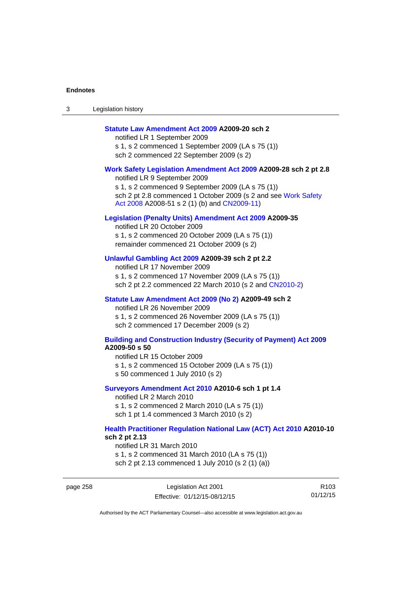| Legislation history<br>ు |
|--------------------------|
|--------------------------|

### **[Statute Law Amendment Act 2009](http://www.legislation.act.gov.au/a/2009-20) A2009-20 sch 2**

notified LR 1 September 2009 s 1, s 2 commenced 1 September 2009 (LA s 75 (1)) sch 2 commenced 22 September 2009 (s 2)

#### **[Work Safety Legislation Amendment Act 2009](http://www.legislation.act.gov.au/a/2009-28) A2009-28 sch 2 pt 2.8**

notified LR 9 September 2009 s 1, s 2 commenced 9 September 2009 (LA s 75 (1)) sch 2 pt 2.8 commenced 1 October 2009 (s 2 and see Work Safety [Act 2008](http://www.legislation.act.gov.au/a/2008-51) A2008-51 s 2 (1) (b) and [CN2009-11](http://www.legislation.act.gov.au/cn/2009-11/default.asp))

### **[Legislation \(Penalty Units\) Amendment Act 2009](http://www.legislation.act.gov.au/a/2009-35) A2009-35**

notified LR 20 October 2009 s 1, s 2 commenced 20 October 2009 (LA s 75 (1)) remainder commenced 21 October 2009 (s 2)

### **[Unlawful Gambling Act 2009](http://www.legislation.act.gov.au/a/2009-39) A2009-39 sch 2 pt 2.2**

notified LR 17 November 2009 s 1, s 2 commenced 17 November 2009 (LA s 75 (1)) sch 2 pt 2.2 commenced 22 March 2010 (s 2 and [CN2010-2\)](http://www.legislation.act.gov.au/cn/2010-2/default.asp)

#### **[Statute Law Amendment Act 2009 \(No 2\)](http://www.legislation.act.gov.au/a/2009-49) A2009-49 sch 2**

notified LR 26 November 2009 s 1, s 2 commenced 26 November 2009 (LA s 75 (1)) sch 2 commenced 17 December 2009 (s 2)

#### **[Building and Construction Industry \(Security of Payment\) Act 2009](http://www.legislation.act.gov.au/a/2009-50) A2009-50 s 50**

notified LR 15 October 2009 s 1, s 2 commenced 15 October 2009 (LA s 75 (1)) s 50 commenced 1 July 2010 (s 2)

#### **[Surveyors Amendment Act 2010](http://www.legislation.act.gov.au/a/2010-6) A2010-6 sch 1 pt 1.4**

notified LR 2 March 2010 s 1, s 2 commenced 2 March 2010 (LA s 75 (1)) sch 1 pt 1.4 commenced 3 March 2010 (s 2)

#### **[Health Practitioner Regulation National Law \(ACT\) Act 2010](http://www.legislation.act.gov.au/a/2010-10) A2010-10 sch 2 pt 2.13**

notified LR 31 March 2010 s 1, s 2 commenced 31 March 2010 (LA s 75 (1)) sch 2 pt 2.13 commenced 1 July 2010 (s 2 (1) (a))

page 258 Legislation Act 2001 Effective: 01/12/15-08/12/15

R103 01/12/15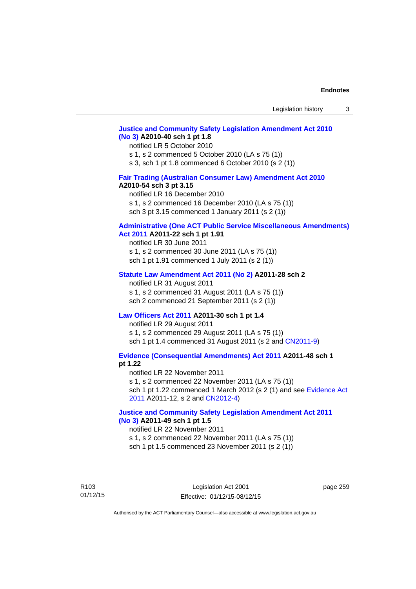### **[Justice and Community Safety Legislation Amendment Act 2010](http://www.legislation.act.gov.au/a/2010-40)  [\(No 3\)](http://www.legislation.act.gov.au/a/2010-40) A2010-40 sch 1 pt 1.8**

#### notified LR 5 October 2010

s 1, s 2 commenced 5 October 2010 (LA s 75 (1))

s 3, sch 1 pt 1.8 commenced 6 October 2010 (s 2 (1))

# **[Fair Trading \(Australian Consumer Law\) Amendment Act 2010](http://www.legislation.act.gov.au/a/2010-54)**

### **A2010-54 sch 3 pt 3.15**

notified LR 16 December 2010 s 1, s 2 commenced 16 December 2010 (LA s 75 (1)) sch 3 pt 3.15 commenced 1 January 2011 (s 2 (1))

# **[Administrative \(One ACT Public Service Miscellaneous Amendments\)](http://www.legislation.act.gov.au/a/2011-22)**

# **[Act 2011](http://www.legislation.act.gov.au/a/2011-22) A2011-22 sch 1 pt 1.91**

notified LR 30 June 2011 s 1, s 2 commenced 30 June 2011 (LA s 75 (1)) sch 1 pt 1.91 commenced 1 July 2011 (s 2 (1))

#### **[Statute Law Amendment Act 2011 \(No 2\)](http://www.legislation.act.gov.au/a/2011-28) A2011-28 sch 2**

notified LR 31 August 2011 s 1, s 2 commenced 31 August 2011 (LA s 75 (1)) sch 2 commenced 21 September 2011 (s 2 (1))

### **[Law Officers Act 2011](http://www.legislation.act.gov.au/a/2011-30) A2011-30 sch 1 pt 1.4**

notified LR 29 August 2011 s 1, s 2 commenced 29 August 2011 (LA s 75 (1)) sch 1 pt 1.4 commenced 31 August 2011 (s 2 and [CN2011-9](http://www.legislation.act.gov.au/cn/2011-9/default.asp))

**[Evidence \(Consequential Amendments\) Act 2011](http://www.legislation.act.gov.au/a/2011-48) A2011-48 sch 1 pt 1.22** 

notified LR 22 November 2011 s 1, s 2 commenced 22 November 2011 (LA s 75 (1)) sch 1 pt 1.22 commenced 1 March 2012 (s 2 (1) and see [Evidence Act](http://www.legislation.act.gov.au/a/2011-12) 

[2011](http://www.legislation.act.gov.au/a/2011-12) A2011-12, s 2 and [CN2012-4](http://www.legislation.act.gov.au/cn/2012-4/default.asp))

### **[Justice and Community Safety Legislation Amendment Act 2011](http://www.legislation.act.gov.au/a/2011-49)  [\(No 3\)](http://www.legislation.act.gov.au/a/2011-49) A2011-49 sch 1 pt 1.5**

### notified LR 22 November 2011

s 1, s 2 commenced 22 November 2011 (LA s 75 (1))

sch 1 pt 1.5 commenced 23 November 2011 (s 2 (1))

R103 01/12/15

Legislation Act 2001 Effective: 01/12/15-08/12/15 page 259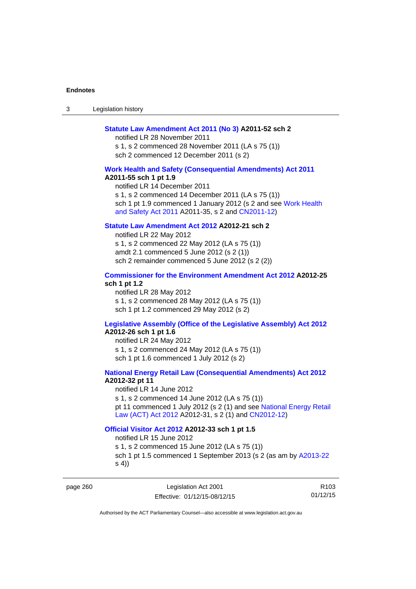3 Legislation history

### **[Statute Law Amendment Act 2011 \(No 3\)](http://www.legislation.act.gov.au/a/2011-52) A2011-52 sch 2**

notified LR 28 November 2011 s 1, s 2 commenced 28 November 2011 (LA s 75 (1)) sch 2 commenced 12 December 2011 (s 2)

#### **[Work Health and Safety \(Consequential Amendments\) Act 2011](http://www.legislation.act.gov.au/a/2011-55)**

#### **A2011-55 sch 1 pt 1.9**

notified LR 14 December 2011 s 1, s 2 commenced 14 December 2011 (LA s 75 (1)) sch 1 pt 1.9 commenced 1 January 2012 (s 2 and see Work Health [and Safety Act 2011](http://www.legislation.act.gov.au/a/2011-35) A2011-35, s 2 and [CN2011-12](http://www.legislation.act.gov.au/cn/2011-12/default.asp))

# **[Statute Law Amendment Act 2012](http://www.legislation.act.gov.au/a/2012-21) A2012-21 sch 2**

notified LR 22 May 2012 s 1, s 2 commenced 22 May 2012 (LA s 75 (1)) amdt 2.1 commenced 5 June 2012 (s 2 (1)) sch 2 remainder commenced 5 June 2012 (s 2 (2))

## **[Commissioner for the Environment Amendment Act 2012](http://www.legislation.act.gov.au/a/2012-25) A2012-25 sch 1 pt 1.2**

notified LR 28 May 2012 s 1, s 2 commenced 28 May 2012 (LA s 75 (1)) sch 1 pt 1.2 commenced 29 May 2012 (s 2)

# **[Legislative Assembly \(Office of the Legislative Assembly\) Act 2012](http://www.legislation.act.gov.au/a/2012-26)**

# **A2012-26 sch 1 pt 1.6**

notified LR 24 May 2012 s 1, s 2 commenced 24 May 2012 (LA s 75 (1)) sch 1 pt 1.6 commenced 1 July 2012 (s 2)

### **[National Energy Retail Law \(Consequential Amendments\) Act 2012](http://www.legislation.act.gov.au/a/2012-32) A2012-32 pt 11**

notified LR 14 June 2012 s 1, s 2 commenced 14 June 2012 (LA s 75 (1)) pt 11 commenced 1 July 2012 (s 2 (1) and see [National Energy Retail](http://www.legislation.act.gov.au/a/2012-31)  [Law \(ACT\) Act 2012](http://www.legislation.act.gov.au/a/2012-31) A2012-31, s 2 (1) and [CN2012-12](http://www.legislation.act.gov.au/cn/2012-12/default.asp))

### **[Official Visitor Act 2012](http://www.legislation.act.gov.au/a/2012-33) A2012-33 sch 1 pt 1.5**

notified LR 15 June 2012 s 1, s 2 commenced 15 June 2012 (LA s 75 (1)) sch 1 pt 1.5 commenced 1 September 2013 (s 2 (as am by [A2013-22](http://www.legislation.act.gov.au/a/2013-22) s 4))

page 260 Legislation Act 2001 Effective: 01/12/15-08/12/15

R103 01/12/15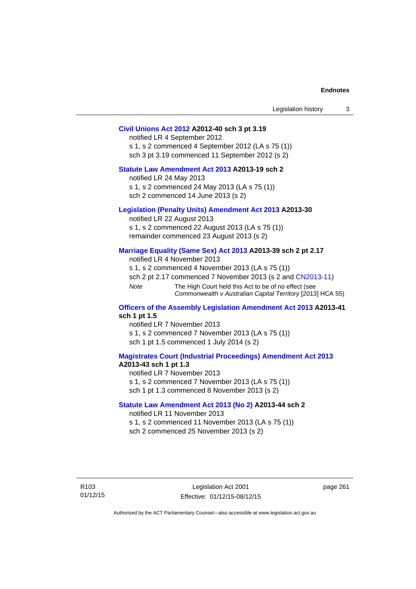| Legislation history |  |
|---------------------|--|
|---------------------|--|

#### **[Civil Unions Act 2012](http://www.legislation.act.gov.au/a/2012-40) A2012-40 sch 3 pt 3.19**

notified LR 4 September 2012 s 1, s 2 commenced 4 September 2012 (LA s 75 (1)) sch 3 pt 3.19 commenced 11 September 2012 (s 2)

# **[Statute Law Amendment Act 2013](http://www.legislation.act.gov.au/a/2013-19) A2013-19 sch 2**

notified LR 24 May 2013 s 1, s 2 commenced 24 May 2013 (LA s 75 (1)) sch 2 commenced 14 June 2013 (s 2)

#### **[Legislation \(Penalty Units\) Amendment Act 2013](http://www.legislation.act.gov.au/a/2013-30) A2013-30**

notified LR 22 August 2013 s 1, s 2 commenced 22 August 2013 (LA s 75 (1)) remainder commenced 23 August 2013 (s 2)

#### **[Marriage Equality \(Same Sex\) Act 2013](http://www.legislation.act.gov.au/a/2013-39) A2013-39 sch 2 pt 2.17**

notified LR 4 November 2013 s 1, s 2 commenced 4 November 2013 (LA s 75 (1)) sch 2 pt 2.17 commenced 7 November 2013 (s 2 and [CN2013-11\)](http://www.legislation.act.gov.au/cn/2013-11) *Note* The High Court held this Act to be of no effect (see *Commonwealth v Australian Capital Territory* [2013] HCA 55)

#### **[Officers of the Assembly Legislation Amendment Act 2013](http://www.legislation.act.gov.au/a/2013-41) A2013-41 sch 1 pt 1.5**

notified LR 7 November 2013 s 1, s 2 commenced 7 November 2013 (LA s 75 (1)) sch 1 pt 1.5 commenced 1 July 2014 (s 2)

### **[Magistrates Court \(Industrial Proceedings\) Amendment Act 2013](http://www.legislation.act.gov.au/a/2013-43) A2013-43 sch 1 pt 1.3**

notified LR 7 November 2013 s 1, s 2 commenced 7 November 2013 (LA s 75 (1)) sch 1 pt 1.3 commenced 8 November 2013 (s 2)

#### **[Statute Law Amendment Act 2013 \(No 2\)](http://www.legislation.act.gov.au/a/2013-44) A2013-44 sch 2**  notified LR 11 November 2013

s 1, s 2 commenced 11 November 2013 (LA s 75 (1))

sch 2 commenced 25 November 2013 (s 2)

R103 01/12/15 page 261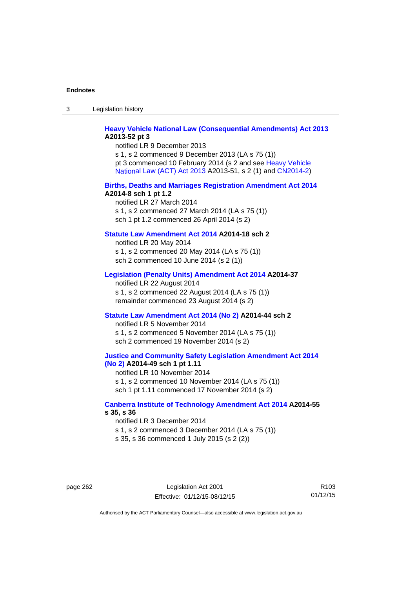3 Legislation history

## **[Heavy Vehicle National Law \(Consequential Amendments\) Act 2013](http://www.legislation.act.gov.au/a/2013-52) A2013-52 pt 3**

notified LR 9 December 2013 s 1, s 2 commenced 9 December 2013 (LA s 75 (1)) pt 3 commenced 10 February 2014 (s 2 and see [Heavy Vehicle](http://www.legislation.act.gov.au/a/2013-51/default.asp)  [National Law \(ACT\) Act 2013](http://www.legislation.act.gov.au/a/2013-51/default.asp) A2013-51, s 2 (1) and [CN2014-2](http://www.legislation.act.gov.au/cn/2014-2/default.asp))

#### **[Births, Deaths and Marriages Registration Amendment Act 2014](http://www.legislation.act.gov.au/a/2014-8) A2014-8 sch 1 pt 1.2**

notified LR 27 March 2014 s 1, s 2 commenced 27 March 2014 (LA s 75 (1)) sch 1 pt 1.2 commenced 26 April 2014 (s 2)

# **[Statute Law Amendment Act 2014](http://www.legislation.act.gov.au/a/2014-18) A2014-18 sch 2**

notified LR 20 May 2014 s 1, s 2 commenced 20 May 2014 (LA s 75 (1)) sch 2 commenced 10 June 2014 (s 2 (1))

### **[Legislation \(Penalty Units\) Amendment Act 2014](http://www.legislation.act.gov.au/a/2014-37) A2014-37**

notified LR 22 August 2014 s 1, s 2 commenced 22 August 2014 (LA s 75 (1)) remainder commenced 23 August 2014 (s 2)

#### **[Statute Law Amendment Act 2014 \(No 2\)](http://www.legislation.act.gov.au/a/2014-44) A2014-44 sch 2**

notified LR 5 November 2014 s 1, s 2 commenced 5 November 2014 (LA s 75 (1)) sch 2 commenced 19 November 2014 (s 2)

#### **[Justice and Community Safety Legislation Amendment Act 2014](http://www.legislation.act.gov.au/a/2014-49)  [\(No 2\)](http://www.legislation.act.gov.au/a/2014-49) A2014-49 sch 1 pt 1.11**

notified LR 10 November 2014 s 1, s 2 commenced 10 November 2014 (LA s 75 (1)) sch 1 pt 1.11 commenced 17 November 2014 (s 2)

## **[Canberra Institute of Technology Amendment Act 2014](http://www.legislation.act.gov.au/a/2014-55/default.asp) A2014-55 s 35, s 36**

notified LR 3 December 2014 s 1, s 2 commenced 3 December 2014 (LA s 75 (1)) s 35, s 36 commenced 1 July 2015 (s 2 (2))

page 262 Legislation Act 2001 Effective: 01/12/15-08/12/15

R103 01/12/15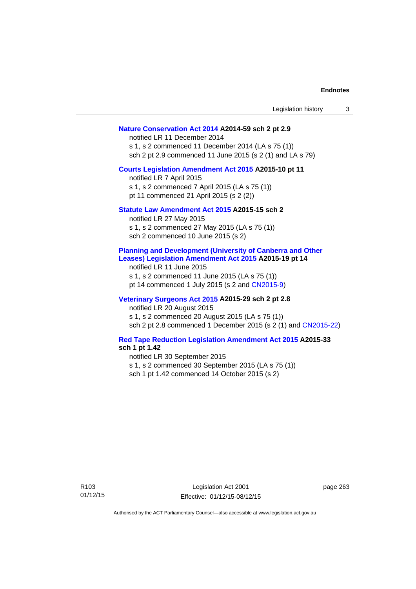| Legislation history                                                                                                                                                                                                                                       | 3 |
|-----------------------------------------------------------------------------------------------------------------------------------------------------------------------------------------------------------------------------------------------------------|---|
| Nature Conservation Act 2014 A2014-59 sch 2 pt 2.9<br>notified LR 11 December 2014<br>s 1, s 2 commenced 11 December 2014 (LA s 75 (1))<br>sch 2 pt 2.9 commenced 11 June 2015 (s 2 (1) and LA s 79)                                                      |   |
| Courts Legislation Amendment Act 2015 A2015-10 pt 11<br>notified LR 7 April 2015<br>s 1, s 2 commenced 7 April 2015 (LA s 75 (1))<br>pt 11 commenced 21 April 2015 (s 2 (2))                                                                              |   |
| Statute Law Amendment Act 2015 A2015-15 sch 2<br>notified LR 27 May 2015<br>s 1, s 2 commenced 27 May 2015 (LA s 75 (1))<br>sch 2 commenced 10 June 2015 (s 2)                                                                                            |   |
| <b>Planning and Development (University of Canberra and Other</b><br>Leases) Legislation Amendment Act 2015 A2015-19 pt 14<br>notified LR 11 June 2015<br>s 1, s 2 commenced 11 June 2015 (LA s 75 (1))<br>pt 14 commenced 1 July 2015 (s 2 and CN2015-9) |   |
| Veterinary Surgeons Act 2015 A2015-29 sch 2 pt 2.8<br>notified LR 20 August 2015<br>s 1, s 2 commenced 20 August 2015 (LA s 75 (1))<br>sch 2 pt 2.8 commenced 1 December 2015 (s 2 (1) and CN2015-22)                                                     |   |
| <b>Red Tape Reduction Legislation Amendment Act 2015 A2015-33</b><br>sch 1 pt 1.42<br>notified LR 30 September 2015<br>s 1, s 2 commenced 30 September 2015 (LA s 75 (1))<br>sch 1 pt 1.42 commenced 14 October 2015 (s 2)                                |   |

page 263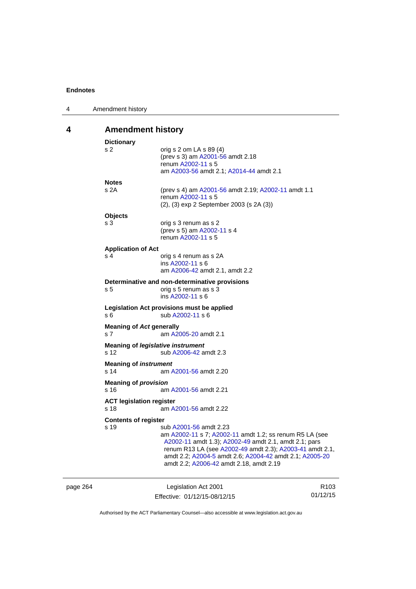| 4 | Amendment history                                                              |                                                          |  |  |  |
|---|--------------------------------------------------------------------------------|----------------------------------------------------------|--|--|--|
| 4 | <b>Amendment history</b>                                                       |                                                          |  |  |  |
|   | <b>Dictionary</b>                                                              |                                                          |  |  |  |
|   | s 2                                                                            | orig s 2 om LA s 89 (4)                                  |  |  |  |
|   |                                                                                | (prev s 3) am A2001-56 amdt 2.18                         |  |  |  |
|   |                                                                                | renum A2002-11 s 5                                       |  |  |  |
|   |                                                                                | am A2003-56 amdt 2.1; A2014-44 amdt 2.1                  |  |  |  |
|   | <b>Notes</b>                                                                   |                                                          |  |  |  |
|   | s 2A                                                                           | (prev s 4) am A2001-56 amdt 2.19; A2002-11 amdt 1.1      |  |  |  |
|   |                                                                                | renum A2002-11 s 5                                       |  |  |  |
|   |                                                                                | (2), (3) exp 2 September 2003 (s 2A (3))                 |  |  |  |
|   | <b>Objects</b>                                                                 |                                                          |  |  |  |
|   | s 3                                                                            | orig s 3 renum as s 2                                    |  |  |  |
|   |                                                                                | (prev s 5) am A2002-11 s 4<br>renum A2002-11 s 5         |  |  |  |
|   |                                                                                |                                                          |  |  |  |
|   | <b>Application of Act</b>                                                      |                                                          |  |  |  |
|   | s 4                                                                            | orig s 4 renum as s 2A<br>ins A2002-11 s 6               |  |  |  |
|   |                                                                                | am A2006-42 amdt 2.1, amdt 2.2                           |  |  |  |
|   |                                                                                |                                                          |  |  |  |
|   | Determinative and non-determinative provisions<br>orig s 5 renum as s 3<br>s 5 |                                                          |  |  |  |
|   |                                                                                | ins A2002-11 s 6                                         |  |  |  |
|   |                                                                                |                                                          |  |  |  |
|   | Legislation Act provisions must be applied<br>s 6                              | sub A2002-11 s 6                                         |  |  |  |
|   |                                                                                |                                                          |  |  |  |
|   | <b>Meaning of Act generally</b><br>s <sub>7</sub>                              |                                                          |  |  |  |
|   |                                                                                | am A2005-20 amdt 2.1                                     |  |  |  |
|   | Meaning of legislative instrument                                              |                                                          |  |  |  |
|   | s 12                                                                           | sub A2006-42 amdt 2.3                                    |  |  |  |
|   | <b>Meaning of instrument</b>                                                   |                                                          |  |  |  |
|   | s 14                                                                           | am A2001-56 amdt 2.20                                    |  |  |  |
|   | <b>Meaning of provision</b>                                                    |                                                          |  |  |  |
|   | s 16                                                                           | am A2001-56 amdt 2.21                                    |  |  |  |
|   | <b>ACT legislation register</b>                                                |                                                          |  |  |  |
|   | s 18                                                                           | am A2001-56 amdt 2.22                                    |  |  |  |
|   |                                                                                |                                                          |  |  |  |
|   | <b>Contents of register</b><br>s 19                                            | sub A2001-56 amdt 2.23                                   |  |  |  |
|   |                                                                                | am A2002-11 s 7; A2002-11 amdt 1.2; ss renum R5 LA (see  |  |  |  |
|   |                                                                                | A2002-11 amdt 1.3); A2002-49 amdt 2.1, amdt 2.1; pars    |  |  |  |
|   |                                                                                | renum R13 LA (see A2002-49 amdt 2.3); A2003-41 amdt 2.1, |  |  |  |
|   |                                                                                | amdt 2.2; A2004-5 amdt 2.6; A2004-42 amdt 2.1; A2005-20  |  |  |  |
|   |                                                                                | amdt 2.2; A2006-42 amdt 2.18, amdt 2.19                  |  |  |  |
|   |                                                                                |                                                          |  |  |  |
|   |                                                                                |                                                          |  |  |  |

| page 264 | Legislation Act 2001         | R <sub>103</sub> |
|----------|------------------------------|------------------|
|          | Effective: 01/12/15-08/12/15 | 01/12/15         |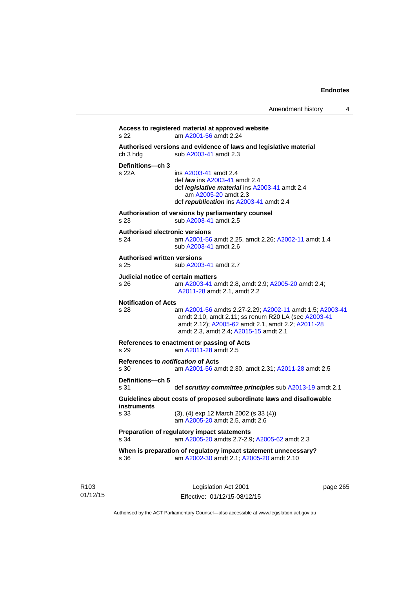```
Access to registered material at approved website 
s 22 am A2001-56 amdt 2.24
Authorised versions and evidence of laws and legislative material 
A2003-41 amdt 2.3
Definitions—ch 3 
                 A2003-41 amdt 2.4
                  def law ins A2003-41 amdt 2.4 
                  def legislative material ins A2003-41 amdt 2.4 
                     am A2005-20 amdt 2.3
                  def republication ins A2003-41 amdt 2.4
Authorisation of versions by parliamentary counsel 
s 23 sub A2003-41 amdt 2.5 
Authorised electronic versions 
s 24 am A2001-56 amdt 2.25, amdt 2.26; A2002-11 amdt 1.4
                  sub A2003-41 amdt 2.6 
Authorised written versions 
s 25 sub A2003-41 amdt 2.7 
Judicial notice of certain matters 
s 26 am A2003-41 amdt 2.8, amdt 2.9; A2005-20 amdt 2.4; 
                 A2011-28 amdt 2.1, amdt 2.2 
Notification of Acts 
s 28 am A2001-56 amdts 2.27-2.29; A2002-11 amdt 1.5; A2003-41
                 amdt 2.10, amdt 2.11; ss renum R20 LA (see A2003-41
                 amdt 2.12); A2005-62 amdt 2.1, amdt 2.2; A2011-28
                 amdt 2.3, amdt 2.4; A2015-15 amdt 2.1 
References to enactment or passing of Acts 
s 29 am A2011-28 amdt 2.5
References to notification of Acts 
s 30 am A2001-56 amdt 2.30, amdt 2.31; A2011-28 amdt 2.5
Definitions—ch 5 
s 31 def scrutiny committee principles sub A2013-19 amdt 2.1
Guidelines about costs of proposed subordinate laws and disallowable 
instruments 
s 33 (3), (4) exp 12 March 2002 (s 33 (4)) 
                  am A2005-20 amdt 2.5, amdt 2.6 
Preparation of regulatory impact statements 
s 34 am A2005-20 amdts 2.7-2.9; A2005-62 amdt 2.3 
When is preparation of regulatory impact statement unnecessary? 
s 36 am A2002-30 amdt 2.1; A2005-20 amdt 2.10
```
R103 01/12/15

Legislation Act 2001 Effective: 01/12/15-08/12/15 page 265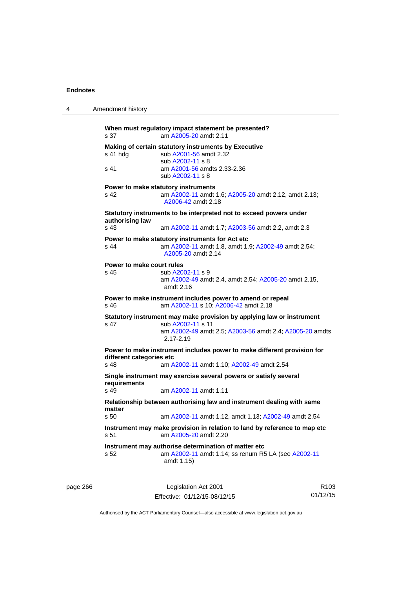| 4 | Amendment history                                                                                                                                                              |
|---|--------------------------------------------------------------------------------------------------------------------------------------------------------------------------------|
|   | When must regulatory impact statement be presented?<br>am A2005-20 amdt 2.11<br>s 37                                                                                           |
|   | Making of certain statutory instruments by Executive<br>sub A2001-56 amdt 2.32<br>s 41 hdg<br>sub A2002-11 s 8<br>s 41<br>am A2001-56 amdts 2.33-2.36                          |
|   | sub A2002-11 s 8                                                                                                                                                               |
|   | Power to make statutory instruments<br>s <sub>42</sub><br>am A2002-11 amdt 1.6; A2005-20 amdt 2.12, amdt 2.13;<br>A2006-42 amdt 2.18                                           |
|   | Statutory instruments to be interpreted not to exceed powers under<br>authorising law                                                                                          |
|   | s 43<br>am A2002-11 amdt 1.7; A2003-56 amdt 2.2, amdt 2.3                                                                                                                      |
|   | Power to make statutory instruments for Act etc.<br>am A2002-11 amdt 1.8, amdt 1.9; A2002-49 amdt 2.54;<br>s 44<br>A2005-20 amdt 2.14                                          |
|   | Power to make court rules<br>s 45<br>sub A2002-11 s 9<br>am A2002-49 amdt 2.4, amdt 2.54; A2005-20 amdt 2.15,<br>amdt $2.16$                                                   |
|   | Power to make instrument includes power to amend or repeal<br>am A2002-11 s 10; A2006-42 amdt 2.18<br>s 46                                                                     |
|   | Statutory instrument may make provision by applying law or instrument<br>s 47<br>sub A2002-11 s 11<br>am A2002-49 amdt 2.5; A2003-56 amdt 2.4; A2005-20 amdts<br>$2.17 - 2.19$ |
|   | Power to make instrument includes power to make different provision for<br>different categories etc<br>s 48<br>am A2002-11 amdt 1.10; A2002-49 amdt 2.54                       |
|   | Single instrument may exercise several powers or satisfy several                                                                                                               |
|   | requirements<br>s 49<br>am A2002-11 amdt 1.11                                                                                                                                  |
|   | Relationship between authorising law and instrument dealing with same<br>matter                                                                                                |
|   | s 50<br>am A2002-11 amdt 1.12, amdt 1.13; A2002-49 amdt 2.54                                                                                                                   |
|   | Instrument may make provision in relation to land by reference to map etc<br>am A2005-20 amdt 2.20<br>s 51                                                                     |
|   | Instrument may authorise determination of matter etc<br>am A2002-11 amdt 1.14; ss renum R5 LA (see A2002-11<br>s 52<br>amdt 1.15)                                              |
|   |                                                                                                                                                                                |

| page 266 | Legislation Act 2001         | R <sub>103</sub> |
|----------|------------------------------|------------------|
|          | Effective: 01/12/15-08/12/15 | 01/12/15         |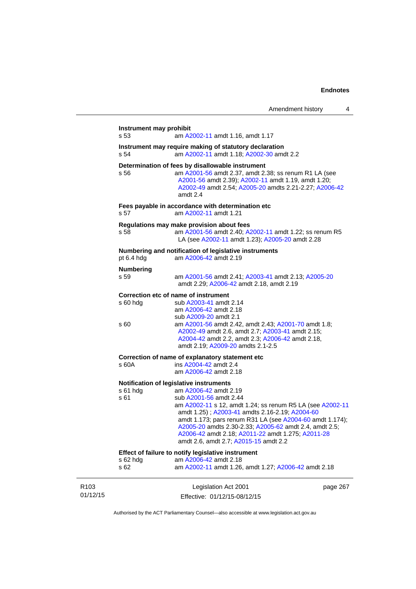|                              | Instrument may prohibit  |                                                                                                                                                                                                                                                                                                                                                                                                                               |          |
|------------------------------|--------------------------|-------------------------------------------------------------------------------------------------------------------------------------------------------------------------------------------------------------------------------------------------------------------------------------------------------------------------------------------------------------------------------------------------------------------------------|----------|
|                              | s 53                     | am A2002-11 amdt 1.16, amdt 1.17                                                                                                                                                                                                                                                                                                                                                                                              |          |
|                              | s 54                     | Instrument may require making of statutory declaration<br>am A2002-11 amdt 1.18; A2002-30 amdt 2.2                                                                                                                                                                                                                                                                                                                            |          |
|                              | s 56                     | Determination of fees by disallowable instrument<br>am A2001-56 amdt 2.37, amdt 2.38; ss renum R1 LA (see<br>A2001-56 amdt 2.39); A2002-11 amdt 1.19, amdt 1.20;<br>A2002-49 amdt 2.54; A2005-20 amdts 2.21-2.27; A2006-42<br>amdt 2.4                                                                                                                                                                                        |          |
|                              | s 57                     | Fees payable in accordance with determination etc<br>am A2002-11 amdt 1.21                                                                                                                                                                                                                                                                                                                                                    |          |
|                              | s 58                     | Regulations may make provision about fees<br>am A2001-56 amdt 2.40; A2002-11 amdt 1.22; ss renum R5<br>LA (see A2002-11 amdt 1.23); A2005-20 amdt 2.28                                                                                                                                                                                                                                                                        |          |
|                              | pt 6.4 hdg               | Numbering and notification of legislative instruments<br>am A2006-42 amdt 2.19                                                                                                                                                                                                                                                                                                                                                |          |
|                              | <b>Numbering</b><br>s 59 | am A2001-56 amdt 2.41; A2003-41 amdt 2.13; A2005-20<br>amdt 2.29; A2006-42 amdt 2.18, amdt 2.19                                                                                                                                                                                                                                                                                                                               |          |
|                              | s 60 hdg<br>s 60         | Correction etc of name of instrument<br>sub A2003-41 amdt 2.14<br>am A2006-42 amdt 2.18<br>sub A2009-20 amdt 2.1<br>am A2001-56 amdt 2.42, amdt 2.43; A2001-70 amdt 1.8;<br>A2002-49 amdt 2.6, amdt 2.7; A2003-41 amdt 2.15;<br>A2004-42 amdt 2.2, amdt 2.3; A2006-42 amdt 2.18,<br>amdt 2.19; A2009-20 amdts 2.1-2.5                                                                                                         |          |
|                              | s 60A                    | Correction of name of explanatory statement etc<br>ins A2004-42 amdt 2.4<br>am A2006-42 amdt 2.18                                                                                                                                                                                                                                                                                                                             |          |
|                              | $s61$ hdg<br>s 61        | Notification of legislative instruments<br>am A2006-42 amdt 2.19<br>sub A2001-56 amdt 2.44<br>am A2002-11 s 12, amdt 1.24; ss renum R5 LA (see A2002-11<br>amdt 1.25); A2003-41 amdts 2.16-2.19; A2004-60<br>amdt 1.173; pars renum R31 LA (see A2004-60 amdt 1.174);<br>A2005-20 amdts 2.30-2.33; A2005-62 amdt 2.4, amdt 2.5;<br>A2006-42 amdt 2.18; A2011-22 amdt 1.275; A2011-28<br>amdt 2.6, amdt 2.7; A2015-15 amdt 2.2 |          |
|                              | s 62 hdg<br>s 62         | Effect of failure to notify legislative instrument<br>am A2006-42 amdt 2.18<br>am A2002-11 amdt 1.26, amdt 1.27; A2006-42 amdt 2.18                                                                                                                                                                                                                                                                                           |          |
| R <sub>103</sub><br>01/12/15 |                          | Legislation Act 2001<br>Effective: 01/12/15-08/12/15                                                                                                                                                                                                                                                                                                                                                                          | page 267 |

Authorised by the ACT Parliamentary Counsel—also accessible at www.legislation.act.gov.au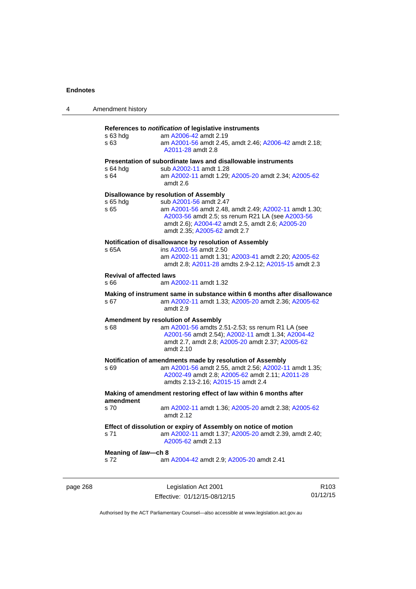| 4        | Amendment history                       |                                                                                                                                                                                                                                                                   |                  |
|----------|-----------------------------------------|-------------------------------------------------------------------------------------------------------------------------------------------------------------------------------------------------------------------------------------------------------------------|------------------|
|          | s 63 hdg<br>s 63                        | References to notification of legislative instruments<br>am A2006-42 amdt 2.19<br>am A2001-56 amdt 2.45, amdt 2.46; A2006-42 amdt 2.18;<br>A2011-28 amdt 2.8                                                                                                      |                  |
|          | s 64 hdg<br>s 64                        | Presentation of subordinate laws and disallowable instruments<br>sub A2002-11 amdt 1.28<br>am A2002-11 amdt 1.29; A2005-20 amdt 2.34; A2005-62<br>amdt 2.6                                                                                                        |                  |
|          | s 65 hdg<br>s 65                        | Disallowance by resolution of Assembly<br>sub A2001-56 amdt 2.47<br>am A2001-56 amdt 2.48, amdt 2.49; A2002-11 amdt 1.30;<br>A2003-56 amdt 2.5; ss renum R21 LA (see A2003-56<br>amdt 2.6), A2004-42 amdt 2.5, amdt 2.6; A2005-20<br>amdt 2.35; A2005-62 amdt 2.7 |                  |
|          | s 65A                                   | Notification of disallowance by resolution of Assembly<br>ins A2001-56 amdt 2.50<br>am A2002-11 amdt 1.31; A2003-41 amdt 2.20; A2005-62<br>amdt 2.8; A2011-28 amdts 2.9-2.12; A2015-15 amdt 2.3                                                                   |                  |
|          | <b>Revival of affected laws</b><br>s 66 | am A2002-11 amdt 1.32                                                                                                                                                                                                                                             |                  |
|          | s 67                                    | Making of instrument same in substance within 6 months after disallowance<br>am A2002-11 amdt 1.33; A2005-20 amdt 2.36; A2005-62<br>amdt 2.9                                                                                                                      |                  |
|          | s 68                                    | <b>Amendment by resolution of Assembly</b><br>am A2001-56 amdts 2.51-2.53; ss renum R1 LA (see<br>A2001-56 amdt 2.54); A2002-11 amdt 1.34; A2004-42<br>amdt 2.7, amdt 2.8; A2005-20 amdt 2.37; A2005-62<br>amdt $2.10$                                            |                  |
|          | s 69                                    | Notification of amendments made by resolution of Assembly<br>am A2001-56 amdt 2.55, amdt 2.56; A2002-11 amdt 1.35;<br>A2002-49 amdt 2.8; A2005-62 amdt 2.11; A2011-28<br>amdts 2.13-2.16; A2015-15 amdt 2.4                                                       |                  |
|          | amendment                               | Making of amendment restoring effect of law within 6 months after                                                                                                                                                                                                 |                  |
|          | s 70                                    | am A2002-11 amdt 1.36; A2005-20 amdt 2.38; A2005-62<br>amdt 2.12                                                                                                                                                                                                  |                  |
|          | s 71                                    | Effect of dissolution or expiry of Assembly on notice of motion<br>am A2002-11 amdt 1.37; A2005-20 amdt 2.39, amdt 2.40;<br>A2005-62 amdt 2.13                                                                                                                    |                  |
|          | Meaning of law-ch 8<br>s 72             | am A2004-42 amdt 2.9; A2005-20 amdt 2.41                                                                                                                                                                                                                          |                  |
| page 268 |                                         | Legislation Act 2001                                                                                                                                                                                                                                              | R <sub>103</sub> |

Authorised by the ACT Parliamentary Counsel—also accessible at www.legislation.act.gov.au

01/12/15

Effective: 01/12/15-08/12/15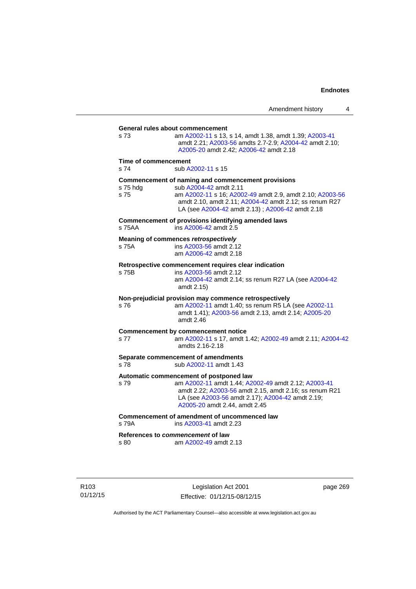| s <sub>73</sub>      | General rules about commencement<br>am A2002-11 s 13, s 14, amdt 1.38, amdt 1.39; A2003-41<br>amdt 2.21; A2003-56 amdts 2.7-2.9; A2004-42 amdt 2.10; |
|----------------------|------------------------------------------------------------------------------------------------------------------------------------------------------|
|                      | A2005-20 amdt 2.42; A2006-42 amdt 2.18                                                                                                               |
| Time of commencement |                                                                                                                                                      |
| s 74                 | sub A2002-11 s 15                                                                                                                                    |
|                      | Commencement of naming and commencement provisions                                                                                                   |
| s 75 hdg<br>s 75     | sub A2004-42 amdt 2.11<br>am A2002-11 s 16; A2002-49 amdt 2.9, amdt 2.10; A2003-56                                                                   |
|                      | amdt 2.10, amdt 2.11; A2004-42 amdt 2.12; ss renum R27                                                                                               |
|                      | LA (see A2004-42 amdt 2.13); A2006-42 amdt 2.18                                                                                                      |
| s 75AA               | Commencement of provisions identifying amended laws<br>ins A2006-42 amdt 2.5                                                                         |
|                      | Meaning of commences retrospectively                                                                                                                 |
| s 75A                | ins A2003-56 amdt 2.12                                                                                                                               |
|                      | am A2006-42 amdt 2.18                                                                                                                                |
|                      | Retrospective commencement requires clear indication                                                                                                 |
| s 75B                | ins A2003-56 amdt 2.12                                                                                                                               |
|                      | am A2004-42 amdt 2.14; ss renum R27 LA (see A2004-42<br>amdt 2.15)                                                                                   |
|                      | Non-prejudicial provision may commence retrospectively                                                                                               |
| s 76                 | am A2002-11 amdt 1.40; ss renum R5 LA (see A2002-11                                                                                                  |
|                      | amdt 1.41); A2003-56 amdt 2.13, amdt 2.14; A2005-20<br>amdt 2.46                                                                                     |
|                      |                                                                                                                                                      |
| s 77                 | <b>Commencement by commencement notice</b><br>am A2002-11 s 17, amdt 1.42; A2002-49 amdt 2.11; A2004-42                                              |
|                      | amdts 2.16-2.18                                                                                                                                      |
|                      | Separate commencement of amendments                                                                                                                  |
| s 78                 | sub A2002-11 amdt 1.43                                                                                                                               |
|                      | Automatic commencement of postponed law                                                                                                              |
| s 79                 | am A2002-11 amdt 1.44; A2002-49 amdt 2.12; A2003-41                                                                                                  |
|                      | amdt 2.22; A2003-56 amdt 2.15, amdt 2.16; ss renum R21<br>LA (see A2003-56 amdt 2.17); A2004-42 amdt 2.19;                                           |
|                      | A2005-20 amdt 2.44, amdt 2.45                                                                                                                        |
|                      | Commencement of amendment of uncommenced law                                                                                                         |
| s 79A                | ins A2003-41 amdt 2.23                                                                                                                               |
|                      | References to commencement of law                                                                                                                    |
| s 80                 | am A2002-49 amdt 2.13                                                                                                                                |
|                      |                                                                                                                                                      |

Legislation Act 2001 Effective: 01/12/15-08/12/15 page 269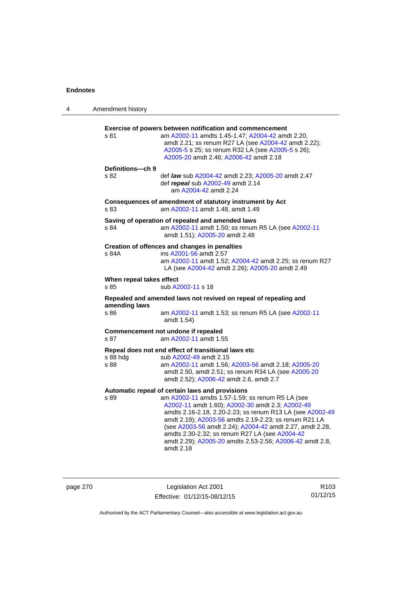| 4 | Amendment history                |                                                                                                                                                                                                                                                                                                                                                                                                                                                                      |
|---|----------------------------------|----------------------------------------------------------------------------------------------------------------------------------------------------------------------------------------------------------------------------------------------------------------------------------------------------------------------------------------------------------------------------------------------------------------------------------------------------------------------|
|   | s 81                             | Exercise of powers between notification and commencement<br>am A2002-11 amdts 1.45-1.47; A2004-42 amdt 2.20,<br>amdt 2.21; ss renum R27 LA (see A2004-42 amdt 2.22);<br>A2005-5 s 25; ss renum R32 LA (see A2005-5 s 26);<br>A2005-20 amdt 2.46; A2006-42 amdt 2.18                                                                                                                                                                                                  |
|   | Definitions-ch 9<br>s 82         | def law sub A2004-42 amdt 2.23; A2005-20 amdt 2.47<br>def repeal sub A2002-49 amdt 2.14<br>am A2004-42 amdt 2.24                                                                                                                                                                                                                                                                                                                                                     |
|   | s 83                             | Consequences of amendment of statutory instrument by Act<br>am A2002-11 amdt 1.48, amdt 1.49                                                                                                                                                                                                                                                                                                                                                                         |
|   | s 84                             | Saving of operation of repealed and amended laws<br>am A2002-11 amdt 1.50; ss renum R5 LA (see A2002-11<br>amdt 1.51); A2005-20 amdt 2.48                                                                                                                                                                                                                                                                                                                            |
|   | s 84A                            | Creation of offences and changes in penalties<br>ins A2001-56 amdt 2.57<br>am A2002-11 amdt 1.52; A2004-42 amdt 2.25; ss renum R27<br>LA (see A2004-42 amdt 2.26); A2005-20 amdt 2.49                                                                                                                                                                                                                                                                                |
|   | When repeal takes effect<br>s 85 | sub A2002-11 s 18                                                                                                                                                                                                                                                                                                                                                                                                                                                    |
|   |                                  | Repealed and amended laws not revived on repeal of repealing and                                                                                                                                                                                                                                                                                                                                                                                                     |
|   | amending laws<br>s 86            | am A2002-11 amdt 1.53; ss renum R5 LA (see A2002-11<br>amdt 1.54)                                                                                                                                                                                                                                                                                                                                                                                                    |
|   | s 87                             | Commencement not undone if repealed<br>am A2002-11 amdt 1.55                                                                                                                                                                                                                                                                                                                                                                                                         |
|   | s 88 hdg<br>s 88                 | Repeal does not end effect of transitional laws etc<br>sub A2002-49 amdt 2.15<br>am A2002-11 amdt 1.56; A2003-56 amdt 2.18; A2005-20<br>amdt 2.50, amdt 2.51; ss renum R34 LA (see A2005-20<br>amdt 2.52); A2006-42 amdt 2.6, amdt 2.7                                                                                                                                                                                                                               |
|   | s 89                             | Automatic repeal of certain laws and provisions<br>am A2002-11 amdts 1.57-1.59; ss renum R5 LA (see<br>A2002-11 amdt 1.60); A2002-30 amdt 2.3; A2002-49<br>amdts 2.16-2.18, 2.20-2.23; ss renum R13 LA (see A2002-49<br>amdt 2.19); A2003-56 amdts 2.19-2.23; ss renum R21 LA<br>(see A2003-56 amdt 2.24); A2004-42 amdt 2.27, amdt 2.28,<br>amdts 2.30-2.32; ss renum R27 LA (see A2004-42<br>amdt 2.29); A2005-20 amdts 2.53-2.56; A2006-42 amdt 2.8,<br>amdt 2.18 |

|  | page 270 |  |  |
|--|----------|--|--|
|--|----------|--|--|

page 270 Legislation Act 2001 Effective: 01/12/15-08/12/15

R103 01/12/15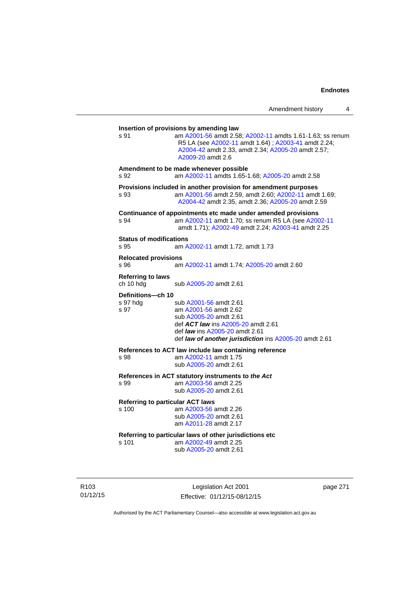| s.91                                   | am A2001-56 amdt 2.58; A2002-11 amdts 1.61-1.63; ss renum<br>R5 LA (see A2002-11 amdt 1.64) ; A2003-41 amdt 2.24;<br>A2004-42 amdt 2.33, amdt 2.34; A2005-20 amdt 2.57;<br>A2009-20 amdt 2.6                              |
|----------------------------------------|---------------------------------------------------------------------------------------------------------------------------------------------------------------------------------------------------------------------------|
| s 92                                   | Amendment to be made whenever possible<br>am A2002-11 amdts 1.65-1.68; A2005-20 amdt 2.58                                                                                                                                 |
| s 93                                   | Provisions included in another provision for amendment purposes<br>am A2001-56 amdt 2.59, amdt 2.60; A2002-11 amdt 1.69;<br>A2004-42 amdt 2.35, amdt 2.36; A2005-20 amdt 2.59                                             |
| s 94                                   | Continuance of appointments etc made under amended provisions<br>am A2002-11 amdt 1.70; ss renum R5 LA (see A2002-11<br>amdt 1.71); A2002-49 amdt 2.24; A2003-41 amdt 2.25                                                |
| <b>Status of modifications</b><br>s 95 | am A2002-11 amdt 1.72, amdt 1.73                                                                                                                                                                                          |
| <b>Relocated provisions</b><br>s 96    | am A2002-11 amdt 1.74; A2005-20 amdt 2.60                                                                                                                                                                                 |
| <b>Referring to laws</b><br>ch 10 hda  | sub A2005-20 amdt 2.61                                                                                                                                                                                                    |
| Definitions-ch 10<br>s 97 hda<br>s 97  | sub A2001-56 amdt 2.61<br>am A2001-56 amdt 2.62<br>sub A2005-20 amdt 2.61<br>def <b>ACT law</b> ins A2005-20 amdt 2.61<br>def <i>law</i> ins A2005-20 amdt 2.61<br>def law of another jurisdiction ins A2005-20 amdt 2.61 |
| s 98                                   | References to ACT law include law containing reference<br>am A2002-11 amdt 1.75<br>sub A2005-20 amdt 2.61                                                                                                                 |
| s 99                                   | References in ACT statutory instruments to the Act<br>am A2003-56 amdt 2.25<br>sub A2005-20 amdt 2.61                                                                                                                     |
| s 100                                  | <b>Referring to particular ACT laws</b><br>am A2003-56 amdt 2.26<br>sub A2005-20 amdt 2.61<br>am A2011-28 amdt 2.17                                                                                                       |
| s 101                                  | Referring to particular laws of other jurisdictions etc<br>am A2002-49 amdt 2.25<br>sub A2005-20 amdt 2.61                                                                                                                |

R103 01/12/15

Legislation Act 2001 Effective: 01/12/15-08/12/15 page 271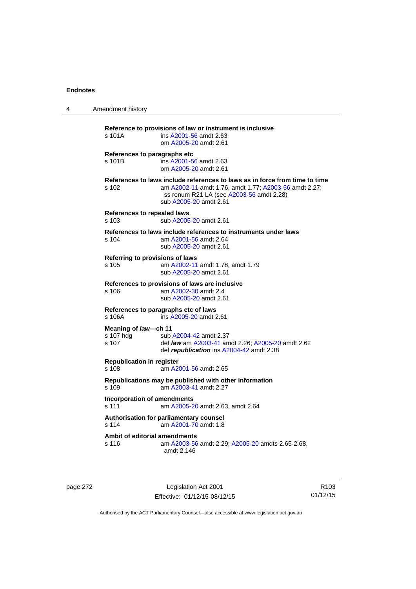| 4 | Amendment history                                                                                                                                                                                                   |
|---|---------------------------------------------------------------------------------------------------------------------------------------------------------------------------------------------------------------------|
|   | Reference to provisions of law or instrument is inclusive<br>s 101A<br>ins A2001-56 amdt 2.63<br>om A2005-20 amdt 2.61                                                                                              |
|   | References to paragraphs etc<br>ins A2001-56 amdt 2.63<br>s 101B<br>om A2005-20 amdt 2.61                                                                                                                           |
|   | References to laws include references to laws as in force from time to time<br>am A2002-11 amdt 1.76, amdt 1.77; A2003-56 amdt 2.27;<br>s 102<br>ss renum R21 LA (see A2003-56 amdt 2.28)<br>sub A2005-20 amdt 2.61 |
|   | References to repealed laws<br>sub A2005-20 amdt 2.61<br>s 103                                                                                                                                                      |
|   | References to laws include references to instruments under laws<br>am A2001-56 amdt 2.64<br>s 104<br>sub A2005-20 amdt 2.61                                                                                         |
|   | Referring to provisions of laws<br>am A2002-11 amdt 1.78, amdt 1.79<br>s 105<br>sub A2005-20 amdt 2.61                                                                                                              |
|   | References to provisions of laws are inclusive<br>s 106<br>am A2002-30 amdt 2.4<br>sub A2005-20 amdt 2.61                                                                                                           |
|   | References to paragraphs etc of laws<br>ins A2005-20 amdt 2.61<br>s 106A                                                                                                                                            |
|   | Meaning of law-ch 11<br>s 107 hdg<br>sub A2004-42 amdt 2.37<br>s 107<br>def <i>law</i> am A2003-41 amdt 2.26; A2005-20 amdt 2.62<br>def republication ins A2004-42 amdt 2.38                                        |
|   | <b>Republication in register</b><br>s 108<br>am A2001-56 amdt 2.65                                                                                                                                                  |
|   | Republications may be published with other information<br>s 109<br>am A2003-41 amdt 2.27                                                                                                                            |
|   | <b>Incorporation of amendments</b><br>s 111<br>am A2005-20 amdt 2.63, amdt 2.64                                                                                                                                     |
|   | Authorisation for parliamentary counsel<br>s 114<br>am A2001-70 amdt 1.8                                                                                                                                            |
|   | Ambit of editorial amendments<br>s 116<br>am A2003-56 amdt 2.29; A2005-20 amdts 2.65-2.68,<br>amdt 2.146                                                                                                            |

page 272 Legislation Act 2001 Effective: 01/12/15-08/12/15

R103 01/12/15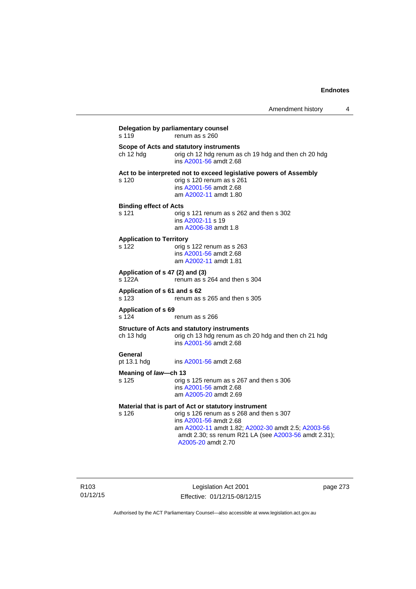| s 119                                    | Delegation by parliamentary counsel<br>renum as s 260                                                                                                                                                                                                          |
|------------------------------------------|----------------------------------------------------------------------------------------------------------------------------------------------------------------------------------------------------------------------------------------------------------------|
| ch 12 hdg                                | Scope of Acts and statutory instruments<br>orig ch 12 hdg renum as ch 19 hdg and then ch 20 hdg<br>ins A2001-56 amdt 2.68                                                                                                                                      |
| s 120                                    | Act to be interpreted not to exceed legislative powers of Assembly<br>orig s 120 renum as s 261<br>ins A2001-56 amdt 2.68<br>am A2002-11 amdt 1.80                                                                                                             |
| <b>Binding effect of Acts</b><br>s 121   | orig s 121 renum as s 262 and then s 302<br>ins A2002-11 s 19<br>am A2006-38 amdt 1.8                                                                                                                                                                          |
| <b>Application to Territory</b><br>s 122 | orig s 122 renum as s 263<br>ins A2001-56 amdt 2.68<br>am A2002-11 amdt 1.81                                                                                                                                                                                   |
| s 122A                                   | Application of s 47 (2) and (3)<br>renum as s 264 and then s 304                                                                                                                                                                                               |
| Application of s 61 and s 62<br>s 123    | renum as s 265 and then s 305                                                                                                                                                                                                                                  |
| <b>Application of s 69</b><br>s 124      | renum as s 266                                                                                                                                                                                                                                                 |
| ch 13 hdg                                | <b>Structure of Acts and statutory instruments</b><br>orig ch 13 hdg renum as ch 20 hdg and then ch 21 hdg<br>ins A2001-56 amdt 2.68                                                                                                                           |
| General<br>pt 13.1 hdg                   | ins A2001-56 amdt 2.68                                                                                                                                                                                                                                         |
| Meaning of law-ch 13                     |                                                                                                                                                                                                                                                                |
| s 125                                    | orig s 125 renum as s 267 and then s 306<br>ins A2001-56 amdt 2.68<br>am A2005-20 amdt 2.69                                                                                                                                                                    |
| s 126                                    | Material that is part of Act or statutory instrument<br>orig s 126 renum as s 268 and then s 307<br>ins A2001-56 amdt 2.68<br>am A2002-11 amdt 1.82; A2002-30 amdt 2.5; A2003-56<br>amdt 2.30; ss renum R21 LA (see A2003-56 amdt 2.31);<br>A2005-20 amdt 2.70 |

Legislation Act 2001 Effective: 01/12/15-08/12/15 page 273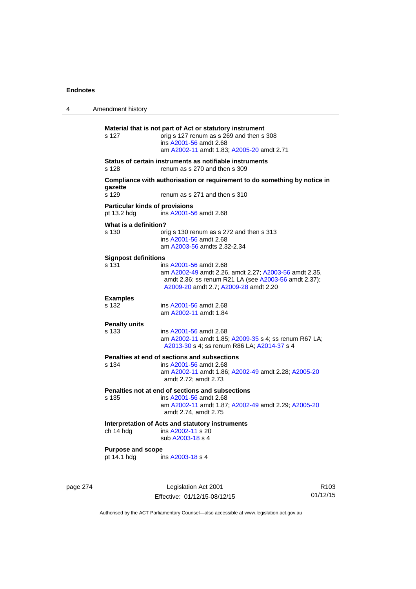| 4 | Amendment history                                    |                                                                                                                                                                                  |
|---|------------------------------------------------------|----------------------------------------------------------------------------------------------------------------------------------------------------------------------------------|
|   | s 127                                                | Material that is not part of Act or statutory instrument<br>orig s 127 renum as s 269 and then s 308<br>ins A2001-56 amdt 2.68<br>am A2002-11 amdt 1.83; A2005-20 amdt 2.71      |
|   | s 128                                                | Status of certain instruments as notifiable instruments<br>renum as s 270 and then s 309                                                                                         |
|   | gazette<br>s 129                                     | Compliance with authorisation or requirement to do something by notice in<br>renum as s 271 and then s 310                                                                       |
|   | <b>Particular kinds of provisions</b><br>pt 13.2 hdg | ins A2001-56 amdt 2.68                                                                                                                                                           |
|   | What is a definition?<br>s 130                       | orig s 130 renum as s 272 and then s 313<br>ins A2001-56 amdt 2.68<br>am A2003-56 amdts 2.32-2.34                                                                                |
|   | <b>Signpost definitions</b><br>s 131                 | ins A2001-56 amdt 2.68<br>am A2002-49 amdt 2.26, amdt 2.27; A2003-56 amdt 2.35,<br>amdt 2.36; ss renum R21 LA (see A2003-56 amdt 2.37);<br>A2009-20 amdt 2.7; A2009-28 amdt 2.20 |
|   | <b>Examples</b><br>s 132                             | ins A2001-56 amdt 2.68<br>am A2002-11 amdt 1.84                                                                                                                                  |
|   | <b>Penalty units</b><br>s 133                        | ins A2001-56 amdt 2.68<br>am A2002-11 amdt 1.85; A2009-35 s 4; ss renum R67 LA;<br>A2013-30 s 4; ss renum R86 LA; A2014-37 s 4                                                   |
|   | s 134                                                | Penalties at end of sections and subsections<br>ins A2001-56 amdt 2.68<br>am A2002-11 amdt 1.86; A2002-49 amdt 2.28; A2005-20<br>amdt 2.72; amdt 2.73                            |
|   | s 135                                                | Penalties not at end of sections and subsections<br>ins A2001-56 amdt 2.68<br>am A2002-11 amdt 1.87; A2002-49 amdt 2.29; A2005-20<br>amdt 2.74, amdt 2.75                        |
|   | ch 14 hdg                                            | Interpretation of Acts and statutory instruments<br>ins A2002-11 s 20<br>sub A2003-18 s 4                                                                                        |
|   | <b>Purpose and scope</b><br>pt 14.1 hdg              | ins A2003-18 s 4                                                                                                                                                                 |
|   |                                                      |                                                                                                                                                                                  |

page 274 Legislation Act 2001 Effective: 01/12/15-08/12/15

R103 01/12/15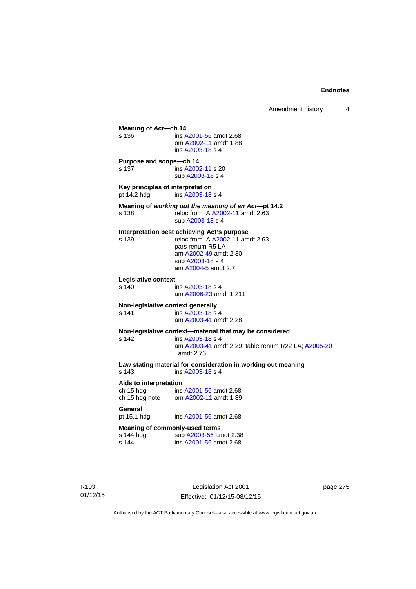**Meaning of** *Act***—ch 14**  s 136 ins [A2001-56](http://www.legislation.act.gov.au/a/2001-56) amdt 2.68 om [A2002-11](http://www.legislation.act.gov.au/a/2002-11) amdt 1.88 ins [A2003-18](http://www.legislation.act.gov.au/a/2003-18) s 4 **Purpose and scope—ch 14**  s 137 ins [A2002-11](http://www.legislation.act.gov.au/a/2002-11) s 20 sub [A2003-18](http://www.legislation.act.gov.au/a/2003-18) s 4 **Key principles of interpretation**<br>pt 14.2 hdg ins A2003-18 ins [A2003-18](http://www.legislation.act.gov.au/a/2003-18) s 4 **Meaning of** *working out the meaning of an Act***—pt 14.2**  s 138 reloc from IA [A2002-11](http://www.legislation.act.gov.au/a/2002-11) amdt 2.63 sub [A2003-18](http://www.legislation.act.gov.au/a/2003-18) s 4 **Interpretation best achieving Act's purpose**  s 139 reloc from IA [A2002-11](http://www.legislation.act.gov.au/a/2002-11) amdt 2.63 pars renum R5 LA am [A2002-49](http://www.legislation.act.gov.au/a/2002-49) amdt 2.30 sub [A2003-18](http://www.legislation.act.gov.au/a/2003-18) s 4 am [A2004-5](http://www.legislation.act.gov.au/a/2004-5) amdt 2.7 **Legislative context**  ins [A2003-18](http://www.legislation.act.gov.au/a/2003-18) s 4 am [A2006-23](http://www.legislation.act.gov.au/a/2006-23) amdt 1.211 **Non-legislative context generally**<br>s 141 **ins A2003-18 s** s 141 **ins [A2003-18](http://www.legislation.act.gov.au/a/2003-18) s** 4 am [A2003-41](http://www.legislation.act.gov.au/a/2003-41) amdt 2.28 **Non-legislative context—material that may be considered**  s 142 ins [A2003-18](http://www.legislation.act.gov.au/a/2003-18) s 4 am [A2003-41](http://www.legislation.act.gov.au/a/2003-41) amdt 2.29; table renum R22 LA; [A2005-20](http://www.legislation.act.gov.au/a/2005-20) amdt 2.76 **Law stating material for consideration in working out meaning**  ins [A2003-18](http://www.legislation.act.gov.au/a/2003-18) s 4 **Aids to interpretation**  ch 15 hdg ins [A2001-56](http://www.legislation.act.gov.au/a/2001-56) amdt 2.68 ch 15 hdg note om [A2002-11](http://www.legislation.act.gov.au/a/2002-11) amdt 1.89 General<br>pt 15.1 hdg ins [A2001-56](http://www.legislation.act.gov.au/a/2001-56) amdt 2.68 **Meaning of commonly-used terms**  s 144 hdg sub [A2003-56](http://www.legislation.act.gov.au/a/2003-56) amdt 2.38<br>s 144 ins A2001-56 amdt 2.68 ins [A2001-56](http://www.legislation.act.gov.au/a/2001-56) amdt 2.68

R103 01/12/15

Legislation Act 2001 Effective: 01/12/15-08/12/15 page 275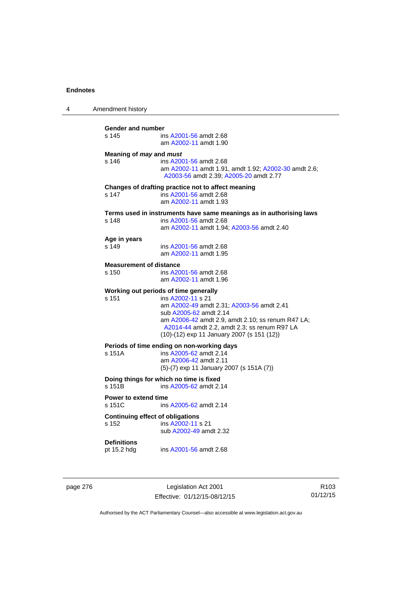| 4 | Amendment history                                                                                                                                                                                                                                                                             |
|---|-----------------------------------------------------------------------------------------------------------------------------------------------------------------------------------------------------------------------------------------------------------------------------------------------|
|   | Gender and number<br>s 145<br>ins A2001-56 amdt 2.68<br>am A2002-11 amdt 1.90                                                                                                                                                                                                                 |
|   | Meaning of <i>may</i> and <i>must</i><br>s 146<br>ins A2001-56 amdt 2.68<br>am A2002-11 amdt 1.91, amdt 1.92; A2002-30 amdt 2.6;<br>A2003-56 amdt 2.39; A2005-20 amdt 2.77                                                                                                                    |
|   | Changes of drafting practice not to affect meaning<br>s 147<br>ins A2001-56 amdt 2.68<br>am A2002-11 amdt 1.93                                                                                                                                                                                |
|   | Terms used in instruments have same meanings as in authorising laws<br>s 148<br>ins A2001-56 amdt 2.68<br>am A2002-11 amdt 1.94; A2003-56 amdt 2.40                                                                                                                                           |
|   | Age in years<br>s 149<br>ins A2001-56 amdt 2.68<br>am A2002-11 amdt 1.95                                                                                                                                                                                                                      |
|   | <b>Measurement of distance</b><br>s 150<br>ins A2001-56 amdt 2.68<br>am A2002-11 amdt 1.96                                                                                                                                                                                                    |
|   | Working out periods of time generally<br>s 151<br>ins A2002-11 s 21<br>am A2002-49 amdt 2.31; A2003-56 amdt 2.41<br>sub A2005-62 amdt 2.14<br>am A2006-42 amdt 2.9, amdt 2.10; ss renum R47 LA;<br>A2014-44 amdt 2.2, amdt 2.3; ss renum R97 LA<br>(10)-(12) exp 11 January 2007 (s 151 (12)) |
|   | Periods of time ending on non-working days<br>s 151A<br>ins A2005-62 amdt 2.14<br>am A2006-42 amdt 2.11<br>$(5)-(7)$ exp 11 January 2007 (s 151A $(7)$ )                                                                                                                                      |
|   | Doing things for which no time is fixed<br>s 151B<br>ins A2005-62 amdt 2.14                                                                                                                                                                                                                   |
|   | <b>Power to extend time</b><br>s 151C<br>ins A2005-62 amdt 2.14                                                                                                                                                                                                                               |
|   | <b>Continuing effect of obligations</b><br>s 152<br>ins A2002-11 s 21<br>sub A2002-49 amdt 2.32                                                                                                                                                                                               |
|   | <b>Definitions</b><br>pt 15.2 hdg<br>ins A2001-56 amdt 2.68                                                                                                                                                                                                                                   |
|   |                                                                                                                                                                                                                                                                                               |

page 276 **Legislation Act 2001** Effective: 01/12/15-08/12/15

R103 01/12/15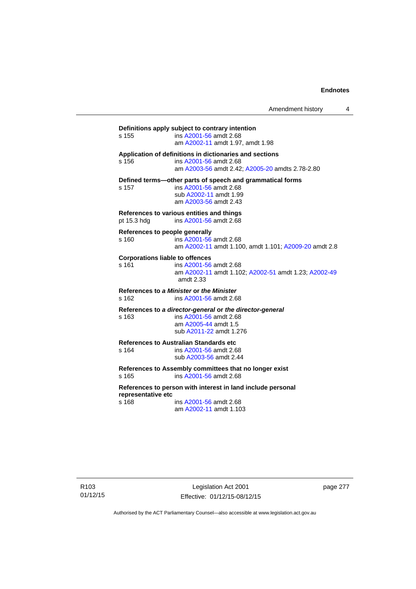Amendment history 4

**Definitions apply subject to contrary intention**  s 155 ins [A2001-56](http://www.legislation.act.gov.au/a/2001-56) amdt 2.68 am [A2002-11](http://www.legislation.act.gov.au/a/2002-11) amdt 1.97, amdt 1.98 **Application of definitions in dictionaries and sections**  s 156 ins [A2001-56](http://www.legislation.act.gov.au/a/2001-56) amdt 2.68 am [A2003-56](http://www.legislation.act.gov.au/a/2003-56) amdt 2.42; [A2005-20](http://www.legislation.act.gov.au/a/2005-20) amdts 2.78-2.80 **Defined terms—other parts of speech and grammatical forms**  s 157 ins [A2001-56](http://www.legislation.act.gov.au/a/2001-56) amdt 2.68 sub [A2002-11](http://www.legislation.act.gov.au/a/2002-11) amdt 1.99 am [A2003-56](http://www.legislation.act.gov.au/a/2003-56) amdt 2.43 **References to various entities and things**  pt 15.3 hdg ins [A2001-56](http://www.legislation.act.gov.au/a/2001-56) amdt 2.68 **References to people generally**  s 160 ins [A2001-56](http://www.legislation.act.gov.au/a/2001-56) amdt 2.68 am [A2002-11](http://www.legislation.act.gov.au/a/2002-11) amdt 1.100, amdt 1.101; [A2009-20](http://www.legislation.act.gov.au/a/2009-20) amdt 2.8 **Corporations liable to offences**  s 161 ins [A2001-56](http://www.legislation.act.gov.au/a/2001-56) amdt 2.68 am [A2002-11](http://www.legislation.act.gov.au/a/2002-11) amdt 1.102; [A2002-51](http://www.legislation.act.gov.au/a/2002-51) amdt 1.23; [A2002-49](http://www.legislation.act.gov.au/a/2002-49) amdt 2.33 **References to** *a Minister* **or** *the Minister* s 162 ins [A2001-56](http://www.legislation.act.gov.au/a/2001-56) amdt 2.68 **References to** *a director-general* **or** *the director-general* s 163 ins [A2001-56](http://www.legislation.act.gov.au/a/2001-56) amdt 2.68 am [A2005-44](http://www.legislation.act.gov.au/a/2005-44) amdt 1.5 sub [A2011-22](http://www.legislation.act.gov.au/a/2011-22) amdt 1.276 **References to Australian Standards etc**  ins [A2001-56](http://www.legislation.act.gov.au/a/2001-56) amdt 2.68 sub [A2003-56](http://www.legislation.act.gov.au/a/2003-56) amdt 2.44 **References to Assembly committees that no longer exist**  s 165 ins [A2001-56](http://www.legislation.act.gov.au/a/2001-56) amdt 2.68 **References to person with interest in land include personal representative etc**  s 168 ins [A2001-56](http://www.legislation.act.gov.au/a/2001-56) amdt 2.68 am [A2002-11](http://www.legislation.act.gov.au/a/2002-11) amdt 1.103

page 277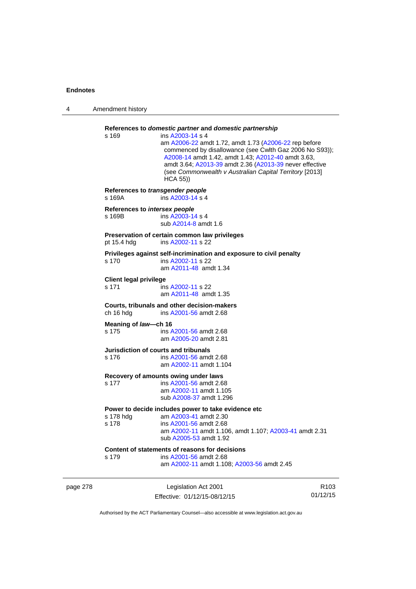| 4        | Amendment history                          |                                                                                                                                                                                                                                                                                                                                                                                                |                  |
|----------|--------------------------------------------|------------------------------------------------------------------------------------------------------------------------------------------------------------------------------------------------------------------------------------------------------------------------------------------------------------------------------------------------------------------------------------------------|------------------|
|          | s 169                                      | References to domestic partner and domestic partnership<br>ins A2003-14 s 4<br>am A2006-22 amdt 1.72, amdt 1.73 (A2006-22 rep before<br>commenced by disallowance (see Cwlth Gaz 2006 No S93));<br>A2008-14 amdt 1.42, amdt 1.43; A2012-40 amdt 3.63,<br>amdt 3.64; A2013-39 amdt 2.36 (A2013-39 never effective<br>(see Commonwealth v Australian Capital Territory [2013]<br><b>HCA 55))</b> |                  |
|          | References to transgender people<br>s 169A | ins A2003-14 s 4                                                                                                                                                                                                                                                                                                                                                                               |                  |
|          | References to intersex people<br>s 169B    | ins A2003-14 s 4<br>sub A2014-8 amdt 1.6                                                                                                                                                                                                                                                                                                                                                       |                  |
|          | pt 15.4 hdg                                | Preservation of certain common law privileges<br>ins A2002-11 s 22                                                                                                                                                                                                                                                                                                                             |                  |
|          | s 170                                      | Privileges against self-incrimination and exposure to civil penalty<br>ins A2002-11 s 22<br>am A2011-48 amdt 1.34                                                                                                                                                                                                                                                                              |                  |
|          | <b>Client legal privilege</b><br>s 171     | ins A2002-11 s 22<br>am A2011-48 amdt 1.35                                                                                                                                                                                                                                                                                                                                                     |                  |
|          | ch 16 hdg                                  | Courts, tribunals and other decision-makers<br>ins A2001-56 amdt 2.68                                                                                                                                                                                                                                                                                                                          |                  |
|          | Meaning of law-ch 16<br>s 175              | ins A2001-56 amdt 2.68<br>am A2005-20 amdt 2.81                                                                                                                                                                                                                                                                                                                                                |                  |
|          | s 176                                      | Jurisdiction of courts and tribunals<br>ins A2001-56 amdt 2.68<br>am A2002-11 amdt 1.104                                                                                                                                                                                                                                                                                                       |                  |
|          | s 177                                      | Recovery of amounts owing under laws<br>ins A2001-56 amdt 2.68<br>am A2002-11 amdt 1.105<br>sub A2008-37 amdt 1.296                                                                                                                                                                                                                                                                            |                  |
|          | s 178 hdg<br>s 178                         | Power to decide includes power to take evidence etc<br>am A2003-41 amdt 2.30<br>ins A2001-56 amdt 2.68<br>am A2002-11 amdt 1.106, amdt 1.107; A2003-41 amdt 2.31<br>sub A2005-53 amdt 1.92                                                                                                                                                                                                     |                  |
|          | s 179                                      | Content of statements of reasons for decisions<br>ins A2001-56 amdt 2.68<br>am A2002-11 amdt 1.108; A2003-56 amdt 2.45                                                                                                                                                                                                                                                                         |                  |
| page 278 |                                            | Legislation Act 2001                                                                                                                                                                                                                                                                                                                                                                           | R <sub>103</sub> |

Effective: 01/12/15-08/12/15

R103 01/12/15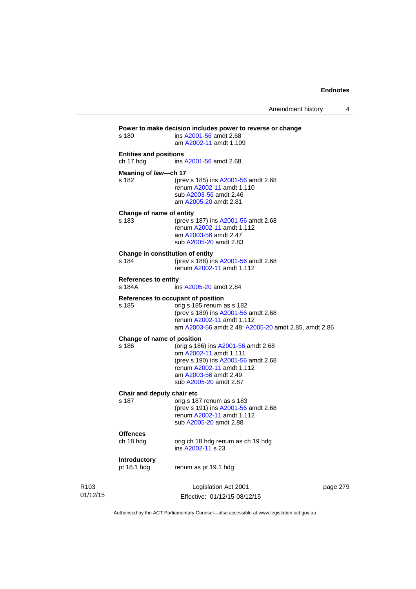|                              | s 180                                      | Power to make decision includes power to reverse or change<br>ins A2001-56 amdt 2.68<br>am A2002-11 amdt 1.109                                                                              |          |
|------------------------------|--------------------------------------------|---------------------------------------------------------------------------------------------------------------------------------------------------------------------------------------------|----------|
|                              | <b>Entities and positions</b><br>ch 17 hdg | ins A2001-56 amdt 2.68                                                                                                                                                                      |          |
|                              | Meaning of law-ch 17<br>s 182              | (prev s 185) ins A2001-56 amdt 2.68<br>renum A2002-11 amdt 1.110<br>sub A2003-56 amdt 2.46<br>am A2005-20 amdt 2.81                                                                         |          |
|                              | Change of name of entity<br>s 183          | (prev s 187) ins A2001-56 amdt 2.68<br>renum A2002-11 amdt 1.112<br>am A2003-56 amdt 2.47<br>sub A2005-20 amdt 2.83                                                                         |          |
|                              | Change in constitution of entity<br>s 184  | (prev s 188) ins A2001-56 amdt 2.68<br>renum A2002-11 amdt 1.112                                                                                                                            |          |
|                              | <b>References to entity</b><br>s 184A      | ins A2005-20 amdt 2.84                                                                                                                                                                      |          |
|                              | s 185                                      | References to occupant of position<br>orig s 185 renum as s 182<br>(prev s 189) ins A2001-56 amdt 2.68<br>renum A2002-11 amdt 1.112<br>am A2003-56 amdt 2.48; A2005-20 amdt 2.85, amdt 2.86 |          |
|                              | Change of name of position<br>s 186        | (orig s 186) ins A2001-56 amdt 2.68<br>om A2002-11 amdt 1.111<br>(prev s 190) ins A2001-56 amdt 2.68<br>renum A2002-11 amdt 1.112<br>am A2003-56 amdt 2.49<br>sub A2005-20 amdt 2.87        |          |
|                              | Chair and deputy chair etc<br>s 187        | orig s 187 renum as s 183<br>(prev s 191) ins A2001-56 amdt 2.68<br>renum A2002-11 amdt 1.112<br>sub A2005-20 amdt 2.88                                                                     |          |
|                              | <b>Offences</b><br>ch 18 hdg               | orig ch 18 hdg renum as ch 19 hdg<br>ins A2002-11 s 23                                                                                                                                      |          |
|                              | Introductory<br>pt 18.1 hdg                | renum as pt 19.1 hdg                                                                                                                                                                        |          |
| R <sub>103</sub><br>01/12/15 |                                            | Legislation Act 2001<br>Effective: 01/12/15-08/12/15                                                                                                                                        | page 279 |

Authorised by the ACT Parliamentary Counsel—also accessible at www.legislation.act.gov.au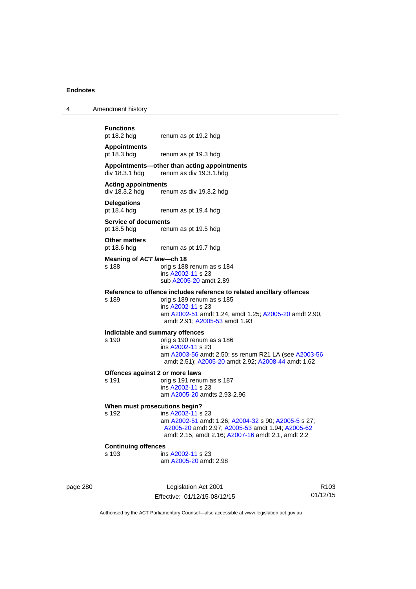| <b>Functions</b> |     |
|------------------|-----|
| pt 18.2 hdg      | rei |

4 Amendment history

num as pt 19.2 hdg **Appointments** 

pt 18.3 hdg renum as pt 19.3 hdg

### **Appointments—other than acting appointments**  renum as div 19.3.1 hdg

## **Acting appointments**

div 18.3.2 hdg renum as div 19.3.2 hdg

# **Delegations**

renum as pt 19.4 hdg

## **Service of documents**  pt 18.5 hdg renum as pt 19.5 hdg

**Other matters** 

pt 18.6 hdg renum as pt 19.7 hdg

## **Meaning of** *ACT law***—ch 18**

s 188 orig s 188 renum as s 184 ins [A2002-11](http://www.legislation.act.gov.au/a/2002-11) s 23 sub [A2005-20](http://www.legislation.act.gov.au/a/2005-20) amdt 2.89

## **Reference to offence includes reference to related ancillary offences**

s 189 orig s 189 renum as s 185 ins [A2002-11](http://www.legislation.act.gov.au/a/2002-11) s 23 am [A2002-51](http://www.legislation.act.gov.au/a/2002-51) amdt 1.24, amdt 1.25; [A2005-20](http://www.legislation.act.gov.au/a/2005-20) amdt 2.90, amdt 2.91; [A2005-53](http://www.legislation.act.gov.au/a/2005-53) amdt 1.93

# **Indictable and summary offences**

## orig s 190 renum as s 186 ins [A2002-11](http://www.legislation.act.gov.au/a/2002-11) s 23 am [A2003-56](http://www.legislation.act.gov.au/a/2003-56) amdt 2.50; ss renum R21 LA (see [A2003-56](http://www.legislation.act.gov.au/a/2003-56) amdt 2.51); [A2005-20](http://www.legislation.act.gov.au/a/2005-20) amdt 2.92; [A2008-44](http://www.legislation.act.gov.au/a/2008-44) amdt 1.62

#### **Offences against 2 or more laws**

s 191 orig s 191 renum as s 187 ins [A2002-11](http://www.legislation.act.gov.au/a/2002-11) s 23 am [A2005-20](http://www.legislation.act.gov.au/a/2005-20) amdts 2.93-2.96

#### **When must prosecutions begin?**

s 192 ins [A2002-11](http://www.legislation.act.gov.au/a/2002-11) s 23 am [A2002-51](http://www.legislation.act.gov.au/a/2002-51) amdt 1.26; [A2004-32](http://www.legislation.act.gov.au/a/2004-32) s 90; [A2005-5](http://www.legislation.act.gov.au/a/2005-5) s 27; [A2005-20](http://www.legislation.act.gov.au/a/2005-20) amdt 2.97; [A2005-53](http://www.legislation.act.gov.au/a/2005-53) amdt 1.94; [A2005-62](http://www.legislation.act.gov.au/a/2005-62) amdt 2.15, amdt 2.16; [A2007-16](http://www.legislation.act.gov.au/a/2007-16) amdt 2.1, amdt 2.2

#### **Continuing offences**

s 193 ins [A2002-11](http://www.legislation.act.gov.au/a/2002-11) s 23

am [A2005-20](http://www.legislation.act.gov.au/a/2005-20) amdt 2.98

page 280 Legislation Act 2001 Effective: 01/12/15-08/12/15

R103 01/12/15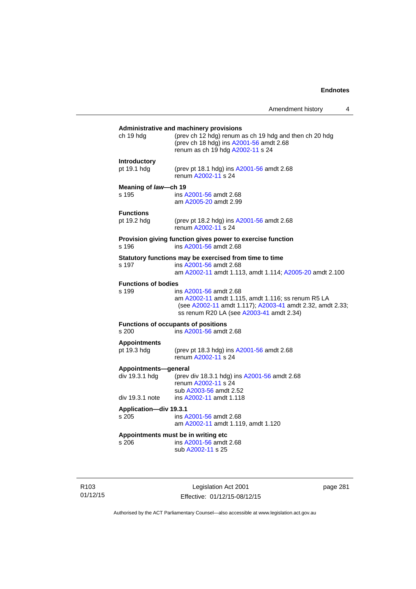# **Administrative and machinery provisions**  ch 19 hdg (prev ch 12 hdg) renum as ch 19 hdg and then ch 20 hdg (prev ch 18 hdg) ins [A2001-56](http://www.legislation.act.gov.au/a/2001-56) amdt 2.68 renum as ch 19 hdg [A2002-11](http://www.legislation.act.gov.au/a/2002-11) s 24 **Introductory**  pt 19.1 hdg (prev pt 18.1 hdg) ins [A2001-56](http://www.legislation.act.gov.au/a/2001-56) amdt 2.68 renum [A2002-11](http://www.legislation.act.gov.au/a/2002-11) s 24 **Meaning of** *law***—ch 19**  s 195 ins [A2001-56](http://www.legislation.act.gov.au/a/2001-56) amdt 2.68 am [A2005-20](http://www.legislation.act.gov.au/a/2005-20) amdt 2.99 **Functions**<br>pt 19.2 hdg (prev pt 18.2 hdg) ins  $A2001 - 56$  amdt 2.68 renum [A2002-11](http://www.legislation.act.gov.au/a/2002-11) s 24 **Provision giving function gives power to exercise function**  s 196 ins [A2001-56](http://www.legislation.act.gov.au/a/2001-56) amdt 2.68 **Statutory functions may be exercised from time to time**<br>s 197 ins A2001-56 amdt 2.68 ins [A2001-56](http://www.legislation.act.gov.au/a/2001-56) amdt 2.68 am [A2002-11](http://www.legislation.act.gov.au/a/2002-11) amdt 1.113, amdt 1.114; [A2005-20](http://www.legislation.act.gov.au/a/2005-20) amdt 2.100 **Functions of bodies**  s 199 ins [A2001-56](http://www.legislation.act.gov.au/a/2001-56) amdt 2.68 am [A2002-11](http://www.legislation.act.gov.au/a/2002-11) amdt 1.115, amdt 1.116; ss renum R5 LA (see [A2002-11](http://www.legislation.act.gov.au/a/2002-11) amdt 1.117); [A2003-41](http://www.legislation.act.gov.au/a/2003-41) amdt 2.32, amdt 2.33; ss renum R20 LA (see [A2003-41](http://www.legislation.act.gov.au/a/2003-41) amdt 2.34) **Functions of occupants of positions**  s 200 ins [A2001-56](http://www.legislation.act.gov.au/a/2001-56) amdt 2.68 **Appointments**  (prev pt 18.3 hdg) ins [A2001-56](http://www.legislation.act.gov.au/a/2001-56) amdt 2.68 renum [A2002-11](http://www.legislation.act.gov.au/a/2002-11) s 24 **Appointments—general**  div 19.3.1 hdg (prev div 18.3.1 hdg) ins [A2001-56](http://www.legislation.act.gov.au/a/2001-56) amdt 2.68 renum [A2002-11](http://www.legislation.act.gov.au/a/2002-11) s 24 sub [A2003-56](http://www.legislation.act.gov.au/a/2003-56) amdt 2.52 div 19.3.1 note ins [A2002-11](http://www.legislation.act.gov.au/a/2002-11) amdt 1.118 **Application—div 19.3.1**  s 205 ins [A2001-56](http://www.legislation.act.gov.au/a/2001-56) amdt 2.68 am [A2002-11](http://www.legislation.act.gov.au/a/2002-11) amdt 1.119, amdt 1.120 **Appointments must be in writing etc**  s 206 ins [A2001-56](http://www.legislation.act.gov.au/a/2001-56) amdt 2.68 sub [A2002-11](http://www.legislation.act.gov.au/a/2002-11) s 25

R103 01/12/15

Legislation Act 2001 Effective: 01/12/15-08/12/15 page 281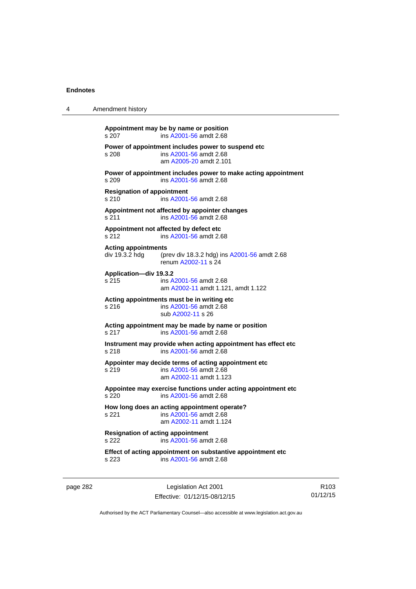| 4 | Amendment history                                 |                                                                                                          |
|---|---------------------------------------------------|----------------------------------------------------------------------------------------------------------|
|   | s 207                                             | Appointment may be by name or position<br>ins A2001-56 amdt 2.68                                         |
|   | s 208                                             | Power of appointment includes power to suspend etc<br>ins A2001-56 amdt 2.68<br>am A2005-20 amdt 2.101   |
|   | s 209                                             | Power of appointment includes power to make acting appointment<br>ins A2001-56 amdt 2.68                 |
|   | <b>Resignation of appointment</b><br>s 210        | ins A2001-56 amdt 2.68                                                                                   |
|   | s 211                                             | Appointment not affected by appointer changes<br>ins A2001-56 amdt 2.68                                  |
|   | s 212                                             | Appointment not affected by defect etc<br>ins A2001-56 amdt 2.68                                         |
|   | <b>Acting appointments</b><br>div 19.3.2 hdg      | (prev div 18.3.2 hdg) ins A2001-56 amdt 2.68<br>renum A2002-11 s 24                                      |
|   | Application-div 19.3.2<br>s 215                   | ins A2001-56 amdt 2.68<br>am A2002-11 amdt 1.121, amdt 1.122                                             |
|   | s 216                                             | Acting appointments must be in writing etc<br>ins A2001-56 amdt 2.68<br>sub A2002-11 s 26                |
|   | s 217                                             | Acting appointment may be made by name or position<br>ins A2001-56 amdt 2.68                             |
|   | s 218                                             | Instrument may provide when acting appointment has effect etc<br>ins A2001-56 amdt 2.68                  |
|   | s 219                                             | Appointer may decide terms of acting appointment etc<br>ins A2001-56 amdt 2.68<br>am A2002-11 amdt 1.123 |
|   | s 220                                             | Appointee may exercise functions under acting appointment etc<br>ins A2001-56 amdt 2.68                  |
|   | s 221                                             | How long does an acting appointment operate?<br>ins A2001-56 amdt 2.68<br>am A2002-11 amdt 1.124         |
|   | <b>Resignation of acting appointment</b><br>s 222 | ins A2001-56 amdt 2.68                                                                                   |
|   | s 223                                             | Effect of acting appointment on substantive appointment etc<br>ins A2001-56 amdt 2.68                    |

page 282 Legislation Act 2001 Effective: 01/12/15-08/12/15

R103 01/12/15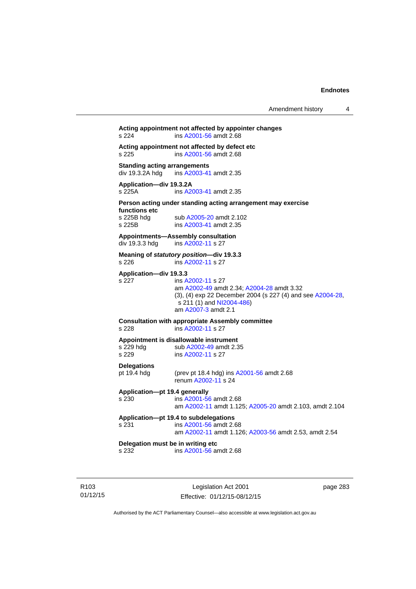# **Acting appointment not affected by appointer changes**  s 224 ins [A2001-56](http://www.legislation.act.gov.au/a/2001-56) amdt 2.68 **Acting appointment not affected by defect etc**  s 225 ins [A2001-56](http://www.legislation.act.gov.au/a/2001-56) amdt 2.68 **Standing acting arrangements**<br>div 19.3.2A hdg ins A2003-41 ins [A2003-41](http://www.legislation.act.gov.au/a/2003-41) amdt 2.35 **Application—div 19.3.2A**  s 225A ins [A2003-41](http://www.legislation.act.gov.au/a/2003-41) amdt 2.35 **Person acting under standing acting arrangement may exercise functions etc**  s 225B hdg sub [A2005-20](http://www.legislation.act.gov.au/a/2005-20) amdt 2.102<br>s 225B ins A2003-41 amdt 2.35 ins [A2003-41](http://www.legislation.act.gov.au/a/2003-41) amdt 2.35 **Appointments—Assembly consultation**  div 19.3.3 hdg ins [A2002-11](http://www.legislation.act.gov.au/a/2002-11) s 27 **Meaning of** *statutory position***—div 19.3.3**  s 226 ins [A2002-11](http://www.legislation.act.gov.au/a/2002-11) s 27 **Application—div 19.3.3**  s 227 ins [A2002-11](http://www.legislation.act.gov.au/a/2002-11) s 27 am [A2002-49](http://www.legislation.act.gov.au/a/2002-49) amdt 2.34; [A2004-28](http://www.legislation.act.gov.au/a/2004-28) amdt 3.32 (3), (4) exp 22 December 2004 (s 227 (4) and see [A2004-28](http://www.legislation.act.gov.au/a/2004-28),  $s$  211 (1) and [NI2004-486\)](http://www.legislation.act.gov.au/ni/2004-486/default.asp) am [A2007-3](http://www.legislation.act.gov.au/a/2007-3) amdt 2.1 **Consultation with appropriate Assembly committee**  s 228 ins [A2002-11](http://www.legislation.act.gov.au/a/2002-11) s 27 **Appointment is disallowable instrument**  s 229 hdg sub [A2002-49](http://www.legislation.act.gov.au/a/2002-49) amdt 2.35 s 229 ins [A2002-11](http://www.legislation.act.gov.au/a/2002-11) s 27 **Delegations**  pt 19.4 hdg (prev pt 18.4 hdg) ins [A2001-56](http://www.legislation.act.gov.au/a/2001-56) amdt 2.68 renum [A2002-11](http://www.legislation.act.gov.au/a/2002-11) s 24 **Application—pt 19.4 generally**  s 230 ins [A2001-56](http://www.legislation.act.gov.au/a/2001-56) amdt 2.68 am [A2002-11](http://www.legislation.act.gov.au/a/2002-11) amdt 1.125; [A2005-20](http://www.legislation.act.gov.au/a/2005-20) amdt 2.103, amdt 2.104 **Application—pt 19.4 to subdelegations**  s 231 ins [A2001-56](http://www.legislation.act.gov.au/a/2001-56) amdt 2.68 am [A2002-11](http://www.legislation.act.gov.au/a/2002-11) amdt 1.126; [A2003-56](http://www.legislation.act.gov.au/a/2003-56) amdt 2.53, amdt 2.54 **Delegation must be in writing etc**  s 232 ins [A2001-56](http://www.legislation.act.gov.au/a/2001-56) amdt 2.68

R103 01/12/15

Legislation Act 2001 Effective: 01/12/15-08/12/15 page 283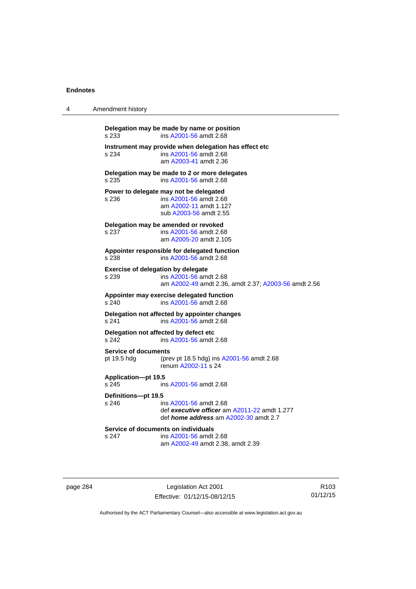| 4 | Amendment history                               |                                                                                                                        |
|---|-------------------------------------------------|------------------------------------------------------------------------------------------------------------------------|
|   | s 233                                           | Delegation may be made by name or position<br>ins A2001-56 amdt 2.68                                                   |
|   | s 234                                           | Instrument may provide when delegation has effect etc<br>ins A2001-56 amdt 2.68<br>am A2003-41 amdt 2.36               |
|   | s 235                                           | Delegation may be made to 2 or more delegates<br>ins A2001-56 amdt 2.68                                                |
|   | Power to delegate may not be delegated<br>s 236 | ins A2001-56 amdt 2.68<br>am A2002-11 amdt 1.127<br>sub A2003-56 amdt 2.55                                             |
|   | Delegation may be amended or revoked<br>s 237   | ins A2001-56 amdt 2.68<br>am A2005-20 amdt 2.105                                                                       |
|   | s 238                                           | Appointer responsible for delegated function<br>ins A2001-56 amdt 2.68                                                 |
|   | Exercise of delegation by delegate<br>s 239     | ins A2001-56 amdt 2.68<br>am A2002-49 amdt 2.36, amdt 2.37; A2003-56 amdt 2.56                                         |
|   | s 240                                           | Appointer may exercise delegated function<br>ins A2001-56 amdt 2.68                                                    |
|   | s 241                                           | Delegation not affected by appointer changes<br>ins A2001-56 amdt 2.68                                                 |
|   | Delegation not affected by defect etc<br>s 242  | ins A2001-56 amdt 2.68                                                                                                 |
|   | <b>Service of documents</b><br>pt 19.5 hdg      | (prev pt 18.5 hdg) ins A2001-56 amdt 2.68<br>renum A2002-11 s 24                                                       |
|   | <b>Application-pt 19.5</b><br>s 245             | ins A2001-56 amdt 2.68                                                                                                 |
|   | Definitions-pt 19.5<br>s 246                    | ins A2001-56 amdt 2.68<br>def executive officer am A2011-22 amdt 1.277<br>def <i>home address</i> am A2002-30 amdt 2.7 |
|   | Service of documents on individuals<br>s 247    | ins A2001-56 amdt 2.68<br>am A2002-49 amdt 2.38, amdt 2.39                                                             |

page 284 Legislation Act 2001 Effective: 01/12/15-08/12/15

R103 01/12/15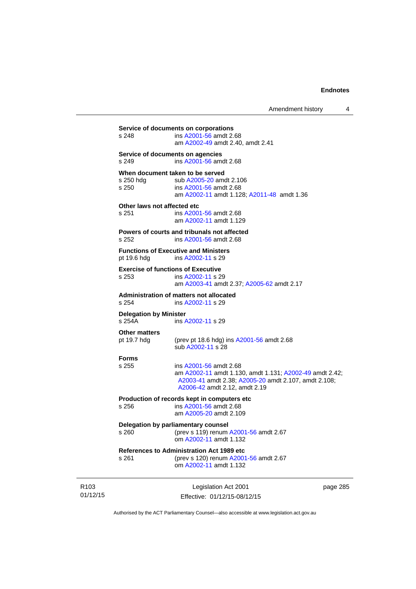| Delegation by parliamentary counsel<br>(prev s 119) renum A2001-56 amdt 2.67<br>om A2002-11 amdt 1.132<br><b>References to Administration Act 1989 etc</b><br>(prev s 120) renum A2001-56 amdt 2.67<br>om A2002-11 amdt 1.132 |                                      |
|-------------------------------------------------------------------------------------------------------------------------------------------------------------------------------------------------------------------------------|--------------------------------------|
|                                                                                                                                                                                                                               |                                      |
|                                                                                                                                                                                                                               |                                      |
| Production of records kept in computers etc<br>ins A2001-56 amdt 2.68<br>am A2005-20 amdt 2.109                                                                                                                               |                                      |
| ins A2001-56 amdt 2.68<br>am A2002-11 amdt 1.130, amdt 1.131; A2002-49 amdt 2.42;<br>A2003-41 amdt 2.38; A2005-20 amdt 2.107, amdt 2.108;<br>A2006-42 amdt 2.12, amdt 2.19                                                    |                                      |
| (prev pt 18.6 hdg) ins A2001-56 amdt 2.68<br>sub A2002-11 s 28                                                                                                                                                                |                                      |
| <b>Delegation by Minister</b><br>ins A2002-11 s 29                                                                                                                                                                            |                                      |
| Administration of matters not allocated<br>ins A2002-11 s 29                                                                                                                                                                  |                                      |
| <b>Exercise of functions of Executive</b><br>ins A2002-11 s 29<br>am A2003-41 amdt 2.37; A2005-62 amdt 2.17                                                                                                                   |                                      |
| <b>Functions of Executive and Ministers</b><br>ins A2002-11 s 29                                                                                                                                                              |                                      |
| Powers of courts and tribunals not affected<br>ins A2001-56 amdt 2.68                                                                                                                                                         |                                      |
| Other laws not affected etc<br>ins A2001-56 amdt 2.68<br>am A2002-11 amdt 1.129                                                                                                                                               |                                      |
| When document taken to be served<br>sub A2005-20 amdt 2.106<br>ins A2001-56 amdt 2.68<br>am A2002-11 amdt 1.128; A2011-48 amdt 1.36                                                                                           |                                      |
| Service of documents on agencies<br>ins A2001-56 amdt 2.68                                                                                                                                                                    |                                      |
| ins A2001-56 amdt 2.68<br>am A2002-49 amdt 2.40, amdt 2.41                                                                                                                                                                    |                                      |
|                                                                                                                                                                                                                               | Service of documents on corporations |

R103 01/12/15

Effective: 01/12/15-08/12/15

page 285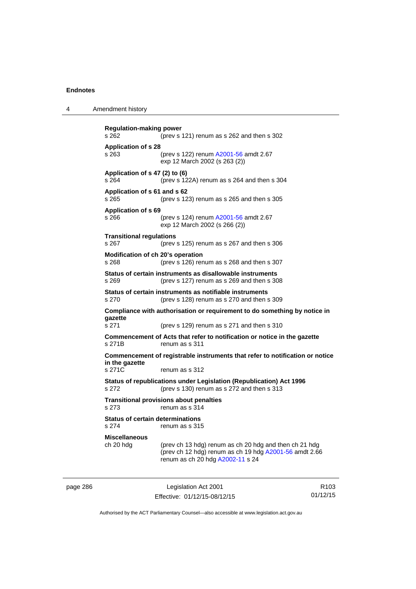4 Amendment history

page 286 Legislation Act 2001 **Regulation-making power**  s 262 (prev s 121) renum as s 262 and then s 302 **Application of s 28**  s 263 (prev s 122) renum [A2001-56](http://www.legislation.act.gov.au/a/2001-56) amdt 2.67 exp 12 March 2002 (s 263 (2)) **Application of s 47 (2) to (6)**  s 264 (prev s 122A) renum as s 264 and then s 304 **Application of s 61 and s 62**  s 265 (prev s 123) renum as s 265 and then s 305 **Application of s 69**  s 266 (prev s 124) renum [A2001-56](http://www.legislation.act.gov.au/a/2001-56) amdt 2.67 exp 12 March 2002 (s 266 (2)) **Transitional regulations**  s 267 (prev s 125) renum as s 267 and then s 306 **Modification of ch 20's operation**  s 268 (prev s 126) renum as s 268 and then s 307 **Status of certain instruments as disallowable instruments**  s 269 (prev s 127) renum as s 269 and then s 308 **Status of certain instruments as notifiable instruments**  s 270 (prev s 128) renum as s 270 and then s 309 **Compliance with authorisation or requirement to do something by notice in gazette**  s 271 (prev s 129) renum as s 271 and then s 310 **Commencement of Acts that refer to notification or notice in the gazette**  s 271B renum as s 311 **Commencement of registrable instruments that refer to notification or notice in the gazette**  s 271C renum as s 312 **Status of republications under Legislation (Republication) Act 1996**  s 272 (prev s 130) renum as s 272 and then s 313 **Transitional provisions about penalties** s 273 renum as s 314 **Status of certain determinations**  s 274 renum as s 315 **Miscellaneous**  ch 20 hdg (prev ch 13 hdg) renum as ch 20 hdg and then ch 21 hdg (prev ch 12 hdg) renum as ch 19 hdg [A2001-56](http://www.legislation.act.gov.au/a/2001-56) amdt 2.66 renum as ch 20 hdg [A2002-11](http://www.legislation.act.gov.au/a/2002-11) s 24

Effective: 01/12/15-08/12/15

R103 01/12/15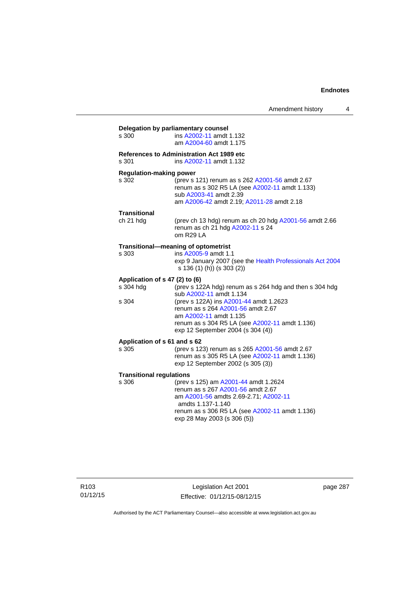| s 300                           | ins A2002-11 amdt 1.132                                                                                 |
|---------------------------------|---------------------------------------------------------------------------------------------------------|
|                                 | am A2004-60 amdt 1.175                                                                                  |
|                                 | References to Administration Act 1989 etc                                                               |
| s 301                           | ins A2002-11 amdt 1.132                                                                                 |
| <b>Regulation-making power</b>  |                                                                                                         |
| s 302                           | (prev s 121) renum as s 262 A2001-56 amdt 2.67<br>renum as s 302 R5 LA (see A2002-11 amdt 1.133)        |
|                                 | sub A2003-41 amdt 2.39                                                                                  |
|                                 | am A2006-42 amdt 2.19; A2011-28 amdt 2.18                                                               |
| <b>Transitional</b>             |                                                                                                         |
| ch 21 hdg                       | (prev ch 13 hdg) renum as ch 20 hdg A2001-56 amdt 2.66<br>renum as ch 21 hdg A2002-11 s 24<br>om R29 LA |
|                                 | Transitional-meaning of optometrist                                                                     |
| s 303                           | ins A2005-9 amdt 1.1                                                                                    |
|                                 | exp 9 January 2007 (see the Health Professionals Act 2004<br>s 136 (1) (h)) (s 303 (2))                 |
| Application of s 47 (2) to (6)  |                                                                                                         |
| s 304 hdg                       | (prev s 122A hdg) renum as s 264 hdg and then s 304 hdg<br>sub A2002-11 amdt 1.134                      |
| s 304                           | (prev s 122A) ins A2001-44 amdt 1.2623                                                                  |
|                                 | renum as s 264 A2001-56 amdt 2.67                                                                       |
|                                 | am A2002-11 amdt 1.135                                                                                  |
|                                 | renum as s 304 R5 LA (see A2002-11 amdt 1.136)<br>exp 12 September 2004 (s 304 (4))                     |
| Application of s 61 and s 62    |                                                                                                         |
| s 305                           | (prev s 123) renum as s 265 A2001-56 amdt 2.67                                                          |
|                                 | renum as s 305 R5 LA (see A2002-11 amdt 1.136)<br>exp 12 September 2002 (s 305 (3))                     |
| <b>Transitional regulations</b> |                                                                                                         |
| s 306                           | (prev s 125) am A2001-44 amdt 1.2624                                                                    |
|                                 | renum as s 267 A2001-56 amdt 2.67                                                                       |
|                                 | am A2001-56 amdts 2.69-2.71; A2002-11<br>amdts 1.137-1.140                                              |
|                                 | renum as s 306 R5 LA (see A2002-11 amdt 1.136)                                                          |
|                                 | exp 28 May 2003 (s 306 (5))                                                                             |

R103 01/12/15

Legislation Act 2001 Effective: 01/12/15-08/12/15 page 287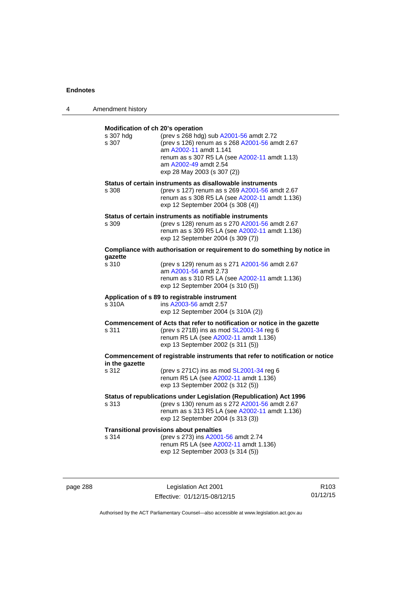| 4 | Amendment history                                       |                                                                                                                                                                                                                              |
|---|---------------------------------------------------------|------------------------------------------------------------------------------------------------------------------------------------------------------------------------------------------------------------------------------|
|   | Modification of ch 20's operation<br>s 307 hdg<br>s 307 | (prev s 268 hdg) sub A2001-56 amdt 2.72<br>(prev s 126) renum as s 268 A2001-56 amdt 2.67<br>am A2002-11 amdt 1.141<br>renum as s 307 R5 LA (see A2002-11 amdt 1.13)<br>am A2002-49 amdt 2.54<br>exp 28 May 2003 (s 307 (2)) |
|   | s 308                                                   | Status of certain instruments as disallowable instruments<br>(prev s 127) renum as s 269 A2001-56 amdt 2.67<br>renum as s 308 R5 LA (see A2002-11 amdt 1.136)<br>exp 12 September 2004 (s 308 (4))                           |
|   | s 309                                                   | Status of certain instruments as notifiable instruments<br>(prev s 128) renum as s 270 A2001-56 amdt 2.67<br>renum as s 309 R5 LA (see A2002-11 amdt 1.136)<br>exp 12 September 2004 (s 309 (7))                             |
|   |                                                         | Compliance with authorisation or requirement to do something by notice in                                                                                                                                                    |
|   | qazette<br>s 310                                        | (prev s 129) renum as s 271 A2001-56 amdt 2.67<br>am A2001-56 amdt 2.73<br>renum as s 310 R5 LA (see A2002-11 amdt 1.136)<br>exp 12 September 2004 (s 310 (5))                                                               |
|   | s 310A                                                  | Application of s 89 to registrable instrument<br>ins A2003-56 amdt 2.57<br>exp 12 September 2004 (s 310A (2))                                                                                                                |
|   | s 311                                                   | Commencement of Acts that refer to notification or notice in the gazette<br>(prev s 271B) ins as mod SL2001-34 reg 6<br>renum R5 LA (see A2002-11 amdt 1.136)<br>exp 13 September 2002 (s 311 (5))                           |
|   | in the gazette                                          | Commencement of registrable instruments that refer to notification or notice                                                                                                                                                 |
|   | s 312                                                   | (prev s 271C) ins as mod $SL2001-34$ reg 6<br>renum R5 LA (see A2002-11 amdt 1.136)<br>exp 13 September 2002 (s 312 (5))                                                                                                     |
|   | s 313                                                   | Status of republications under Legislation (Republication) Act 1996<br>(prev s 130) renum as s 272 A2001-56 amdt 2.67<br>renum as s 313 R5 LA (see A2002-11 amdt 1.136)<br>exp 12 September 2004 (s 313 (3))                 |
|   | s 314                                                   | <b>Transitional provisions about penalties</b><br>(prev s 273) ins A2001-56 amdt 2.74<br>renum R5 LA (see A2002-11 amdt 1.136)<br>exp 12 September 2003 (s 314 (5))                                                          |

page 288 Legislation Act 2001 Effective: 01/12/15-08/12/15

R103 01/12/15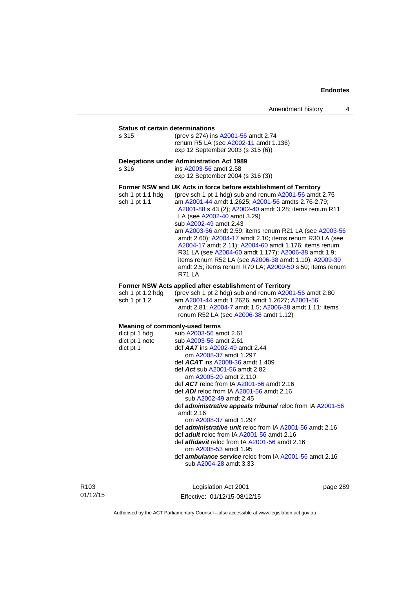## **Status of certain determinations**

| s 315 | (prev s 274) ins A2001-56 amdt 2.74   |
|-------|---------------------------------------|
|       | renum R5 LA (see A2002-11 amdt 1.136) |
|       | exp 12 September 2003 (s 315 (6))     |

## **Delegations under Administration Act 1989**

| Delegations under Administration ACt 1969                         |                                                        |  |  |
|-------------------------------------------------------------------|--------------------------------------------------------|--|--|
| s 316                                                             | ins A2003-56 amdt 2.58                                 |  |  |
|                                                                   | exp 12 September 2004 (s 316 (3))                      |  |  |
| Former NSW and UK Acts in force before establishment of Territory |                                                        |  |  |
| sch 1 pt 1.1 hdg                                                  | (prev sch 1 pt 1 hdg) sub and renum A2001-56 amdt 2.75 |  |  |
| sch 1 pt 1.1                                                      | am A2001-44 amdt 1.2625; A2001-56 amdts 2.76-2.79;     |  |  |

[A2001-88](http://www.legislation.act.gov.au/a/2001-88) s 43 (2); [A2002-40](http://www.legislation.act.gov.au/a/2002-40) amdt 3.28; items renum R11 LA (see [A2002-40](http://www.legislation.act.gov.au/a/2002-40) amdt 3.29) sub [A2002-49](http://www.legislation.act.gov.au/a/2002-49) amdt 2.43 am [A2003-56](http://www.legislation.act.gov.au/a/2003-56) amdt 2.59; items renum R21 LA (see [A2003-56](http://www.legislation.act.gov.au/a/2003-56) amdt 2.60); [A2004-17](http://www.legislation.act.gov.au/a/2004-17) amdt 2.10; items renum R30 LA (see [A2004-17](http://www.legislation.act.gov.au/a/2004-17) amdt 2.11); [A2004-60](http://www.legislation.act.gov.au/a/2004-60) amdt 1.176; items renum R31 LA (see [A2004-60](http://www.legislation.act.gov.au/a/2004-60) amdt 1.177); [A2006-38](http://www.legislation.act.gov.au/a/2006-38) amdt 1.9; items renum R52 LA (see [A2006-38](http://www.legislation.act.gov.au/a/2006-38) amdt 1.10); [A2009-39](http://www.legislation.act.gov.au/a/2009-39) amdt 2.5; items renum R70 LA; [A2009-50](http://www.legislation.act.gov.au/a/2009-50) s 50; items renum R71 LA

## **Former NSW Acts applied after establishment of Territory**

| sch 1 pt 1.2 hda | (prev sch 1 pt 2 hdg) sub and renum $A2001-56$ amdt 2.80 |
|------------------|----------------------------------------------------------|
| sch 1 pt 1.2     | am A2001-44 amdt 1.2626. amdt 1.2627: A2001-56           |
|                  | amdt 2.81; A2004-7 amdt 1.5; A2006-38 amdt 1.11; items   |
|                  | renum R52 LA (see A2006-38 amdt 1.12)                    |

## **Meaning of commonly-used terms**

| dict pt 1 hdg  | sub A2003-56 amdt 2.61                                            |
|----------------|-------------------------------------------------------------------|
| dict pt 1 note | sub A2003-56 amdt 2.61                                            |
| dict pt 1      | def $AAT$ ins $A2002-49$ amdt 2.44                                |
|                | om A2008-37 amdt 1.297                                            |
|                | def $ACAT$ ins $A2008-36$ amdt 1.409                              |
|                | def Act sub A2001-56 amdt 2.82                                    |
|                | am A2005-20 amdt 2.110                                            |
|                | def $ACT$ reloc from IA $A2001-56$ amdt 2.16                      |
|                | def ADI reloc from IA A2001-56 amdt 2.16                          |
|                | sub A2002-49 amdt 2.45                                            |
|                | def <b>administrative appeals tribunal</b> reloc from IA A2001-56 |
|                | amdt $2.16$                                                       |
|                | om A2008-37 amdt 1.297                                            |
|                | def <i>administrative unit</i> reloc from IA A2001-56 amdt 2.16   |
|                | def <b>adult</b> reloc from IA A2001-56 amdt 2.16                 |
|                | def <b>affidavit</b> reloc from IA A2001-56 amdt 2.16             |
|                | om A2005-53 amdt 1.95                                             |
|                | def <b>ambulance service</b> reloc from IA A2001-56 amdt 2.16     |
|                | sub A2004-28 amdt 3.33                                            |
|                |                                                                   |

R103 01/12/15

Legislation Act 2001 Effective: 01/12/15-08/12/15 page 289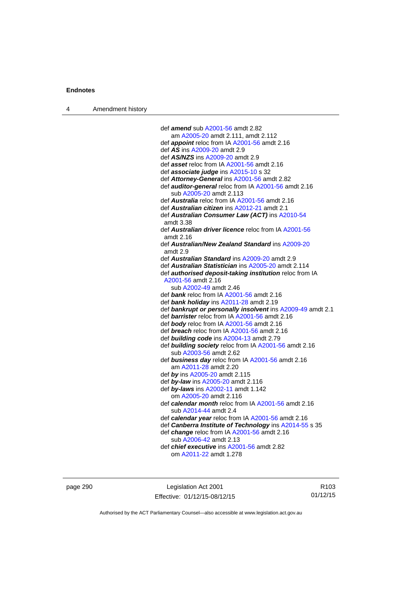| Amendment history<br>$\overline{4}$ |  |
|-------------------------------------|--|
|-------------------------------------|--|

| def amend sub A2001-56 amdt 2.82                               |
|----------------------------------------------------------------|
| am A2005-20 amdt 2.111, amdt 2.112                             |
| def <i>appoint</i> reloc from IA A2001-56 amdt 2.16            |
| def <i>AS</i> ins A2009-20 amdt 2.9                            |
| def AS/NZS ins A2009-20 amdt 2.9                               |
| def asset reloc from IA A2001-56 amdt 2.16                     |
| def associate judge ins A2015-10 s 32                          |
| def Attorney-General ins A2001-56 amdt 2.82                    |
| def <b>auditor-general</b> reloc from IA A2001-56 amdt 2.16    |
| sub A2005-20 amdt 2.113                                        |
| def Australia reloc from IA A2001-56 amdt 2.16                 |
| def Australian citizen ins A2012-21 amdt 2.1                   |
| def Australian Consumer Law (ACT) ins A2010-54                 |
| amdt 3.38                                                      |
| def <b>Australian driver licence</b> reloc from IA A2001-56    |
| amdt $2.16$                                                    |
| def Australian/New Zealand Standard ins A2009-20               |
| amdt 2.9                                                       |
| def Australian Standard ins A2009-20 amdt 2.9                  |
| def Australian Statistician ins A2005-20 amdt 2.114            |
| def <b>authorised deposit-taking institution</b> reloc from IA |
| A2001-56 amdt 2.16                                             |
| sub A2002-49 amdt 2.46                                         |
| def bank reloc from IA A2001-56 amdt 2.16                      |
| def bank holiday ins A2011-28 amdt 2.19                        |
| def bankrupt or personally insolvent ins A2009-49 amdt 2.1     |
| def barrister reloc from IA A2001-56 amdt 2.16                 |
| def body reloc from IA A2001-56 amdt 2.16                      |
| def <b>breach</b> reloc from IA A2001-56 amdt 2.16             |
| def building code ins A2004-13 amdt 2.79                       |
| def building society reloc from IA A2001-56 amdt 2.16          |
| sub A2003-56 amdt 2.62                                         |
| def business day reloc from IA A2001-56 amdt 2.16              |
| am A2011-28 amdt 2.20                                          |
| def by ins A2005-20 amdt 2.115                                 |
| def by-law ins A2005-20 amdt 2.116                             |
| def by-laws ins A2002-11 amdt 1.142                            |
| om A2005-20 amdt 2.116                                         |
| def calendar month reloc from IA A2001-56 amdt 2.16            |
| sub A2014-44 amdt 2.4                                          |
| def calendar year reloc from IA A2001-56 amdt 2.16             |
| def Canberra Institute of Technology ins A2014-55 s 35         |
| def change reloc from IA A2001-56 amdt 2.16                    |
| sub A2006-42 amdt 2.13                                         |
| def <i>chief executive</i> ins A2001-56 amdt 2.82              |
| om A2011-22 amdt 1.278                                         |
|                                                                |

page 290 **Legislation Act 2001** Effective: 01/12/15-08/12/15

R103 01/12/15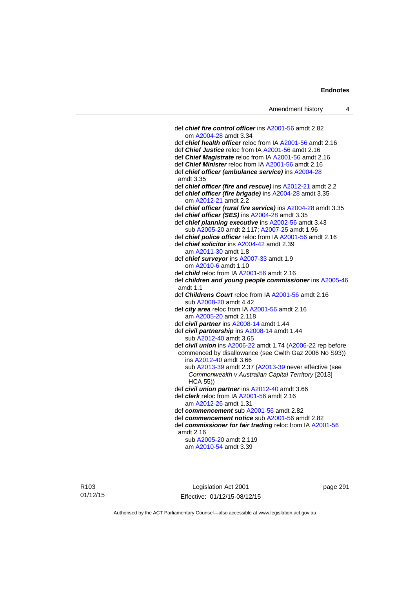def *chief fire control officer* ins [A2001-56](http://www.legislation.act.gov.au/a/2001-56) amdt 2.82 om [A2004-28](http://www.legislation.act.gov.au/a/2004-28) amdt 3.34 def *chief health officer* reloc from IA [A2001-56](http://www.legislation.act.gov.au/a/2001-56) amdt 2.16 def *Chief Justice* reloc from IA [A2001-56](http://www.legislation.act.gov.au/a/2001-56) amdt 2.16 def *Chief Magistrate* reloc from IA [A2001-56](http://www.legislation.act.gov.au/a/2001-56) amdt 2.16 def *Chief Minister* reloc from IA [A2001-56](http://www.legislation.act.gov.au/a/2001-56) amdt 2.16 def *chief officer (ambulance service)* ins [A2004-28](http://www.legislation.act.gov.au/a/2004-28) amdt 3.35 def *chief officer (fire and rescue)* ins [A2012-21](http://www.legislation.act.gov.au/a/2012-21) amdt 2.2 def *chief officer (fire brigade)* ins [A2004-28](http://www.legislation.act.gov.au/a/2004-28) amdt 3.35 om [A2012-21](http://www.legislation.act.gov.au/a/2012-21) amdt 2.2 def *chief officer (rural fire service)* ins [A2004-28](http://www.legislation.act.gov.au/a/2004-28) amdt 3.35 def *chief officer (SES)* ins [A2004-28](http://www.legislation.act.gov.au/a/2004-28) amdt 3.35 def *chief planning executive* ins [A2002-56](http://www.legislation.act.gov.au/a/2002-56) amdt 3.43 sub [A2005-20](http://www.legislation.act.gov.au/a/2005-20) amdt 2.117; [A2007-25](http://www.legislation.act.gov.au/a/2007-25) amdt 1.96 def *chief police officer* reloc from IA [A2001-56](http://www.legislation.act.gov.au/a/2001-56) amdt 2.16 def *chief solicitor* ins [A2004-42](http://www.legislation.act.gov.au/a/2004-42) amdt 2.39 am [A2011-30](http://www.legislation.act.gov.au/a/2011-30) amdt 1.8 def *chief surveyor* ins [A2007-33](http://www.legislation.act.gov.au/a/2007-33) amdt 1.9 om [A2010-6](http://www.legislation.act.gov.au/a/2010-6) amdt 1.10 def *child* reloc from IA [A2001-56](http://www.legislation.act.gov.au/a/2001-56) amdt 2.16 def *children and young people commissioner* ins [A2005-46](http://www.legislation.act.gov.au/a/2005-46) amdt 1.1 def *Childrens Court* reloc from IA [A2001-56](http://www.legislation.act.gov.au/a/2001-56) amdt 2.16 sub [A2008-20](http://www.legislation.act.gov.au/a/2008-20) amdt 4.42 def *city area* reloc from IA [A2001-56](http://www.legislation.act.gov.au/a/2001-56) amdt 2.16 am [A2005-20](http://www.legislation.act.gov.au/a/2005-20) amdt 2.118 def *civil partner* ins [A2008-14](http://www.legislation.act.gov.au/a/2008-14) amdt 1.44 def *civil partnership* ins [A2008-14](http://www.legislation.act.gov.au/a/2008-14) amdt 1.44 sub [A2012-40](http://www.legislation.act.gov.au/a/2012-40) amdt 3.65 def *civil union* ins [A2006-22](http://www.legislation.act.gov.au/a/2006-22) amdt 1.74 [\(A2006-22](http://www.legislation.act.gov.au/a/2006-22) rep before commenced by disallowance (see Cwlth Gaz 2006 No S93)) ins [A2012-40](http://www.legislation.act.gov.au/a/2012-40) amdt 3.66 sub [A2013-39](http://www.legislation.act.gov.au/a/2013-39) amdt 2.37 [\(A2013-39](http://www.legislation.act.gov.au/a/2013-39) never effective (see *Commonwealth v Australian Capital Territory* [2013] HCA 55)) def *civil union partner* ins [A2012-40](http://www.legislation.act.gov.au/a/2012-40) amdt 3.66 def *clerk* reloc from IA [A2001-56](http://www.legislation.act.gov.au/a/2001-56) amdt 2.16 am [A2012-26](http://www.legislation.act.gov.au/a/2012-26) amdt 1.31 def *commencement* sub [A2001-56](http://www.legislation.act.gov.au/a/2001-56) amdt 2.82 def *commencement notice* sub [A2001-56](http://www.legislation.act.gov.au/a/2001-56) amdt 2.82 def *commissioner for fair trading* reloc from IA [A2001-56](http://www.legislation.act.gov.au/a/2001-56) amdt 2.16 sub [A2005-20](http://www.legislation.act.gov.au/a/2005-20) amdt 2.119 am [A2010-54](http://www.legislation.act.gov.au/a/2010-54) amdt 3.39

R103 01/12/15

Legislation Act 2001 Effective: 01/12/15-08/12/15 page 291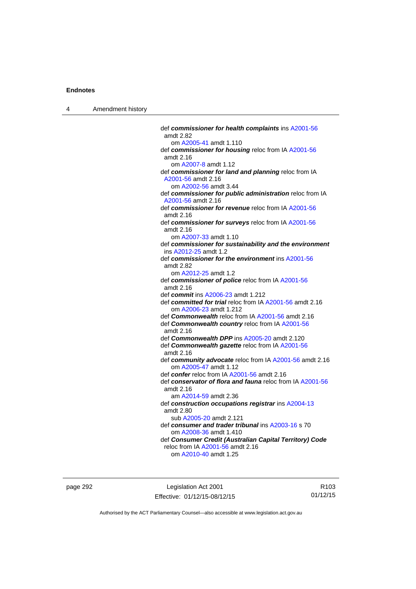| Amendment history |
|-------------------|
|                   |

| def commissioner for health complaints ins A2001-56<br>amdt 2.82                   |
|------------------------------------------------------------------------------------|
| om A2005-41 amdt 1.110                                                             |
| def commissioner for housing reloc from IA A2001-56<br>amdt 2.16                   |
| om A2007-8 amdt 1.12                                                               |
| def commissioner for land and planning reloc from IA                               |
| A2001-56 amdt 2.16                                                                 |
| om A2002-56 amdt 3.44                                                              |
| def commissioner for public administration reloc from IA                           |
| A2001-56 amdt 2.16                                                                 |
| def commissioner for revenue reloc from IA A2001-56<br>amdt 2.16                   |
| def commissioner for surveys reloc from IA A2001-56<br>amdt $2.16$                 |
| om A2007-33 amdt 1.10                                                              |
| def commissioner for sustainability and the environment<br>ins A2012-25 amdt 1.2   |
| def commissioner for the environment ins A2001-56                                  |
| amdt 2.82                                                                          |
| om A2012-25 amdt 1.2                                                               |
| def commissioner of police reloc from IA A2001-56                                  |
| amdt 2.16                                                                          |
| def commit ins A2006-23 amdt 1.212                                                 |
| def committed for trial reloc from IA A2001-56 amdt 2.16<br>om A2006-23 amdt 1.212 |
| def Commonwealth reloc from IA A2001-56 amdt 2.16                                  |
| def Commonwealth country reloc from IA A2001-56<br>amdt 2.16                       |
| def Commonwealth DPP ins A2005-20 amdt 2.120                                       |
| def Commonwealth gazette reloc from IA A2001-56<br>amdt 2.16                       |
| def community advocate reloc from IA A2001-56 amdt 2.16<br>om A2005-47 amdt 1.12   |
| def confer reloc from IA A2001-56 amdt 2.16                                        |
| def conservator of flora and fauna reloc from IA A2001-56<br>amdt 2.16             |
| am A2014-59 amdt 2.36                                                              |
| def construction occupations registrar ins A2004-13<br>amdt 2.80                   |
| sub A2005-20 amdt 2.121                                                            |
| def consumer and trader tribunal ins A2003-16 s 70                                 |
| om A2008-36 amdt 1.410                                                             |
| def Consumer Credit (Australian Capital Territory) Code                            |
| reloc from IA A2001-56 amdt 2.16                                                   |
| om A2010-40 amdt 1.25                                                              |

page 292 **Legislation Act 2001** Effective: 01/12/15-08/12/15

R103 01/12/15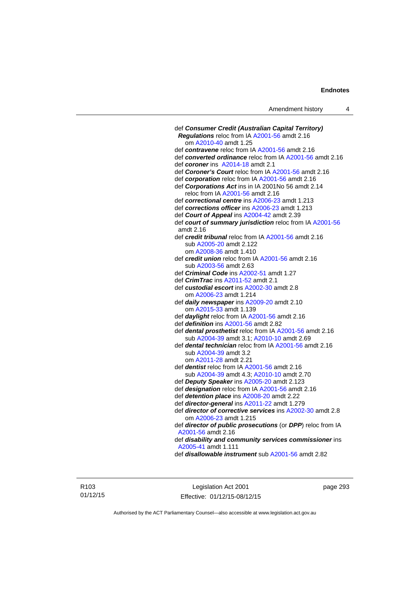| def Consumer Credit (Australian Capital Territory)                                                         |
|------------------------------------------------------------------------------------------------------------|
| Regulations reloc from IA A2001-56 amdt 2.16                                                               |
| om A2010-40 amdt 1.25                                                                                      |
| def contravene reloc from IA A2001-56 amdt 2.16                                                            |
| def converted ordinance reloc from IA A2001-56 amdt 2.16                                                   |
| def coroner ins A2014-18 amdt 2.1                                                                          |
| def Coroner's Court reloc from IA A2001-56 amdt 2.16                                                       |
| def corporation reloc from IA A2001-56 amdt 2.16                                                           |
| def Corporations Act ins in IA 2001No 56 amdt 2.14                                                         |
| reloc from IA A2001-56 amdt 2.16                                                                           |
| def correctional centre ins A2006-23 amdt 1.213                                                            |
| def corrections officer ins A2006-23 amdt 1.213                                                            |
| def Court of Appeal ins A2004-42 amdt 2.39                                                                 |
| def court of summary jurisdiction reloc from IA A2001-56                                                   |
| amdt 2.16                                                                                                  |
| def credit tribunal reloc from IA A2001-56 amdt 2.16                                                       |
| sub A2005-20 amdt 2.122                                                                                    |
| om A2008-36 amdt 1.410                                                                                     |
| def <i>credit union</i> reloc from IA A2001-56 amdt 2.16                                                   |
| sub A2003-56 amdt 2.63                                                                                     |
| def <i>Criminal Code</i> ins A2002-51 amdt 1.27                                                            |
| def <i>CrimTrac</i> ins A2011-52 amdt 2.1                                                                  |
| def custodial escort ins A2002-30 amdt 2.8                                                                 |
| om A2006-23 amdt 1.214                                                                                     |
| def daily newspaper ins A2009-20 amdt 2.10                                                                 |
| om A2015-33 amdt 1.139                                                                                     |
| def daylight reloc from IA A2001-56 amdt 2.16                                                              |
| def definition ins A2001-56 amdt 2.82                                                                      |
| def dental prosthetist reloc from IA A2001-56 amdt 2.16                                                    |
| sub A2004-39 amdt 3.1; A2010-10 amdt 2.69<br>def <b>dental technician</b> reloc from IA A2001-56 amdt 2.16 |
| sub A2004-39 amdt 3.2                                                                                      |
| om A2011-28 amdt 2.21                                                                                      |
| def <b>dentist</b> reloc from IA A2001-56 amdt 2.16                                                        |
| sub A2004-39 amdt 4.3; A2010-10 amdt 2.70                                                                  |
| def Deputy Speaker ins A2005-20 amdt 2.123                                                                 |
| def designation reloc from IA A2001-56 amdt 2.16                                                           |
| def detention place ins A2008-20 amdt 2.22                                                                 |
| def director-general ins A2011-22 amdt 1.279                                                               |
| def director of corrective services ins A2002-30 amdt 2.8                                                  |
| om A2006-23 amdt 1.215                                                                                     |
| def director of public prosecutions (or DPP) reloc from IA                                                 |
| A2001-56 amdt 2.16                                                                                         |
| def disability and community services commissioner ins                                                     |
| A2005-41 amdt 1.111                                                                                        |
| def <i>disallowable instrument</i> sub A2001-56 amdt 2.82                                                  |
|                                                                                                            |

R103 01/12/15

Legislation Act 2001 Effective: 01/12/15-08/12/15 page 293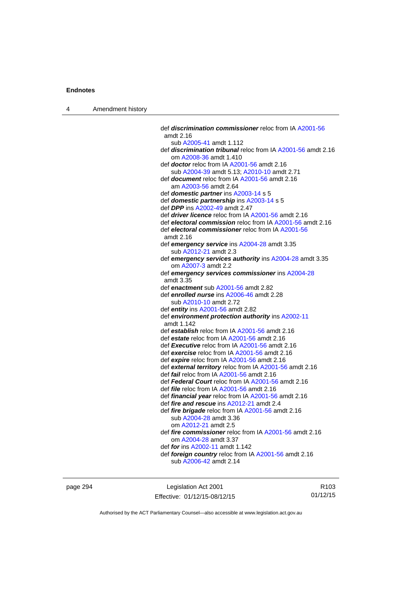| Amendment history<br>$\overline{4}$ |  |
|-------------------------------------|--|
|-------------------------------------|--|

| def <i>discrimination commissioner</i> reloc from IA A2001-56<br>amdt 2.16                     |
|------------------------------------------------------------------------------------------------|
|                                                                                                |
|                                                                                                |
| sub A2005-41 amdt 1.112<br>def <i>discrimination tribunal</i> reloc from IA A2001-56 amdt 2.16 |
| om A2008-36 amdt 1.410                                                                         |
|                                                                                                |
| def doctor reloc from IA A2001-56 amdt 2.16                                                    |
| sub A2004-39 amdt 5.13; A2010-10 amdt 2.71                                                     |
| def document reloc from IA A2001-56 amdt 2.16                                                  |
| am A2003-56 amdt 2.64                                                                          |
| def domestic partner ins A2003-14 s 5                                                          |
| def domestic partnership ins A2003-14 s 5                                                      |
| def DPP ins A2002-49 amdt 2.47                                                                 |
| def driver licence reloc from IA A2001-56 amdt 2.16                                            |
| def electoral commission reloc from IA A2001-56 amdt 2.16                                      |
| def electoral commissioner reloc from IA A2001-56                                              |
| amdt 2.16                                                                                      |
| def emergency service ins A2004-28 amdt 3.35                                                   |
| sub A2012-21 amdt 2.3                                                                          |
| def emergency services authority ins A2004-28 amdt 3.35                                        |
| om A2007-3 amdt 2.2                                                                            |
| def emergency services commissioner ins A2004-28                                               |
| amdt 3.35                                                                                      |
| def enactment sub A2001-56 amdt 2.82                                                           |
| def enrolled nurse ins A2006-46 amdt 2.28                                                      |
| sub A2010-10 amdt 2.72                                                                         |
| def entity ins A2001-56 amdt 2.82                                                              |
| def environment protection authority ins A2002-11                                              |
| amdt 1.142                                                                                     |
| def establish reloc from IA A2001-56 amdt 2.16                                                 |
| def estate reloc from IA A2001-56 amdt 2.16                                                    |
| def Executive reloc from IA A2001-56 amdt 2.16                                                 |
| def exercise reloc from IA A2001-56 amdt 2.16                                                  |
| def expire reloc from IA A2001-56 amdt 2.16                                                    |
| def external territory reloc from IA A2001-56 amdt 2.16                                        |
| def fail reloc from IA A2001-56 amdt 2.16                                                      |
| def Federal Court reloc from IA A2001-56 amdt 2.16                                             |
| def file reloc from IA A2001-56 amdt 2.16                                                      |
| def financial year reloc from IA A2001-56 amdt 2.16                                            |
| def fire and rescue ins A2012-21 amdt 2.4                                                      |
| def fire brigade reloc from IA A2001-56 amdt 2.16                                              |
| sub A2004-28 amdt 3.36                                                                         |
| om A2012-21 amdt 2.5                                                                           |
| def fire commissioner reloc from IA A2001-56 amdt 2.16                                         |
| om A2004-28 amdt 3.37                                                                          |
| def for ins A2002-11 amdt 1.142                                                                |
| def foreign country reloc from IA A2001-56 amdt 2.16                                           |
| sub A2006-42 amdt 2.14                                                                         |
|                                                                                                |

page 294 **Legislation Act 2001** Effective: 01/12/15-08/12/15

R103 01/12/15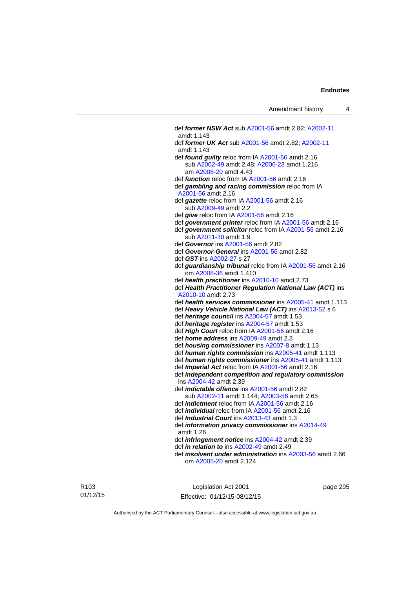def *former NSW Act* sub [A2001-56](http://www.legislation.act.gov.au/a/2001-56) amdt 2.82; [A2002-11](http://www.legislation.act.gov.au/a/2002-11) amdt 1.143 def *former UK Act* sub [A2001-56](http://www.legislation.act.gov.au/a/2001-56) amdt 2.82; [A2002-11](http://www.legislation.act.gov.au/a/2002-11) amdt 1.143 def *found guilty* reloc from IA [A2001-56](http://www.legislation.act.gov.au/a/2001-56) amdt 2.16 sub [A2002-49](http://www.legislation.act.gov.au/a/2002-49) amdt 2.48; [A2006-23](http://www.legislation.act.gov.au/a/2006-23) amdt 1.216 am [A2008-20](http://www.legislation.act.gov.au/a/2008-20) amdt 4.43 def *function* reloc from IA [A2001-56](http://www.legislation.act.gov.au/a/2001-56) amdt 2.16 def *gambling and racing commission* reloc from IA [A2001-56](http://www.legislation.act.gov.au/a/2001-56) amdt 2.16 def *gazette* reloc from IA [A2001-56](http://www.legislation.act.gov.au/a/2001-56) amdt 2.16 sub [A2009-49](http://www.legislation.act.gov.au/a/2009-49) amdt 2.2 def *give* reloc from IA [A2001-56](http://www.legislation.act.gov.au/a/2001-56) amdt 2.16 def *government printer* reloc from IA [A2001-56](http://www.legislation.act.gov.au/a/2001-56) amdt 2.16 def *government solicitor* reloc from IA [A2001-56](http://www.legislation.act.gov.au/a/2001-56) amdt 2.16 sub [A2011-30](http://www.legislation.act.gov.au/a/2011-30) amdt 1.9 def *Governor* ins [A2001-56](http://www.legislation.act.gov.au/a/2001-56) amdt 2.82 def *Governor-General* ins [A2001-56](http://www.legislation.act.gov.au/a/2001-56) amdt 2.82 def *GST* ins [A2002-27](http://www.legislation.act.gov.au/a/2002-27) s 27 def *guardianship tribunal* reloc from IA [A2001-56](http://www.legislation.act.gov.au/a/2001-56) amdt 2.16 om [A2008-36](http://www.legislation.act.gov.au/a/2008-36) amdt 1.410 def *health practitioner* ins [A2010-10](http://www.legislation.act.gov.au/a/2010-10) amdt 2.73 def *Health Practitioner Regulation National Law (ACT)* ins [A2010-10](http://www.legislation.act.gov.au/a/2010-10) amdt 2.73 def *health services commissioner* ins [A2005-41](http://www.legislation.act.gov.au/a/2005-41) amdt 1.113 def *Heavy Vehicle National Law (ACT)* ins [A2013-52](http://www.legislation.act.gov.au/a/2013-52) s 6 def *heritage council* ins [A2004-57](http://www.legislation.act.gov.au/a/2004-57) amdt 1.53 def *heritage register* ins [A2004-57](http://www.legislation.act.gov.au/a/2004-57) amdt 1.53 def *High Court* reloc from IA [A2001-56](http://www.legislation.act.gov.au/a/2001-56) amdt 2.16 def *home address* ins [A2009-49](http://www.legislation.act.gov.au/a/2009-49) amdt 2.3 def *housing commissioner* ins [A2007-8](http://www.legislation.act.gov.au/a/2007-8) amdt 1.13 def *human rights commission* ins [A2005-41](http://www.legislation.act.gov.au/a/2005-41) amdt 1.113 def *human rights commissioner* ins [A2005-41](http://www.legislation.act.gov.au/a/2005-41) amdt 1.113 def *Imperial Act* reloc from IA [A2001-56](http://www.legislation.act.gov.au/a/2001-56) amdt 2.16 def *independent competition and regulatory commission* ins [A2004-42](http://www.legislation.act.gov.au/a/2004-42) amdt 2.39 def *indictable offence* ins [A2001-56](http://www.legislation.act.gov.au/a/2001-56) amdt 2.82 sub [A2002-11](http://www.legislation.act.gov.au/a/2002-11) amdt 1.144; [A2003-56](http://www.legislation.act.gov.au/a/2003-56) amdt 2.65 def *indictment* reloc from IA [A2001-56](http://www.legislation.act.gov.au/a/2001-56) amdt 2.16 def *individual* reloc from IA [A2001-56](http://www.legislation.act.gov.au/a/2001-56) amdt 2.16 def *Industrial Court* ins [A2013-43](http://www.legislation.act.gov.au/a/2013-43) amdt 1.3 def *information privacy commissioner* ins [A2014-49](http://www.legislation.act.gov.au/a/2014-49) amdt 1.26 def *infringement notice* ins [A2004-42](http://www.legislation.act.gov.au/a/2004-42) amdt 2.39 def *in relation to* ins [A2002-49](http://www.legislation.act.gov.au/a/2002-49) amdt 2.49 def *insolvent under administration* ins [A2003-56](http://www.legislation.act.gov.au/a/2003-56) amdt 2.66 om [A2005-20](http://www.legislation.act.gov.au/a/2005-20) amdt 2.124

R103 01/12/15

Legislation Act 2001 Effective: 01/12/15-08/12/15 page 295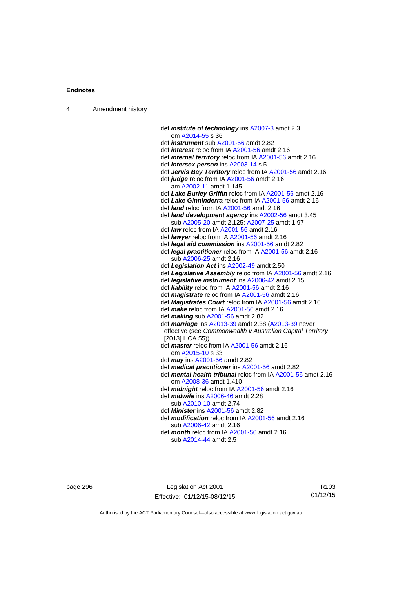| 4 | Amendment history |                                                                                                        |
|---|-------------------|--------------------------------------------------------------------------------------------------------|
|   |                   |                                                                                                        |
|   |                   | def <i>institute of technology</i> ins A2007-3 amdt 2.3                                                |
|   |                   | om A2014-55 s 36                                                                                       |
|   |                   | def <i>instrument</i> sub A2001-56 amdt 2.82                                                           |
|   |                   | def <i>interest</i> reloc from IA A2001-56 amdt 2.16                                                   |
|   |                   | def <i>internal territory</i> reloc from IA A2001-56 amdt 2.16                                         |
|   |                   | def <i>intersex person</i> ins A2003-14 s 5                                                            |
|   |                   | def Jervis Bay Territory reloc from IA A2001-56 amdt 2.16                                              |
|   |                   | def judge reloc from IA A2001-56 amdt 2.16                                                             |
|   |                   | am A2002-11 amdt 1.145                                                                                 |
|   |                   | def Lake Burley Griffin reloc from IA A2001-56 amdt 2.16                                               |
|   |                   | def Lake Ginninderra reloc from IA A2001-56 amdt 2.16                                                  |
|   |                   | def <i>land</i> reloc from IA A2001-56 amdt 2.16<br>def land development agency ins A2002-56 amdt 3.45 |
|   |                   | sub A2005-20 amdt 2.125; A2007-25 amdt 1.97                                                            |
|   |                   | def law reloc from IA A2001-56 amdt 2.16                                                               |
|   |                   | def <i>lawyer</i> reloc from IA A2001-56 amdt 2.16                                                     |
|   |                   | def <i>legal aid commission</i> ins A2001-56 amdt 2.82                                                 |
|   |                   | def legal practitioner reloc from IA A2001-56 amdt 2.16                                                |
|   |                   | sub A2006-25 amdt 2.16                                                                                 |
|   |                   | def Legislation Act ins A2002-49 amdt 2.50                                                             |
|   |                   | def Legislative Assembly reloc from IA A2001-56 amdt 2.16                                              |
|   |                   | def legislative instrument ins A2006-42 amdt 2.15                                                      |
|   |                   | def liability reloc from IA A2001-56 amdt 2.16                                                         |
|   |                   | def magistrate reloc from IA A2001-56 amdt 2.16                                                        |
|   |                   | def Magistrates Court reloc from IA A2001-56 amdt 2.16                                                 |
|   |                   | def <i>make</i> reloc from IA A2001-56 amdt 2.16                                                       |
|   |                   | def making sub A2001-56 amdt 2.82                                                                      |
|   |                   | def <i>marriage</i> ins A2013-39 amdt 2.38 (A2013-39 never                                             |
|   |                   | effective (see Commonwealth v Australian Capital Territory<br>$[2013]$ HCA 55)                         |
|   |                   | def master reloc from IA A2001-56 amdt 2.16                                                            |
|   |                   | om A2015-10 s 33                                                                                       |
|   |                   | def <i>may</i> ins A2001-56 amdt 2.82                                                                  |
|   |                   | def medical practitioner ins A2001-56 amdt 2.82                                                        |
|   |                   | def mental health tribunal reloc from IA A2001-56 amdt 2.16                                            |
|   |                   | om A2008-36 amdt 1.410                                                                                 |
|   |                   | def <i>midnight</i> reloc from IA A2001-56 amdt 2.16                                                   |
|   |                   | def <i>midwife</i> ins A2006-46 amdt 2.28                                                              |
|   |                   | sub A2010-10 amdt 2.74                                                                                 |
|   |                   | def <i>Minister</i> ins A2001-56 amdt 2.82                                                             |
|   |                   | def <b>modification</b> reloc from IA A2001-56 amdt 2.16                                               |
|   |                   | sub A2006-42 amdt 2.16                                                                                 |
|   |                   | def month reloc from IA A2001-56 amdt 2.16                                                             |
|   |                   | sub A2014-44 amdt 2.5                                                                                  |

page 296 Legislation Act 2001 Effective: 01/12/15-08/12/15

R103 01/12/15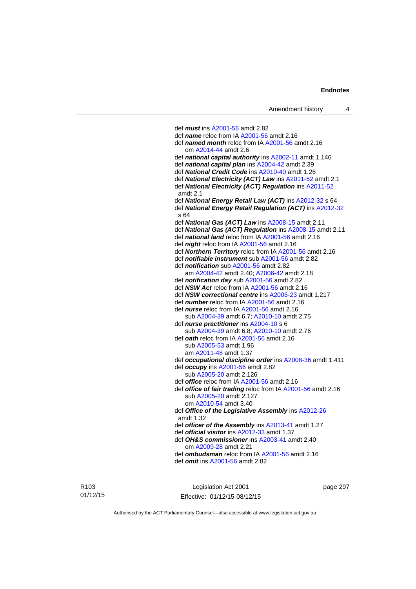def *must* ins [A2001-56](http://www.legislation.act.gov.au/a/2001-56) amdt 2.82 def *name* reloc from IA [A2001-56](http://www.legislation.act.gov.au/a/2001-56) amdt 2.16 def *named month* reloc from IA [A2001-56](http://www.legislation.act.gov.au/a/2001-56) amdt 2.16 om [A2014-44](http://www.legislation.act.gov.au/a/2014-44) amdt 2.6 def *national capital authority* ins [A2002-11](http://www.legislation.act.gov.au/a/2002-11) amdt 1.146 def *national capital plan* ins [A2004-42](http://www.legislation.act.gov.au/a/2004-42) amdt 2.39 def *National Credit Code* ins [A2010-40](http://www.legislation.act.gov.au/a/2010-40) amdt 1.26 def *National Electricity (ACT) Law* ins [A2011-52](http://www.legislation.act.gov.au/a/2011-52) amdt 2.1 def *National Electricity (ACT) Regulation* ins [A2011-52](http://www.legislation.act.gov.au/a/2011-52) amdt 2.1 def *National Energy Retail Law (ACT)* ins [A2012-32](http://www.legislation.act.gov.au/a/2012-32) s 64 def *National Energy Retail Regulation (ACT)* ins [A2012-32](http://www.legislation.act.gov.au/a/2012-32) s 64 def *National Gas (ACT) Law* ins [A2008-15](http://www.legislation.act.gov.au/a/2008-15) amdt 2.11 def *National Gas (ACT) Regulation* ins [A2008-15](http://www.legislation.act.gov.au/a/2008-15) amdt 2.11 def *national land* reloc from IA [A2001-56](http://www.legislation.act.gov.au/a/2001-56) amdt 2.16 def *night* reloc from IA [A2001-56](http://www.legislation.act.gov.au/a/2001-56) amdt 2.16 def *Northern Territory* reloc from IA [A2001-56](http://www.legislation.act.gov.au/a/2001-56) amdt 2.16 def *notifiable instrument* sub [A2001-56](http://www.legislation.act.gov.au/a/2001-56) amdt 2.82 def *notification* sub [A2001-56](http://www.legislation.act.gov.au/a/2001-56) amdt 2.82 am [A2004-42](http://www.legislation.act.gov.au/a/2004-42) amdt 2.40; [A2006-42](http://www.legislation.act.gov.au/a/2006-42) amdt 2.18 def *notification day* sub [A2001-56](http://www.legislation.act.gov.au/a/2001-56) amdt 2.82 def *NSW Act* reloc from IA [A2001-56](http://www.legislation.act.gov.au/a/2001-56) amdt 2.16 def *NSW correctional centre* ins [A2006-23](http://www.legislation.act.gov.au/a/2006-23) amdt 1.217 def *number* reloc from IA [A2001-56](http://www.legislation.act.gov.au/a/2001-56) amdt 2.16 def *nurse* reloc from IA [A2001-56](http://www.legislation.act.gov.au/a/2001-56) amdt 2.16 sub [A2004-39](http://www.legislation.act.gov.au/a/2004-39) amdt 6.7; [A2010-10](http://www.legislation.act.gov.au/a/2010-10) amdt 2.75 def *nurse practitioner* ins [A2004-10](http://www.legislation.act.gov.au/a/2004-10) s 6 sub [A2004-39](http://www.legislation.act.gov.au/a/2004-39) amdt 6.8; [A2010-10](http://www.legislation.act.gov.au/a/2010-10) amdt 2.76 def *oath* reloc from IA [A2001-56](http://www.legislation.act.gov.au/a/2001-56) amdt 2.16 sub [A2005-53](http://www.legislation.act.gov.au/a/2005-53) amdt 1.96 am [A2011-48](http://www.legislation.act.gov.au/a/2011-48) amdt 1.37 def *occupational discipline order* ins [A2008-36](http://www.legislation.act.gov.au/a/2008-36) amdt 1.411 def *occupy* ins [A2001-56](http://www.legislation.act.gov.au/a/2001-56) amdt 2.82 sub [A2005-20](http://www.legislation.act.gov.au/a/2005-20) amdt 2.126 def *office* reloc from IA [A2001-56](http://www.legislation.act.gov.au/a/2001-56) amdt 2.16 def *office of fair trading* reloc from IA [A2001-56](http://www.legislation.act.gov.au/a/2001-56) amdt 2.16 sub [A2005-20](http://www.legislation.act.gov.au/a/2005-20) amdt 2.127 om [A2010-54](http://www.legislation.act.gov.au/a/2010-54) amdt 3.40 def *Office of the Legislative Assembly* ins [A2012-26](http://www.legislation.act.gov.au/a/2012-26) amdt 1.32 def *officer of the Assembly* ins [A2013-41](http://www.legislation.act.gov.au/a/2013-41/default.asp) amdt 1.27 def *official visitor* ins [A2012-33](http://www.legislation.act.gov.au/a/2002-11) amdt 1.37 def *OH&S commissioner* ins [A2003-41](http://www.legislation.act.gov.au/a/2003-41) amdt 2.40 om [A2009-28](http://www.legislation.act.gov.au/a/2009-28) amdt 2.21 def *ombudsman* reloc from IA [A2001-56](http://www.legislation.act.gov.au/a/2001-56) amdt 2.16 def *omit* ins [A2001-56](http://www.legislation.act.gov.au/a/2001-56) amdt 2.82

R103 01/12/15

Legislation Act 2001 Effective: 01/12/15-08/12/15 page 297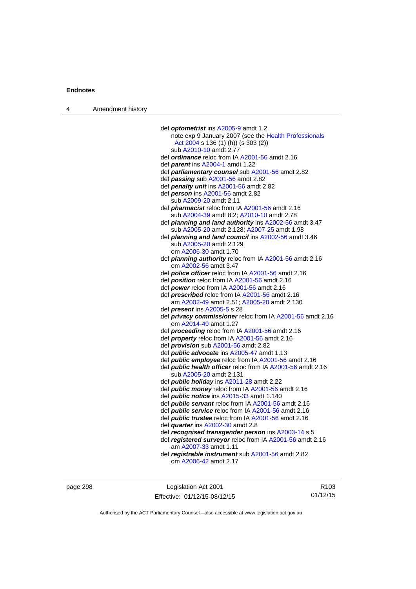| Amendment history<br>$\overline{4}$ |  |
|-------------------------------------|--|
|-------------------------------------|--|

| def optometrist ins A2005-9 amdt 1.2                              |
|-------------------------------------------------------------------|
| note exp 9 January 2007 (see the Health Professionals             |
| Act 2004 s 136 (1) (h)) (s 303 (2))                               |
| sub A2010-10 amdt 2.77                                            |
| def <i>ordinance</i> reloc from IA A2001-56 amdt 2.16             |
| def parent ins A2004-1 amdt 1.22                                  |
| def parliamentary counsel sub A2001-56 amdt 2.82                  |
| def passing sub A2001-56 amdt 2.82                                |
| def penalty unit ins A2001-56 amdt 2.82                           |
| def person ins A2001-56 amdt 2.82                                 |
| sub A2009-20 amdt 2.11                                            |
| def <i>pharmacist</i> reloc from IA A2001-56 amdt 2.16            |
| sub A2004-39 amdt 8.2; A2010-10 amdt 2.78                         |
| def planning and land authority ins A2002-56 amdt 3.47            |
| sub A2005-20 amdt 2.128; A2007-25 amdt 1.98                       |
| def planning and land council ins A2002-56 amdt 3.46              |
| sub A2005-20 amdt 2.129                                           |
| om A2006-30 amdt 1.70                                             |
| def <i>planning authority</i> reloc from IA A2001-56 amdt 2.16    |
| om A2002-56 amdt 3.47                                             |
| def <i>police officer</i> reloc from IA A2001-56 amdt 2.16        |
| def position reloc from IA A2001-56 amdt 2.16                     |
| def power reloc from IA A2001-56 amdt 2.16                        |
| def <b>prescribed</b> reloc from IA A2001-56 amdt 2.16            |
| am A2002-49 amdt 2.51; A2005-20 amdt 2.130                        |
| def <i>present</i> ins A2005-5 s 28                               |
| def privacy commissioner reloc from IA A2001-56 amdt 2.16         |
| om A2014-49 amdt 1.27                                             |
| def proceeding reloc from IA A2001-56 amdt 2.16                   |
| def property reloc from IA A2001-56 amdt 2.16                     |
| def <i>provision</i> sub A2001-56 amdt 2.82                       |
| def <i>public</i> advocate ins A2005-47 amdt 1.13                 |
| def <i>public</i> employee reloc from IA A2001-56 amdt 2.16       |
| def <i>public health officer</i> reloc from IA A2001-56 amdt 2.16 |
| sub A2005-20 amdt 2.131                                           |
| def <i>public holiday</i> ins A2011-28 amdt 2.22                  |
| def <i>public money</i> reloc from IA A2001-56 amdt 2.16          |
| def <i>public notice</i> ins A2015-33 amdt 1.140                  |
| def <i>public</i> servant reloc from IA A2001-56 amdt 2.16        |
| def <i>public</i> service reloc from IA A2001-56 amdt 2.16        |
| def <i>public trustee</i> reloc from IA A2001-56 amdt 2.16        |
| def <i>quarter</i> ins A2002-30 amdt 2.8                          |
| def recognised transgender person ins A2003-14 s 5                |
| def registered surveyor reloc from IA A2001-56 amdt 2.16          |
| am A2007-33 amdt 1.11                                             |
| def registrable instrument sub A2001-56 amdt 2.82                 |
| om A2006-42 amdt 2.17                                             |
|                                                                   |

page 298 **Legislation Act 2001** Effective: 01/12/15-08/12/15

R103 01/12/15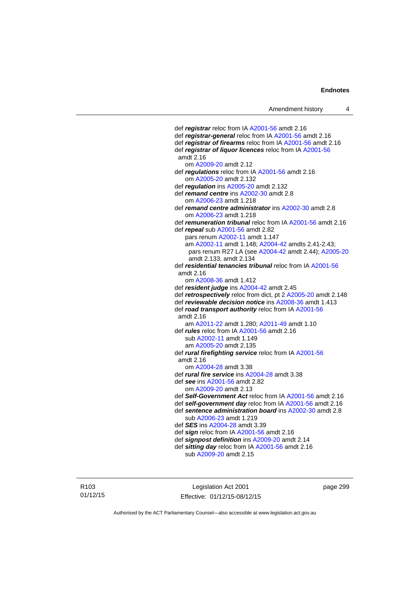def *registrar* reloc from IA [A2001-56](http://www.legislation.act.gov.au/a/2001-56) amdt 2.16 def *registrar-general* reloc from IA [A2001-56](http://www.legislation.act.gov.au/a/2001-56) amdt 2.16 def *registrar of firearms* reloc from IA [A2001-56](http://www.legislation.act.gov.au/a/2001-56) amdt 2.16 def *registrar of liquor licences* reloc from IA [A2001-56](http://www.legislation.act.gov.au/a/2001-56) amdt 2.16 om [A2009-20](http://www.legislation.act.gov.au/a/2009-20) amdt 2.12 def *regulations* reloc from IA [A2001-56](http://www.legislation.act.gov.au/a/2001-56) amdt 2.16 om [A2005-20](http://www.legislation.act.gov.au/a/2005-20) amdt 2.132 def *regulation* ins [A2005-20](http://www.legislation.act.gov.au/a/2005-20) amdt 2.132 def *remand centre* ins [A2002-30](http://www.legislation.act.gov.au/a/2002-30) amdt 2.8 om [A2006-23](http://www.legislation.act.gov.au/a/2006-23) amdt 1.218 def *remand centre administrator* ins [A2002-30](http://www.legislation.act.gov.au/a/2002-30) amdt 2.8 om [A2006-23](http://www.legislation.act.gov.au/a/2006-23) amdt 1.218 def *remuneration tribunal* reloc from IA [A2001-56](http://www.legislation.act.gov.au/a/2001-56) amdt 2.16 def *repeal* sub [A2001-56](http://www.legislation.act.gov.au/a/2001-56) amdt 2.82 pars renum [A2002-11](http://www.legislation.act.gov.au/a/2002-11) amdt 1.147 am [A2002-11](http://www.legislation.act.gov.au/a/2002-11) amdt 1.148; [A2004-42](http://www.legislation.act.gov.au/a/2004-42) amdts 2.41-2.43; pars renum R27 LA (see [A2004-42](http://www.legislation.act.gov.au/a/2004-42) amdt 2.44); [A2005-20](http://www.legislation.act.gov.au/a/2005-20) amdt 2.133, amdt 2.134 def *residential tenancies tribunal* reloc from IA [A2001-56](http://www.legislation.act.gov.au/a/2001-56) amdt 2.16 om [A2008-36](http://www.legislation.act.gov.au/a/2008-36) amdt 1.412 def *resident judge* ins [A2004-42](http://www.legislation.act.gov.au/a/2004-42) amdt 2.45 def *retrospectively* reloc from dict, pt 2 [A2005-20](http://www.legislation.act.gov.au/a/2005-20) amdt 2.148 def *reviewable decision notice* ins [A2008-36](http://www.legislation.act.gov.au/a/2008-36) amdt 1.413 def *road transport authority* reloc from IA [A2001-56](http://www.legislation.act.gov.au/a/2001-56) amdt 2.16 am [A2011-22](http://www.legislation.act.gov.au/a/2011-22) amdt 1.280; [A2011-49](http://www.legislation.act.gov.au/a/2011-49) amdt 1.10 def *rules* reloc from IA [A2001-56](http://www.legislation.act.gov.au/a/2001-56) amdt 2.16 sub [A2002-11](http://www.legislation.act.gov.au/a/2002-11) amdt 1.149 am [A2005-20](http://www.legislation.act.gov.au/a/2005-20) amdt 2.135 def *rural firefighting service* reloc from IA [A2001-56](http://www.legislation.act.gov.au/a/2001-56) amdt 2.16 om [A2004-28](http://www.legislation.act.gov.au/a/2004-28) amdt 3.38 def *rural fire service* ins [A2004-28](http://www.legislation.act.gov.au/a/2004-28) amdt 3.38 def *see* ins [A2001-56](http://www.legislation.act.gov.au/a/2001-56) amdt 2.82 om [A2009-20](http://www.legislation.act.gov.au/a/2009-20) amdt 2.13 def *Self-Government Act* reloc from IA [A2001-56](http://www.legislation.act.gov.au/a/2001-56) amdt 2.16 def *self-government day* reloc from IA [A2001-56](http://www.legislation.act.gov.au/a/2001-56) amdt 2.16 def *sentence administration board* ins [A2002-30](http://www.legislation.act.gov.au/a/2002-30) amdt 2.8 sub [A2006-23](http://www.legislation.act.gov.au/a/2006-23) amdt 1.219 def *SES* ins [A2004-28](http://www.legislation.act.gov.au/a/2004-28) amdt 3.39 def *sign* reloc from IA [A2001-56](http://www.legislation.act.gov.au/a/2001-56) amdt 2.16 def *signpost definition* ins [A2009-20](http://www.legislation.act.gov.au/a/2009-20) amdt 2.14 def *sitting day* reloc from IA [A2001-56](http://www.legislation.act.gov.au/a/2001-56) amdt 2.16

sub [A2009-20](http://www.legislation.act.gov.au/a/2009-20) amdt 2.15

R103 01/12/15

Legislation Act 2001 Effective: 01/12/15-08/12/15

page 299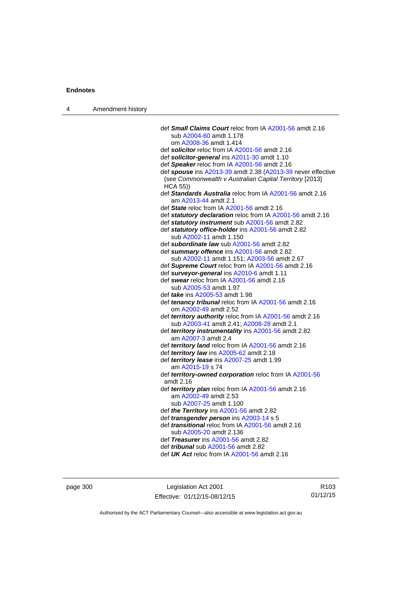| 4 | Amendment history |                                                                                                                        |
|---|-------------------|------------------------------------------------------------------------------------------------------------------------|
|   |                   |                                                                                                                        |
|   |                   | def <b>Small Claims Court</b> reloc from IA A2001-56 amdt 2.16                                                         |
|   |                   | sub A2004-60 amdt 1.178                                                                                                |
|   |                   | om A2008-36 amdt 1.414                                                                                                 |
|   |                   | def solicitor reloc from IA A2001-56 amdt 2.16                                                                         |
|   |                   | def solicitor-general ins A2011-30 amdt 1.10                                                                           |
|   |                   | def Speaker reloc from IA A2001-56 amdt 2.16                                                                           |
|   |                   | def spouse ins A2013-39 amdt 2.38 (A2013-39 never effective<br>(see Commonwealth v Australian Capital Territory [2013] |
|   |                   | <b>HCA 55))</b><br>def Standards Australia reloc from IA A2001-56 amdt 2.16                                            |
|   |                   | am A2013-44 amdt 2.1                                                                                                   |
|   |                   | def State reloc from IA A2001-56 amdt 2.16                                                                             |
|   |                   | def statutory declaration reloc from IA A2001-56 amdt 2.16                                                             |
|   |                   | def statutory instrument sub A2001-56 amdt 2.82                                                                        |
|   |                   | def statutory office-holder ins A2001-56 amdt 2.82                                                                     |
|   |                   | sub A2002-11 amdt 1.150                                                                                                |
|   |                   | def subordinate law sub A2001-56 amdt 2.82                                                                             |
|   |                   | def summary offence ins A2001-56 amdt 2.82                                                                             |
|   |                   | sub A2002-11 amdt 1.151; A2003-56 amdt 2.67                                                                            |
|   |                   | def Supreme Court reloc from IA A2001-56 amdt 2.16                                                                     |
|   |                   | def surveyor-general ins A2010-6 amdt 1.11                                                                             |
|   |                   | def swear reloc from IA A2001-56 amdt 2.16                                                                             |
|   |                   | sub A2005-53 amdt 1.97                                                                                                 |
|   |                   | def take ins A2005-53 amdt 1.98                                                                                        |
|   |                   | def tenancy tribunal reloc from IA A2001-56 amdt 2.16                                                                  |
|   |                   | om A2002-49 amdt 2.52                                                                                                  |
|   |                   | def territory authority reloc from IA A2001-56 amdt 2.16                                                               |
|   |                   | sub A2003-41 amdt 2.41; A2008-28 amdt 2.1                                                                              |
|   |                   | def territory instrumentality ins A2001-56 amdt 2.82                                                                   |
|   |                   | am A2007-3 amdt 2.4                                                                                                    |
|   |                   | def territory land reloc from IA A2001-56 amdt 2.16                                                                    |
|   |                   | def territory law ins A2005-62 amdt 2.18                                                                               |
|   |                   | def <i>territory lease</i> ins A2007-25 amdt 1.99                                                                      |
|   |                   | am A2015-19 s 74<br>def territory-owned corporation reloc from IA A2001-56                                             |
|   |                   | amdt 2.16                                                                                                              |
|   |                   | def territory plan reloc from IA A2001-56 amdt 2.16                                                                    |
|   |                   | am A2002-49 amdt 2.53                                                                                                  |
|   |                   | sub A2007-25 amdt 1.100                                                                                                |
|   |                   | def the Territory ins A2001-56 amdt 2.82                                                                               |
|   |                   | def <i>transgender person</i> ins A2003-14 s 5                                                                         |
|   |                   | def <i>transitional</i> reloc from IA A2001-56 amdt 2.16                                                               |
|   |                   | sub A2005-20 amdt 2.136                                                                                                |
|   |                   | def Treasurer ins A2001-56 amdt 2.82                                                                                   |
|   |                   | def <i>tribunal</i> sub A2001-56 amdt 2.82                                                                             |
|   |                   | def UK Act reloc from IA A2001-56 amdt 2.16                                                                            |
|   |                   |                                                                                                                        |

page 300 Legislation Act 2001 Effective: 01/12/15-08/12/15

R103 01/12/15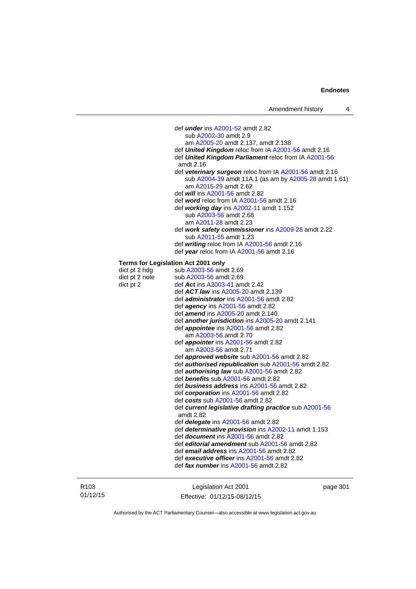def *under* ins [A2001-52](http://www.legislation.act.gov.au/a/2001-52) amdt 2.82 sub [A2002-30](http://www.legislation.act.gov.au/a/2002-30) amdt 2.9 am [A2005-20](http://www.legislation.act.gov.au/a/2005-20) amdt 2.137, amdt 2.138 def *United Kingdom* reloc from IA [A2001-56](http://www.legislation.act.gov.au/a/2001-56) amdt 2.16 def *United Kingdom Parliament* reloc from IA [A2001-56](http://www.legislation.act.gov.au/a/2001-56) amdt 2.16 def *veterinary surgeon* reloc from IA [A2001-56](http://www.legislation.act.gov.au/a/2001-56) amdt 2.16 sub [A2004-39](http://www.legislation.act.gov.au/a/2004-39) amdt 11A.1 (as am by [A2005-28](http://www.legislation.act.gov.au/a/2005-28) amdt 1.61) am [A2015-29](http://www.legislation.act.gov.au/a/2015-29) amdt 2.62 def *will* ins [A2001-56](http://www.legislation.act.gov.au/a/2001-56) amdt 2.82 def *word* reloc from IA [A2001-56](http://www.legislation.act.gov.au/a/2001-56) amdt 2.16 def *working day* ins [A2002-11](http://www.legislation.act.gov.au/a/2002-11) amdt 1.152 sub [A2003-56](http://www.legislation.act.gov.au/a/2003-56) amdt 2.68 am [A2011-28](http://www.legislation.act.gov.au/a/2011-28) amdt 2.23 def *work safety commissioner* ins [A2009-28](http://www.legislation.act.gov.au/a/2009-28) amdt 2.22 sub [A2011-55](http://www.legislation.act.gov.au/a/2011-55) amdt 1.23 def *writing* reloc from IA [A2001-56](http://www.legislation.act.gov.au/a/2001-56) amdt 2.16 def *year* reloc from IA [A2001-56](http://www.legislation.act.gov.au/a/2001-56) amdt 2.16 **Terms for Legislation Act 2001 only**  dict pt 2 hdg sub  $A2003-56$  amdt 2.69 dict pt 2 note sub [A2003-56](http://www.legislation.act.gov.au/a/2003-56) amdt 2.69 dict pt 2 def *Act* ins [A2003-41](http://www.legislation.act.gov.au/a/2003-41) amdt 2.42 def *ACT law* ins [A2005-20](http://www.legislation.act.gov.au/a/2005-20) amdt 2.139 def *administrator* ins [A2001-56](http://www.legislation.act.gov.au/a/2001-56) amdt 2.82 def *agency* ins [A2001-56](http://www.legislation.act.gov.au/a/2001-56) amdt 2.82 def *amend* ins [A2005-20](http://www.legislation.act.gov.au/a/2005-20) amdt 2.140 def *another jurisdiction* ins [A2005-20](http://www.legislation.act.gov.au/a/2005-20) amdt 2.141 def *appointee* ins [A2001-56](http://www.legislation.act.gov.au/a/2001-56) amdt 2.82 am [A2003-56](http://www.legislation.act.gov.au/a/2003-56) amdt 2.70 def *appointer* ins [A2001-56](http://www.legislation.act.gov.au/a/2001-56) amdt 2.82 am [A2003-56](http://www.legislation.act.gov.au/a/2003-56) amdt 2.71 def *approved website* sub [A2001-56](http://www.legislation.act.gov.au/a/2001-56) amdt 2.82 def *authorised republication* sub [A2001-56](http://www.legislation.act.gov.au/a/2001-56) amdt 2.82 def *authorising law* sub [A2001-56](http://www.legislation.act.gov.au/a/2001-56) amdt 2.82 def *benefits* sub [A2001-56](http://www.legislation.act.gov.au/a/2001-56) amdt 2.82 def *business address* ins [A2001-56](http://www.legislation.act.gov.au/a/2001-56) amdt 2.82 def *corporation* ins [A2001-56](http://www.legislation.act.gov.au/a/2001-56) amdt 2.82 def *costs* sub [A2001-56](http://www.legislation.act.gov.au/a/2001-56) amdt 2.82 def *current legislative drafting practice* sub [A2001-56](http://www.legislation.act.gov.au/a/2001-56) amdt 2.82 def *delegate* ins [A2001-56](http://www.legislation.act.gov.au/a/2001-56) amdt 2.82 def *determinative provision* ins [A2002-11](http://www.legislation.act.gov.au/a/2002-11) amdt 1.153 def *document* ins [A2001-56](http://www.legislation.act.gov.au/a/2001-56) amdt 2.82 def *editorial amendment* sub [A2001-56](http://www.legislation.act.gov.au/a/2001-56) amdt 2.82 def *email address* ins [A2001-56](http://www.legislation.act.gov.au/a/2001-56) amdt 2.82 def *executive officer* ins [A2001-56](http://www.legislation.act.gov.au/a/2001-56) amdt 2.82 def *fax number* ins [A2001-56](http://www.legislation.act.gov.au/a/2001-56) amdt 2.82

R103 01/12/15

Legislation Act 2001 Effective: 01/12/15-08/12/15 page 301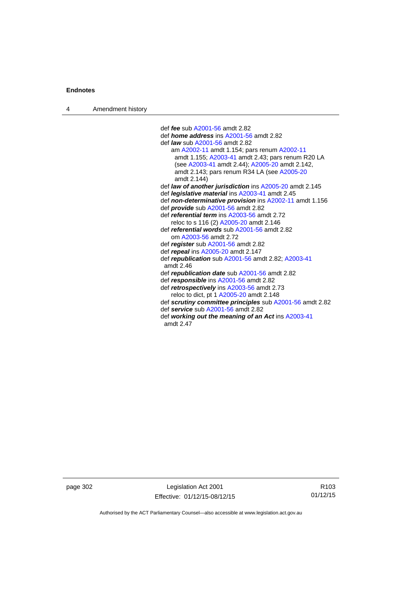| Amendment history<br>$\overline{4}$ |  |
|-------------------------------------|--|
|-------------------------------------|--|

 def *fee* sub [A2001-56](http://www.legislation.act.gov.au/a/2001-56) amdt 2.82 def *home address* ins [A2001-56](http://www.legislation.act.gov.au/a/2001-56) amdt 2.82 def *law* sub [A2001-56](http://www.legislation.act.gov.au/a/2001-56) amdt 2.82 am [A2002-11](http://www.legislation.act.gov.au/a/2002-11) amdt 1.154; pars renum [A2002-11](http://www.legislation.act.gov.au/a/2002-11) amdt 1.155; [A2003-41](http://www.legislation.act.gov.au/a/2003-41) amdt 2.43; pars renum R20 LA (see [A2003-41](http://www.legislation.act.gov.au/a/2003-41) amdt 2.44); [A2005-20](http://www.legislation.act.gov.au/a/2005-20) amdt 2.142, amdt 2.143; pars renum R34 LA (see [A2005-20](http://www.legislation.act.gov.au/a/2005-20) amdt 2.144) def *law of another jurisdiction* ins [A2005-20](http://www.legislation.act.gov.au/a/2005-20) amdt 2.145 def *legislative material* ins [A2003-41](http://www.legislation.act.gov.au/a/2003-41) amdt 2.45 def *non-determinative provision* ins [A2002-11](http://www.legislation.act.gov.au/a/2002-11) amdt 1.156 def *provide* sub [A2001-56](http://www.legislation.act.gov.au/a/2001-56) amdt 2.82 def *referential term* ins [A2003-56](http://www.legislation.act.gov.au/a/2003-56) amdt 2.72 reloc to s 116 (2) [A2005-20](http://www.legislation.act.gov.au/a/2005-20) amdt 2.146 def *referential words* sub [A2001-56](http://www.legislation.act.gov.au/a/2001-56) amdt 2.82 om [A2003-56](http://www.legislation.act.gov.au/a/2003-56) amdt 2.72 def *register* sub [A2001-56](http://www.legislation.act.gov.au/a/2001-56) amdt 2.82 def *repeal* ins [A2005-20](http://www.legislation.act.gov.au/a/2005-20) amdt 2.147 def *republication* sub [A2001-56](http://www.legislation.act.gov.au/a/2001-56) amdt 2.82; [A2003-41](http://www.legislation.act.gov.au/a/2003-41) amdt 2.46 def *republication date* sub [A2001-56](http://www.legislation.act.gov.au/a/2001-56) amdt 2.82 def *responsible* ins [A2001-56](http://www.legislation.act.gov.au/a/2001-56) amdt 2.82 def *retrospectively* ins [A2003-56](http://www.legislation.act.gov.au/a/2003-56) amdt 2.73 reloc to dict, pt 1 [A2005-20](http://www.legislation.act.gov.au/a/2005-20) amdt 2.148 def *scrutiny committee principles* sub [A2001-56](http://www.legislation.act.gov.au/a/2001-56) amdt 2.82 def *service* sub [A2001-56](http://www.legislation.act.gov.au/a/2001-56) amdt 2.82 def *working out the meaning of an Act* ins [A2003-41](http://www.legislation.act.gov.au/a/2003-41) amdt 2.47

page 302 Legislation Act 2001 Effective: 01/12/15-08/12/15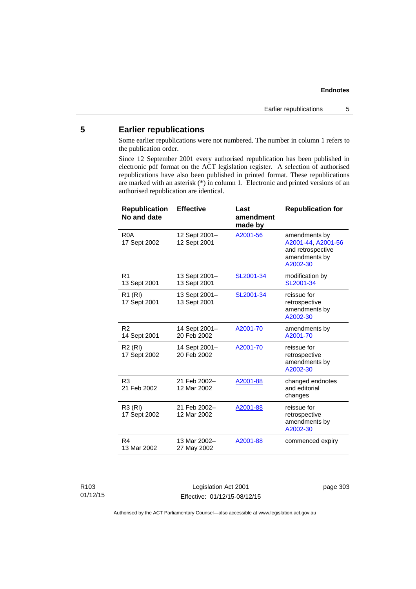# **5 Earlier republications**

Some earlier republications were not numbered. The number in column 1 refers to the publication order.

Since 12 September 2001 every authorised republication has been published in electronic pdf format on the ACT legislation register. A selection of authorised republications have also been published in printed format. These republications are marked with an asterisk (\*) in column 1. Electronic and printed versions of an authorised republication are identical.

| <b>Republication</b><br>No and date | <b>Effective</b>              | Last<br>amendment<br>made by | <b>Republication for</b>                                                              |
|-------------------------------------|-------------------------------|------------------------------|---------------------------------------------------------------------------------------|
| R <sub>0</sub> A<br>17 Sept 2002    | 12 Sept 2001-<br>12 Sept 2001 | A2001-56                     | amendments by<br>A2001-44, A2001-56<br>and retrospective<br>amendments by<br>A2002-30 |
| R <sub>1</sub><br>13 Sept 2001      | 13 Sept 2001-<br>13 Sept 2001 | SL2001-34                    | modification by<br>SL2001-34                                                          |
| R <sub>1</sub> (RI)<br>17 Sept 2001 | 13 Sept 2001-<br>13 Sept 2001 | SL2001-34                    | reissue for<br>retrospective<br>amendments by<br>A2002-30                             |
| R <sub>2</sub><br>14 Sept 2001      | 14 Sept 2001-<br>20 Feb 2002  | A2001-70                     | amendments by<br>A2001-70                                                             |
| R <sub>2</sub> (RI)<br>17 Sept 2002 | 14 Sept 2001-<br>20 Feb 2002  | A2001-70                     | reissue for<br>retrospective<br>amendments by<br>A2002-30                             |
| R <sub>3</sub><br>21 Feb 2002       | 21 Feb 2002-<br>12 Mar 2002   | A2001-88                     | changed endnotes<br>and editorial<br>changes                                          |
| R3 (RI)<br>17 Sept 2002             | 21 Feb 2002-<br>12 Mar 2002   | A2001-88                     | reissue for<br>retrospective<br>amendments by<br>A2002-30                             |
| R4<br>13 Mar 2002                   | 13 Mar 2002-<br>27 May 2002   | A2001-88                     | commenced expiry                                                                      |

Legislation Act 2001 Effective: 01/12/15-08/12/15 page 303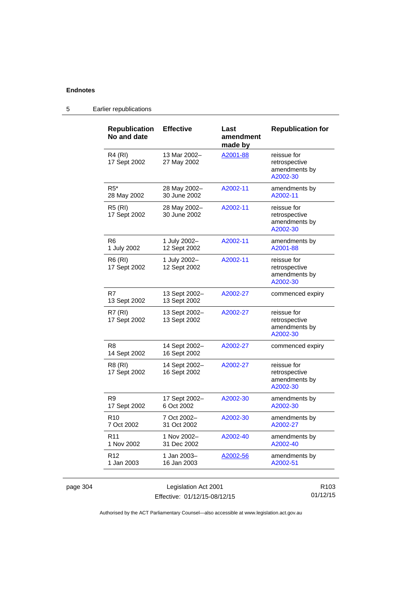| <b>Republication</b><br>No and date | <b>Effective</b>              | Last<br>amendment<br>made by | <b>Republication for</b>                                  |
|-------------------------------------|-------------------------------|------------------------------|-----------------------------------------------------------|
| <b>R4 (RI)</b><br>17 Sept 2002      | 13 Mar 2002-<br>27 May 2002   | A2001-88                     | reissue for<br>retrospective<br>amendments by<br>A2002-30 |
| $R5*$<br>28 May 2002                | 28 May 2002-<br>30 June 2002  | A2002-11                     | amendments by<br>A2002-11                                 |
| R5 (RI)<br>17 Sept 2002             | 28 May 2002-<br>30 June 2002  | A2002-11                     | reissue for<br>retrospective<br>amendments by<br>A2002-30 |
| R <sub>6</sub><br>1 July 2002       | 1 July 2002-<br>12 Sept 2002  | A2002-11                     | amendments by<br>A2001-88                                 |
| R6 (RI)<br>17 Sept 2002             | 1 July 2002-<br>12 Sept 2002  | A2002-11                     | reissue for<br>retrospective<br>amendments by<br>A2002-30 |
| R7<br>13 Sept 2002                  | 13 Sept 2002-<br>13 Sept 2002 | A2002-27                     | commenced expiry                                          |
| R7 (RI)<br>17 Sept 2002             | 13 Sept 2002-<br>13 Sept 2002 | A2002-27                     | reissue for<br>retrospective<br>amendments by<br>A2002-30 |
| R <sub>8</sub><br>14 Sept 2002      | 14 Sept 2002-<br>16 Sept 2002 | A2002-27                     | commenced expiry                                          |
| R8 (RI)<br>17 Sept 2002             | 14 Sept 2002-<br>16 Sept 2002 | A2002-27                     | reissue for<br>retrospective<br>amendments by<br>A2002-30 |
| R9<br>17 Sept 2002                  | 17 Sept 2002-<br>6 Oct 2002   | A2002-30                     | amendments by<br>A2002-30                                 |
| R <sub>10</sub><br>7 Oct 2002       | 7 Oct 2002-<br>31 Oct 2002    | A2002-30                     | amendments by<br>A2002-27                                 |
| R <sub>11</sub><br>1 Nov 2002       | 1 Nov 2002-<br>31 Dec 2002    | A2002-40                     | amendments by<br>A2002-40                                 |
| R <sub>12</sub><br>1 Jan 2003       | 1 Jan 2003-<br>16 Jan 2003    | A2002-56                     | amendments by<br>A2002-51                                 |

5 Earlier republications

Authorised by the ACT Parliamentary Counsel—also accessible at www.legislation.act.gov.au

01/12/15

Effective: 01/12/15-08/12/15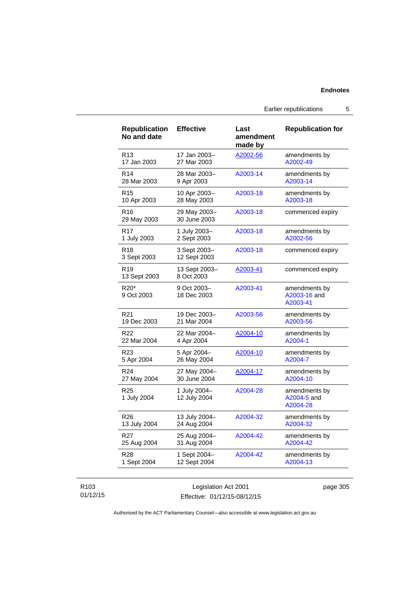Earlier republications 5

| <b>Republication</b><br>No and date | <b>Effective</b>             | Last<br>amendment<br>made by | <b>Republication for</b>                  |
|-------------------------------------|------------------------------|------------------------------|-------------------------------------------|
| R <sub>13</sub>                     | 17 Jan 2003–                 | A2002-56                     | amendments by                             |
| 17 Jan 2003                         | 27 Mar 2003                  |                              | A2002-49                                  |
| R <sub>14</sub>                     | 28 Mar 2003-                 | A2003-14                     | amendments by                             |
| 28 Mar 2003                         | 9 Apr 2003                   |                              | A2003-14                                  |
| R <sub>15</sub>                     | 10 Apr 2003-                 | A2003-18                     | amendments by                             |
| 10 Apr 2003                         | 28 May 2003                  |                              | A2003-18                                  |
| R16<br>29 May 2003                  | 29 May 2003-<br>30 June 2003 | A2003-18                     | commenced expiry                          |
| R17                                 | 1 July 2003-                 | A2003-18                     | amendments by                             |
| 1 July 2003                         | 2 Sept 2003                  |                              | A2002-56                                  |
| R <sub>18</sub><br>3 Sept 2003      | 3 Sept 2003-<br>12 Sept 2003 | A2003-18                     | commenced expiry                          |
| R <sub>19</sub><br>13 Sept 2003     | 13 Sept 2003-<br>8 Oct 2003  | A2003-41                     | commenced expiry                          |
| R20*<br>9 Oct 2003                  | 9 Oct 2003-<br>18 Dec 2003   | A2003-41                     | amendments by<br>A2003-16 and<br>A2003-41 |
| R <sub>21</sub>                     | 19 Dec 2003-                 | A2003-56                     | amendments by                             |
| 19 Dec 2003                         | 21 Mar 2004                  |                              | A2003-56                                  |
| R <sub>22</sub>                     | 22 Mar 2004-                 | A2004-10                     | amendments by                             |
| 22 Mar 2004                         | 4 Apr 2004                   |                              | A2004-1                                   |
| R <sub>23</sub>                     | 5 Apr 2004-                  | A2004-10                     | amendments by                             |
| 5 Apr 2004                          | 26 May 2004                  |                              | A2004-7                                   |
| R <sub>24</sub>                     | 27 May 2004-                 | A2004-17                     | amendments by                             |
| 27 May 2004                         | 30 June 2004                 |                              | A2004-10                                  |
| R <sub>25</sub><br>1 July 2004      | 1 July 2004-<br>12 July 2004 | A2004-28                     | amendments by<br>A2004-5 and<br>A2004-28  |
| R26                                 | 13 July 2004-                | A2004-32                     | amendments by                             |
| 13 July 2004                        | 24 Aug 2004                  |                              | A2004-32                                  |
| R27                                 | 25 Aug 2004-                 | A2004-42                     | amendments by                             |
| 25 Aug 2004                         | 31 Aug 2004                  |                              | A2004-42                                  |
| R28                                 | 1 Sept 2004-                 | A2004-42                     | amendments by                             |
| 1 Sept 2004                         | 12 Sept 2004                 |                              | A2004-13                                  |

## R103 01/12/15

Legislation Act 2001 Effective: 01/12/15-08/12/15 page 305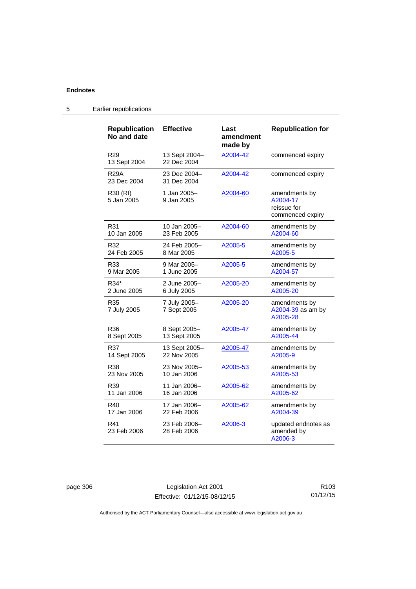5 Earlier republications

| <b>Republication</b><br>No and date | <b>Effective</b>             | Last<br>amendment<br>made by | <b>Republication for</b>                                     |
|-------------------------------------|------------------------------|------------------------------|--------------------------------------------------------------|
| R <sub>29</sub><br>13 Sept 2004     | 13 Sept 2004-<br>22 Dec 2004 | A2004-42                     | commenced expiry                                             |
| <b>R29A</b><br>23 Dec 2004          | 23 Dec 2004-<br>31 Dec 2004  | A2004-42                     | commenced expiry                                             |
| R30 (RI)<br>5 Jan 2005              | 1 Jan 2005-<br>9 Jan 2005    | A2004-60                     | amendments by<br>A2004-17<br>reissue for<br>commenced expiry |
| R31                                 | 10 Jan 2005–                 | A2004-60                     | amendments by                                                |
| 10 Jan 2005                         | 23 Feb 2005                  |                              | A2004-60                                                     |
| R32                                 | 24 Feb 2005-                 | A2005-5                      | amendments by                                                |
| 24 Feb 2005                         | 8 Mar 2005                   |                              | A2005-5                                                      |
| R33                                 | 9 Mar 2005-                  | A2005-5                      | amendments by                                                |
| 9 Mar 2005                          | 1 June 2005                  |                              | A2004-57                                                     |
| R34*                                | 2 June 2005-                 | A2005-20                     | amendments by                                                |
| 2 June 2005                         | 6 July 2005                  |                              | A2005-20                                                     |
| R35<br>7 July 2005                  | 7 July 2005-<br>7 Sept 2005  | A2005-20                     | amendments by<br>A2004-39 as am by<br>A2005-28               |
| R36                                 | 8 Sept 2005-                 | A2005-47                     | amendments by                                                |
| 8 Sept 2005                         | 13 Sept 2005                 |                              | A2005-44                                                     |
| R37                                 | 13 Sept 2005-                | <u>A2005-47</u>              | amendments by                                                |
| 14 Sept 2005                        | 22 Nov 2005                  |                              | A2005-9                                                      |
| R38                                 | 23 Nov 2005-                 | A2005-53                     | amendments by                                                |
| 23 Nov 2005                         | 10 Jan 2006                  |                              | A2005-53                                                     |
| R39                                 | 11 Jan 2006–                 | A2005-62                     | amendments by                                                |
| 11 Jan 2006                         | 16 Jan 2006                  |                              | A2005-62                                                     |
| R40                                 | 17 Jan 2006–                 | A2005-62                     | amendments by                                                |
| 17 Jan 2006                         | 22 Feb 2006                  |                              | A2004-39                                                     |
| R41<br>23 Feb 2006                  | 23 Feb 2006-<br>28 Feb 2006  | A2006-3                      | updated endnotes as<br>amended by<br>A2006-3                 |

page 306 Legislation Act 2001 Effective: 01/12/15-08/12/15

R103 01/12/15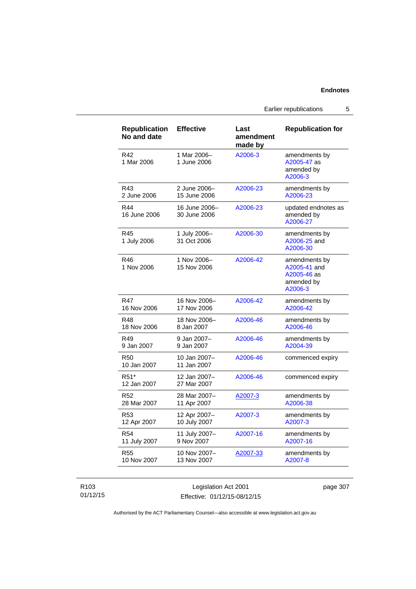Earlier republications 5

| <b>Republication</b><br>No and date | <b>Effective</b>              | Last<br>amendment<br>made by | <b>Republication for</b>                                              |
|-------------------------------------|-------------------------------|------------------------------|-----------------------------------------------------------------------|
| R42<br>1 Mar 2006                   | 1 Mar 2006-<br>1 June 2006    | A2006-3                      | amendments by<br>A2005-47 as<br>amended by<br>A2006-3                 |
| R43                                 | 2 June 2006-                  | A2006-23                     | amendments by                                                         |
| 2 June 2006                         | 15 June 2006                  |                              | A2006-23                                                              |
| R44<br>16 June 2006                 | 16 June 2006-<br>30 June 2006 | A2006-23                     | updated endnotes as<br>amended by<br>A2006-27                         |
| R45<br>1 July 2006                  | 1 July 2006-<br>31 Oct 2006   | A2006-30                     | amendments by<br>A2006-25 and<br>A2006-30                             |
| R46<br>1 Nov 2006                   | 1 Nov 2006-<br>15 Nov 2006    | A2006-42                     | amendments by<br>A2005-41 and<br>A2005-46 as<br>amended by<br>A2006-3 |
| R47                                 | 16 Nov 2006-                  | A2006-42                     | amendments by                                                         |
| 16 Nov 2006                         | 17 Nov 2006                   |                              | A2006-42                                                              |
| R48                                 | 18 Nov 2006-                  | A2006-46                     | amendments by                                                         |
| 18 Nov 2006                         | 8 Jan 2007                    |                              | A2006-46                                                              |
| R49                                 | 9 Jan 2007-                   | A2006-46                     | amendments by                                                         |
| 9 Jan 2007                          | 9 Jan 2007                    |                              | A2004-39                                                              |
| <b>R50</b><br>10 Jan 2007           | 10 Jan 2007-<br>11 Jan 2007   | A2006-46                     | commenced expiry                                                      |
| R <sub>51</sub> *<br>12 Jan 2007    | 12 Jan 2007-<br>27 Mar 2007   | A2006-46                     | commenced expiry                                                      |
| R52                                 | 28 Mar 2007-                  | A2007-3                      | amendments by                                                         |
| 28 Mar 2007                         | 11 Apr 2007                   |                              | A2006-38                                                              |
| R <sub>53</sub>                     | 12 Apr 2007-                  | A2007-3                      | amendments by                                                         |
| 12 Apr 2007                         | 10 July 2007                  |                              | A2007-3                                                               |
| R54                                 | 11 July 2007-                 | A2007-16                     | amendments by                                                         |
| 11 July 2007                        | 9 Nov 2007                    |                              | A2007-16                                                              |
| R55                                 | 10 Nov 2007-                  | A2007-33                     | amendments by                                                         |
| 10 Nov 2007                         | 13 Nov 2007                   |                              | A2007-8                                                               |

## R103 01/12/15

Legislation Act 2001 Effective: 01/12/15-08/12/15 page 307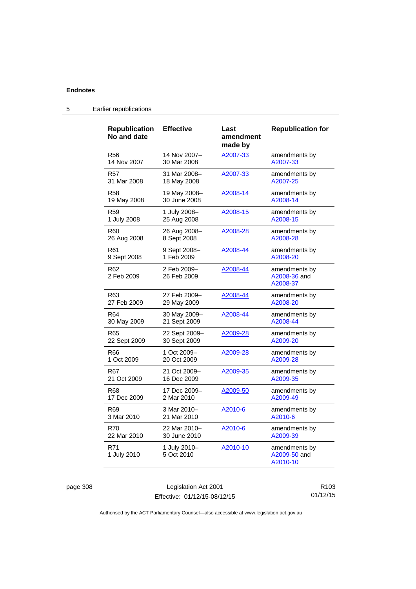| <b>Republication</b><br>No and date | <b>Effective</b>           | Last<br>amendment<br>made by | <b>Republication for</b>                  |
|-------------------------------------|----------------------------|------------------------------|-------------------------------------------|
| <b>R56</b>                          | 14 Nov 2007-               | A2007-33                     | amendments by                             |
| 14 Nov 2007                         | 30 Mar 2008                |                              | A2007-33                                  |
| R57                                 | 31 Mar 2008-               | A2007-33                     | amendments by                             |
| 31 Mar 2008                         | 18 May 2008                |                              | A2007-25                                  |
| R58                                 | 19 May 2008-               | A2008-14                     | amendments by                             |
| 19 May 2008                         | 30 June 2008               |                              | A2008-14                                  |
| R59                                 | 1 July 2008-               | A2008-15                     | amendments by                             |
| 1 July 2008                         | 25 Aug 2008                |                              | A2008-15                                  |
| R60                                 | 26 Aug 2008-               | A2008-28                     | amendments by                             |
| 26 Aug 2008                         | 8 Sept 2008                |                              | A2008-28                                  |
| R61                                 | 9 Sept 2008-               | A2008-44                     | amendments by                             |
| 9 Sept 2008                         | 1 Feb 2009                 |                              | A2008-20                                  |
| R62<br>2 Feb 2009                   | 2 Feb 2009-<br>26 Feb 2009 | A2008-44                     | amendments by<br>A2008-36 and<br>A2008-37 |
| R63                                 | 27 Feb 2009-               | A2008-44                     | amendments by                             |
| 27 Feb 2009                         | 29 May 2009                |                              | A2008-20                                  |
| R64                                 | 30 May 2009-               | A2008-44                     | amendments by                             |
| 30 May 2009                         | 21 Sept 2009               |                              | A2008-44                                  |
| R65                                 | 22 Sept 2009-              | A2009-28                     | amendments by                             |
| 22 Sept 2009                        | 30 Sept 2009               |                              | A2009-20                                  |
| R66                                 | 1 Oct 2009-                | A2009-28                     | amendments by                             |
| 1 Oct 2009                          | 20 Oct 2009                |                              | A2009-28                                  |
| R67                                 | 21 Oct 2009-               | A2009-35                     | amendments by                             |
| 21 Oct 2009                         | 16 Dec 2009                |                              | A2009-35                                  |
| R68                                 | 17 Dec 2009-               | A2009-50                     | amendments by                             |
| 17 Dec 2009                         | 2 Mar 2010                 |                              | A2009-49                                  |
| R69                                 | 3 Mar 2010-                | A2010-6                      | amendments by                             |
| 3 Mar 2010                          | 21 Mar 2010                |                              | A2010-6                                   |
| <b>R70</b>                          | 22 Mar 2010-               | A2010-6                      | amendments by                             |
| 22 Mar 2010                         | 30 June 2010               |                              | A2009-39                                  |
| R71<br>1 July 2010                  | 1 July 2010-<br>5 Oct 2010 | A2010-10                     | amendments by<br>A2009-50 and<br>A2010-10 |

# 5 Earlier republications

page 308 Legislation Act 2001 Effective: 01/12/15-08/12/15

R103 01/12/15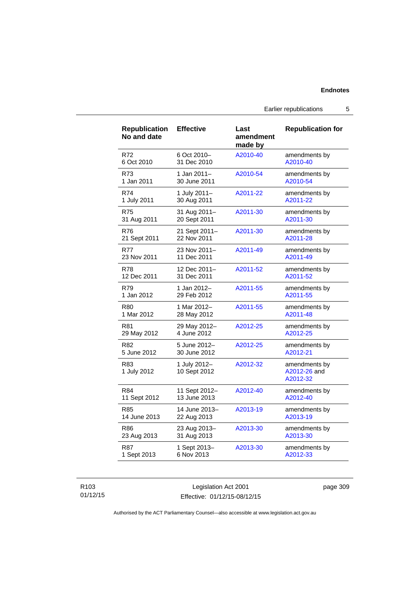## **Endnotes**

Earlier republications 5

| <b>Republication</b><br>No and date | <b>Effective</b>             | Last<br>amendment<br>made by | <b>Republication for</b>                  |
|-------------------------------------|------------------------------|------------------------------|-------------------------------------------|
| R72                                 | 6 Oct 2010-                  | A2010-40                     | amendments by                             |
| 6 Oct 2010                          | 31 Dec 2010                  |                              | A2010-40                                  |
| R73                                 | 1 Jan 2011-                  | A2010-54                     | amendments by                             |
| 1 Jan 2011                          | 30 June 2011                 |                              | A2010-54                                  |
| R74                                 | 1 July 2011-                 | A2011-22                     | amendments by                             |
| 1 July 2011                         | 30 Aug 2011                  |                              | A2011-22                                  |
| <b>R75</b>                          | 31 Aug 2011-                 | A2011-30                     | amendments by                             |
| 31 Aug 2011                         | 20 Sept 2011                 |                              | A2011-30                                  |
| <b>R76</b>                          | 21 Sept 2011-                | A2011-30                     | amendments by                             |
| 21 Sept 2011                        | 22 Nov 2011                  |                              | A2011-28                                  |
| <b>R77</b>                          | 23 Nov 2011-                 | A2011-49                     | amendments by                             |
| 23 Nov 2011                         | 11 Dec 2011                  |                              | A2011-49                                  |
| <b>R78</b>                          | 12 Dec 2011-                 | A2011-52                     | amendments by                             |
| 12 Dec 2011                         | 31 Dec 2011                  |                              | A2011-52                                  |
| R79                                 | 1 Jan 2012-                  | A2011-55                     | amendments by                             |
| 1 Jan 2012                          | 29 Feb 2012                  |                              | A2011-55                                  |
| <b>R80</b>                          | 1 Mar 2012-                  | A2011-55                     | amendments by                             |
| 1 Mar 2012                          | 28 May 2012                  |                              | A2011-48                                  |
| R81                                 | 29 May 2012-                 | A2012-25                     | amendments by                             |
| 29 May 2012                         | 4 June 2012                  |                              | A2012-25                                  |
| R82                                 | 5 June 2012-                 | A2012-25                     | amendments by                             |
| 5 June 2012                         | 30 June 2012                 |                              | A2012-21                                  |
| R83<br>1 July 2012                  | 1 July 2012-<br>10 Sept 2012 | A2012-32                     | amendments by<br>A2012-26 and<br>A2012-32 |
| R84                                 | 11 Sept 2012-                | A2012-40                     | amendments by                             |
| 11 Sept 2012                        | 13 June 2013                 |                              | A2012-40                                  |
| R85                                 | 14 June 2013-                | A2013-19                     | amendments by                             |
| 14 June 2013                        | 22 Aug 2013                  |                              | A2013-19                                  |
| R86                                 | 23 Aug 2013-                 | A2013-30                     | amendments by                             |
| 23 Aug 2013                         | 31 Aug 2013                  |                              | A2013-30                                  |
| <b>R87</b>                          | 1 Sept 2013-                 | A2013-30                     | amendments by                             |
| 1 Sept 2013                         | 6 Nov 2013                   |                              | A2012-33                                  |

### R103 01/12/15

Legislation Act 2001 Effective: 01/12/15-08/12/15 page 309

Authorised by the ACT Parliamentary Counsel—also accessible at www.legislation.act.gov.au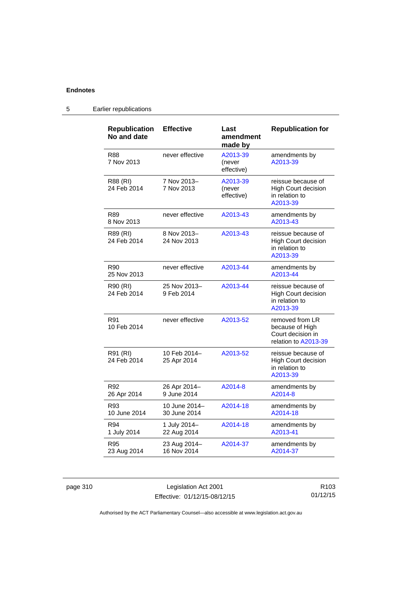## **Endnotes**

| <b>Republication</b><br>No and date | <b>Effective</b>              | Last<br>amendment<br>made by     | <b>Republication for</b>                                                        |
|-------------------------------------|-------------------------------|----------------------------------|---------------------------------------------------------------------------------|
| R88<br>7 Nov 2013                   | never effective               | A2013-39<br>(never<br>effective) | amendments by<br>A2013-39                                                       |
| R88 (RI)<br>24 Feb 2014             | 7 Nov 2013-<br>7 Nov 2013     | A2013-39<br>(never<br>effective) | reissue because of<br><b>High Court decision</b><br>in relation to<br>A2013-39  |
| R89<br>8 Nov 2013                   | never effective               | A2013-43                         | amendments by<br>A2013-43                                                       |
| R89 (RI)<br>24 Feb 2014             | 8 Nov 2013-<br>24 Nov 2013    | A2013-43                         | reissue because of<br><b>High Court decision</b><br>in relation to<br>A2013-39  |
| R90<br>25 Nov 2013                  | never effective               | A2013-44                         | amendments by<br>A2013-44                                                       |
| R90 (RI)<br>24 Feb 2014             | 25 Nov 2013-<br>9 Feb 2014    | A2013-44                         | reissue because of<br><b>High Court decision</b><br>in relation to<br>A2013-39  |
| R91<br>10 Feb 2014                  | never effective               | A2013-52                         | removed from LR<br>because of High<br>Court decision in<br>relation to A2013-39 |
| R91 (RI)<br>24 Feb 2014             | 10 Feb 2014-<br>25 Apr 2014   | A2013-52                         | reissue because of<br>High Court decision<br>in relation to<br>A2013-39         |
| R92<br>26 Apr 2014                  | 26 Apr 2014-<br>9 June 2014   | A2014-8                          | amendments by<br>A2014-8                                                        |
| R93<br>10 June 2014                 | 10 June 2014-<br>30 June 2014 | A2014-18                         | amendments by<br>A2014-18                                                       |
| R94<br>1 July 2014                  | 1 July 2014-<br>22 Aug 2014   | A2014-18                         | amendments by<br>A2013-41                                                       |
| R95<br>23 Aug 2014                  | 23 Aug 2014-<br>16 Nov 2014   | A2014-37                         | amendments by<br>A2014-37                                                       |

## 5 Earlier republications

page 310 Legislation Act 2001 Effective: 01/12/15-08/12/15

R103 01/12/15

Authorised by the ACT Parliamentary Counsel—also accessible at www.legislation.act.gov.au